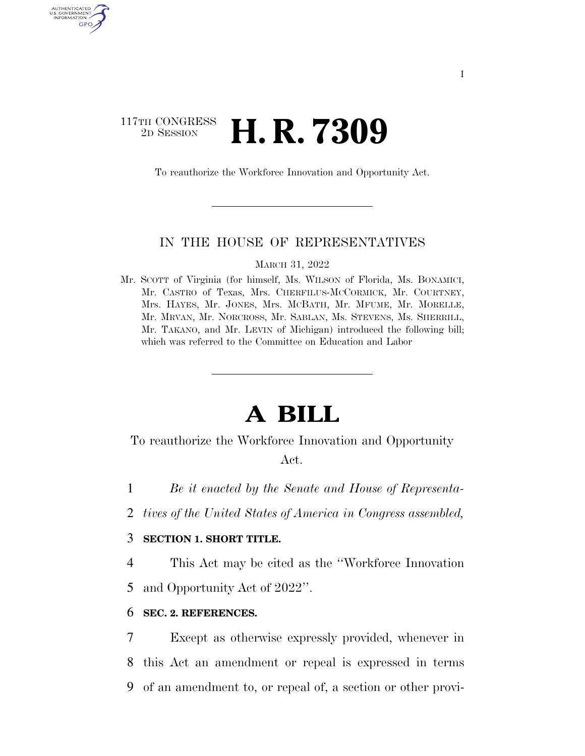# 117TH CONGRESS <sup>2D SESSION</sup> **H. R. 7309**

AUTHENTICATED U.S. GOVERNMENT GPO

To reauthorize the Workforce Innovation and Opportunity Act.

# IN THE HOUSE OF REPRESENTATIVES

MARCH 31, 2022

Mr. SCOTT of Virginia (for himself, Ms. WILSON of Florida, Ms. BONAMICI, Mr. CASTRO of Texas, Mrs. CHERFILUS-MCCORMICK, Mr. COURTNEY, Mrs. HAYES, Mr. JONES, Mrs. MCBATH, Mr. MFUME, Mr. MORELLE, Mr. MRVAN, Mr. NORCROSS, Mr. SABLAN, Ms. STEVENS, Ms. SHERRILL, Mr. TAKANO, and Mr. LEVIN of Michigan) introduced the following bill; which was referred to the Committee on Education and Labor

# **A BILL**

To reauthorize the Workforce Innovation and Opportunity Act.

1 *Be it enacted by the Senate and House of Representa-*

2 *tives of the United States of America in Congress assembled,* 

# 3 **SECTION 1. SHORT TITLE.**

4 This Act may be cited as the ''Workforce Innovation

5 and Opportunity Act of 2022''.

# 6 **SEC. 2. REFERENCES.**

7 Except as otherwise expressly provided, whenever in 8 this Act an amendment or repeal is expressed in terms 9 of an amendment to, or repeal of, a section or other provi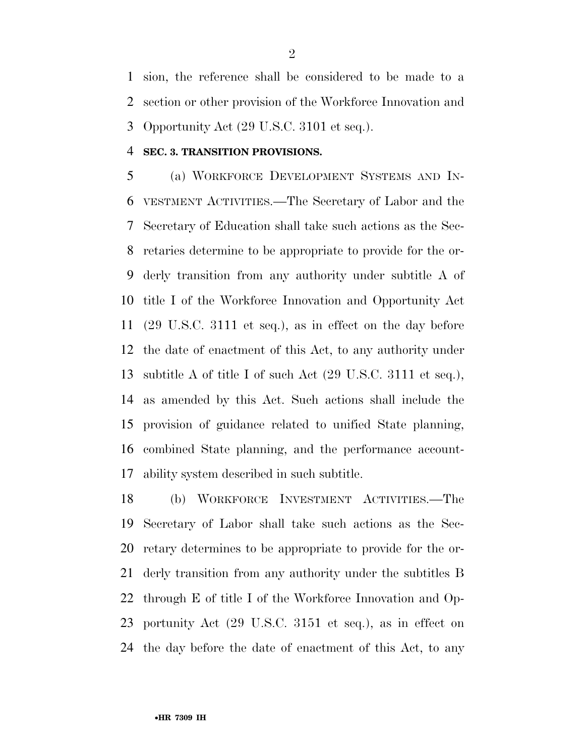sion, the reference shall be considered to be made to a section or other provision of the Workforce Innovation and Opportunity Act (29 U.S.C. 3101 et seq.).

# **SEC. 3. TRANSITION PROVISIONS.**

 (a) WORKFORCE DEVELOPMENT SYSTEMS AND IN- VESTMENT ACTIVITIES.—The Secretary of Labor and the Secretary of Education shall take such actions as the Sec- retaries determine to be appropriate to provide for the or- derly transition from any authority under subtitle A of title I of the Workforce Innovation and Opportunity Act (29 U.S.C. 3111 et seq.), as in effect on the day before the date of enactment of this Act, to any authority under subtitle A of title I of such Act (29 U.S.C. 3111 et seq.), as amended by this Act. Such actions shall include the provision of guidance related to unified State planning, combined State planning, and the performance account-ability system described in such subtitle.

 (b) WORKFORCE INVESTMENT ACTIVITIES.—The Secretary of Labor shall take such actions as the Sec- retary determines to be appropriate to provide for the or- derly transition from any authority under the subtitles B through E of title I of the Workforce Innovation and Op- portunity Act (29 U.S.C. 3151 et seq.), as in effect on the day before the date of enactment of this Act, to any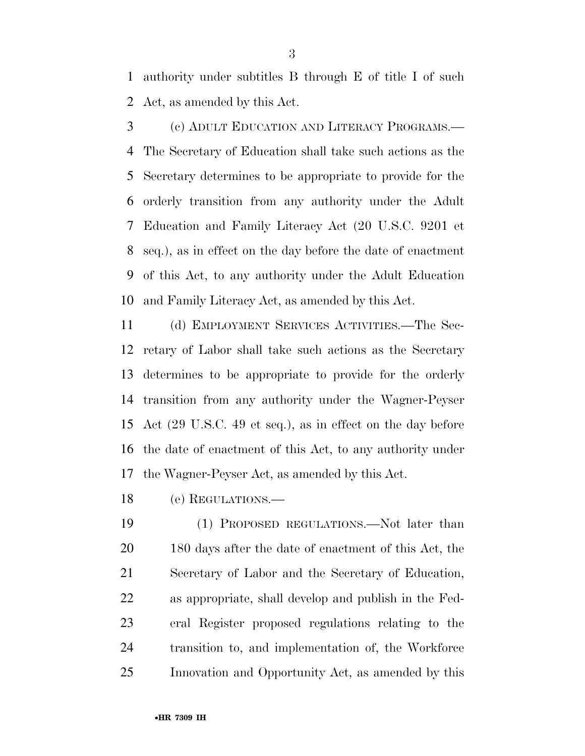authority under subtitles B through E of title I of such Act, as amended by this Act.

 (c) ADULT EDUCATION AND LITERACY PROGRAMS.— The Secretary of Education shall take such actions as the Secretary determines to be appropriate to provide for the orderly transition from any authority under the Adult Education and Family Literacy Act (20 U.S.C. 9201 et seq.), as in effect on the day before the date of enactment of this Act, to any authority under the Adult Education and Family Literacy Act, as amended by this Act.

 (d) EMPLOYMENT SERVICES ACTIVITIES.—The Sec- retary of Labor shall take such actions as the Secretary determines to be appropriate to provide for the orderly transition from any authority under the Wagner-Peyser Act (29 U.S.C. 49 et seq.), as in effect on the day before the date of enactment of this Act, to any authority under the Wagner-Peyser Act, as amended by this Act.

(e) REGULATIONS.—

19 (1) PROPOSED REGULATIONS.—Not later than 180 days after the date of enactment of this Act, the Secretary of Labor and the Secretary of Education, as appropriate, shall develop and publish in the Fed- eral Register proposed regulations relating to the transition to, and implementation of, the Workforce Innovation and Opportunity Act, as amended by this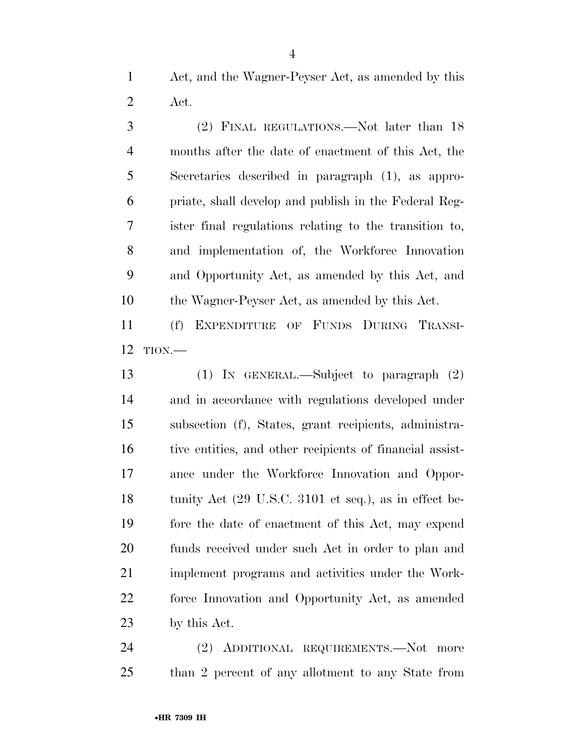Act, and the Wagner-Peyser Act, as amended by this Act.

 (2) FINAL REGULATIONS.—Not later than 18 months after the date of enactment of this Act, the Secretaries described in paragraph (1), as appro- priate, shall develop and publish in the Federal Reg- ister final regulations relating to the transition to, and implementation of, the Workforce Innovation and Opportunity Act, as amended by this Act, and the Wagner-Peyser Act, as amended by this Act.

 (f) EXPENDITURE OF FUNDS DURING TRANSI-TION.—

 (1) IN GENERAL.—Subject to paragraph (2) and in accordance with regulations developed under subsection (f), States, grant recipients, administra- tive entities, and other recipients of financial assist- ance under the Workforce Innovation and Oppor- tunity Act (29 U.S.C. 3101 et seq.), as in effect be- fore the date of enactment of this Act, may expend funds received under such Act in order to plan and implement programs and activities under the Work- force Innovation and Opportunity Act, as amended by this Act.

 (2) ADDITIONAL REQUIREMENTS.—Not more than 2 percent of any allotment to any State from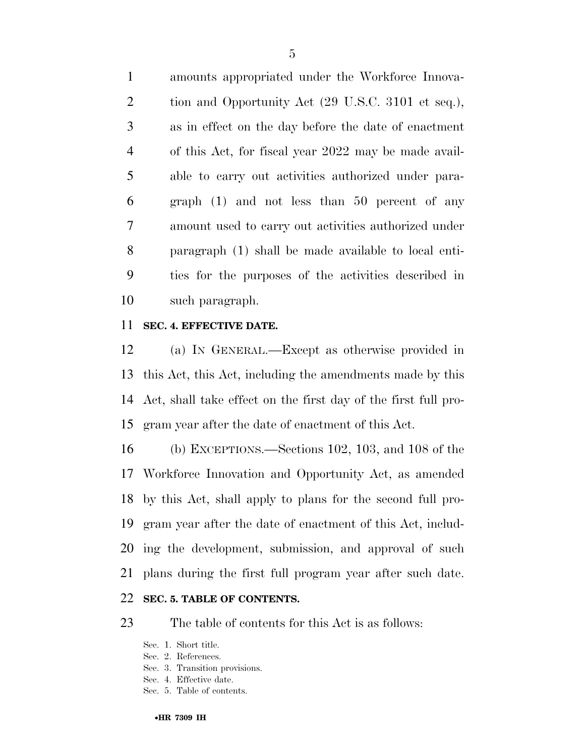amounts appropriated under the Workforce Innova- tion and Opportunity Act (29 U.S.C. 3101 et seq.), as in effect on the day before the date of enactment of this Act, for fiscal year 2022 may be made avail- able to carry out activities authorized under para- graph (1) and not less than 50 percent of any amount used to carry out activities authorized under paragraph (1) shall be made available to local enti- ties for the purposes of the activities described in such paragraph.

# **SEC. 4. EFFECTIVE DATE.**

 (a) IN GENERAL.—Except as otherwise provided in this Act, this Act, including the amendments made by this Act, shall take effect on the first day of the first full pro-gram year after the date of enactment of this Act.

 (b) EXCEPTIONS.—Sections 102, 103, and 108 of the Workforce Innovation and Opportunity Act, as amended by this Act, shall apply to plans for the second full pro- gram year after the date of enactment of this Act, includ- ing the development, submission, and approval of such plans during the first full program year after such date. **SEC. 5. TABLE OF CONTENTS.** 

The table of contents for this Act is as follows:

- Sec. 1. Short title.
- Sec. 2. References.
- Sec. 3. Transition provisions.
- Sec. 4. Effective date.
- Sec. 5. Table of contents.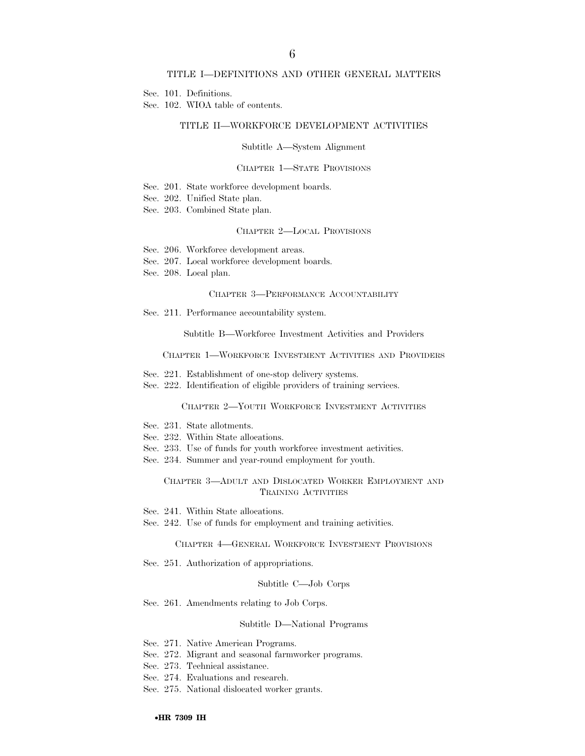#### TITLE I—DEFINITIONS AND OTHER GENERAL MATTERS

Sec. 101. Definitions.

Sec. 102. WIOA table of contents.

#### TITLE II—WORKFORCE DEVELOPMENT ACTIVITIES

#### Subtitle A—System Alignment

#### CHAPTER 1—STATE PROVISIONS

- Sec. 201. State workforce development boards.
- Sec. 202. Unified State plan.
- Sec. 203. Combined State plan.

#### CHAPTER 2—LOCAL PROVISIONS

- Sec. 206. Workforce development areas.
- Sec. 207. Local workforce development boards.
- Sec. 208. Local plan.

#### CHAPTER 3—PERFORMANCE ACCOUNTABILITY

Sec. 211. Performance accountability system.

Subtitle B—Workforce Investment Activities and Providers

#### CHAPTER 1—WORKFORCE INVESTMENT ACTIVITIES AND PROVIDERS

- Sec. 221. Establishment of one-stop delivery systems.
- Sec. 222. Identification of eligible providers of training services.

#### CHAPTER 2—YOUTH WORKFORCE INVESTMENT ACTIVITIES

- Sec. 231. State allotments.
- Sec. 232. Within State allocations.
- Sec. 233. Use of funds for youth workforce investment activities.
- Sec. 234. Summer and year-round employment for youth.

#### CHAPTER 3—ADULT AND DISLOCATED WORKER EMPLOYMENT AND TRAINING ACTIVITIES

- Sec. 241. Within State allocations.
- Sec. 242. Use of funds for employment and training activities.

#### CHAPTER 4—GENERAL WORKFORCE INVESTMENT PROVISIONS

Sec. 251. Authorization of appropriations.

#### Subtitle C—Job Corps

Sec. 261. Amendments relating to Job Corps.

#### Subtitle D—National Programs

- Sec. 271. Native American Programs.
- Sec. 272. Migrant and seasonal farmworker programs.
- Sec. 273. Technical assistance.
- Sec. 274. Evaluations and research.
- Sec. 275. National dislocated worker grants.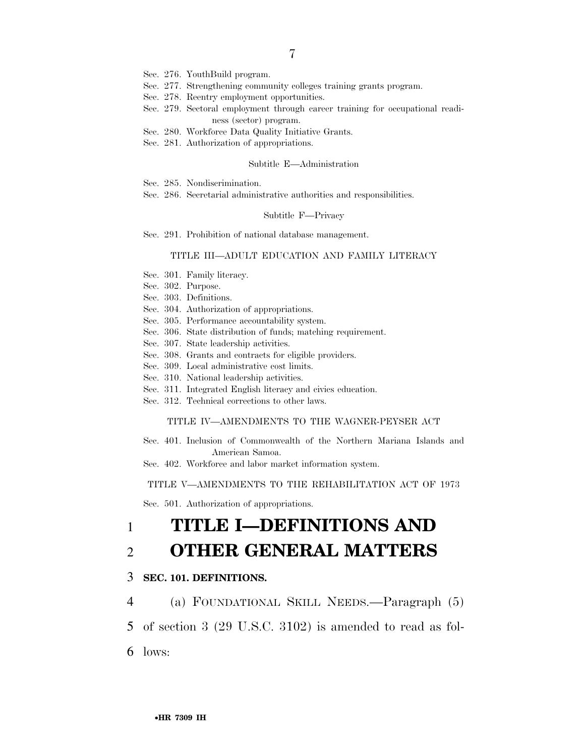- Sec. 276. YouthBuild program.
- Sec. 277. Strengthening community colleges training grants program.
- Sec. 278. Reentry employment opportunities.
- Sec. 279. Sectoral employment through career training for occupational readiness (sector) program.
- Sec. 280. Workforce Data Quality Initiative Grants.
- Sec. 281. Authorization of appropriations.

#### Subtitle E—Administration

- Sec. 285. Nondiscrimination.
- Sec. 286. Secretarial administrative authorities and responsibilities.

#### Subtitle F—Privacy

Sec. 291. Prohibition of national database management.

### TITLE III—ADULT EDUCATION AND FAMILY LITERACY

- Sec. 301. Family literacy.
- Sec. 302. Purpose.
- Sec. 303. Definitions.
- Sec. 304. Authorization of appropriations.
- Sec. 305. Performance accountability system.
- Sec. 306. State distribution of funds; matching requirement.
- Sec. 307. State leadership activities.
- Sec. 308. Grants and contracts for eligible providers.
- Sec. 309. Local administrative cost limits.
- Sec. 310. National leadership activities.
- Sec. 311. Integrated English literacy and civics education.
- Sec. 312. Technical corrections to other laws.

#### TITLE IV—AMENDMENTS TO THE WAGNER-PEYSER ACT

- Sec. 401. Inclusion of Commonwealth of the Northern Mariana Islands and American Samoa.
- Sec. 402. Workforce and labor market information system.

TITLE V—AMENDMENTS TO THE REHABILITATION ACT OF 1973

Sec. 501. Authorization of appropriations.

# 1 **TITLE I—DEFINITIONS AND**  2 **OTHER GENERAL MATTERS**

## 3 **SEC. 101. DEFINITIONS.**

4 (a) FOUNDATIONAL SKILL NEEDS.—Paragraph (5)

5 of section 3 (29 U.S.C. 3102) is amended to read as fol-

6 lows: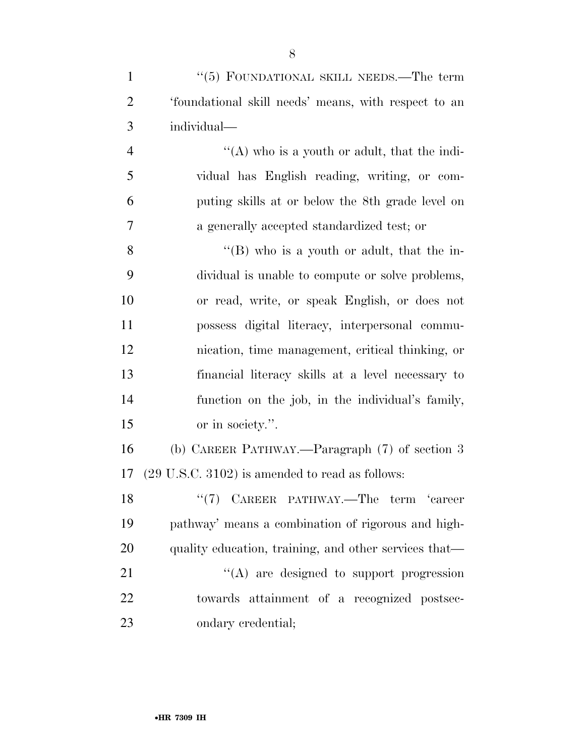| $\mathbf{1}$   | "(5) FOUNDATIONAL SKILL NEEDS.—The term                    |
|----------------|------------------------------------------------------------|
| $\overline{2}$ | 'foundational skill needs' means, with respect to an       |
| 3              | individual-                                                |
| $\overline{4}$ | "(A) who is a youth or adult, that the indi-               |
| 5              | vidual has English reading, writing, or com-               |
| 6              | puting skills at or below the 8th grade level on           |
| 7              | a generally accepted standardized test; or                 |
| 8              | $\lq\lq (B)$ who is a youth or adult, that the in-         |
| 9              | dividual is unable to compute or solve problems,           |
| 10             | or read, write, or speak English, or does not              |
| 11             | possess digital literacy, interpersonal commu-             |
| 12             | nication, time management, critical thinking, or           |
| 13             | financial literacy skills at a level necessary to          |
| 14             | function on the job, in the individual's family,           |
| 15             | or in society.".                                           |
| 16             | (b) CAREER PATHWAY.—Paragraph (7) of section 3             |
| 17             | $(29 \text{ U.S.C. } 3102)$ is amended to read as follows: |
| 18             | $``(7)$ CAREER PATHWAY.—The term<br>career                 |
| 19             | pathway' means a combination of rigorous and high-         |
| 20             | quality education, training, and other services that—      |
| 21             | $\lq\lq$ are designed to support progression               |
| 22             | towards attainment of a recognized postsec-                |

ondary credential;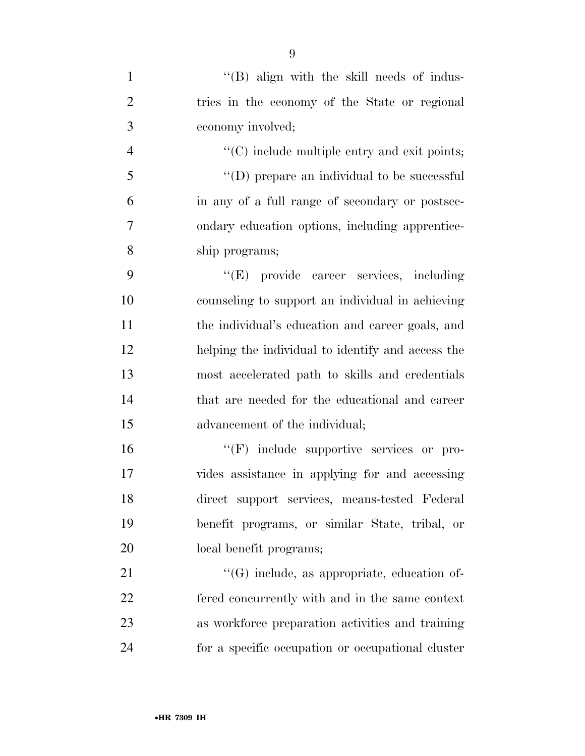| $\mathbf{1}$   | $\lq\lq$ (B) align with the skill needs of indus-        |
|----------------|----------------------------------------------------------|
| $\overline{2}$ | tries in the economy of the State or regional            |
| 3              | economy involved;                                        |
| $\overline{4}$ | $\cdot\cdot$ (C) include multiple entry and exit points; |
| 5              | $\lq\lq$ (D) prepare an individual to be successful      |
| 6              | in any of a full range of secondary or postsec-          |
| 7              | ondary education options, including apprentice-          |
| 8              | ship programs;                                           |
| 9              | "(E) provide career services, including                  |
| 10             | counseling to support an individual in achieving         |
| 11             | the individual's education and career goals, and         |
| 12             | helping the individual to identify and access the        |
| 13             | most accelerated path to skills and credentials          |
| 14             | that are needed for the educational and career           |
| 15             | advancement of the individual;                           |
| 16             | "(F) include supportive services or pro-                 |
| 17             | vides assistance in applying for and accessing           |
| 18             | direct support services, means-tested Federal            |
| 19             | benefit programs, or similar State, tribal, or           |
| 20             | local benefit programs;                                  |
| 21             | $\lq\lq(G)$ include, as appropriate, education of-       |
| 22             | fered concurrently with and in the same context          |
| 23             | as workforce preparation activities and training         |
| 24             | for a specific occupation or occupational cluster        |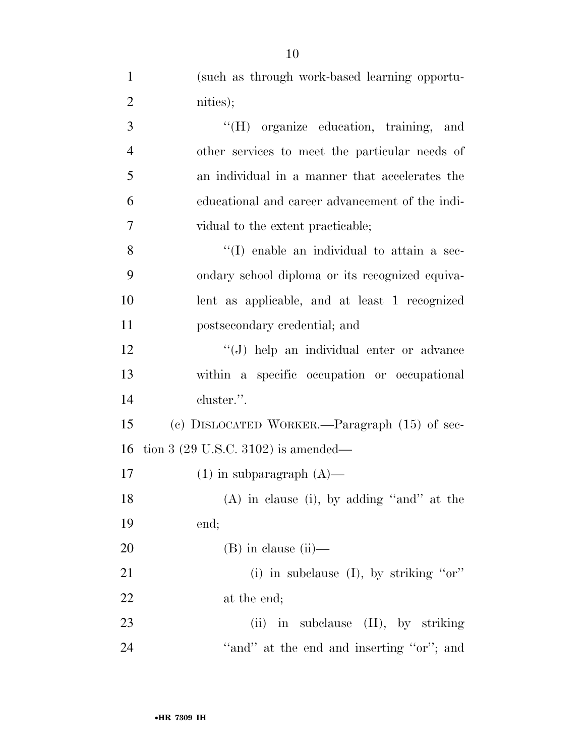| $\mathbf{1}$   | (such as through work-based learning opportu-   |
|----------------|-------------------------------------------------|
| $\overline{2}$ | nities);                                        |
| 3              | "(H) organize education, training, and          |
| $\overline{4}$ | other services to meet the particular needs of  |
| 5              | an individual in a manner that accelerates the  |
| 6              | educational and career advancement of the indi- |
| 7              | vidual to the extent practicable;               |
| 8              | "(I) enable an individual to attain a sec-      |
| 9              | ondary school diploma or its recognized equiva- |
| 10             | lent as applicable, and at least 1 recognized   |
| 11             | postsecondary credential; and                   |
| 12             | "(J) help an individual enter or advance        |
| 13             | within a specific occupation or occupational    |
| 14             | cluster.".                                      |
| 15             | (c) DISLOCATED WORKER.—Paragraph $(15)$ of sec- |
| 16             | tion 3 $(29 \text{ U.S.C. } 3102)$ is amended—  |
| 17             | $(1)$ in subparagraph $(A)$ —                   |
| 18             | $(A)$ in clause (i), by adding "and" at the     |
| 19             | end;                                            |
| 20             | $(B)$ in clause $(ii)$ —                        |
| 21             | (i) in subclause (I), by striking " $or$ "      |
| 22             | at the end;                                     |
| 23             | (ii) in subclause $(II)$ , by striking          |
| 24             | "and" at the end and inserting "or"; and        |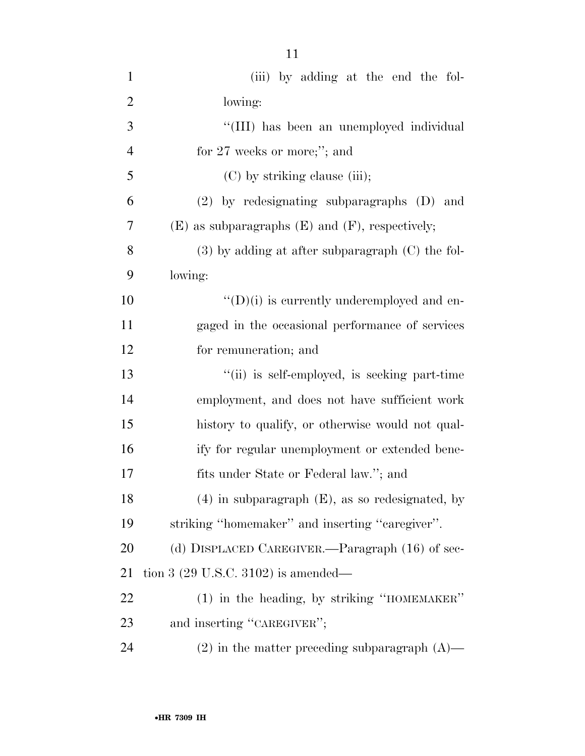| $\mathbf{1}$   | (iii) by adding at the end the fol-                    |
|----------------|--------------------------------------------------------|
| $\overline{2}$ | lowing:                                                |
| 3              | "(III) has been an unemployed individual               |
| $\overline{4}$ | for $27$ weeks or more;"; and                          |
| 5              | (C) by striking clause (iii);                          |
| 6              | $(2)$ by redesignating subparagraphs $(D)$ and         |
| 7              | $(E)$ as subparagraphs $(E)$ and $(F)$ , respectively; |
| 8              | $(3)$ by adding at after subparagraph $(C)$ the fol-   |
| 9              | lowing:                                                |
| 10             | $\lq\lq$ (D)(i) is currently underemployed and en-     |
| 11             | gaged in the occasional performance of services        |
| 12             | for remuneration; and                                  |
| 13             | "(ii) is self-employed, is seeking part-time           |
| 14             | employment, and does not have sufficient work          |
| 15             | history to qualify, or otherwise would not qual-       |
| 16             | ify for regular unemployment or extended bene-         |
| 17             | fits under State or Federal law."; and                 |
| 18             | $(4)$ in subparagraph $(E)$ , as so redesignated, by   |
| 19             | striking "homemaker" and inserting "caregiver".        |
| 20             | (d) DISPLACED CAREGIVER.—Paragraph (16) of sec-        |
| 21             | tion 3 $(29 \text{ U.S.C. } 3102)$ is amended—         |
| 22             | (1) in the heading, by striking "HOMEMAKER"            |
| 23             | and inserting "CAREGIVER";                             |
| 24             | $(2)$ in the matter preceding subparagraph $(A)$ —     |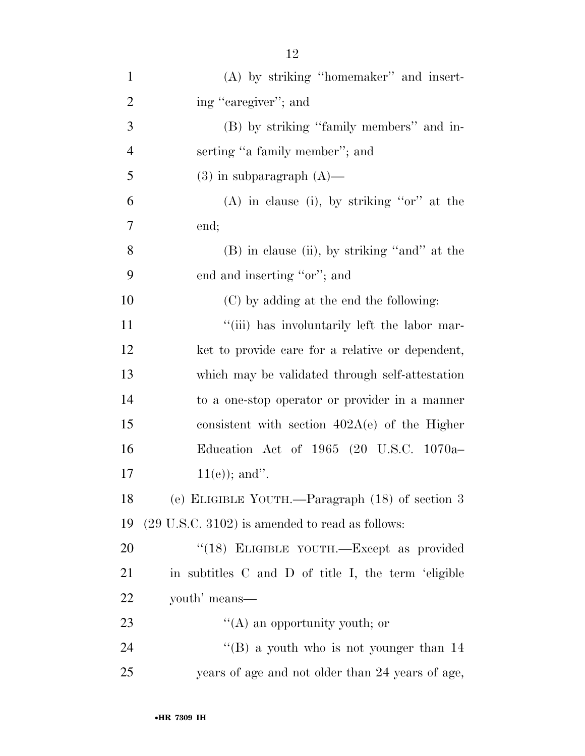| $\mathbf{1}$   | (A) by striking "homemaker" and insert-                    |
|----------------|------------------------------------------------------------|
| $\overline{2}$ | ing "caregiver"; and                                       |
| 3              | (B) by striking "family members" and in-                   |
| $\overline{4}$ | serting "a family member"; and                             |
| 5              | $(3)$ in subparagraph $(A)$ —                              |
| 6              | $(A)$ in clause (i), by striking "or" at the               |
| $\tau$         | end;                                                       |
| 8              | $(B)$ in clause (ii), by striking "and" at the             |
| 9              | end and inserting "or"; and                                |
| 10             | (C) by adding at the end the following:                    |
| 11             | "(iii) has involuntarily left the labor mar-               |
| 12             | ket to provide care for a relative or dependent,           |
| 13             | which may be validated through self-attestation            |
| 14             | to a one-stop operator or provider in a manner             |
| 15             | consistent with section $402A(e)$ of the Higher            |
| 16             | Education Act of 1965 (20 U.S.C. 1070a-                    |
| 17             | $11(e)$ ; and".                                            |
| 18             | (e) ELIGIBLE YOUTH.—Paragraph (18) of section 3            |
| 19             | $(29 \text{ U.S.C. } 3102)$ is amended to read as follows: |
| 20             | "(18) ELIGIBLE YOUTH.—Except as provided                   |
| 21             | in subtitles C and D of title I, the term 'eligible        |
| 22             | youth' means—                                              |
| 23             | $\lq\lq$ an opportunity youth; or                          |
| 24             | "(B) a youth who is not younger than $14$                  |
| 25             | years of age and not older than 24 years of age,           |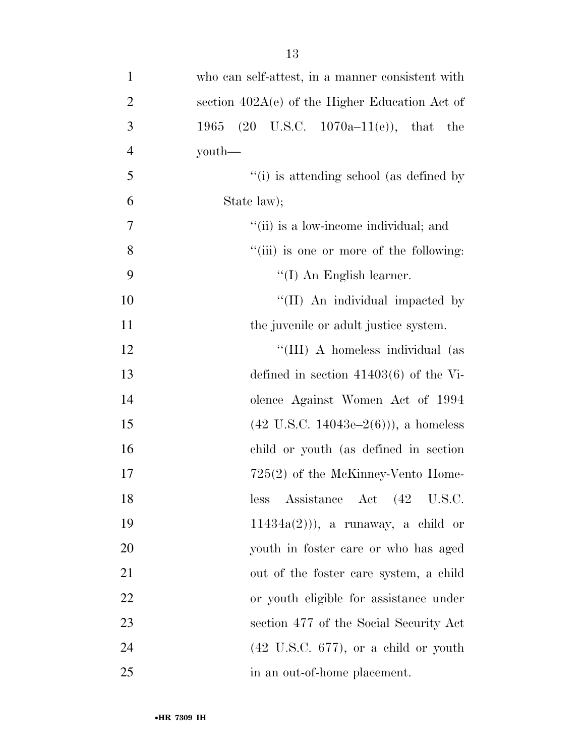| $\mathbf{1}$   | who can self-attest, in a manner consistent with                |
|----------------|-----------------------------------------------------------------|
| $\overline{2}$ | section $402A(e)$ of the Higher Education Act of                |
| $\mathfrak{Z}$ | $(20 \text{ U.S.C. } 1070a-11(e)), \text{ that}$<br>1965<br>the |
| $\overline{4}$ | youth—                                                          |
| 5              | "(i) is attending school (as defined by                         |
| 6              | State law);                                                     |
| $\tau$         | "(ii) is a low-income individual; and                           |
| 8              | "(iii) is one or more of the following:                         |
| 9              | $\lq (I)$ An English learner.                                   |
| 10             | "(II) An individual impacted by                                 |
| 11             | the juvenile or adult justice system.                           |
| 12             | "(III) A homeless individual (as                                |
| 13             | defined in section $41403(6)$ of the Vi-                        |
| 14             | olence Against Women Act of 1994                                |
| 15             | $(42 \text{ U.S.C. } 14043\text{e} - 2(6)))$ , a homeless       |
| 16             | child or youth (as defined in section                           |
| 17             | $725(2)$ of the McKinney-Vento Home-                            |
| 18             | Assistance Act (42 U.S.C.<br>less                               |
| 19             | $11434a(2)$ ), a runaway, a child or                            |
| 20             | youth in foster care or who has aged                            |
| 21             | out of the foster care system, a child                          |
| 22             | or youth eligible for assistance under                          |
| 23             | section 477 of the Social Security Act                          |
| 24             | $(42 \text{ U.S.C. } 677)$ , or a child or youth                |
| 25             | in an out-of-home placement.                                    |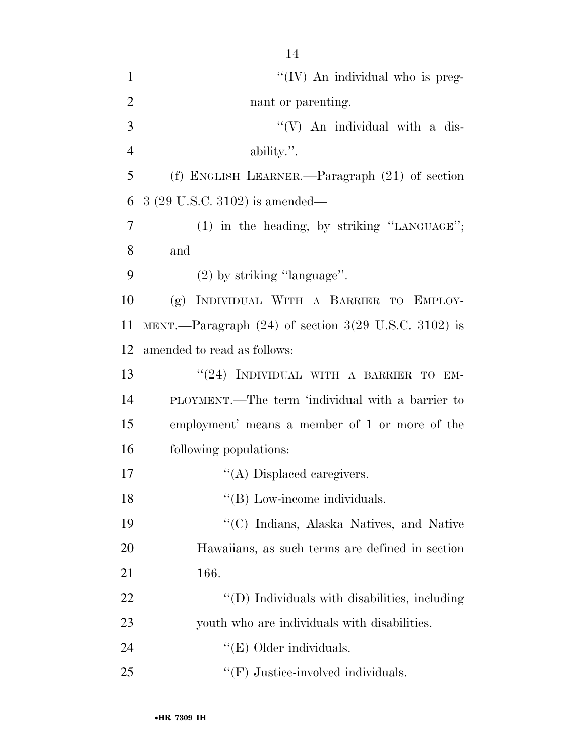| $\mathbf{1}$   | "(IV) An individual who is preg-                       |
|----------------|--------------------------------------------------------|
| $\overline{2}$ | nant or parenting.                                     |
| 3              | $\lq\lq (V)$ An individual with a dis-                 |
| $\overline{4}$ | ability.".                                             |
| 5              | (f) ENGLISH LEARNER.—Paragraph $(21)$ of section       |
| 6              | 3 (29 U.S.C. 3102) is amended—                         |
| $\overline{7}$ | $(1)$ in the heading, by striking "LANGUAGE";          |
| 8              | and                                                    |
| 9              | $(2)$ by striking "language".                          |
| 10             | INDIVIDUAL WITH A BARRIER TO EMPLOY-<br>(g)            |
| 11             | MENT.—Paragraph $(24)$ of section 3(29 U.S.C. 3102) is |
| 12             | amended to read as follows:                            |
| 13             | "(24) INDIVIDUAL WITH A BARRIER TO EM-                 |
| 14             | PLOYMENT.—The term 'individual with a barrier to       |
| 15             | employment' means a member of 1 or more of the         |
| 16             | following populations:                                 |
| 17             | "(A) Displaced caregivers.                             |
| 18             | "(B) Low-income individuals.                           |
| 19             | "(C) Indians, Alaska Natives, and Native               |
| 20             | Hawaiians, as such terms are defined in section        |
| 21             | 166.                                                   |
| 22             | "(D) Individuals with disabilities, including          |
| 23             | youth who are individuals with disabilities.           |
| 24             | " $(E)$ Older individuals.                             |
| 25             | $\lq\lq(F)$ Justice-involved individuals.              |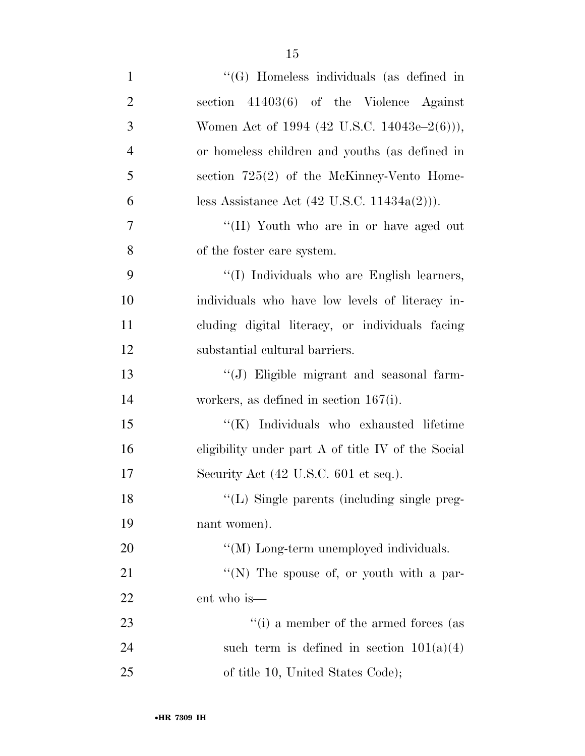| $\mathbf{1}$   | "(G) Homeless individuals (as defined in                |
|----------------|---------------------------------------------------------|
| $\overline{2}$ | section $41403(6)$ of the Violence Against              |
| 3              | Women Act of 1994 (42 U.S.C. 14043e–2(6))),             |
| $\overline{4}$ | or homeless children and youths (as defined in          |
| 5              | section $725(2)$ of the McKinney-Vento Home-            |
| 6              | less Assistance Act $(42 \text{ U.S.C. } 11434a(2)))$ . |
| $\tau$         | "(H) Youth who are in or have aged out                  |
| 8              | of the foster care system.                              |
| 9              | "(I) Individuals who are English learners,              |
| 10             | individuals who have low levels of literacy in-         |
| 11             | cluding digital literacy, or individuals facing         |
| 12             | substantial cultural barriers.                          |
| 13             | "(J) Eligible migrant and seasonal farm-                |
| 14             | workers, as defined in section $167(i)$ .               |
| 15             | "(K) Individuals who exhausted lifetime                 |
| 16             | eligibility under part A of title IV of the Social      |
| 17             | Security Act (42 U.S.C. 601 et seq.).                   |
| 18             | "(L) Single parents (including single preg-             |
| 19             | nant women).                                            |
| 20             | "(M) Long-term unemployed individuals.                  |
| 21             | "(N) The spouse of, or youth with a par-                |
| 22             | ent who is—                                             |
| 23             | $``(i)$ a member of the armed forces (as                |
| 24             | such term is defined in section $101(a)(4)$             |
| 25             | of title 10, United States Code);                       |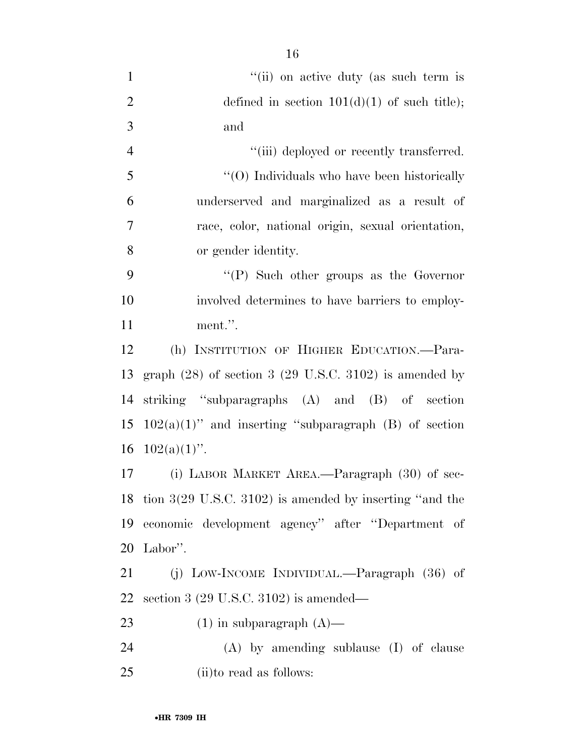| $\mathbf{1}$     | "(ii) on active duty (as such term is                               |
|------------------|---------------------------------------------------------------------|
| $\mathbf{2}$     | defined in section $101(d)(1)$ of such title);                      |
| $\mathfrak{Z}$   | and                                                                 |
| $\overline{4}$   | "(iii) deployed or recently transferred.                            |
| 5                | "(O) Individuals who have been historically                         |
| 6                | underserved and marginalized as a result of                         |
| $\boldsymbol{7}$ | race, color, national origin, sexual orientation,                   |
| 8                | or gender identity.                                                 |
| 9                | "(P) Such other groups as the Governor                              |
| 10               | involved determines to have barriers to employ-                     |
| 11               | ment.".                                                             |
| 12               | (h) INSTITUTION OF HIGHER EDUCATION.-Para-                          |
| 13               | graph $(28)$ of section 3 $(29 \text{ U.S.C. } 3102)$ is amended by |
| 14               | striking "subparagraphs (A) and (B) of section                      |
| 15               | $102(a)(1)$ " and inserting "subparagraph (B) of section            |
| 16               | $102(a)(1)$ ".                                                      |
| 17               | (i) LABOR MARKET AREA.—Paragraph (30) of sec-                       |
|                  | 18 tion 3(29 U.S.C. 3102) is amended by inserting "and the          |
| 19               | economic development agency" after "Department of                   |
| 20               | Labor".                                                             |
| 21               | (j) LOW-INCOME INDIVIDUAL.—Paragraph $(36)$ of                      |
| 22               | section 3 $(29 \text{ U.S.C. } 3102)$ is amended—                   |
| 23               | $(1)$ in subparagraph $(A)$ —                                       |
| 24               | (A) by amending sublause (I) of clause                              |

25 (ii)to read as follows: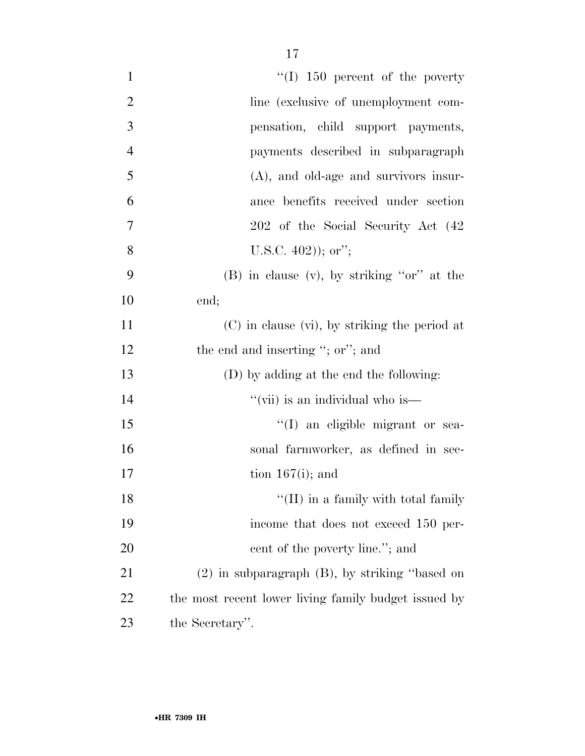| $\mathbf{1}$   | $\lq\lq$ (I) 150 percent of the poverty              |
|----------------|------------------------------------------------------|
| $\overline{2}$ | line (exclusive of unemployment com-                 |
| 3              | pensation, child support payments,                   |
| $\overline{4}$ | payments described in subparagraph                   |
| 5              | $(A)$ , and old-age and survivors insur-             |
| 6              | ance benefits received under section                 |
| $\overline{7}$ | 202 of the Social Security Act (42)                  |
| 8              | U.S.C. $402$ ); or";                                 |
| 9              | $(B)$ in clause $(v)$ , by striking "or" at the      |
| 10             | end;                                                 |
| 11             | $(C)$ in clause $(vi)$ , by striking the period at   |
| 12             | the end and inserting "; or"; and                    |
| 13             | (D) by adding at the end the following:              |
| 14             | "(vii) is an individual who is—                      |
| 15             | "(I) an eligible migrant or sea-                     |
| 16             | sonal farmworker, as defined in sec-                 |
| 17             | tion $167(i)$ ; and                                  |
| 18             | $\lq\lq$ (II) in a family with total family          |
| 19             | income that does not exceed 150 per-                 |
| 20             | cent of the poverty line."; and                      |
| 21             | $(2)$ in subparagraph $(B)$ , by striking "based on  |
| 22             | the most recent lower living family budget issued by |
| 23             | the Secretary".                                      |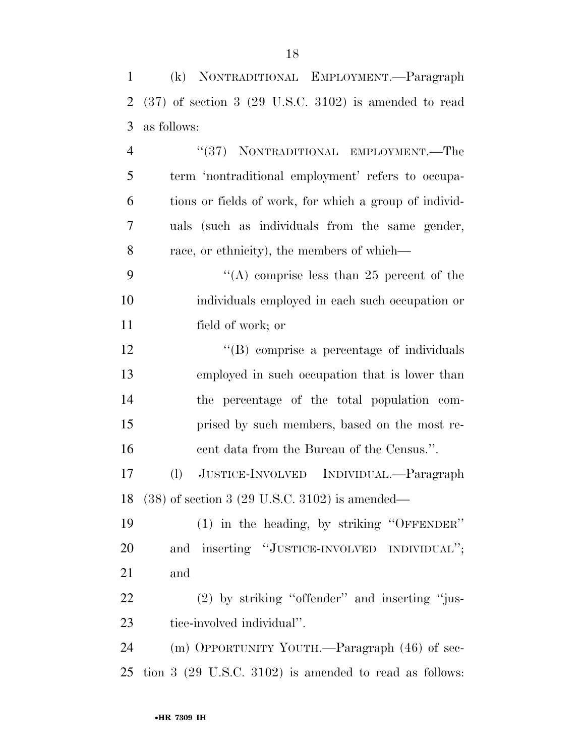| $\mathbf{1}$   | (k) NONTRADITIONAL EMPLOYMENT.—Paragraph                           |
|----------------|--------------------------------------------------------------------|
| $\overline{2}$ | $(37)$ of section 3 $(29 \text{ U.S.C. } 3102)$ is amended to read |
| 3              | as follows:                                                        |
| $\overline{4}$ | "(37) NONTRADITIONAL EMPLOYMENT.—The                               |
| 5              | term 'nontraditional employment' refers to occupa-                 |
| 6              | tions or fields of work, for which a group of individ-             |
| $\overline{7}$ | uals (such as individuals from the same gender,                    |
| 8              | race, or ethnicity), the members of which—                         |
| 9              | "(A) comprise less than 25 percent of the                          |
| 10             | individuals employed in each such occupation or                    |
| 11             | field of work; or                                                  |
| 12             | "(B) comprise a percentage of individuals                          |
| 13             | employed in such occupation that is lower than                     |
| 14             | the percentage of the total population com-                        |
| 15             | prised by such members, based on the most re-                      |
| 16             | cent data from the Bureau of the Census.".                         |
| 17             | (l)<br>JUSTICE-INVOLVED INDIVIDUAL.—Paragraph                      |
|                | 18 (38) of section 3 (29 U.S.C. 3102) is amended—                  |
| 19             | (1) in the heading, by striking "OFFENDER"                         |
| 20             | and inserting "JUSTICE-INVOLVED INDIVIDUAL";                       |
| 21             | and                                                                |
| 22             | $(2)$ by striking "offender" and inserting "jus-                   |
| 23             | tice-involved individual".                                         |
| 24             | (m) OPPORTUNITY YOUTH.—Paragraph (46) of sec-                      |
| 25             | tion $3$ (29 U.S.C. 3102) is amended to read as follows:           |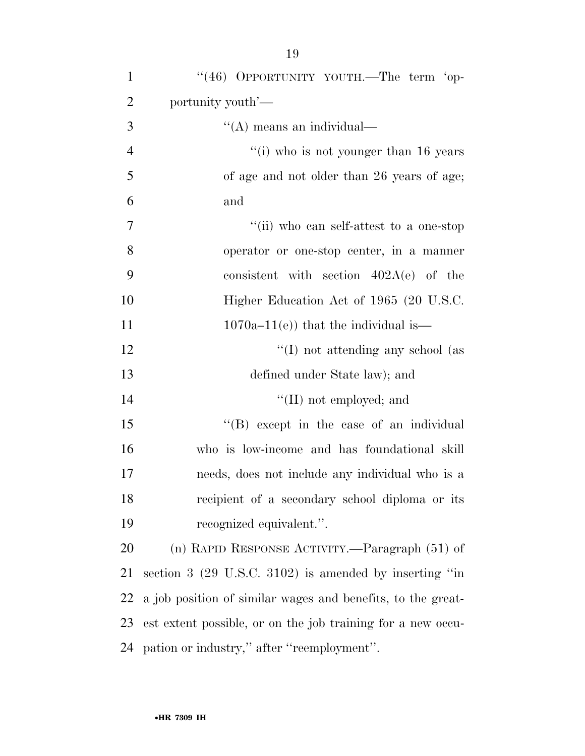| $\mathbf{1}$   | "(46) OPPORTUNITY YOUTH.—The term 'op-                              |
|----------------|---------------------------------------------------------------------|
| $\overline{2}$ | portunity youth'—                                                   |
| 3              | "(A) means an individual—                                           |
| $\overline{4}$ | $``(i)$ who is not younger than 16 years                            |
| 5              | of age and not older than 26 years of age;                          |
| 6              | and                                                                 |
| $\tau$         | "(ii) who can self-attest to a one-stop                             |
| 8              | operator or one-stop center, in a manner                            |
| 9              | consistent with section $402A(e)$ of the                            |
| 10             | Higher Education Act of 1965 (20 U.S.C.                             |
| 11             | $1070a-11(e)$ that the individual is—                               |
| 12             | $\lq\lq$ not attending any school (as                               |
| 13             | defined under State law); and                                       |
| 14             | $\lq\lq$ (II) not employed; and                                     |
| 15             | $\lq\lq$ (B) except in the case of an individual                    |
| 16             | who is low-income and has foundational skill                        |
| 17             | needs, does not include any individual who is a                     |
| 18             | recipient of a secondary school diploma or its                      |
| 19             | recognized equivalent.".                                            |
| 20             | (n) RAPID RESPONSE ACTIVITY.—Paragraph (51) of                      |
| 21             | section $3$ $(29 \text{ U.S.C. } 3102)$ is amended by inserting "in |
| 22             | a job position of similar wages and benefits, to the great-         |
| 23             | est extent possible, or on the job training for a new occu-         |
|                | 24 pation or industry," after "reemployment".                       |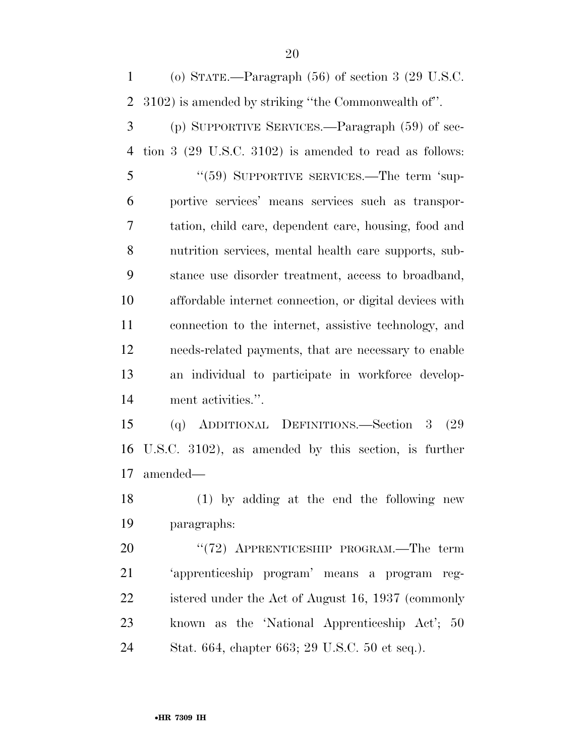(o) STATE.—Paragraph (56) of section 3 (29 U.S.C. 3102) is amended by striking ''the Commonwealth of''.

 (p) SUPPORTIVE SERVICES.—Paragraph (59) of sec- tion 3 (29 U.S.C. 3102) is amended to read as follows: 5 "(59) SUPPORTIVE SERVICES.—The term 'sup- portive services' means services such as transpor- tation, child care, dependent care, housing, food and nutrition services, mental health care supports, sub- stance use disorder treatment, access to broadband, affordable internet connection, or digital devices with connection to the internet, assistive technology, and needs-related payments, that are necessary to enable an individual to participate in workforce develop-ment activities.''.

 (q) ADDITIONAL DEFINITIONS.—Section 3 (29 U.S.C. 3102), as amended by this section, is further amended—

 (1) by adding at the end the following new paragraphs:

20 "(72) APPRENTICESHIP PROGRAM.—The term 'apprenticeship program' means a program reg- istered under the Act of August 16, 1937 (commonly known as the 'National Apprenticeship Act'; 50 Stat. 664, chapter 663; 29 U.S.C. 50 et seq.).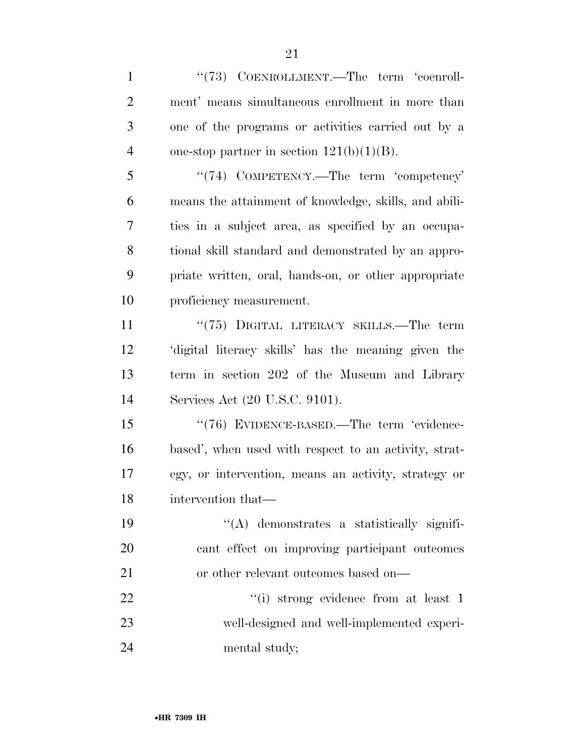| $\mathbf{1}$   | "(73) COENROLLMENT.—The term 'coenroll-               |
|----------------|-------------------------------------------------------|
| $\overline{2}$ | ment' means simultaneous enrollment in more than      |
| 3              | one of the programs or activities carried out by a    |
| $\overline{4}$ | one-stop partner in section $121(b)(1)(B)$ .          |
| 5              | "(74) COMPETENCY.—The term 'competency'               |
| 6              | means the attainment of knowledge, skills, and abili- |
| 7              | ties in a subject area, as specified by an occupa-    |
| 8              | tional skill standard and demonstrated by an appro-   |
| 9              | priate written, oral, hands-on, or other appropriate  |
| 10             | proficiency measurement.                              |
| 11             | "(75) DIGITAL LITERACY SKILLS.—The term               |
| 12             | 'digital literacy skills' has the meaning given the   |
| 13             | term in section 202 of the Museum and Library         |
| 14             | Services Act (20 U.S.C. 9101).                        |
| 15             | "(76) EVIDENCE-BASED.—The term 'evidence-             |
| 16             | based', when used with respect to an activity, strat- |
| 17             | egy, or intervention, means an activity, strategy or  |
| 18             | intervention that—                                    |
| 19             | $\lq\lq$ demonstrates a statistically signifi-        |
| 20             | cant effect on improving participant outcomes         |
| 21             | or other relevant outcomes based on—                  |
| 22             | "(i) strong evidence from at least 1                  |
| 23             | well-designed and well-implemented experi-            |
| 24             | mental study;                                         |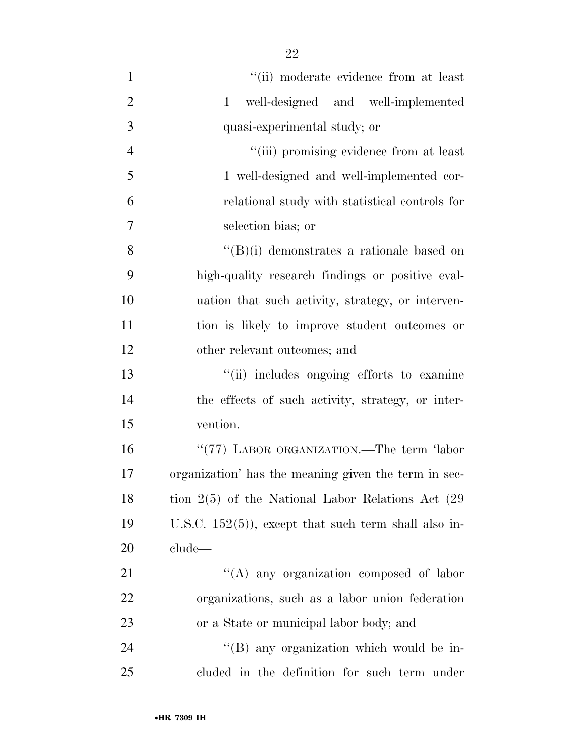| $\mathbf{1}$   | "(ii) moderate evidence from at least                  |
|----------------|--------------------------------------------------------|
| $\overline{2}$ | well-designed and well-implemented<br>$\mathbf{1}$     |
| 3              | quasi-experimental study; or                           |
| $\overline{4}$ | "(iii) promising evidence from at least                |
| 5              | 1 well-designed and well-implemented cor-              |
| 6              | relational study with statistical controls for         |
| 7              | selection bias; or                                     |
| 8              | $\lq\lq(B)(i)$ demonstrates a rationale based on       |
| 9              | high-quality research findings or positive eval-       |
| 10             | uation that such activity, strategy, or interven-      |
| 11             | tion is likely to improve student outcomes or          |
| 12             | other relevant outcomes; and                           |
| 13             | "(ii) includes ongoing efforts to examine              |
| 14             | the effects of such activity, strategy, or inter-      |
| 15             | vention.                                               |
| 16             | "(77) LABOR ORGANIZATION.—The term 'labor              |
| 17             | organization' has the meaning given the term in sec-   |
| 18             | tion $2(5)$ of the National Labor Relations Act $(29)$ |
| 19             | U.S.C. $152(5)$ , except that such term shall also in- |
| 20             | clude—                                                 |
| 21             | "(A) any organization composed of labor                |
| 22             | organizations, such as a labor union federation        |
| 23             | or a State or municipal labor body; and                |
| 24             | "(B) any organization which would be in-               |
| 25             | cluded in the definition for such term under           |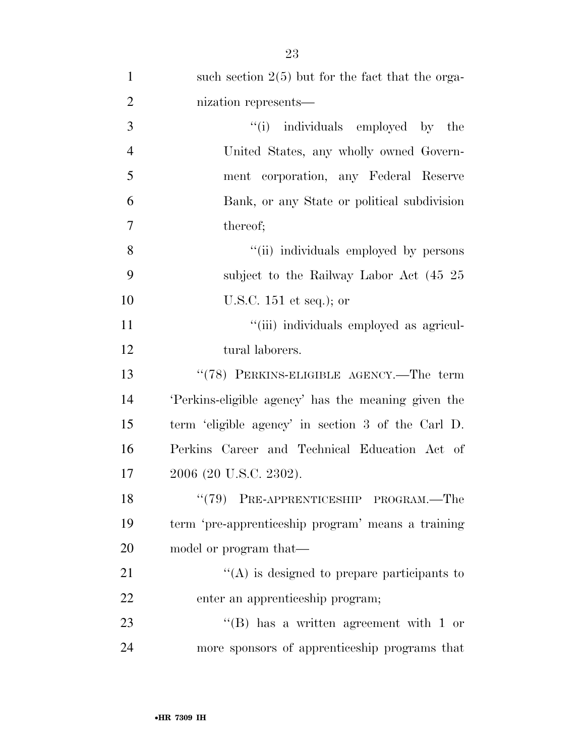| $\mathbf{1}$   | such section $2(5)$ but for the fact that the orga- |
|----------------|-----------------------------------------------------|
| $\overline{2}$ | nization represents—                                |
| 3              | "(i) individuals employed by the                    |
| $\overline{4}$ | United States, any wholly owned Govern-             |
| 5              | ment corporation, any Federal Reserve               |
| 6              | Bank, or any State or political subdivision         |
| $\overline{7}$ | thereof;                                            |
| 8              | "(ii) individuals employed by persons               |
| 9              | subject to the Railway Labor Act (45 25             |
| 10             | U.S.C. $151$ et seq.); or                           |
| 11             | "(iii) individuals employed as agricul-             |
| 12             | tural laborers.                                     |
| 13             | "(78) PERKINS-ELIGIBLE AGENCY.—The term             |
| 14             | 'Perkins-eligible agency' has the meaning given the |
| 15             | term 'eligible agency' in section 3 of the Carl D.  |
| 16             | Perkins Career and Technical Education Act of       |
| 17             | 2006 (20 U.S.C. 2302).                              |
| 18             | "(79) PRE-APPRENTICESHIP PROGRAM.—The               |
| 19             | term 'pre-apprenticeship program' means a training  |
| 20             | model or program that—                              |
| 21             | $\lq\lq$ is designed to prepare participants to     |
| 22             | enter an apprenticeship program;                    |
| 23             | $\lq\lq$ (B) has a written agreement with 1 or      |
| 24             | more sponsors of apprenticeship programs that       |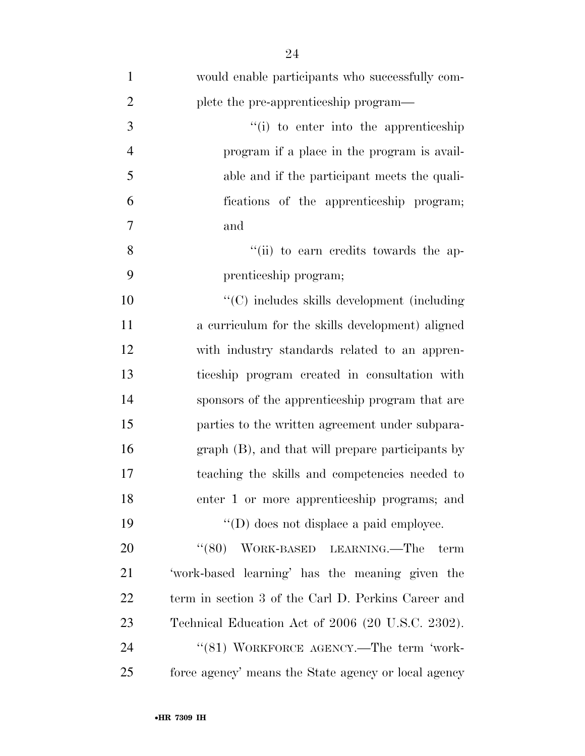| $\mathbf{1}$   | would enable participants who successfully com-      |
|----------------|------------------------------------------------------|
| $\overline{2}$ | plete the pre-apprenticeship program—                |
| 3              | "(i) to enter into the apprenticeship                |
| $\overline{4}$ | program if a place in the program is avail-          |
| 5              | able and if the participant meets the quali-         |
| 6              | fications of the apprenticeship program;             |
| 7              | and                                                  |
| 8              | "(ii) to earn credits towards the ap-                |
| 9              | prenticeship program;                                |
| 10             | "(C) includes skills development (including          |
| 11             | a curriculum for the skills development) aligned     |
| 12             | with industry standards related to an appren-        |
| 13             | ticeship program created in consultation with        |
| 14             | sponsors of the apprenticeship program that are      |
| 15             | parties to the written agreement under subpara-      |
| 16             | graph (B), and that will prepare participants by     |
| 17             | teaching the skills and competencies needed to       |
| 18             | enter 1 or more apprenticeship programs; and         |
| 19             | $\lq\lq$ (D) does not displace a paid employee.      |
| 20             | "(80) WORK-BASED LEARNING.—The<br>term               |
| 21             | 'work-based learning' has the meaning given the      |
| 22             | term in section 3 of the Carl D. Perkins Career and  |
| 23             | Technical Education Act of 2006 (20 U.S.C. 2302).    |
| 24             | "(81) WORKFORCE AGENCY.—The term 'work-              |
| 25             | force agency' means the State agency or local agency |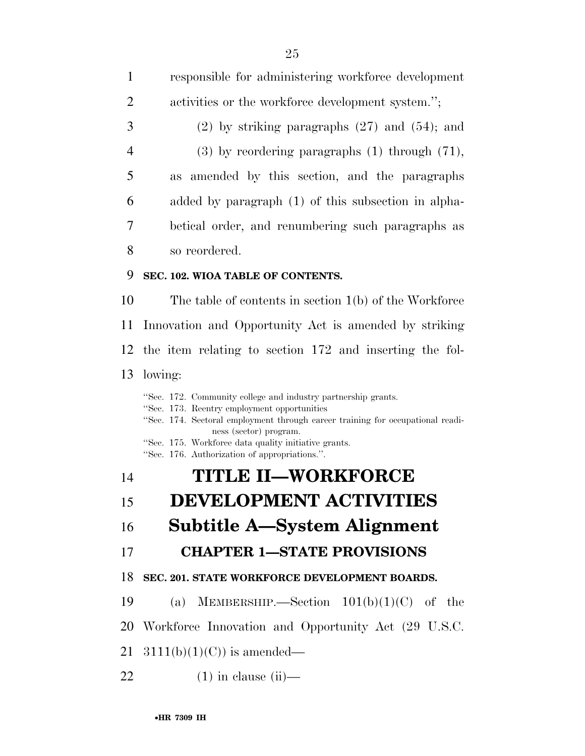responsible for administering workforce development 2 activities or the workforce development system."; (2) by striking paragraphs (27) and (54); and (3) by reordering paragraphs (1) through (71), as amended by this section, and the paragraphs added by paragraph (1) of this subsection in alpha- betical order, and renumbering such paragraphs as so reordered. **SEC. 102. WIOA TABLE OF CONTENTS.**  The table of contents in section 1(b) of the Workforce Innovation and Opportunity Act is amended by striking the item relating to section 172 and inserting the fol- lowing: ''Sec. 172. Community college and industry partnership grants. ''Sec. 173. Reentry employment opportunities ''Sec. 174. Sectoral employment through career training for occupational readiness (sector) program. ''Sec. 175. Workforce data quality initiative grants. ''Sec. 176. Authorization of appropriations.''. **TITLE II—WORKFORCE DEVELOPMENT ACTIVITIES Subtitle A—System Alignment CHAPTER 1—STATE PROVISIONS SEC. 201. STATE WORKFORCE DEVELOPMENT BOARDS.**  19 (a) MEMBERSHIP.—Section  $101(b)(1)(C)$  of the Workforce Innovation and Opportunity Act (29 U.S.C.  $3111(b)(1)(C)$  is amended— (1) in clause (ii)—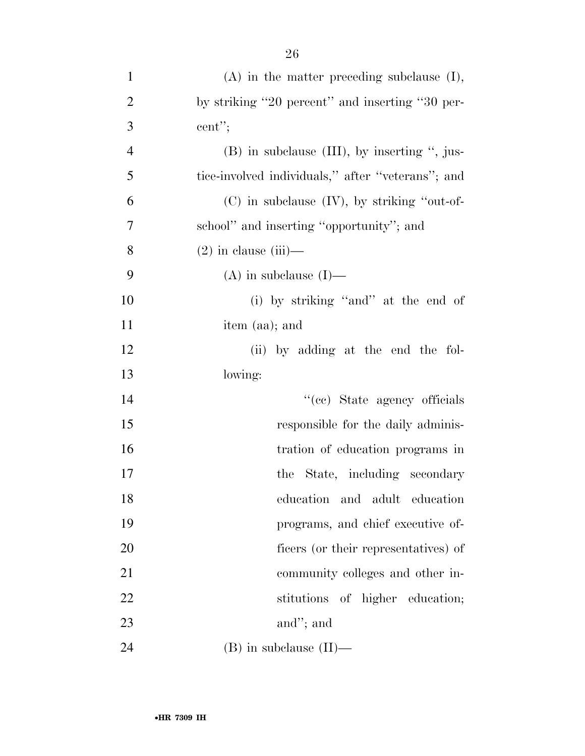| $\mathbf{1}$   | $(A)$ in the matter preceding subclause $(I)$ ,   |
|----------------|---------------------------------------------------|
| $\overline{2}$ | by striking "20 percent" and inserting "30 per-   |
| 3              | cent";                                            |
| $\overline{4}$ | $(B)$ in subclause $(III)$ , by inserting ", jus- |
| 5              | tice-involved individuals," after "veterans"; and |
| 6              | $(C)$ in subclause $(IV)$ , by striking "out-of-  |
| $\overline{7}$ | school" and inserting "opportunity"; and          |
| 8              | $(2)$ in clause $(iii)$ —                         |
| 9              | $(A)$ in subclause $(I)$ —                        |
| 10             | (i) by striking "and" at the end of               |
| 11             | item (aa); and                                    |
| 12             | (ii) by adding at the end the fol-                |
| 13             | lowing:                                           |
| 14             | "(cc) State agency officials                      |
| 15             | responsible for the daily adminis-                |
| 16             | tration of education programs in                  |
| 17             | the State, including secondary                    |
| 18             | education and adult education                     |
| 19             | programs, and chief executive of-                 |
| 20             | ficers (or their representatives) of              |
| 21             | community colleges and other in-                  |
| 22             | stitutions of higher education;                   |
| 23             | and"; and                                         |
| 24             | $(B)$ in subclause $(II)$ —                       |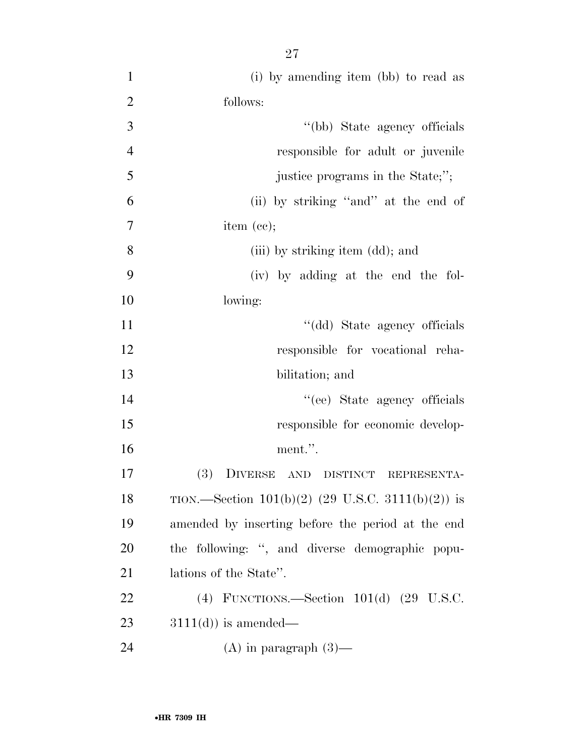| $\mathbf{1}$   | (i) by amending item (bb) to read as                |
|----------------|-----------------------------------------------------|
| $\overline{2}$ | follows:                                            |
| 3              | "(bb) State agency officials                        |
| $\overline{4}$ | responsible for adult or juvenile                   |
| 5              | justice programs in the State;";                    |
| 6              | (ii) by striking "and" at the end of                |
| $\tau$         | item $(ce);$                                        |
| 8              | (iii) by striking item (dd); and                    |
| 9              | (iv) by adding at the end the fol-                  |
| 10             | lowing:                                             |
| 11             | "(dd) State agency officials                        |
| 12             | responsible for vocational reha-                    |
| 13             | bilitation; and                                     |
| 14             | "(ee) State agency officials                        |
| 15             | responsible for economic develop-                   |
| 16             | ment.".                                             |
| 17             | (3) DIVERSE AND DISTINCT REPRESENTA-                |
| 18             | TION.—Section $101(b)(2)$ (29 U.S.C. 3111(b)(2)) is |
| 19             | amended by inserting before the period at the end   |
| <b>20</b>      | the following: ", and diverse demographic popu-     |
| 21             | lations of the State".                              |
| 22             | (4) FUNCTIONS.—Section $101(d)$ (29 U.S.C.          |
| 23             | $3111(d)$ is amended—                               |
| 24             | $(A)$ in paragraph $(3)$ —                          |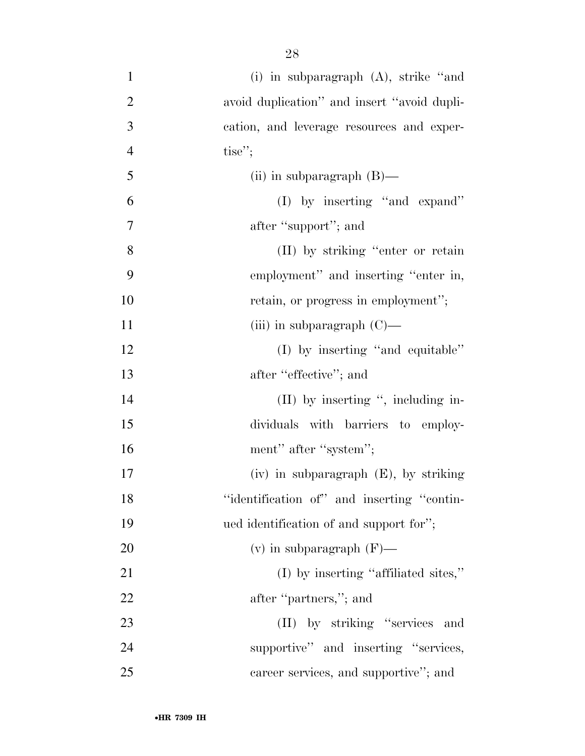| $\mathbf{1}$   | (i) in subparagraph $(A)$ , strike "and     |
|----------------|---------------------------------------------|
| $\overline{2}$ | avoid duplication" and insert "avoid dupli- |
| 3              | cation, and leverage resources and exper-   |
| $\overline{4}$ | tise";                                      |
| 5              | (ii) in subparagraph $(B)$ —                |
| 6              | (I) by inserting "and expand"               |
| 7              | after "support"; and                        |
| 8              | (II) by striking "enter or retain           |
| 9              | employment" and inserting "enter in,        |
| 10             | retain, or progress in employment";         |
| 11             | (iii) in subparagraph $(C)$ —               |
| 12             | (I) by inserting "and equitable"            |
| 13             | after "effective"; and                      |
| 14             | $(II)$ by inserting ", including in-        |
| 15             | dividuals with barriers to employ-          |
| 16             | ment" after "system";                       |
| 17             | $(iv)$ in subparagraph $(E)$ , by striking  |
| 18             | "identification of" and inserting "contin-  |
| 19             | ued identification of and support for";     |
| 20             | (v) in subparagraph $(F)$ —                 |
| 21             | $(I)$ by inserting "affiliated sites,"      |
| 22             | after "partners,"; and                      |
| 23             | (II) by striking "services and              |
| 24             | supportive" and inserting "services,        |
| 25             | career services, and supportive"; and       |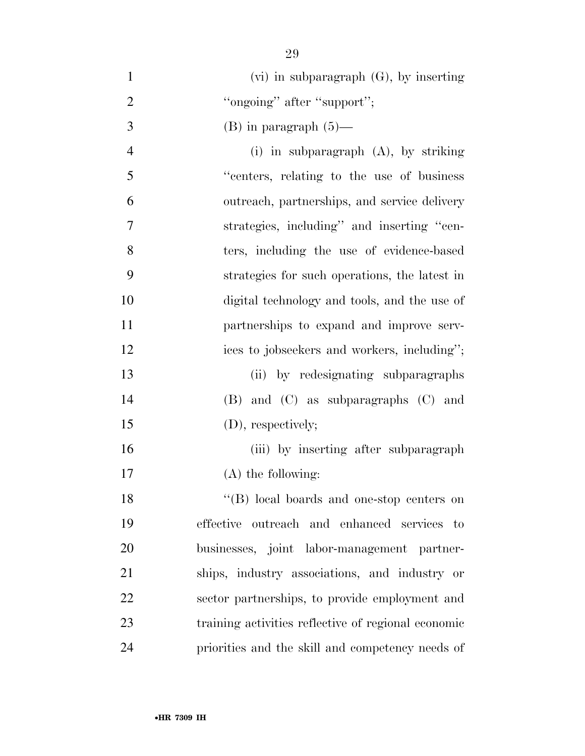| $\mathbf{1}$   | $(vi)$ in subparagraph $(G)$ , by inserting   |
|----------------|-----------------------------------------------|
| $\overline{2}$ | "ongoing" after "support";                    |
| 3              | $(B)$ in paragraph $(5)$ —                    |
| $\overline{4}$ | (i) in subparagraph $(A)$ , by striking       |
| 5              | "centers, relating to the use of business"    |
| 6              | outreach, partnerships, and service delivery  |
| 7              | strategies, including" and inserting "cen-    |
| 8              | ters, including the use of evidence-based     |
| 9              | strategies for such operations, the latest in |
| 10             | digital technology and tools, and the use of  |
| 11             | partnerships to expand and improve serv-      |
| 12             | ices to jobseekers and workers, including";   |
| 13             | (ii) by redesignating subparagraphs           |
| 14             | $(B)$ and $(C)$ as subparagraphs $(C)$ and    |
| 15             | (D), respectively;                            |
| 16             | (iii) by inserting after subparagraph         |
| 17             | $(A)$ the following:                          |
| 18             | "(B) local boards and one-stop centers on     |
| 19             | effective outreach and enhanced services to   |
| 20             | businesses, joint labor-management partner-   |
| 21             | ships, industry associations, and industry or |

 sector partnerships, to provide employment and training activities reflective of regional economic

priorities and the skill and competency needs of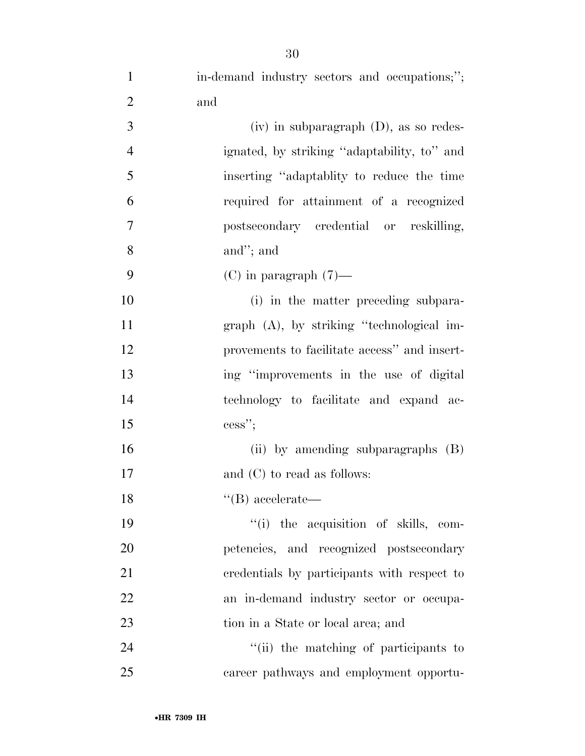| $\mathbf{1}$   | in-demand industry sectors and occupations;";  |
|----------------|------------------------------------------------|
| $\overline{2}$ | and                                            |
| 3              | $(iv)$ in subparagraph $(D)$ , as so redes-    |
| $\overline{4}$ | ignated, by striking "adaptability, to" and    |
| 5              | inserting "adaptablity to reduce the time"     |
| 6              | required for attainment of a recognized        |
| $\tau$         | postsecondary credential or reskilling,        |
| 8              | and"; and                                      |
| 9              | $(C)$ in paragraph $(7)$ —                     |
| 10             | (i) in the matter preceding subpara-           |
| 11             | $graph$ $(A)$ , by striking "technological im- |
| 12             | provements to facilitate access" and insert-   |
| 13             | ing "improvements in the use of digital        |
| 14             | technology to facilitate and expand ac-        |
| 15             | $\text{cess}$ ";                               |
| 16             | (ii) by amending subparagraphs (B)             |
| 17             | and $(C)$ to read as follows:                  |
| 18             | $\lq\lq(B)$ accelerate—                        |
| 19             | "(i) the acquisition of skills, com-           |
| 20             | petencies, and recognized postsecondary        |
| 21             | credentials by participants with respect to    |
| 22             | an in-demand industry sector or occupa-        |
| 23             | tion in a State or local area; and             |
| 24             | "(ii) the matching of participants to          |
| 25             | career pathways and employment opportu-        |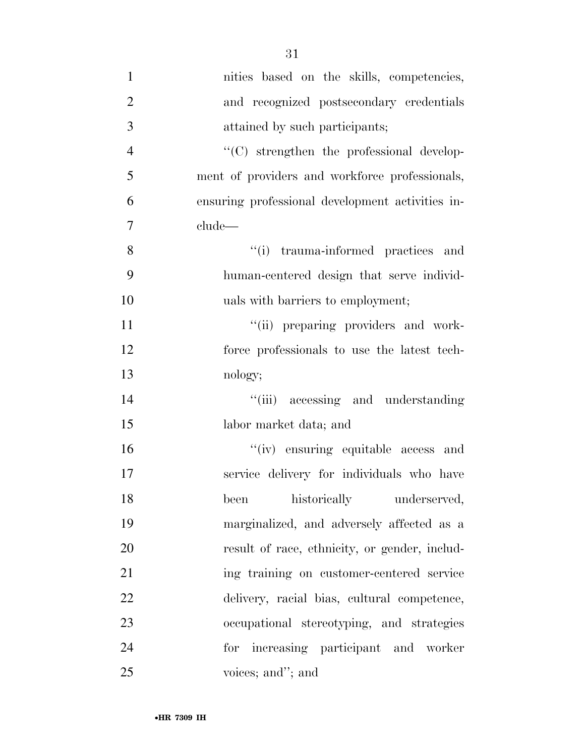| $\mathbf{1}$   | nities based on the skills, competencies,        |
|----------------|--------------------------------------------------|
| $\overline{2}$ | and recognized postsecondary credentials         |
| 3              | attained by such participants;                   |
| $\overline{4}$ | "(C) strengthen the professional develop-        |
| 5              | ment of providers and workforce professionals,   |
| 6              | ensuring professional development activities in- |
| $\tau$         | clude                                            |
| 8              | "(i) trauma-informed practices and               |
| 9              | human-centered design that serve individ-        |
| 10             | uals with barriers to employment;                |
| 11             | "(ii) preparing providers and work-              |
| 12             | force professionals to use the latest tech-      |
| 13             | nology;                                          |
| 14             | "(iii) accessing and understanding               |
| 15             | labor market data; and                           |
| 16             | "(iv) ensuring equitable access and              |
| 17             | service delivery for individuals who have        |
| 18             | been historically underserved,                   |
| 19             | marginalized, and adversely affected as a        |
| 20             | result of race, ethnicity, or gender, includ-    |
| 21             | ing training on customer-centered service        |
| 22             | delivery, racial bias, cultural competence,      |
| 23             | occupational stereotyping, and strategies        |
| 24             | for increasing participant and worker            |
| 25             | voices; and"; and                                |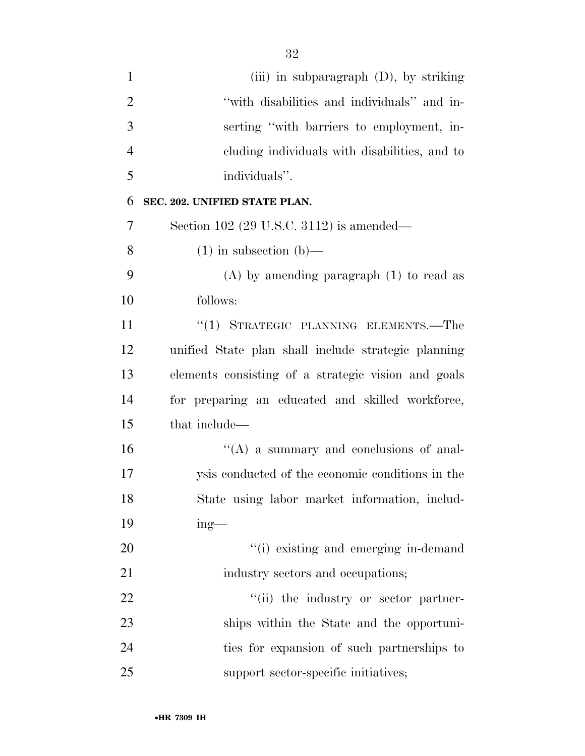| $\mathbf{1}$   | (iii) in subparagraph $(D)$ , by striking           |
|----------------|-----------------------------------------------------|
| $\overline{2}$ | "with disabilities and individuals" and in-         |
| 3              | serting "with barriers to employment, in-           |
| $\overline{4}$ | eluding individuals with disabilities, and to       |
| 5              | individuals".                                       |
| 6              | SEC. 202. UNIFIED STATE PLAN.                       |
| 7              | Section 102 (29 U.S.C. 3112) is amended—            |
| 8              | $(1)$ in subsection $(b)$ —                         |
| 9              | $(A)$ by amending paragraph $(1)$ to read as        |
| 10             | follows:                                            |
| 11             | "(1) STRATEGIC PLANNING ELEMENTS.—The               |
| 12             | unified State plan shall include strategic planning |
| 13             | elements consisting of a strategic vision and goals |
| 14             | for preparing an educated and skilled workforce,    |
| 15             | that include—                                       |
| 16             | $\lq\lq$ (A) a summary and conclusions of anal-     |
| 17             | ysis conducted of the economic conditions in the    |
| 18             | State using labor market information, includ-       |
| 19             | $ing$ —                                             |
| 20             | "(i) existing and emerging in-demand                |
| 21             | industry sectors and occupations;                   |
| 22             | "(ii) the industry or sector partner-               |
| 23             | ships within the State and the opportuni-           |
| 24             | ties for expansion of such partnerships to          |
| 25             | support sector-specific initiatives;                |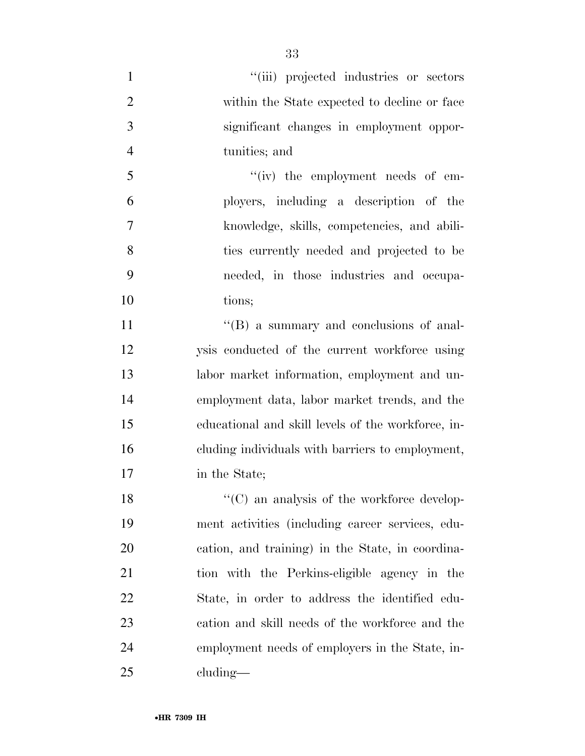- 1  $"(*iii*)$  projected industries or sectors within the State expected to decline or face significant changes in employment oppor- tunities; and 5 ''(iv) the employment needs of em- ployers, including a description of the knowledge, skills, competencies, and abili- ties currently needed and projected to be needed, in those industries and occupa-10 tions: 11  $''(B)$  a summary and conclusions of anal- ysis conducted of the current workforce using labor market information, employment and un-
- employment data, labor market trends, and the educational and skill levels of the workforce, in- cluding individuals with barriers to employment, in the State;

18 ''(C) an analysis of the workforce develop- ment activities (including career services, edu- cation, and training) in the State, in coordina- tion with the Perkins-eligible agency in the State, in order to address the identified edu- cation and skill needs of the workforce and the employment needs of employers in the State, in-cluding—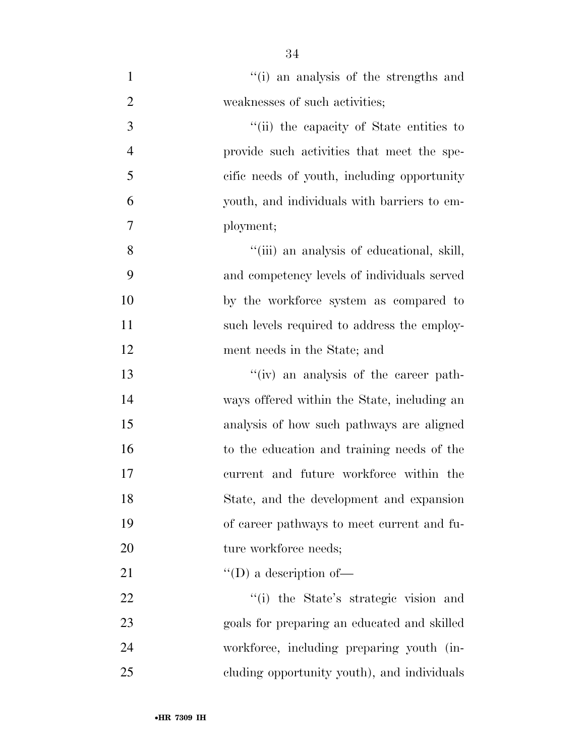| $\mathbf{1}$   | "(i) an analysis of the strengths and       |
|----------------|---------------------------------------------|
| $\overline{2}$ | weaknesses of such activities;              |
| 3              | "(ii) the capacity of State entities to     |
| $\overline{4}$ | provide such activities that meet the spe-  |
| 5              | cific needs of youth, including opportunity |
| 6              | youth, and individuals with barriers to em- |
| $\overline{7}$ | ployment;                                   |
| 8              | "(iii) an analysis of educational, skill,   |
| 9              | and competency levels of individuals served |
| 10             | by the workforce system as compared to      |
| 11             | such levels required to address the employ- |
| 12             | ment needs in the State; and                |
| 13             | "(iv) an analysis of the career path-       |
| 14             | ways offered within the State, including an |
| 15             | analysis of how such pathways are aligned   |
| 16             | to the education and training needs of the  |
| 17             | current and future workforce within the     |
| 18             | State, and the development and expansion    |
| 19             | of career pathways to meet current and fu-  |
| 20             | ture workforce needs;                       |
| 21             | $\lq\lq$ (D) a description of —             |
| 22             | "(i) the State's strategic vision and       |
| 23             | goals for preparing an educated and skilled |
| 24             | workforce, including preparing youth (in-   |
| 25             | eluding opportunity youth), and individuals |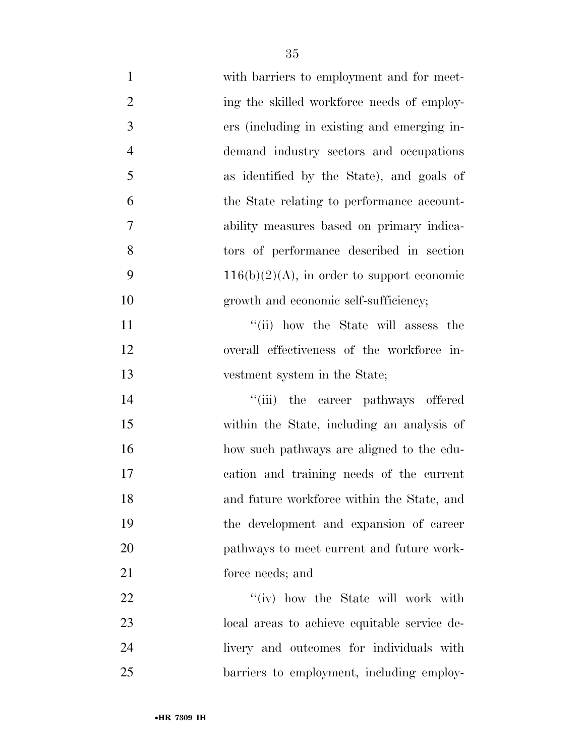| $\mathbf{1}$   | with barriers to employment and for meet-     |
|----------------|-----------------------------------------------|
| $\overline{2}$ | ing the skilled workforce needs of employ-    |
| 3              | ers (including in existing and emerging in-   |
| $\overline{4}$ | demand industry sectors and occupations       |
| 5              | as identified by the State), and goals of     |
| 6              | the State relating to performance account-    |
| 7              | ability measures based on primary indica-     |
| 8              | tors of performance described in section      |
| 9              | $116(b)(2)(A)$ , in order to support economic |
| 10             | growth and economic self-sufficiency;         |
| 11             | "(ii) how the State will assess the           |
| 12             | overall effectiveness of the workforce in-    |
| 13             | vestment system in the State;                 |
| 14             | "(iii) the career pathways offered            |
| 15             | within the State, including an analysis of    |
| 16             | how such pathways are aligned to the edu-     |
| 17             | cation and training needs of the current      |
| 18             | and future workforce within the State, and    |
| 19             | the development and expansion of career       |
| 20             | pathways to meet current and future work-     |
| 21             | force needs; and                              |
| 22             | "(iv) how the State will work with            |
| 23             | local areas to achieve equitable service de-  |
| 24             | livery and outcomes for individuals with      |
| 25             | barriers to employment, including employ-     |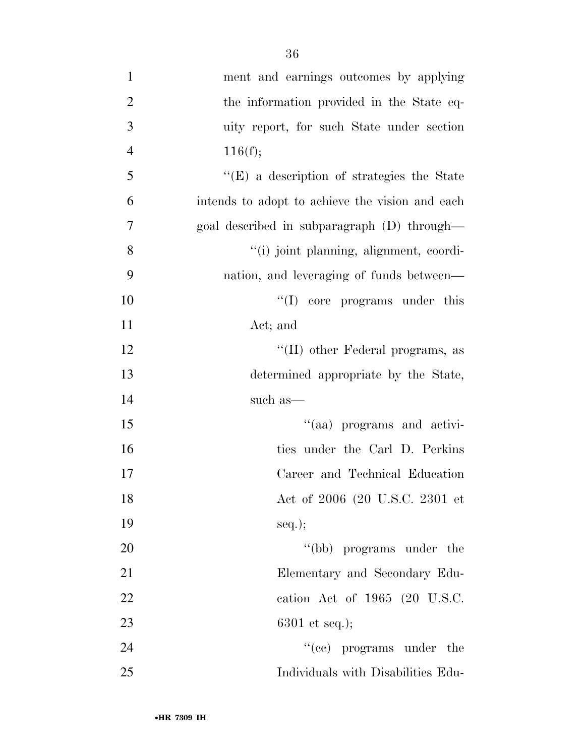| $\mathbf{1}$   | ment and earnings outcomes by applying          |
|----------------|-------------------------------------------------|
| $\overline{2}$ | the information provided in the State eq-       |
| 3              | uity report, for such State under section       |
| $\overline{4}$ | 116(f);                                         |
| 5              | "(E) a description of strategies the State      |
| 6              | intends to adopt to achieve the vision and each |
| $\overline{7}$ | goal described in subparagraph (D) through—     |
| 8              | "(i) joint planning, alignment, coordi-         |
| 9              | nation, and leveraging of funds between—        |
| 10             | $\lq\lq$ (I) core programs under this           |
| 11             | Act; and                                        |
| 12             | "(II) other Federal programs, as                |
| 13             | determined appropriate by the State,            |
| 14             | such as—                                        |
| 15             | "(aa) programs and activi-                      |
| 16             | ties under the Carl D. Perkins                  |
| 17             | Career and Technical Education                  |
| 18             | Act of 2006 (20 U.S.C. 2301 et                  |
| 19             | $seq.$ ;                                        |
| 20             | "(bb) programs under the                        |
| 21             | Elementary and Secondary Edu-                   |
| 22             | cation Act of 1965 (20 U.S.C.                   |
| 23             | $6301$ et seq.);                                |
| 24             | $\cdot$ (ce) programs under the                 |
| 25             | Individuals with Disabilities Edu-              |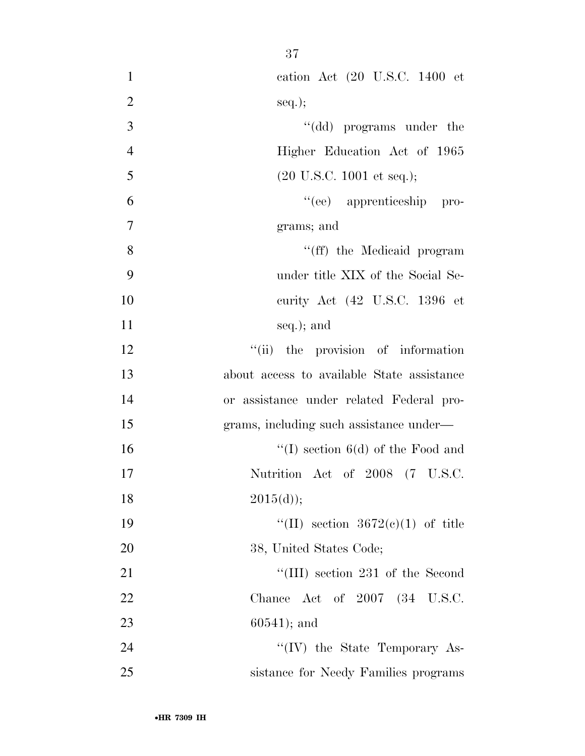| $\mathbf{1}$   | cation Act (20 U.S.C. 1400 et                |
|----------------|----------------------------------------------|
| $\overline{2}$ | $seq.$ ;                                     |
| 3              | "(dd) programs under the                     |
| $\overline{4}$ | Higher Education Act of 1965                 |
| 5              | $(20 \text{ U.S.C. } 1001 \text{ et seq.});$ |
| 6              | "(ee) apprenticeship pro-                    |
| $\tau$         | grams; and                                   |
| 8              | "(ff) the Medicaid program                   |
| 9              | under title XIX of the Social Se-            |
| 10             | curity Act (42 U.S.C. 1396 et                |
| 11             | seq.); and                                   |
| 12             | "(ii) the provision of information           |
| 13             | about access to available State assistance   |
| 14             | or assistance under related Federal pro-     |
| 15             | grams, including such assistance under-      |
| 16             | "(I) section $6(d)$ of the Food and          |
| 17             | Nutrition Act of 2008 (7 U.S.C.              |
| 18             | 2015(d));                                    |
| 19             | "(II) section $3672(e)(1)$ of title          |
| 20             | 38, United States Code;                      |
| 21             | "(III) section 231 of the Second             |
| 22             | Chance Act of 2007 (34 U.S.C.                |
| 23             | $60541$ ; and                                |
| 24             | "(IV) the State Temporary As-                |
| 25             | sistance for Needy Families programs         |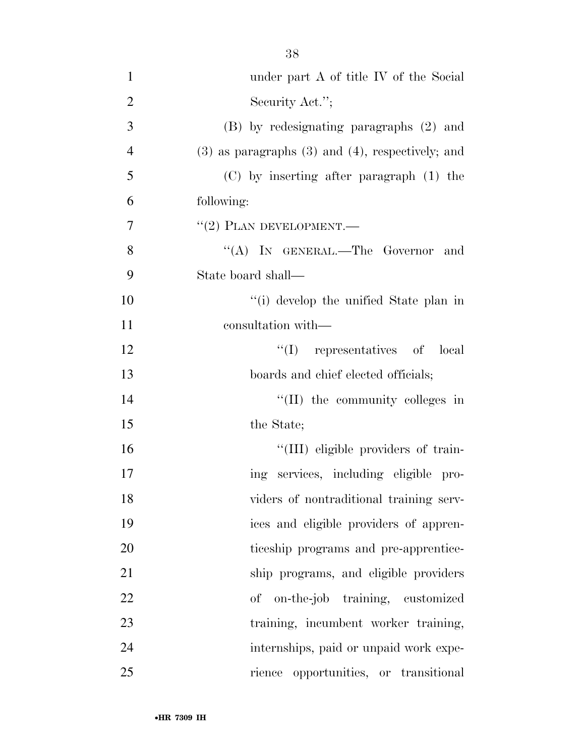| $\mathbf{1}$   | under part A of title IV of the Social                  |
|----------------|---------------------------------------------------------|
| $\overline{2}$ | Security Act.";                                         |
| 3              | (B) by redesignating paragraphs (2) and                 |
| $\overline{4}$ | $(3)$ as paragraphs $(3)$ and $(4)$ , respectively; and |
| 5              | $(C)$ by inserting after paragraph $(1)$ the            |
| 6              | following:                                              |
| 7              | $``(2)$ PLAN DEVELOPMENT.—                              |
| 8              | "(A) IN GENERAL.—The Governor and                       |
| 9              | State board shall—                                      |
| 10             | "(i) develop the unified State plan in                  |
| 11             | consultation with—                                      |
| 12             | $\lq\lq$ representatives of local                       |
| 13             | boards and chief elected officials;                     |
| 14             | $\lq\lq$ (II) the community colleges in                 |
| 15             | the State;                                              |
| 16             | "(III) eligible providers of train-                     |
| 17             | ing services, including eligible pro-                   |
| 18             | viders of nontraditional training serv-                 |
| 19             | ices and eligible providers of appren-                  |
| 20             | ticeship programs and pre-apprentice-                   |
| 21             | ship programs, and eligible providers                   |
| 22             | on-the-job training, customized<br>οf                   |
| 23             | training, incumbent worker training,                    |
| 24             | internships, paid or unpaid work expe-                  |
| 25             | rience opportunities, or transitional                   |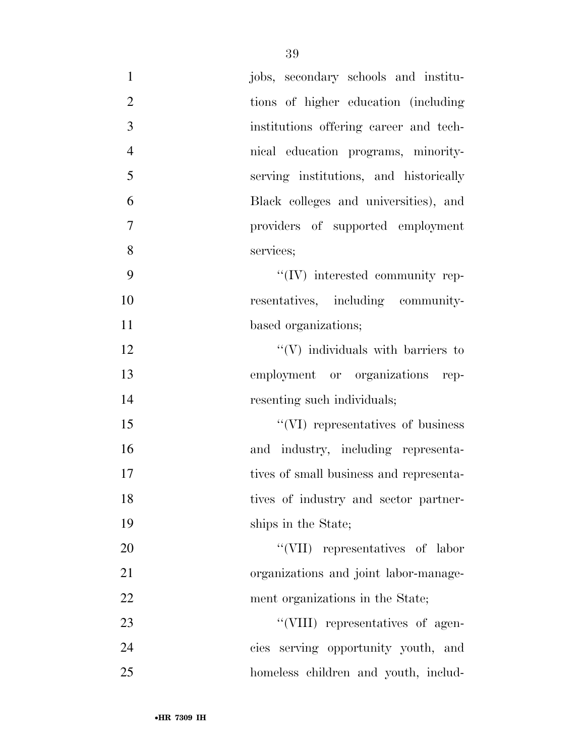| $\mathbf{1}$   | jobs, secondary schools and institu-     |
|----------------|------------------------------------------|
| $\overline{2}$ | tions of higher education (including)    |
| $\overline{3}$ | institutions offering career and tech-   |
| $\overline{4}$ | nical education programs, minority-      |
| 5              | serving institutions, and historically   |
| 6              | Black colleges and universities), and    |
| $\tau$         | providers of supported employment        |
| 8              | services;                                |
| 9              | "(IV) interested community rep-          |
| 10             | resentatives, including community-       |
| 11             | based organizations;                     |
| 12             | $\lq\lq(V)$ individuals with barriers to |
| 13             | employment or organizations rep-         |
| 14             | resenting such individuals;              |
| 15             | "(VI) representatives of business        |
| 16             | and industry, including representa-      |
| 17             | tives of small business and representa-  |
| 18             | tives of industry and sector partner-    |
| 19             | ships in the State;                      |
| 20             | "(VII) representatives of labor          |
| 21             | organizations and joint labor-manage-    |
| 22             | ment organizations in the State;         |
| 23             | "(VIII) representatives of agen-         |
| 24             | cies serving opportunity youth, and      |
| 25             | homeless children and youth, includ-     |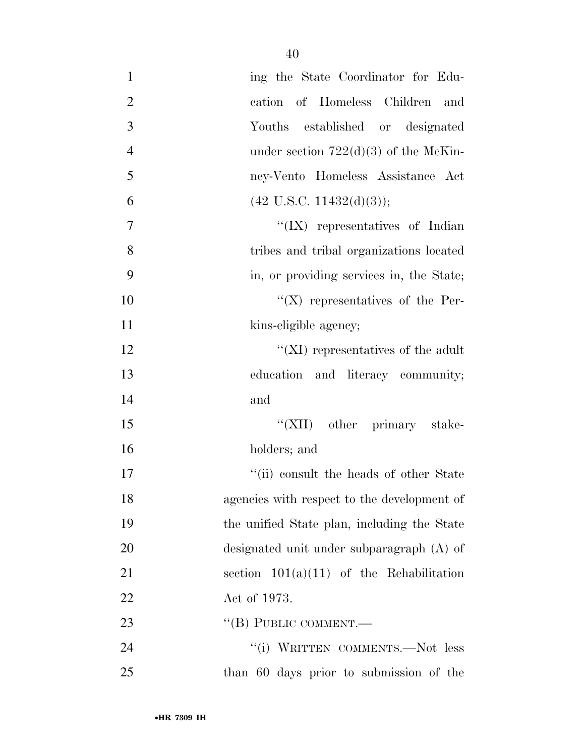| $\mathbf{1}$   | ing the State Coordinator for Edu-          |
|----------------|---------------------------------------------|
| $\overline{2}$ | cation of Homeless Children and             |
| 3              | Youths established or designated            |
| $\overline{4}$ | under section $722(d)(3)$ of the McKin-     |
| 5              | ney-Vento Homeless Assistance Act           |
| 6              | $(42 \text{ U.S.C. } 11432(d)(3));$         |
| $\overline{7}$ | $\lq\lq$ (IX) representatives of Indian     |
| 8              | tribes and tribal organizations located     |
| 9              | in, or providing services in, the State;    |
| 10             | $\lq\lq$ (X) representatives of the Per-    |
| 11             | kins-eligible agency;                       |
| 12             | "( $XI$ ) representatives of the adult      |
| 13             | education and literacy community;           |
| 14             | and                                         |
| 15             | "(XII) other primary stake-                 |
| 16             | holders; and                                |
| 17             | "(ii) consult the heads of other State      |
| 18             | agencies with respect to the development of |
| 19             | the unified State plan, including the State |
| 20             | designated unit under subparagraph (A) of   |
| 21             | section $101(a)(11)$ of the Rehabilitation  |
| 22             | Act of 1973.                                |
| 23             | "(B) PUBLIC COMMENT.-                       |
| 24             | "(i) WRITTEN COMMENTS.—Not less             |
| 25             | than 60 days prior to submission of the     |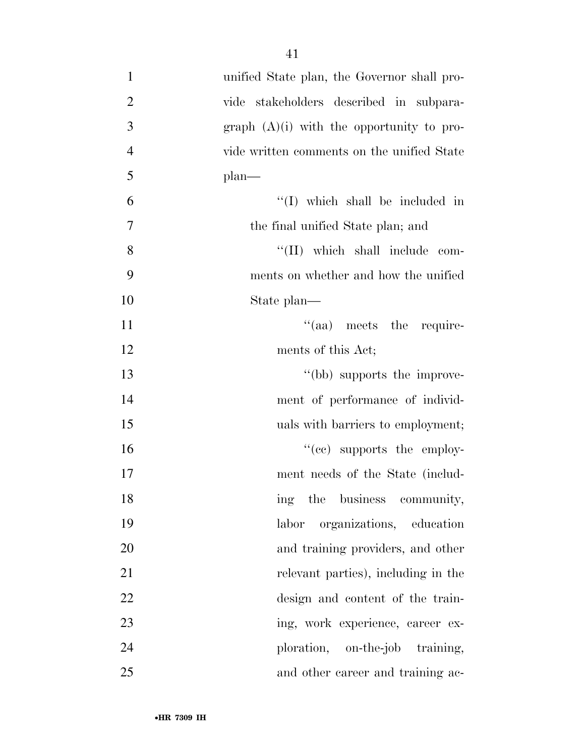| $\mathbf{1}$   | unified State plan, the Governor shall pro- |
|----------------|---------------------------------------------|
| $\overline{2}$ | vide stakeholders described in subpara-     |
| 3              | graph $(A)(i)$ with the opportunity to pro- |
| $\overline{4}$ | vide written comments on the unified State  |
| 5              | $plan$ —                                    |
| 6              | $\lq\lq$ (I) which shall be included in     |
| 7              | the final unified State plan; and           |
| 8              | "(II) which shall include com-              |
| 9              | ments on whether and how the unified        |
| 10             | State plan—                                 |
| 11             | "(aa) meets the require-                    |
| 12             | ments of this Act;                          |
| 13             | "(bb) supports the improve-                 |
| 14             | ment of performance of individ-             |
| 15             | uals with barriers to employment;           |
| 16             | $\cdot$ (cc) supports the employ-           |
| 17             | ment needs of the State (includ-            |
| 18             | ing the business community,                 |
| 19             | organizations, education<br>labor           |
| 20             | and training providers, and other           |
| 21             | relevant parties), including in the         |
| 22             | design and content of the train-            |
| 23             | ing, work experience, career ex-            |
| 24             | ploration, on-the-job training,             |
| 25             | and other career and training ac-           |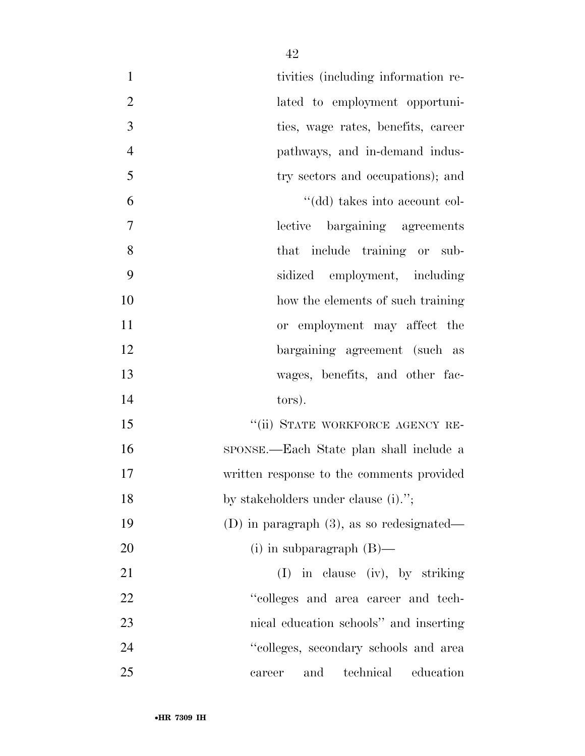| $\mathbf{1}$   | tivities (including information re-          |
|----------------|----------------------------------------------|
| $\mathbf{2}$   | lated to employment opportuni-               |
| 3              | ties, wage rates, benefits, career           |
| $\overline{4}$ | pathways, and in-demand indus-               |
| 5              | try sectors and occupations); and            |
| 6              | "(dd) takes into account col-                |
| $\tau$         | lective bargaining agreements                |
| 8              | that include training or sub-                |
| 9              | sidized employment, including                |
| 10             | how the elements of such training            |
| 11             | or employment may affect the                 |
| 12             | bargaining agreement (such as                |
| 13             | wages, benefits, and other fac-              |
| 14             | tors).                                       |
| 15             | "(ii) STATE WORKFORCE AGENCY RE-             |
| 16             | SPONSE.—Each State plan shall include a      |
| 17             | written response to the comments provided    |
| 18             | by stakeholders under clause (i).";          |
| 19             | (D) in paragraph $(3)$ , as so redesignated— |
| 20             | (i) in subparagraph $(B)$ —                  |
| 21             | $(I)$ in clause (iv), by striking            |
| 22             | "colleges and area career and tech-          |
| 23             | nical education schools" and inserting       |
| 24             | "colleges, secondary schools and area        |
| 25             | technical education<br>and<br>career         |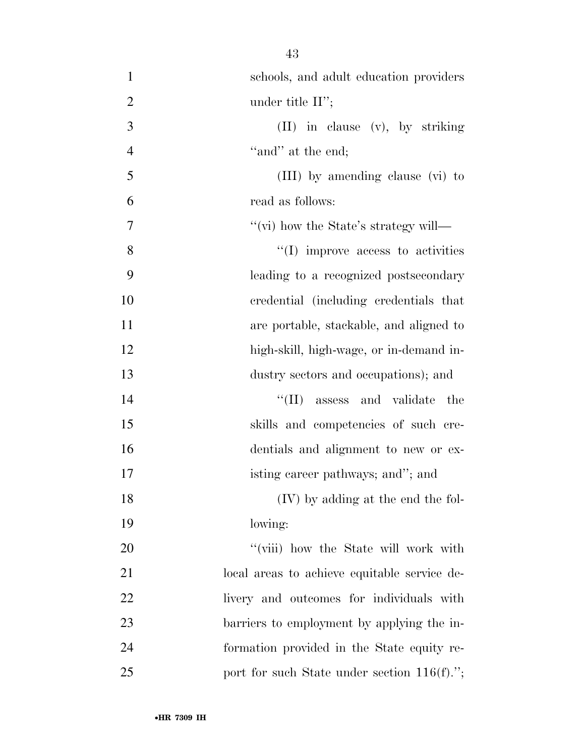| $\mathbf{1}$   | schools, and adult education providers       |
|----------------|----------------------------------------------|
| $\overline{2}$ | under title $II$ ";                          |
| 3              | $(II)$ in clause $(v)$ , by striking         |
| $\overline{4}$ | "and" at the end;                            |
| 5              | (III) by amending clause (vi) to             |
| 6              | read as follows:                             |
| 7              | "(vi) how the State's strategy will—         |
| 8              | $\lq\lq$ (I) improve access to activities    |
| 9              | leading to a recognized postsecondary        |
| 10             | credential (including credentials that       |
| 11             | are portable, stackable, and aligned to      |
| 12             | high-skill, high-wage, or in-demand in-      |
| 13             | dustry sectors and occupations); and         |
| 14             | $\lq\lq$ (II) assess and validate<br>the     |
| 15             | skills and competencies of such cre-         |
| 16             | dentials and alignment to new or ex-         |
| 17             | isting career pathways; and"; and            |
| 18             | (IV) by adding at the end the fol-           |
| 19             | lowing:                                      |
| 20             | "(viii) how the State will work with         |
| 21             | local areas to achieve equitable service de- |
| 22             | livery and outcomes for individuals with     |
| 23             | barriers to employment by applying the in-   |
| 24             | formation provided in the State equity re-   |
| 25             | port for such State under section 116(f).";  |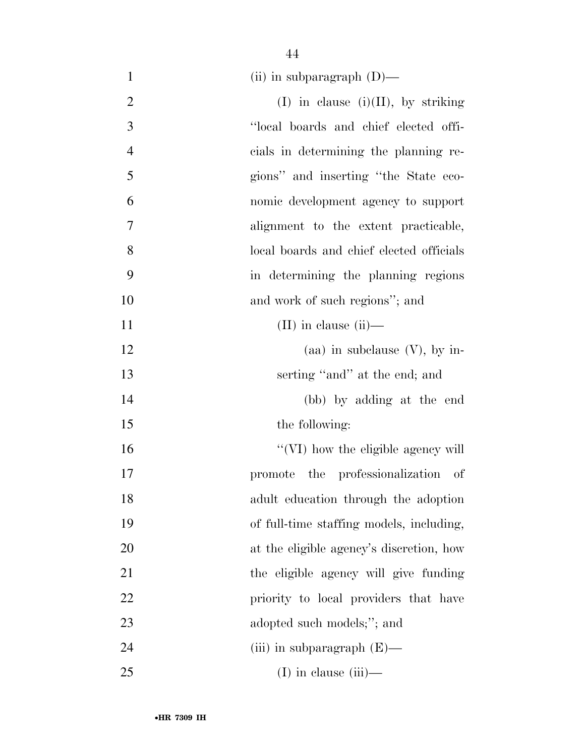| $\mathbf{1}$   | (ii) in subparagraph $(D)$ —             |
|----------------|------------------------------------------|
| $\overline{2}$ | $(I)$ in clause $(i)(II)$ , by striking  |
| 3              | "local boards and chief elected offi-    |
| $\overline{4}$ | cials in determining the planning re-    |
| 5              | gions" and inserting "the State eco-     |
| 6              | nomic development agency to support      |
| 7              | alignment to the extent practicable,     |
| 8              | local boards and chief elected officials |
| 9              | in determining the planning regions      |
| 10             | and work of such regions"; and           |
| 11             | $(II)$ in clause $(ii)$ —                |
| 12             | (aa) in subclause $(V)$ , by in-         |
| 13             | serting "and" at the end; and            |
| 14             | (bb) by adding at the end                |
| 15             | the following:                           |
| 16             | "(VI) how the eligible agency will       |
| 17             | promote the professionalization of       |
| 18             | adult education through the adoption     |
| 19             | of full-time staffing models, including, |
| 20             | at the eligible agency's discretion, how |
| 21             | the eligible agency will give funding    |
| 22             | priority to local providers that have    |
| 23             | adopted such models;"; and               |
| 24             | (iii) in subparagraph $(E)$ —            |
| 25             | $(I)$ in clause $(iii)$ —                |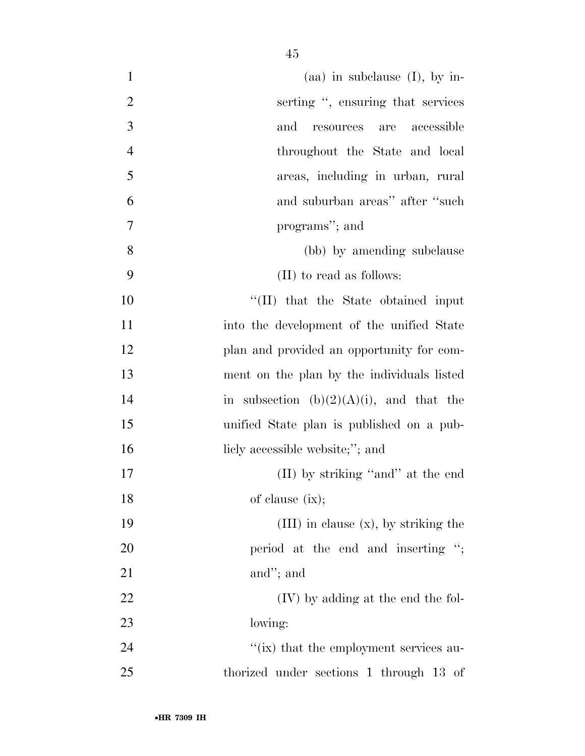| $\mathbf{1}$   | (aa) in subclause $(I)$ , by in-            |
|----------------|---------------------------------------------|
| $\overline{2}$ | serting ", ensuring that services           |
| 3              | and<br>resources are<br>accessible          |
| $\overline{4}$ | throughout the State and local              |
| 5              | areas, including in urban, rural            |
| 6              | and suburban areas" after "such             |
| 7              | programs"; and                              |
| 8              | (bb) by amending subclause                  |
| 9              | (II) to read as follows:                    |
| 10             | "(II) that the State obtained input         |
| 11             | into the development of the unified State   |
| 12             | plan and provided an opportunity for com-   |
| 13             | ment on the plan by the individuals listed  |
| 14             | in subsection $(b)(2)(A)(i)$ , and that the |
| 15             | unified State plan is published on a pub-   |
| 16             | licly accessible website;"; and             |
| 17             | (II) by striking "and" at the end           |
| 18             | of clause $(ix);$                           |
| 19             | $(III)$ in clause $(x)$ , by striking the   |
| 20             | period at the end and inserting ";          |
| 21             | and"; and                                   |
| 22             | (IV) by adding at the end the fol-          |
| 23             | lowing:                                     |
| 24             | "(ix) that the employment services au-      |
| 25             | thorized under sections 1 through 13 of     |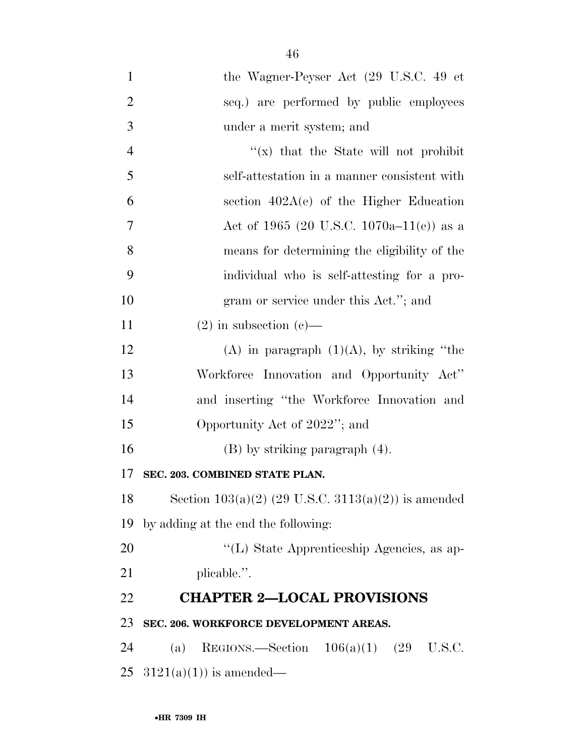the Wagner-Peyser Act (29 U.S.C. 49 et seq.) are performed by public employees under a merit system; and  $\frac{4}{x}$   $\frac{1}{x}$  that the State will not prohibit self-attestation in a manner consistent with section 402A(e) of the Higher Education Act of 1965 (20 U.S.C. 1070a–11(e)) as a means for determining the eligibility of the individual who is self-attesting for a pro-10 gram or service under this Act."; and 11 (2) in subsection (c)— 12 (A) in paragraph  $(1)(A)$ , by striking "the Workforce Innovation and Opportunity Act'' and inserting ''the Workforce Innovation and Opportunity Act of 2022''; and (B) by striking paragraph (4). **SEC. 203. COMBINED STATE PLAN.**  18 Section  $103(a)(2)$  (29 U.S.C.  $3113(a)(2)$ ) is amended by adding at the end the following:  $\langle (L)$  State Apprenticeship Agencies, as ap- plicable.''. **CHAPTER 2—LOCAL PROVISIONS SEC. 206. WORKFORCE DEVELOPMENT AREAS.**  (a) REGIONS.—Section 106(a)(1) (29 U.S.C.  $3121(a)(1)$  is amended—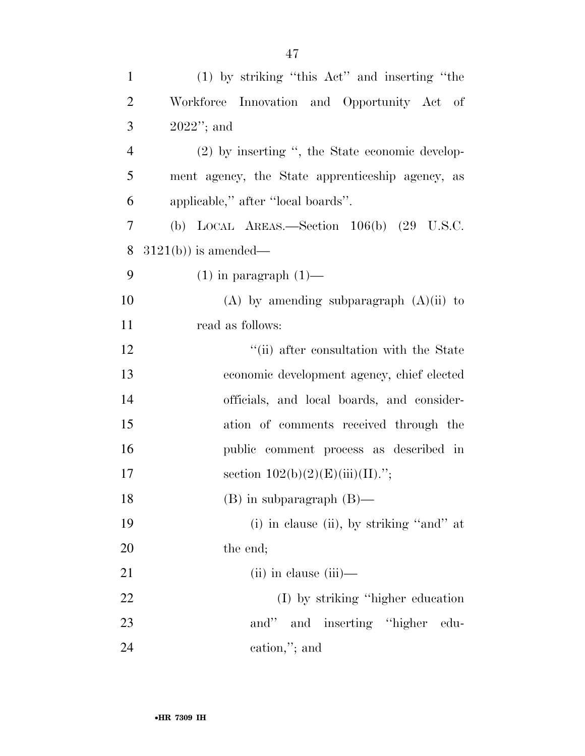| $\mathbf{1}$   | (1) by striking "this Act" and inserting "the    |
|----------------|--------------------------------------------------|
| $\overline{2}$ | Workforce Innovation and Opportunity Act of      |
| 3              | $2022"$ ; and                                    |
| $\overline{4}$ | (2) by inserting ", the State economic develop-  |
| 5              | ment agency, the State apprenticeship agency, as |
| 6              | applicable," after "local boards".               |
| 7              | (b) LOCAL AREAS.—Section $106(b)$ (29 U.S.C.     |
| 8              | $3121(b)$ ) is amended—                          |
| 9              | $(1)$ in paragraph $(1)$ —                       |
| 10             | $(A)$ by amending subparagraph $(A)(ii)$ to      |
| 11             | read as follows:                                 |
| 12             | "(ii) after consultation with the State          |
| 13             | economic development agency, chief elected       |
| 14             | officials, and local boards, and consider-       |
| 15             | ation of comments received through the           |
| 16             | public comment process as described in           |
| 17             | section $102(b)(2)(E)(iii)(II)$ .";              |
| 18             | $(B)$ in subparagraph $(B)$ —                    |
| 19             | (i) in clause (ii), by striking "and" at         |
| 20             | the end;                                         |
| 21             | $(ii)$ in clause $(iii)$ —                       |
| 22             | (I) by striking "higher education"               |
| 23             | and" and inserting "higher<br>edu-               |
| 24             | cation,"; and                                    |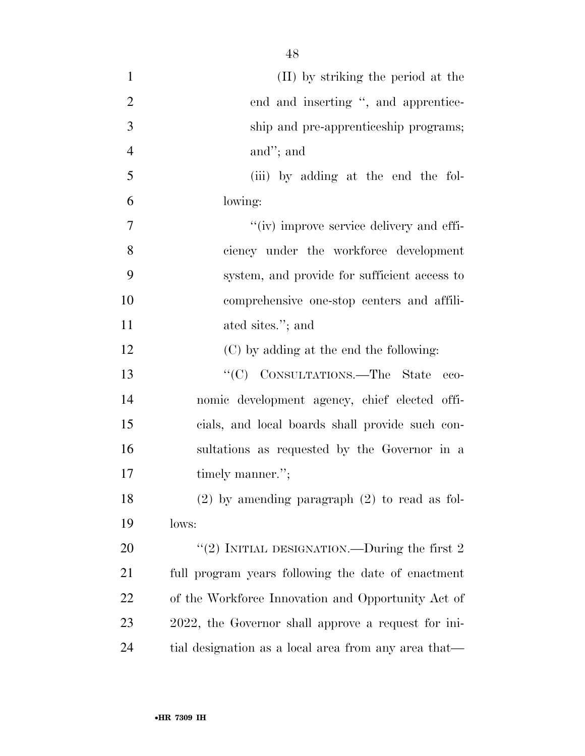| $\mathbf{1}$   | (II) by striking the period at the                   |
|----------------|------------------------------------------------------|
| $\overline{2}$ | end and inserting ", and apprentice-                 |
| 3              | ship and pre-apprenticeship programs;                |
| $\overline{4}$ | and"; and                                            |
| 5              | (iii) by adding at the end the fol-                  |
| 6              | lowing:                                              |
| 7              | "(iv) improve service delivery and effi-             |
| 8              | ciency under the workforce development               |
| 9              | system, and provide for sufficient access to         |
| 10             | comprehensive one-stop centers and affili-           |
| 11             | ated sites."; and                                    |
| 12             | (C) by adding at the end the following:              |
| 13             | "(C) CONSULTATIONS.—The State<br>eco-                |
| 14             | nomic development agency, chief elected offi-        |
| 15             | cials, and local boards shall provide such con-      |
| 16             | sultations as requested by the Governor in a         |
| 17             | timely manner.";                                     |
| 18             | $(2)$ by amending paragraph $(2)$ to read as fol-    |
| 19             | lows:                                                |
| 20             | "(2) INITIAL DESIGNATION.—During the first $2$       |
| 21             | full program years following the date of enactment   |
| 22             | of the Workforce Innovation and Opportunity Act of   |
| 23             | 2022, the Governor shall approve a request for ini-  |
| 24             | tial designation as a local area from any area that— |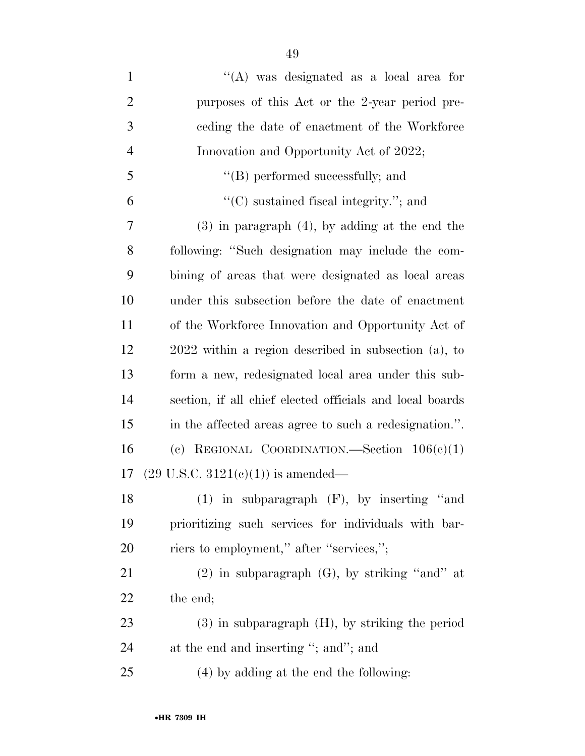| $\mathbf{1}$   | "(A) was designated as a local area for                  |
|----------------|----------------------------------------------------------|
| $\overline{2}$ | purposes of this Act or the 2-year period pre-           |
| 3              | ceding the date of enactment of the Workforce            |
| $\overline{4}$ | Innovation and Opportunity Act of 2022;                  |
| 5              | "(B) performed successfully; and                         |
| 6              | $\lq\lq$ sustained fiscal integrity."; and               |
| 7              | $(3)$ in paragraph $(4)$ , by adding at the end the      |
| 8              | following: "Such designation may include the com-        |
| 9              | bining of areas that were designated as local areas      |
| 10             | under this subsection before the date of enactment       |
| 11             | of the Workforce Innovation and Opportunity Act of       |
| 12             | $2022$ within a region described in subsection (a), to   |
| 13             | form a new, redesignated local area under this sub-      |
| 14             | section, if all chief elected officials and local boards |
| 15             | in the affected areas agree to such a redesignation.".   |
| 16             | (c) REGIONAL COORDINATION.—Section $106(c)(1)$           |
| 17             | $(29 \text{ U.S.C. } 3121(e)(1))$ is amended—            |
| 18             | $(1)$ in subparagraph $(F)$ , by inserting "and          |
| 19             | prioritizing such services for individuals with bar-     |
| 20             | riers to employment," after "services,";                 |
| 21             | $(2)$ in subparagraph $(G)$ , by striking "and" at       |
| 22             | the end;                                                 |
| 23             | $(3)$ in subparagraph $(H)$ , by striking the period     |

24 at the end and inserting "; and"; and

(4) by adding at the end the following: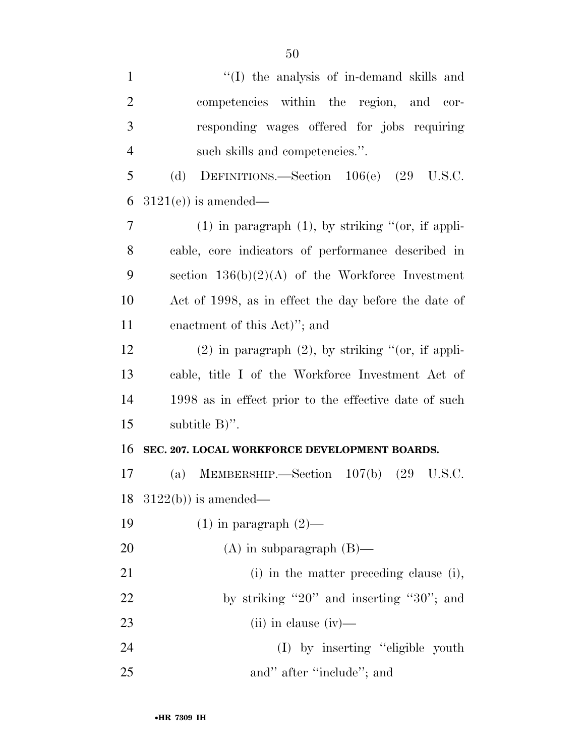| $\mathbf{1}$   | "(I) the analysis of in-demand skills and                  |
|----------------|------------------------------------------------------------|
| $\overline{2}$ | competencies within the region, and cor-                   |
| 3              | responding wages offered for jobs requiring                |
| $\overline{4}$ | such skills and competencies.".                            |
| 5              | DEFINITIONS.—Section 106(e) (29 U.S.C.<br>(d)              |
| 6              | $3121(e)$ is amended—                                      |
| 7              | $(1)$ in paragraph $(1)$ , by striking " $($ or, if appli- |
| 8              | cable, core indicators of performance described in         |
| 9              | section $136(b)(2)(A)$ of the Workforce Investment         |
| 10             | Act of 1998, as in effect the day before the date of       |
| 11             | enactment of this Act)"; and                               |
| 12             | $(2)$ in paragraph $(2)$ , by striking "(or, if appli-     |
| 13             | cable, title I of the Workforce Investment Act of          |
| 14             | 1998 as in effect prior to the effective date of such      |
| 15             | subtitle $B$ )".                                           |
| 16             | SEC. 207. LOCAL WORKFORCE DEVELOPMENT BOARDS.              |
| 17             | MEMBERSHIP.—Section $107(b)$ $(29 \text{ U.S.C.})$<br>(a)  |
|                | 18 $3122(b)$ is amended—                                   |
| 19             | $(1)$ in paragraph $(2)$ —                                 |
| 20             | $(A)$ in subparagraph $(B)$ —                              |
| 21             | (i) in the matter preceding clause (i),                    |
| 22             | by striking "20" and inserting "30"; and                   |
| 23             | $(ii)$ in clause $(iv)$ —                                  |
| 24             | (I) by inserting "eligible youth                           |
| 25             | and" after "include"; and                                  |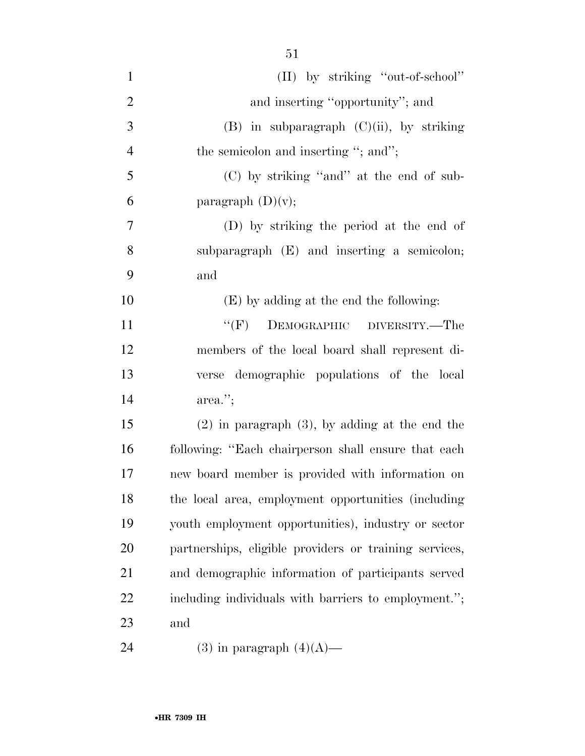| $\mathbf{1}$   | (II) by striking "out-of-school"                       |
|----------------|--------------------------------------------------------|
| $\overline{2}$ | and inserting "opportunity"; and                       |
| 3              | $(B)$ in subparagraph $(C)(ii)$ , by striking          |
| $\overline{4}$ | the semicolon and inserting "; and";                   |
| 5              | (C) by striking "and" at the end of sub-               |
| 6              | paragraph $(D)(v)$ ;                                   |
| 7              | (D) by striking the period at the end of               |
| 8              | subparagraph (E) and inserting a semicolon;            |
| 9              | and                                                    |
| 10             | (E) by adding at the end the following:                |
| 11             | "(F) DEMOGRAPHIC DIVERSITY.—The                        |
| 12             | members of the local board shall represent di-         |
| 13             | verse demographic populations of the local             |
| 14             | $area$ .";                                             |
| 15             | $(2)$ in paragraph $(3)$ , by adding at the end the    |
| 16             | following: "Each chairperson shall ensure that each    |
| 17             | new board member is provided with information on       |
| 18             | the local area, employment opportunities (including    |
| 19             | youth employment opportunities), industry or sector    |
| 20             | partnerships, eligible providers or training services, |
| 21             | and demographic information of participants served     |
| 22             | including individuals with barriers to employment.";   |
| 23             | and                                                    |
| 24             | $(3)$ in paragraph $(4)(A)$ —                          |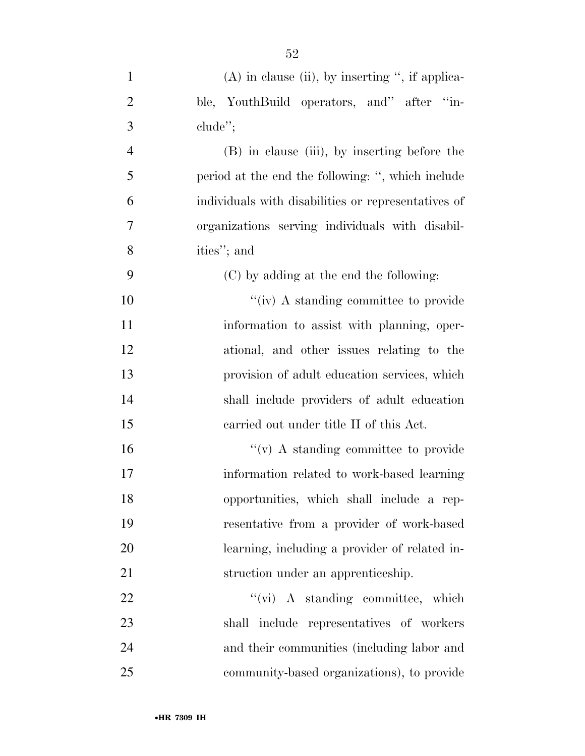| $\mathbf{1}$   | $(A)$ in clause (ii), by inserting ", if applica-   |
|----------------|-----------------------------------------------------|
| $\overline{2}$ | ble, YouthBuild operators, and" after "in-          |
| 3              | $chude$ <sup>"</sup> ;                              |
| $\overline{4}$ | (B) in clause (iii), by inserting before the        |
| 5              | period at the end the following: ", which include   |
| 6              | individuals with disabilities or representatives of |
| 7              | organizations serving individuals with disabil-     |
| 8              | ities"; and                                         |
| 9              | (C) by adding at the end the following:             |
| 10             | "(iv) A standing committee to provide               |
| 11             | information to assist with planning, oper-          |
| 12             | ational, and other issues relating to the           |
| 13             | provision of adult education services, which        |
| 14             | shall include providers of adult education          |
| 15             | carried out under title II of this Act.             |
| 16             | $``(v)$ A standing committee to provide             |
| 17             | information related to work-based learning          |
| 18             | opportunities, which shall include a rep-           |
| 19             | resentative from a provider of work-based           |
| 20             | learning, including a provider of related in-       |
| 21             | struction under an apprenticeship.                  |
| 22             | $``(\vec{vi})$ A standing committee, which          |
| 23             | shall include representatives of workers            |
| 24             | and their communities (including labor and          |
| 25             | community-based organizations), to provide          |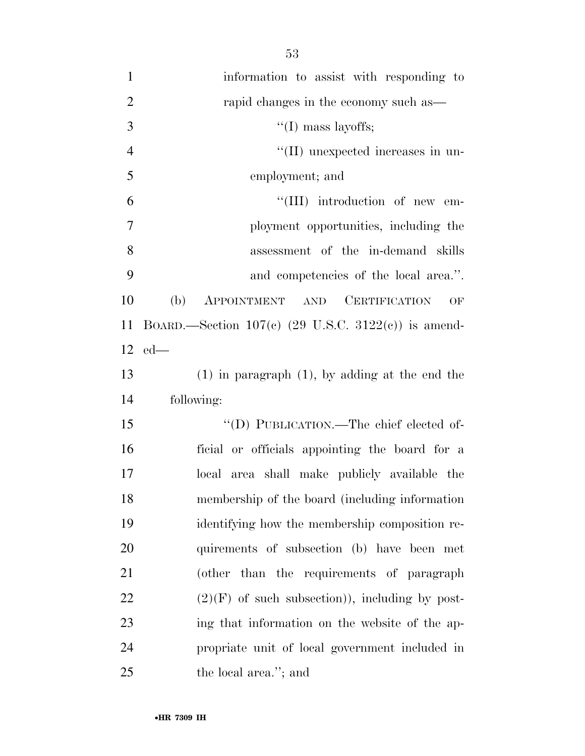| $\mathbf{1}$   | information to assist with responding to              |
|----------------|-------------------------------------------------------|
| $\overline{2}$ | rapid changes in the economy such as—                 |
| 3              | $``(I)$ mass layoffs;                                 |
| $\overline{4}$ | "(II) unexpected increases in un-                     |
| 5              | employment; and                                       |
| 6              | "(III) introduction of new em-                        |
| 7              | ployment opportunities, including the                 |
| 8              | assessment of the in-demand skills                    |
| 9              | and competencies of the local area.".                 |
| 10             | APPOINTMENT AND CERTIFICATION<br>(b)<br>OF            |
| 11             | BOARD.—Section $107(c)$ (29 U.S.C. 3122(c)) is amend- |
|                | $12$ ed—                                              |
| 13             | $(1)$ in paragraph $(1)$ , by adding at the end the   |
| 14             | following:                                            |
| 15             | "(D) PUBLICATION.—The chief elected of-               |
| 16             | ficial or officials appointing the board for a        |
| 17             | local area shall make publicly available the          |
| 18             | membership of the board (including information        |
| 19             | identifying how the membership composition re-        |
| 20             | quirements of subsection (b) have been met            |
| 21             | (other than the requirements of paragraph             |
| 22             | $(2)(F)$ of such subsection)), including by post-     |
| 23             | ing that information on the website of the ap-        |
| 24             | propriate unit of local government included in        |
| 25             | the local area."; and                                 |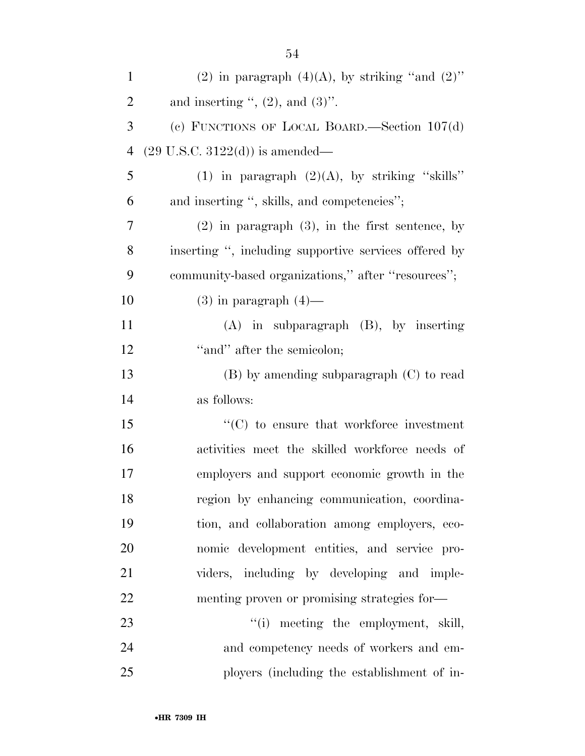| $\mathbf{1}$   | (2) in paragraph $(4)(A)$ , by striking "and $(2)$ "  |
|----------------|-------------------------------------------------------|
| $\overline{2}$ | and inserting ", $(2)$ , and $(3)$ ".                 |
| 3              | (c) FUNCTIONS OF LOCAL BOARD.—Section $107(d)$        |
| $\overline{4}$ | $(29 \text{ U.S.C. } 3122(d))$ is amended—            |
| 5              | (1) in paragraph $(2)(A)$ , by striking "skills"      |
| 6              | and inserting ", skills, and competencies";           |
| 7              | $(2)$ in paragraph $(3)$ , in the first sentence, by  |
| 8              | inserting ", including supportive services offered by |
| 9              | community-based organizations," after "resources";    |
| 10             | $(3)$ in paragraph $(4)$ —                            |
| 11             | $(A)$ in subparagraph $(B)$ , by inserting            |
| 12             | "and" after the semicolon;                            |
| 13             | $(B)$ by amending subparagraph $(C)$ to read          |
| 14             | as follows:                                           |
| 15             | $\cdot$ (C) to ensure that workforce investment       |
| 16             | activities meet the skilled workforce needs of        |
| 17             | employers and support economic growth in the          |
| 18             | region by enhancing communication, coordina-          |
| 19             | tion, and collaboration among employers, eco-         |
| 20             | nomic development entities, and service pro-          |
| 21             | viders, including by developing and imple-            |
| 22             | menting proven or promising strategies for-           |
| 23             | "(i) meeting the employment, skill,                   |
| 24             | and competency needs of workers and em-               |
| 25             | ployers (including the establishment of in-           |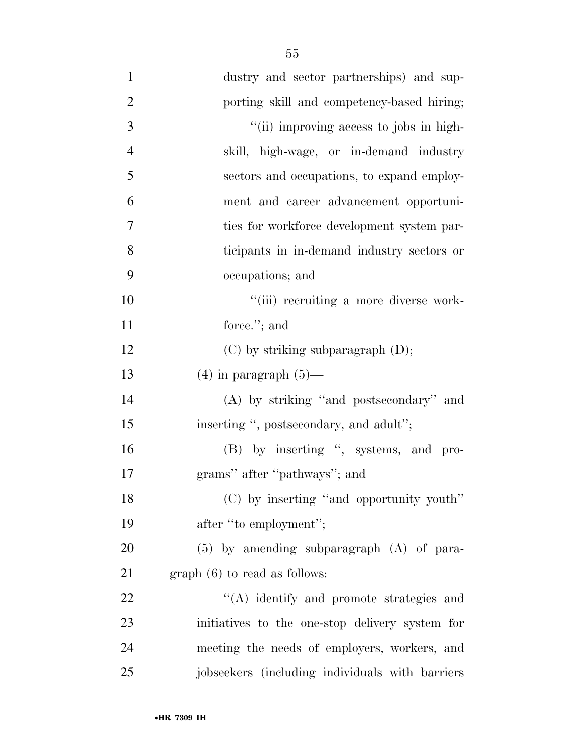| $\mathbf{1}$   | dustry and sector partnerships) and sup-        |
|----------------|-------------------------------------------------|
| $\overline{2}$ | porting skill and competency-based hiring;      |
| 3              | "(ii) improving access to jobs in high-         |
| $\overline{4}$ | skill, high-wage, or in-demand industry         |
| 5              | sectors and occupations, to expand employ-      |
| 6              | ment and career advancement opportuni-          |
| 7              | ties for workforce development system par-      |
| 8              | ticipants in in-demand industry sectors or      |
| 9              | occupations; and                                |
| 10             | "(iii) recruiting a more diverse work-          |
| 11             | force."; and                                    |
| 12             | $(C)$ by striking subparagraph $(D)$ ;          |
| 13             | $(4)$ in paragraph $(5)$ —                      |
| 14             | (A) by striking "and postsecondary" and         |
| 15             | inserting ", postsecondary, and adult";         |
| 16             | (B) by inserting ", systems, and pro-           |
| 17             | grams" after "pathways"; and                    |
| 18             | (C) by inserting "and opportunity youth"        |
| 19             | after "to employment";                          |
| 20             | $(5)$ by amending subparagraph $(A)$ of para-   |
| 21             | $graph(6)$ to read as follows:                  |
| 22             | "(A) identify and promote strategies and        |
| 23             | initiatives to the one-stop delivery system for |
| 24             | meeting the needs of employers, workers, and    |
| 25             | jobseekers (including individuals with barriers |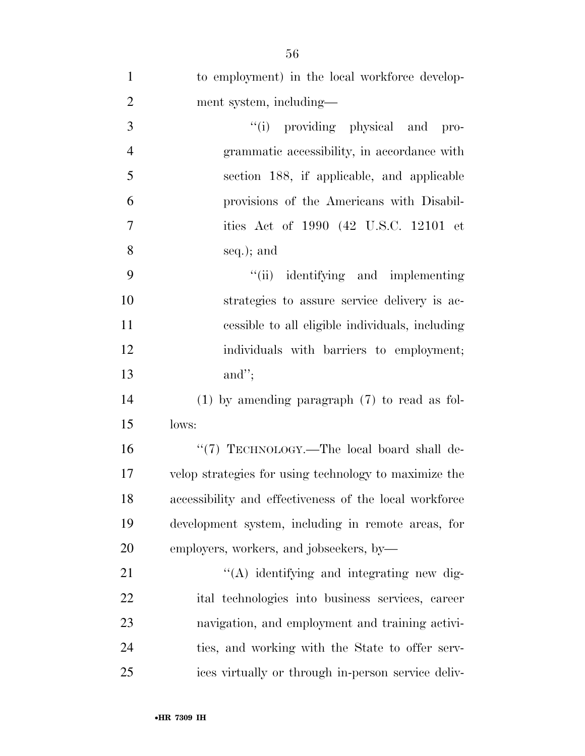| $\mathbf{1}$   | to employment) in the local workforce develop-         |
|----------------|--------------------------------------------------------|
| $\overline{2}$ | ment system, including—                                |
| 3              | "(i) providing physical and pro-                       |
| $\overline{4}$ | grammatic accessibility, in accordance with            |
| 5              | section 188, if applicable, and applicable             |
| 6              | provisions of the Americans with Disabil-              |
| 7              | ities Act of 1990 (42 U.S.C. 12101 et                  |
| 8              | seq.); and                                             |
| 9              | "(ii) identifying and implementing                     |
| 10             | strategies to assure service delivery is ac-           |
| 11             | cessible to all eligible individuals, including        |
| 12             | individuals with barriers to employment;               |
| 13             | and";                                                  |
| 14             | $(1)$ by amending paragraph $(7)$ to read as fol-      |
| 15             | lows:                                                  |
| 16             | "(7) TECHNOLOGY.-The local board shall de-             |
| 17             | velop strategies for using technology to maximize the  |
| 18             | accessibility and effectiveness of the local workforce |
| 19             | development system, including in remote areas, for     |
| 20             | employers, workers, and jobseekers, by-                |
| 21             | $\lq\lq$ identifying and integrating new dig-          |
| 22             | ital technologies into business services, career       |
| 23             | navigation, and employment and training activi-        |
| 24             | ties, and working with the State to offer serv-        |
| 25             | ices virtually or through in-person service deliv-     |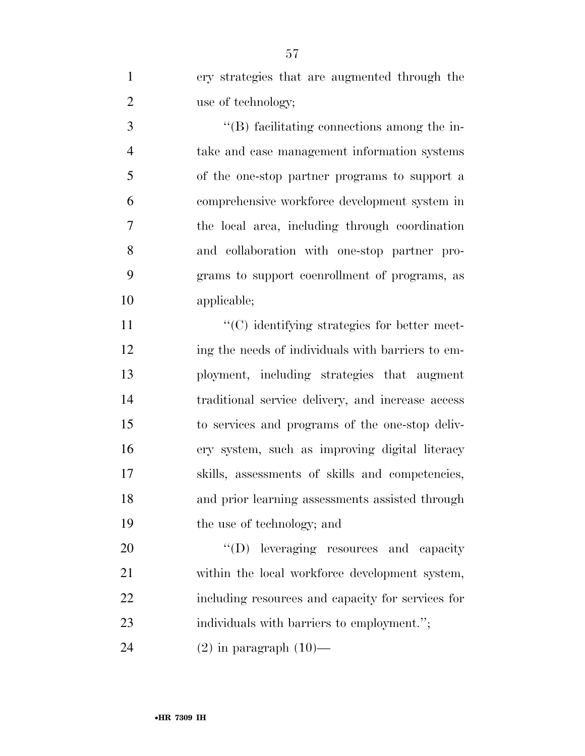ery strategies that are augmented through the 2 use of technology;

 ''(B) facilitating connections among the in- take and case management information systems of the one-stop partner programs to support a comprehensive workforce development system in the local area, including through coordination and collaboration with one-stop partner pro- grams to support coenrollment of programs, as applicable;

 $\cdot$  (C) identifying strategies for better meet- ing the needs of individuals with barriers to em- ployment, including strategies that augment traditional service delivery, and increase access to services and programs of the one-stop deliv- ery system, such as improving digital literacy skills, assessments of skills and competencies, and prior learning assessments assisted through the use of technology; and

20  $"$ (D) leveraging resources and capacity 21 within the local workforce development system, including resources and capacity for services for 23 individuals with barriers to employment.";

24  $(2)$  in paragraph  $(10)$ —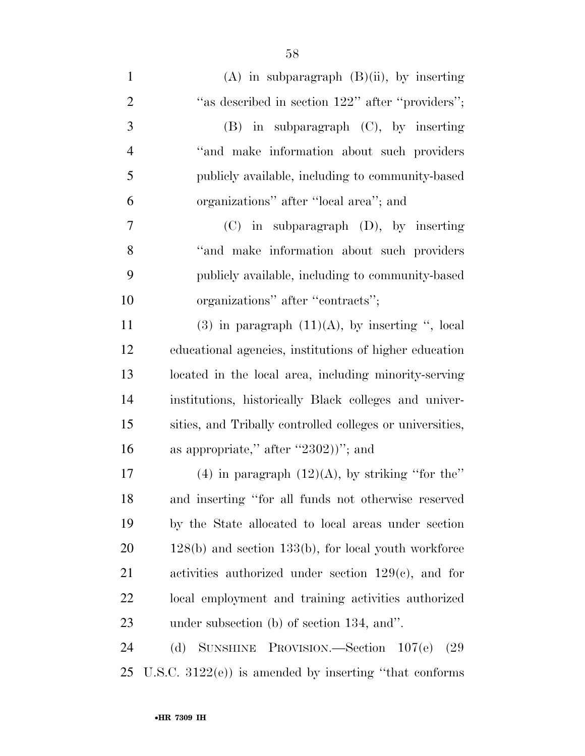| $\mathbf{1}$   | $(A)$ in subparagraph $(B)(ii)$ , by inserting             |
|----------------|------------------------------------------------------------|
| $\overline{2}$ | "as described in section 122" after "providers";           |
| 3              | $(B)$ in subparagraph $(C)$ , by inserting                 |
| $\overline{4}$ | "and make information about such providers"                |
| 5              | publicly available, including to community-based           |
| 6              | organizations" after "local area"; and                     |
| 7              | $(C)$ in subparagraph $(D)$ , by inserting                 |
| 8              | "and make information about such providers                 |
| 9              | publicly available, including to community-based           |
| 10             | organizations" after "contracts";                          |
| 11             | $(3)$ in paragraph $(11)(A)$ , by inserting ", local       |
| 12             | educational agencies, institutions of higher education     |
| 13             | located in the local area, including minority-serving      |
| 14             | institutions, historically Black colleges and univer-      |
| 15             | sities, and Tribally controlled colleges or universities,  |
| 16             | as appropriate," after "2302))"; and                       |
| 17             | $(4)$ in paragraph $(12)(A)$ , by striking "for the"       |
| 18             | and inserting "for all funds not otherwise reserved        |
| 19             | by the State allocated to local areas under section        |
| 20             | $128(b)$ and section $133(b)$ , for local youth workforce  |
| 21             | activities authorized under section $129(c)$ , and for     |
| <u>22</u>      | local employment and training activities authorized        |
| 23             | under subsection $(b)$ of section 134, and".               |
| 24             | SUNSHINE PROVISION.—Section $107(e)$<br>(d)<br>(29         |
| 25             | U.S.C. $3122(e)$ ) is amended by inserting "that conforms" |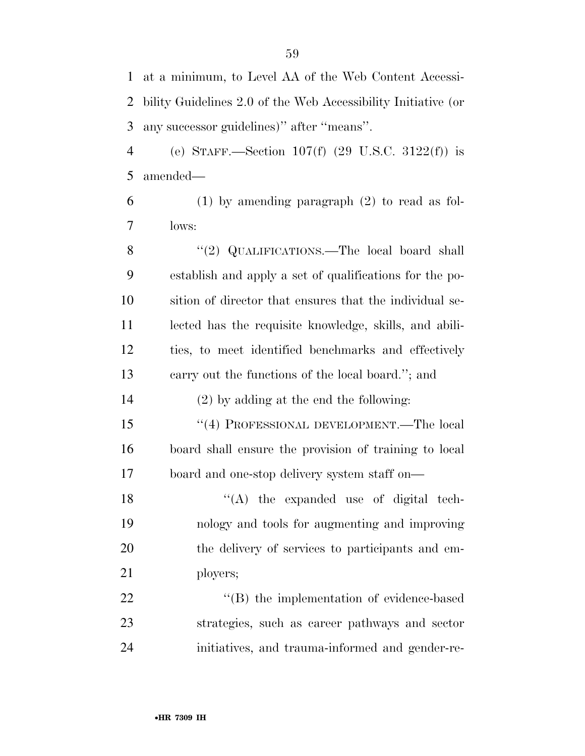| $\mathbf{1}$   | at a minimum, to Level AA of the Web Content Accessi-         |
|----------------|---------------------------------------------------------------|
| $\overline{2}$ | bility Guidelines 2.0 of the Web Accessibility Initiative (or |
| 3              | any successor guidelines)" after "means".                     |
| $\overline{4}$ | (e) STAFF.—Section 107(f) $(29 \text{ U.S.C. } 3122(f))$ is   |
| 5              | amended-                                                      |
| 6              | $(1)$ by amending paragraph $(2)$ to read as fol-             |
| 7              | lows:                                                         |
| 8              | "(2) QUALIFICATIONS.—The local board shall                    |
| 9              | establish and apply a set of qualifications for the po-       |
| 10             | sition of director that ensures that the individual se-       |
| 11             | lected has the requisite knowledge, skills, and abili-        |
| 12             | ties, to meet identified benchmarks and effectively           |
| 13             | carry out the functions of the local board."; and             |
| 14             | $(2)$ by adding at the end the following:                     |
| 15             | "(4) PROFESSIONAL DEVELOPMENT.—The local                      |
| 16             | board shall ensure the provision of training to local         |
| 17             | board and one-stop delivery system staff on—                  |
| 18             | $\lq\lq$ the expanded use of digital tech-                    |
| 19             | nology and tools for augmenting and improving                 |
| 20             | the delivery of services to participants and em-              |
| 21             | ployers;                                                      |
| 22             | "(B) the implementation of evidence-based                     |
| 23             | strategies, such as career pathways and sector                |
| 24             | initiatives, and trauma-informed and gender-re-               |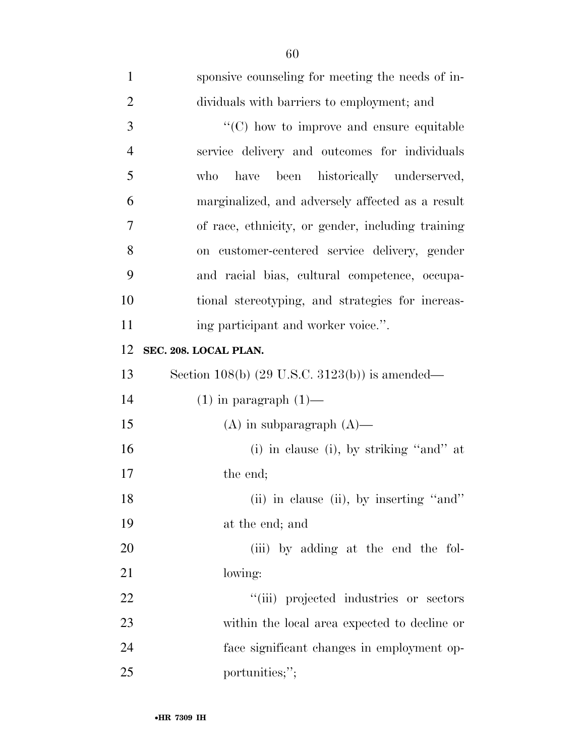| $\mathbf{1}$   | sponsive counseling for meeting the needs of in-          |
|----------------|-----------------------------------------------------------|
| $\overline{2}$ | dividuals with barriers to employment; and                |
| 3              | $\cdot$ (C) how to improve and ensure equitable           |
| $\overline{4}$ | service delivery and outcomes for individuals             |
| 5              | have been historically underserved,<br>who                |
| 6              | marginalized, and adversely affected as a result          |
| 7              | of race, ethnicity, or gender, including training         |
| 8              | on customer-centered service delivery, gender             |
| 9              | and racial bias, cultural competence, occupa-             |
| 10             | tional stereotyping, and strategies for increas-          |
| 11             | ing participant and worker voice.".                       |
| 12             | SEC. 208. LOCAL PLAN.                                     |
| 13             | Section 108(b) $(29 \text{ U.S.C. } 3123(b))$ is amended— |
| 14             | $(1)$ in paragraph $(1)$ —                                |
| 15             | $(A)$ in subparagraph $(A)$ —                             |
| 16             | (i) in clause (i), by striking "and" at                   |
| 17             | the end;                                                  |
| 18             | (ii) in clause (ii), by inserting "and"                   |
| 19             | at the end; and                                           |
| 20             | (iii) by adding at the end the fol-                       |
| 21             | lowing:                                                   |
| 22             | "(iii) projected industries or sectors                    |
| 23             | within the local area expected to decline or              |
| 24             | face significant changes in employment op-                |
| 25             | portunities;";                                            |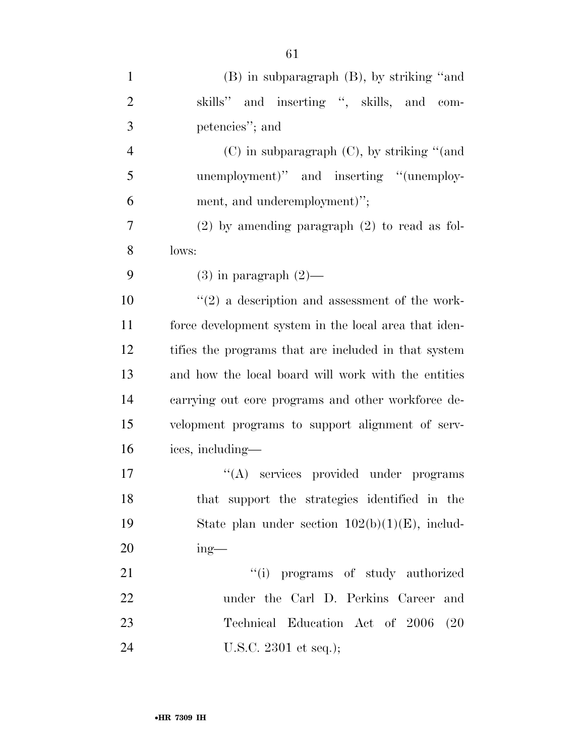| $\mathbf{1}$   | $(B)$ in subparagraph $(B)$ , by striking "and        |
|----------------|-------------------------------------------------------|
| $\overline{2}$ | skills" and inserting ", skills, and com-             |
| 3              | petencies"; and                                       |
| $\overline{4}$ | $(C)$ in subparagraph $(C)$ , by striking "(and       |
| 5              | unemployment)" and inserting "(unemploy-              |
| 6              | ment, and underemployment)";                          |
| 7              | $(2)$ by amending paragraph $(2)$ to read as fol-     |
| 8              | lows:                                                 |
| 9              | $(3)$ in paragraph $(2)$ —                            |
| 10             | $\lq(2)$ a description and assessment of the work-    |
| 11             | force development system in the local area that iden- |
| 12             | tifies the programs that are included in that system  |
| 13             | and how the local board will work with the entities   |
| 14             | carrying out core programs and other workforce de-    |
| 15             | velopment programs to support alignment of serv-      |
| 16             | ices, including—                                      |
| 17             | "(A) services provided under programs                 |
| 18             | that support the strategies identified in the         |
| 19             | State plan under section $102(b)(1)(E)$ , includ-     |
| 20             | $ing$ —                                               |
| 21             | "(i) programs of study authorized                     |
| 22             | under the Carl D. Perkins Career<br>and               |
| 23             | Technical Education Act of 2006<br>(20)               |
| 24             | U.S.C. 2301 et seq.);                                 |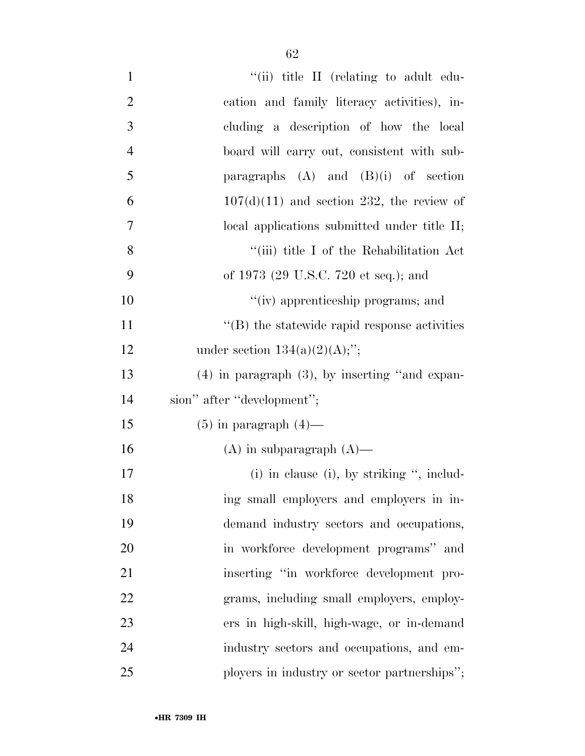| $\mathbf{1}$   | "(ii) title II (relating to adult edu-              |
|----------------|-----------------------------------------------------|
| $\overline{2}$ | cation and family literacy activities), in-         |
| 3              | cluding a description of how the local              |
| $\overline{4}$ | board will carry out, consistent with sub-          |
| $\mathfrak{S}$ | paragraphs $(A)$ and $(B)(i)$ of section            |
| 6              | $107(d)(11)$ and section 232, the review of         |
| $\tau$         | local applications submitted under title II;        |
| 8              | "(iii) title I of the Rehabilitation Act            |
| 9              | of 1973 (29 U.S.C. 720 et seq.); and                |
| 10             | "(iv) apprenticeship programs; and                  |
| 11             | $\lq\lq$ the statewide rapid response activities    |
| 12             | under section $134(a)(2)(A);$ ";                    |
| 13             | $(4)$ in paragraph $(3)$ , by inserting "and expan- |
| 14             | sion" after "development";                          |
| 15             | $(5)$ in paragraph $(4)$ —                          |
| 16             | $(A)$ in subparagraph $(A)$ —                       |
| 17             | $(i)$ in clause $(i)$ , by striking ", includ-      |
| 18             | ing small employers and employers in in-            |
| 19             | demand industry sectors and occupations,            |
| 20             | in workforce development programs" and              |
| 21             | inserting "in workforce development pro-            |
| 22             | grams, including small employers, employ-           |
| 23             | ers in high-skill, high-wage, or in-demand          |
| 24             | industry sectors and occupations, and em-           |
| 25             | ployers in industry or sector partnerships";        |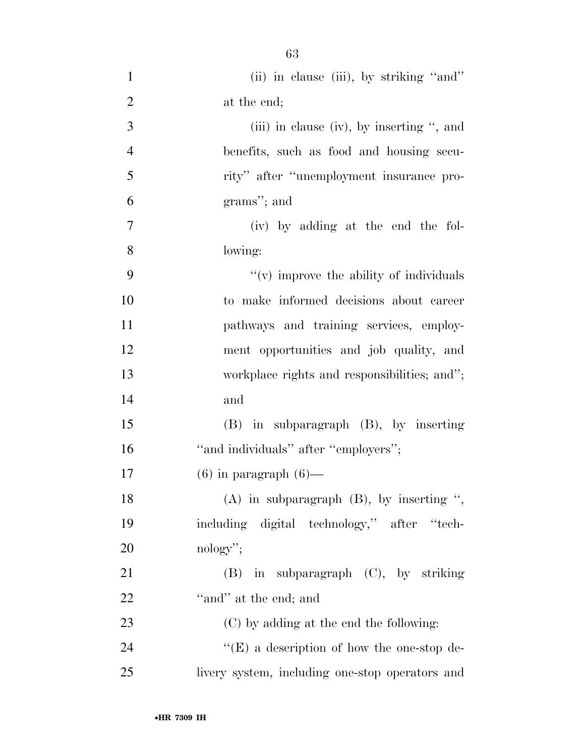(ii) in clause (iii), by striking ''and'' 2 at the end; (iii) in clause (iv), by inserting '', and benefits, such as food and housing secu- rity'' after ''unemployment insurance pro- grams''; and (iv) by adding at the end the fol- lowing:  $"(*v*)$  improve the ability of individuals to make informed decisions about career pathways and training services, employ- ment opportunities and job quality, and workplace rights and responsibilities; and''; and (B) in subparagraph (B), by inserting 16 "and individuals" after "employers"; 17 (6) in paragraph  $(6)$ — (A) in subparagraph (B), by inserting '', including digital technology,'' after ''tech- nology''; (B) in subparagraph (C), by striking 22 "and" at the end; and (C) by adding at the end the following:

24 ''(E) a description of how the one-stop de-livery system, including one-stop operators and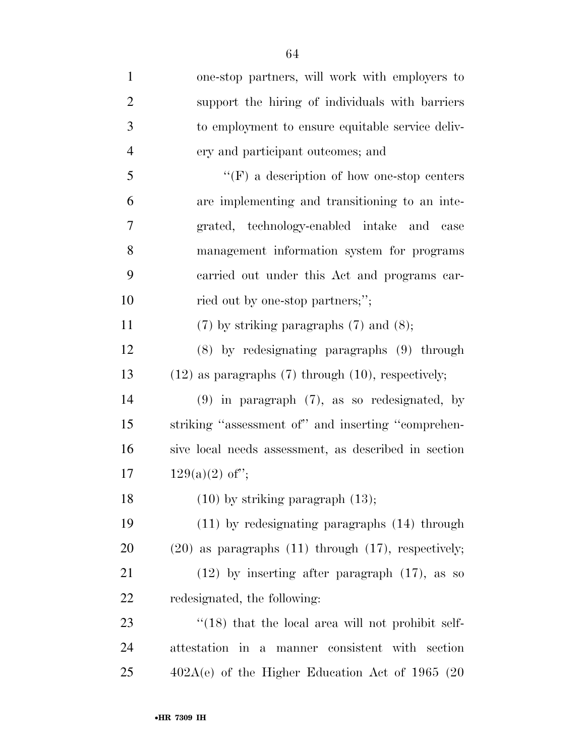| $\mathbf{1}$   | one-stop partners, will work with employers to             |
|----------------|------------------------------------------------------------|
| $\overline{2}$ | support the hiring of individuals with barriers            |
| 3              | to employment to ensure equitable service deliv-           |
| $\overline{4}$ | ery and participant outcomes; and                          |
| 5              | $``(F)$ a description of how one-stop centers              |
| 6              | are implementing and transitioning to an inte-             |
| 7              | grated, technology-enabled intake and<br>case              |
| 8              | management information system for programs                 |
| 9              | carried out under this Act and programs car-               |
| 10             | ried out by one-stop partners;";                           |
| 11             | $(7)$ by striking paragraphs $(7)$ and $(8)$ ;             |
| 12             | $(8)$ by redesignating paragraphs $(9)$ through            |
| 13             | $(12)$ as paragraphs $(7)$ through $(10)$ , respectively;  |
| 14             | $(9)$ in paragraph $(7)$ , as so redesignated, by          |
| 15             | striking "assessment of" and inserting "comprehen-         |
| 16             | sive local needs assessment, as described in section       |
| 17             | $129(a)(2)$ of";                                           |
| 18             | $(10)$ by striking paragraph $(13)$ ;                      |
| 19             | $(11)$ by redesignating paragraphs $(14)$ through          |
| 20             | $(20)$ as paragraphs $(11)$ through $(17)$ , respectively; |
| 21             | $(12)$ by inserting after paragraph $(17)$ , as so         |
| 22             | redesignated, the following:                               |
| 23             | $\cdot$ (18) that the local area will not prohibit self-   |
| 24             | attestation in a manner consistent with section            |
| 25             | $402A(e)$ of the Higher Education Act of 1965 (20          |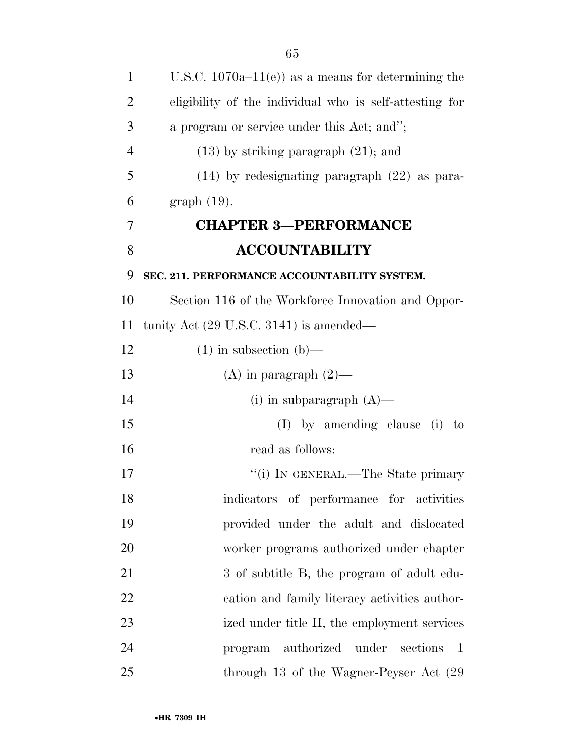| $\mathbf{1}$   | U.S.C. $1070a-11(e)$ as a means for determining the          |
|----------------|--------------------------------------------------------------|
| $\overline{2}$ | eligibility of the individual who is self-attesting for      |
| 3              | a program or service under this Act; and";                   |
| $\overline{4}$ | $(13)$ by striking paragraph $(21)$ ; and                    |
| 5              | $(14)$ by redesignating paragraph $(22)$ as para-            |
| 6              | $graph(19)$ .                                                |
| 7              | <b>CHAPTER 3-PERFORMANCE</b>                                 |
| 8              | <b>ACCOUNTABILITY</b>                                        |
| 9              | SEC. 211. PERFORMANCE ACCOUNTABILITY SYSTEM.                 |
| 10             | Section 116 of the Workforce Innovation and Oppor-           |
| 11             | tunity Act $(29 \text{ U.S.C. } 3141)$ is amended—           |
| 12             | $(1)$ in subsection $(b)$ —                                  |
| 13             | (A) in paragraph $(2)$ —                                     |
| 14             | (i) in subparagraph $(A)$ —                                  |
| 15             | $(I)$ by amending clause (i) to                              |
| 16             | read as follows:                                             |
| 17             | "(i) IN GENERAL.—The State primary                           |
| 18             | indicators of performance for activities                     |
| 19             | provided under the adult and dislocated                      |
| 20             | worker programs authorized under chapter                     |
| 21             | 3 of subtitle B, the program of adult edu-                   |
| 22             | cation and family literacy activities author-                |
| 23             | ized under title II, the employment services                 |
| 24             | authorized<br>under<br>sections<br>$\overline{1}$<br>program |
| 25             | through 13 of the Wagner-Peyser Act (29                      |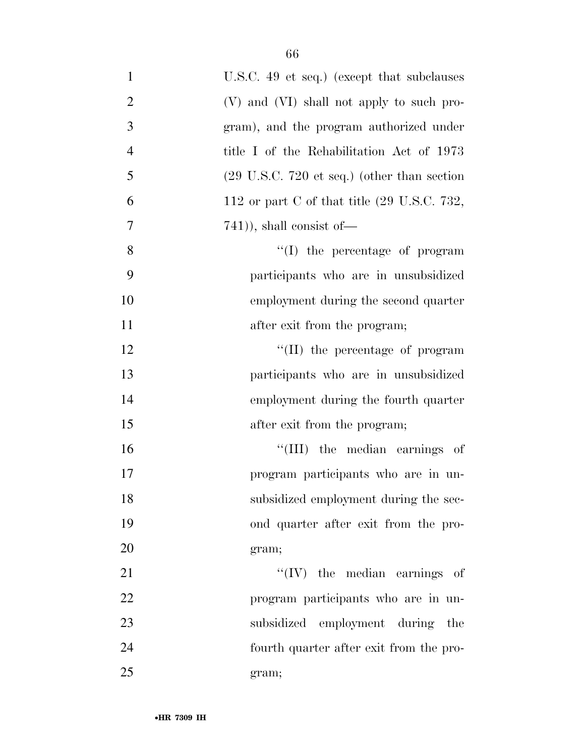| $\mathbf{1}$   | U.S.C. 49 et seq.) (except that subclauses                     |
|----------------|----------------------------------------------------------------|
| $\overline{c}$ | (V) and (VI) shall not apply to such pro-                      |
| $\mathfrak{Z}$ | gram), and the program authorized under                        |
| $\overline{4}$ | title I of the Rehabilitation Act of 1973                      |
| 5              | $(29 \text{ U.S.C. } 720 \text{ et seq.})$ (other than section |
| 6              | 112 or part C of that title $(29 \text{ U.S.C. } 732,$         |
| 7              | $(741)$ , shall consist of $-$                                 |
| 8              | $\lq\lq$ the percentage of program                             |
| 9              | participants who are in unsubsidized                           |
| 10             | employment during the second quarter                           |
| 11             | after exit from the program;                                   |
| 12             | $\lq\lq$ (II) the percentage of program                        |
| 13             | participants who are in unsubsidized                           |
| 14             | employment during the fourth quarter                           |
| 15             | after exit from the program;                                   |
| 16             | "(III) the median earnings of                                  |
| 17             | program participants who are in un-                            |
| 18             | subsidized employment during the sec-                          |
| 19             | ond quarter after exit from the pro-                           |
| 20             | gram;                                                          |
| 21             | $``(IV)$ the median earnings of                                |
| 22             | program participants who are in un-                            |
| 23             | subsidized employment during the                               |
| 24             | fourth quarter after exit from the pro-                        |
| 25             | gram;                                                          |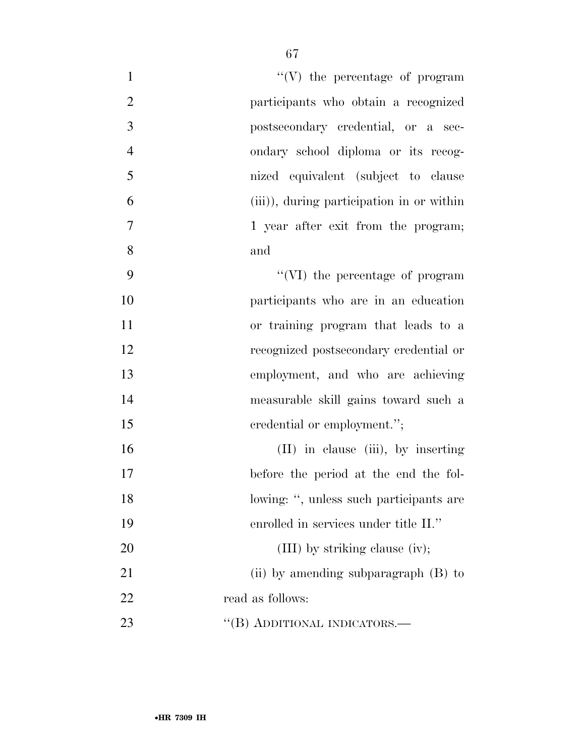| $\mathbf{1}$   | $\lq\lq(V)$ the percentage of program     |
|----------------|-------------------------------------------|
| $\overline{2}$ | participants who obtain a recognized      |
| 3              | postsecondary credential, or a sec-       |
| $\overline{4}$ | ondary school diploma or its recog-       |
| 5              | nized equivalent (subject to clause       |
| 6              | (iii)), during participation in or within |
| $\tau$         | 1 year after exit from the program;       |
| 8              | and                                       |
| 9              | "(VI) the percentage of program           |
| 10             | participants who are in an education      |
| 11             | or training program that leads to a       |
| 12             | recognized postsecondary credential or    |
| 13             | employment, and who are achieving         |
| 14             | measurable skill gains toward such a      |
| 15             | credential or employment.";               |
| 16             | (II) in clause (iii), by inserting        |
| 17             | before the period at the end the fol-     |
| 18             | lowing: ", unless such participants are   |
| 19             | enrolled in services under title II."     |
| 20             | (III) by striking clause (iv);            |
| 21             | (ii) by amending subparagraph $(B)$ to    |
| 22             | read as follows:                          |
| 23             | "(B) ADDITIONAL INDICATORS.—              |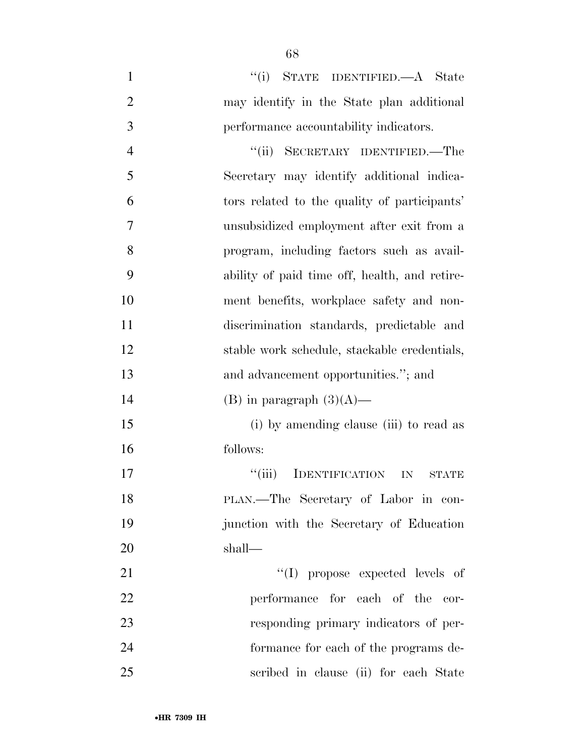| $\mathbf{1}$   | "(i) STATE IDENTIFIED.—A State                         |
|----------------|--------------------------------------------------------|
| $\overline{2}$ | may identify in the State plan additional              |
| 3              | performance accountability indicators.                 |
| $\overline{4}$ | "(ii) SECRETARY IDENTIFIED.—The                        |
| 5              | Secretary may identify additional indica-              |
| 6              | tors related to the quality of participants'           |
| $\overline{7}$ | unsubsidized employment after exit from a              |
| 8              | program, including factors such as avail-              |
| 9              | ability of paid time off, health, and retire-          |
| 10             | ment benefits, workplace safety and non-               |
| 11             | discrimination standards, predictable and              |
| 12             | stable work schedule, stackable credentials,           |
| 13             | and advancement opportunities."; and                   |
| 14             | (B) in paragraph $(3)(A)$ —                            |
| 15             | (i) by amending clause (iii) to read as                |
| 16             | follows:                                               |
| 17             | ``(iii)<br><b>IDENTIFICATION</b><br>IN<br><b>STATE</b> |
| 18             | PLAN.—The Secretary of Labor in con-                   |
| 19             | junction with the Secretary of Education               |
| 20             | shall—                                                 |
| 21             | "(I) propose expected levels of                        |
| 22             | performance for each of the cor-                       |
| 23             | responding primary indicators of per-                  |
| 24             | formance for each of the programs de-                  |
| 25             | scribed in clause (ii) for each State                  |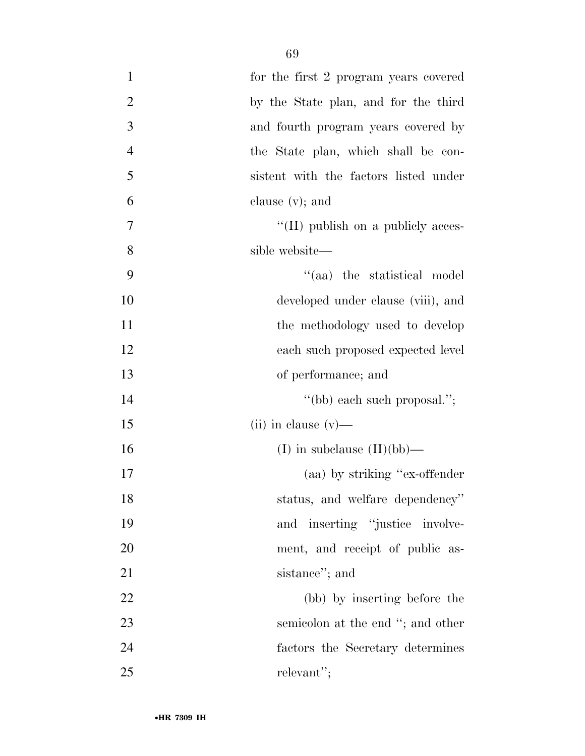| $\mathbf{1}$   | for the first 2 program years covered      |
|----------------|--------------------------------------------|
| $\overline{c}$ | by the State plan, and for the third       |
| 3              | and fourth program years covered by        |
| $\overline{4}$ | the State plan, which shall be con-        |
| 5              | sistent with the factors listed under      |
| 6              | clause $(v)$ ; and                         |
| 7              | $\lq\lq$ (II) publish on a publicly acces- |
| 8              | sible website—                             |
| 9              | "(aa) the statistical model                |
| 10             | developed under clause (viii), and         |
| 11             | the methodology used to develop            |
| 12             | each such proposed expected level          |
| 13             | of performance; and                        |
| 14             | "(bb) each such proposal.";                |
| 15             | $(ii)$ in clause $(v)$ —                   |
| 16             | (I) in subclause $(II)(bb)$ —              |
| 17             | (aa) by striking "ex-offender"             |
| 18             | status, and welfare dependency"            |
| 19             | and inserting "justice involve-            |
| 20             | ment, and receipt of public as-            |
| 21             | sistance"; and                             |
| 22             | (bb) by inserting before the               |
| 23             | semicolon at the end "; and other          |
| 24             | factors the Secretary determines           |
| 25             | relevant";                                 |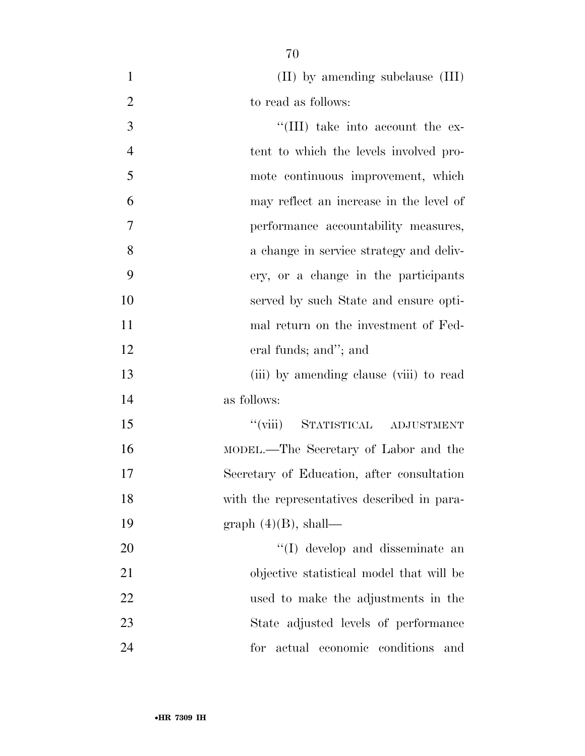1 (II) by amending subclause (III)

| $\overline{2}$ | to read as follows:                         |
|----------------|---------------------------------------------|
| 3              | "(III) take into account the ex-            |
| $\overline{4}$ | tent to which the levels involved pro-      |
| 5              | mote continuous improvement, which          |
| 6              | may reflect an increase in the level of     |
| 7              | performance accountability measures,        |
| 8              | a change in service strategy and deliv-     |
| 9              | ery, or a change in the participants        |
| 10             | served by such State and ensure opti-       |
| 11             | mal return on the investment of Fed-        |
| 12             | eral funds; and"; and                       |
| 13             | (iii) by amending clause (viii) to read     |
| 14             | as follows:                                 |
| 15             | "(viii) STATISTICAL ADJUSTMENT              |
| 16             | MODEL.—The Secretary of Labor and the       |
| 17             | Secretary of Education, after consultation  |
| 18             | with the representatives described in para- |
| 19             | graph $(4)(B)$ , shall—                     |
| 20             | "(I) develop and disseminate an             |
| 21             | objective statistical model that will be    |
| 22             | used to make the adjustments in the         |
| 23             | State adjusted levels of performance        |
| 24             | for actual economic conditions<br>and       |
|                |                                             |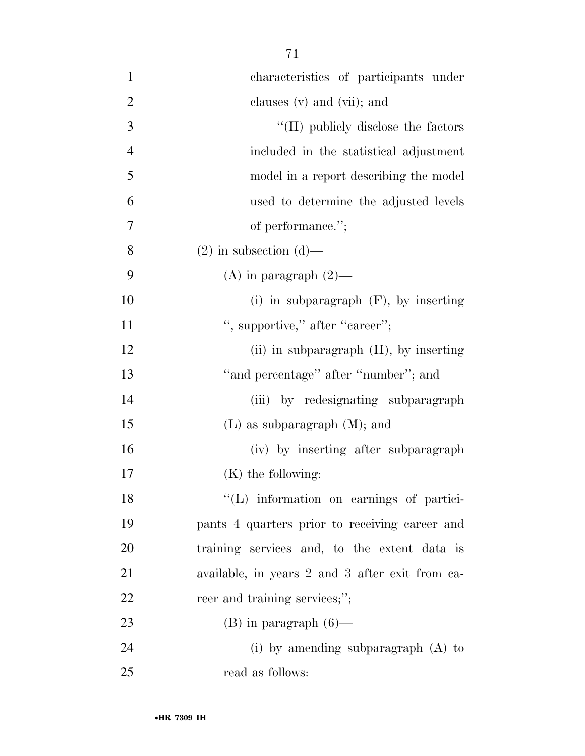| $\mathbf{1}$   | characteristics of participants under           |
|----------------|-------------------------------------------------|
| $\overline{2}$ | clauses (v) and (vii); and                      |
| 3              | "(II) publicly disclose the factors             |
| $\overline{4}$ | included in the statistical adjustment          |
| 5              | model in a report describing the model          |
| 6              | used to determine the adjusted levels           |
| 7              | of performance.";                               |
| 8              | $(2)$ in subsection $(d)$ —                     |
| 9              | (A) in paragraph $(2)$ —                        |
| 10             | (i) in subparagraph $(F)$ , by inserting        |
| 11             | ", supportive," after "career";                 |
| 12             | (ii) in subparagraph $(H)$ , by inserting       |
| 13             | "and percentage" after "number"; and            |
| 14             | (iii) by redesignating subparagraph             |
| 15             | $(L)$ as subparagraph $(M)$ ; and               |
| 16             | (iv) by inserting after subparagraph            |
| 17             | $(K)$ the following:                            |
| 18             | "(L) information on earnings of partici-        |
| 19             | pants 4 quarters prior to receiving career and  |
| 20             | training services and, to the extent data is    |
| 21             | available, in years 2 and 3 after exit from ca- |
| 22             | reer and training services;";                   |
| 23             | $(B)$ in paragraph $(6)$ —                      |
| 24             | (i) by amending subparagraph $(A)$ to           |
| 25             | read as follows:                                |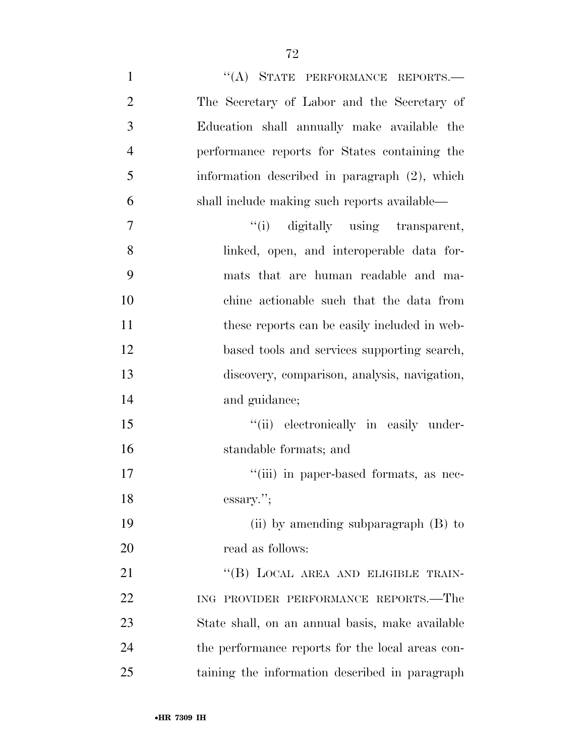1 "(A) STATE PERFORMANCE REPORTS.— The Secretary of Labor and the Secretary of Education shall annually make available the performance reports for States containing the information described in paragraph (2), which shall include making such reports available—  $''(i)$  digitally using transparent, linked, open, and interoperable data for- mats that are human readable and ma- chine actionable such that the data from 11 these reports can be easily included in web- based tools and services supporting search, discovery, comparison, analysis, navigation, and guidance;  $"$ (ii) electronically in easily under- standable formats; and  $"$ (iii) in paper-based formats, as nec- essary.''; (ii) by amending subparagraph (B) to read as follows: 21 "(B) LOCAL AREA AND ELIGIBLE TRAIN- ING PROVIDER PERFORMANCE REPORTS.—The State shall, on an annual basis, make available

the performance reports for the local areas con-

taining the information described in paragraph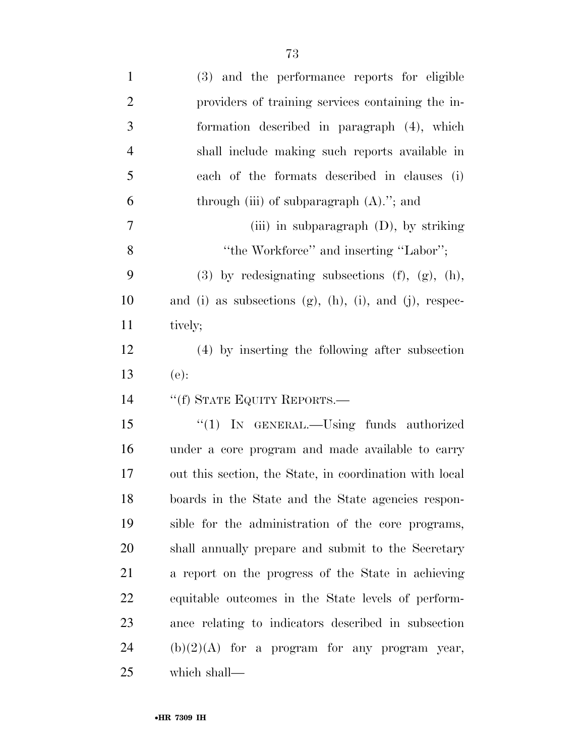| $\mathbf{1}$   | (3) and the performance reports for eligible               |
|----------------|------------------------------------------------------------|
| $\overline{2}$ | providers of training services containing the in-          |
| 3              | formation described in paragraph (4), which                |
| $\overline{4}$ | shall include making such reports available in             |
| 5              | each of the formats described in clauses (i)               |
| 6              | through (iii) of subparagraph $(A)$ ."; and                |
| 7              | (iii) in subparagraph $(D)$ , by striking                  |
| 8              | "the Workforce" and inserting "Labor";                     |
| 9              | $(3)$ by redesignating subsections $(f)$ , $(g)$ , $(h)$ , |
| 10             | and (i) as subsections (g), (h), (i), and (j), respec-     |
| 11             | tively;                                                    |
| 12             | (4) by inserting the following after subsection            |
|                | $(e)$ :                                                    |
| 13             |                                                            |
| 14             | "(f) STATE EQUITY REPORTS.—                                |
| 15             | "(1) IN GENERAL.—Using funds authorized                    |
| 16             | under a core program and made available to carry           |
| 17             | out this section, the State, in coordination with local    |
| 18             | boards in the State and the State agencies respon-         |
| 19             | sible for the administration of the core programs,         |
| <b>20</b>      | shall annually prepare and submit to the Secretary         |
| 21             | a report on the progress of the State in achieving         |
| 22             | equitable outcomes in the State levels of perform-         |
| 23             | ance relating to indicators described in subsection        |
| 24             | $(b)(2)(A)$ for a program for any program year,            |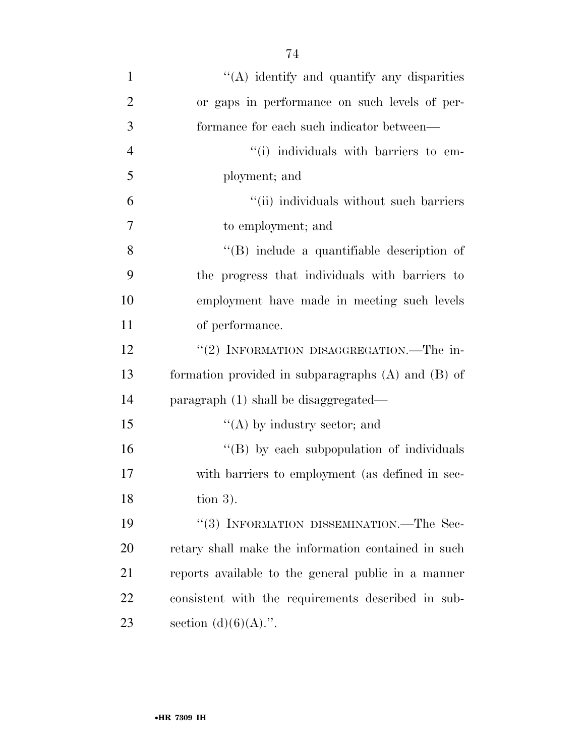| $\mathbf{1}$   | "(A) identify and quantify any disparities             |
|----------------|--------------------------------------------------------|
| $\overline{2}$ | or gaps in performance on such levels of per-          |
| 3              | formance for each such indicator between—              |
| $\overline{4}$ | "(i) individuals with barriers to em-                  |
| 5              | ployment; and                                          |
| 6              | "(ii) individuals without such barriers                |
| 7              | to employment; and                                     |
| 8              | "(B) include a quantifiable description of             |
| 9              | the progress that individuals with barriers to         |
| 10             | employment have made in meeting such levels            |
| 11             | of performance.                                        |
| 12             | "(2) INFORMATION DISAGGREGATION.—The in-               |
| 13             | formation provided in subparagraphs $(A)$ and $(B)$ of |
| 14             | paragraph (1) shall be disaggregated—                  |
| 15             | $\lq\lq$ (A) by industry sector; and                   |
| 16             | "(B) by each subpopulation of individuals              |
| 17             | with barriers to employment (as defined in sec-        |
| 18             | tion $3$ ).                                            |
| 19             | "(3) INFORMATION DISSEMINATION.—The Sec-               |
| 20             | retary shall make the information contained in such    |
| 21             | reports available to the general public in a manner    |
| 22             | consistent with the requirements described in sub-     |
| 23             | section $(d)(6)(A)$ .".                                |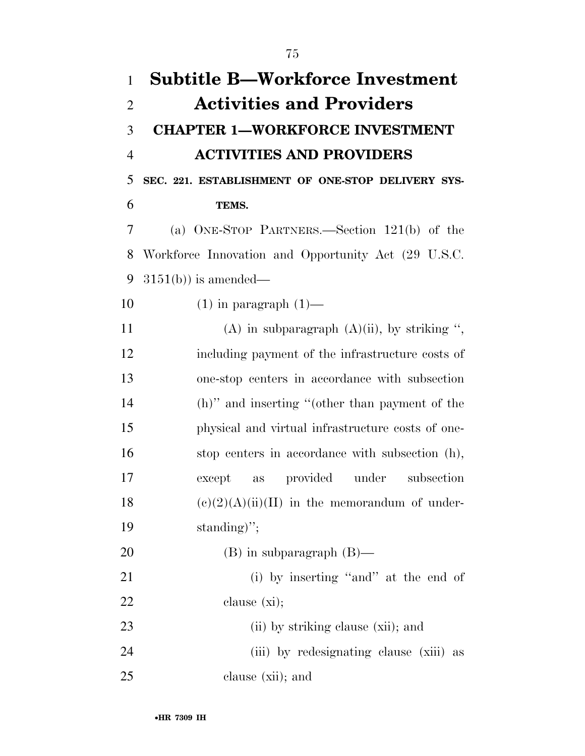| $\mathbf{1}$   | <b>Subtitle B—Workforce Investment</b>              |
|----------------|-----------------------------------------------------|
| $\overline{2}$ | <b>Activities and Providers</b>                     |
| 3              | <b>CHAPTER 1-WORKFORCE INVESTMENT</b>               |
| $\overline{4}$ | <b>ACTIVITIES AND PROVIDERS</b>                     |
| 5              | SEC. 221. ESTABLISHMENT OF ONE-STOP DELIVERY SYS-   |
| 6              | TEMS.                                               |
| 7              | (a) ONE-STOP PARTNERS.—Section $121(b)$ of the      |
| 8              | Workforce Innovation and Opportunity Act (29 U.S.C. |
| 9              | $3151(b)$ is amended—                               |
| 10             | $(1)$ in paragraph $(1)$ —                          |
| 11             | (A) in subparagraph $(A)(ii)$ , by striking ",      |
| 12             | including payment of the infrastructure costs of    |
| 13             | one-stop centers in accordance with subsection      |
| 14             | (h)" and inserting "(other than payment of the      |
| 15             | physical and virtual infrastructure costs of one-   |
| 16             | stop centers in accordance with subsection (h),     |
| 17             | provided<br>under<br>subsection<br>except<br>as     |
| 18             | $(e)(2)(A)(ii)(II)$ in the memorandum of under-     |
| 19             | standing)";                                         |
| 20             | $(B)$ in subparagraph $(B)$ —                       |
| 21             | (i) by inserting "and" at the end of                |
| 22             | clause $(x_i)$ ;                                    |
| 23             | (ii) by striking clause (xii); and                  |
| 24             | (iii) by redesignating clause (xiii) as             |
| 25             | clause (xii); and                                   |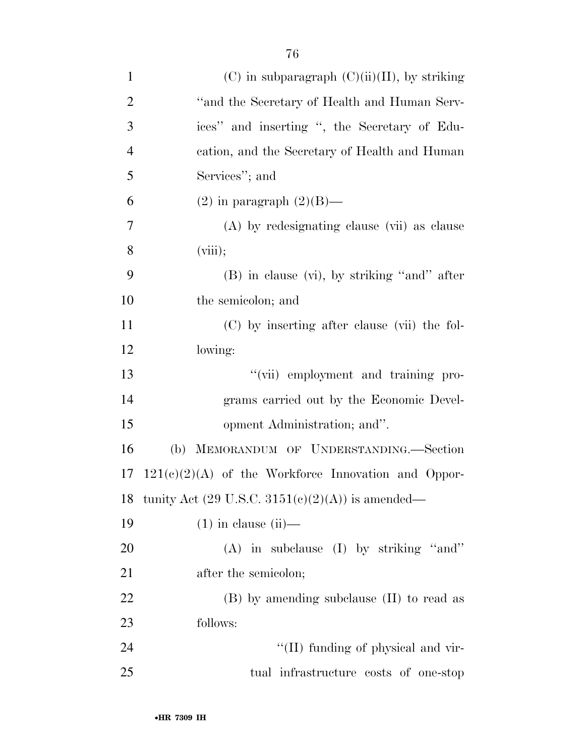| $\mathbf{1}$   | $(C)$ in subparagraph $(C)(ii)(II)$ , by striking                  |
|----------------|--------------------------------------------------------------------|
| $\overline{2}$ | "and the Secretary of Health and Human Serv-                       |
| 3              | ices" and inserting ", the Secretary of Edu-                       |
| $\overline{4}$ | cation, and the Secretary of Health and Human                      |
| 5              | Services"; and                                                     |
| 6              | $(2)$ in paragraph $(2)(B)$ —                                      |
| 7              | (A) by redesignating clause (vii) as clause                        |
| 8              | (viii);                                                            |
| 9              | $(B)$ in clause $(vi)$ , by striking "and" after                   |
| 10             | the semicolon; and                                                 |
| 11             | (C) by inserting after clause (vii) the fol-                       |
| 12             | lowing:                                                            |
| 13             | "(vii) employment and training pro-                                |
| 14             | grams carried out by the Economic Devel-                           |
| 15             | opment Administration; and".                                       |
| 16             | (b) MEMORANDUM OF UNDERSTANDING.-Section                           |
| 17             | $121(c)(2)(A)$ of the Workforce Innovation and Oppor-              |
| 18             | tunity Act $(29 \text{ U.S.C. } 3151(e)(2)(\text{A}))$ is amended— |
| 19             | $(1)$ in clause $(ii)$ —                                           |
| 20             | $(A)$ in subclause $(I)$ by striking "and"                         |
| 21             | after the semicolon;                                               |
| 22             | (B) by amending subclause (II) to read as                          |
| 23             | follows:                                                           |
| 24             | "(II) funding of physical and vir-                                 |
| 25             | tual infrastructure costs of one-stop                              |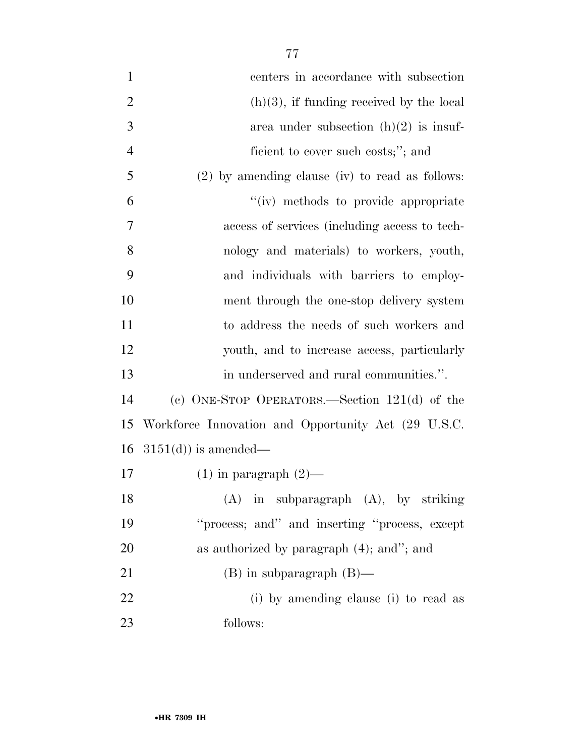centers in accordance with subsection 2 (h)(3), if funding received by the local  $3 \t\t \text{area under subsection (h)(2) is insuf-}$ 4 ficient to cover such costs;"; and (2) by amending clause (iv) to read as follows: ''(iv) methods to provide appropriate access of services (including access to tech- nology and materials) to workers, youth, and individuals with barriers to employ- ment through the one-stop delivery system to address the needs of such workers and youth, and to increase access, particularly in underserved and rural communities.''. (c) ONE-STOP OPERATORS.—Section 121(d) of the Workforce Innovation and Opportunity Act (29 U.S.C.  $3151(d)$  is amended— 17 (1) in paragraph  $(2)$ — (A) in subparagraph (A), by striking ''process; and'' and inserting ''process, except as authorized by paragraph (4); and''; and (B) in subparagraph (B)—

 (i) by amending clause (i) to read as follows: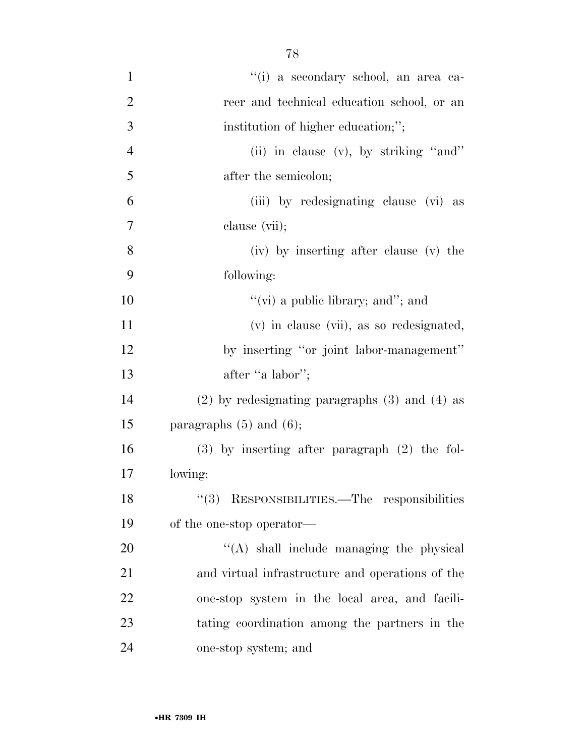| $\mathbf{1}$   | "(i) a secondary school, an area ca-                 |
|----------------|------------------------------------------------------|
| $\overline{2}$ | reer and technical education school, or an           |
| 3              | institution of higher education;";                   |
| $\overline{4}$ | (ii) in clause $(v)$ , by striking "and"             |
| 5              | after the semicolon;                                 |
| 6              | (iii) by redesignating clause (vi) as                |
| 7              | clause (vii);                                        |
| 8              | (iv) by inserting after clause (v) the               |
| 9              | following:                                           |
| 10             | "(vi) a public library; and"; and                    |
| 11             | (v) in clause (vii), as so redesignated,             |
| 12             | by inserting "or joint labor-management"             |
| 13             | after "a labor";                                     |
| 14             | $(2)$ by redesignating paragraphs $(3)$ and $(4)$ as |
| 15             | paragraphs $(5)$ and $(6)$ ;                         |
| 16             | $(3)$ by inserting after paragraph $(2)$ the fol-    |
| 17             | lowing:                                              |
| 18             | "(3) RESPONSIBILITIES.—The responsibilities          |
| 19             | of the one-stop operator—                            |
| 20             | "(A) shall include managing the physical             |
| 21             | and virtual infrastructure and operations of the     |
| 22             | one-stop system in the local area, and facili-       |
| 23             | tating coordination among the partners in the        |
| 24             | one-stop system; and                                 |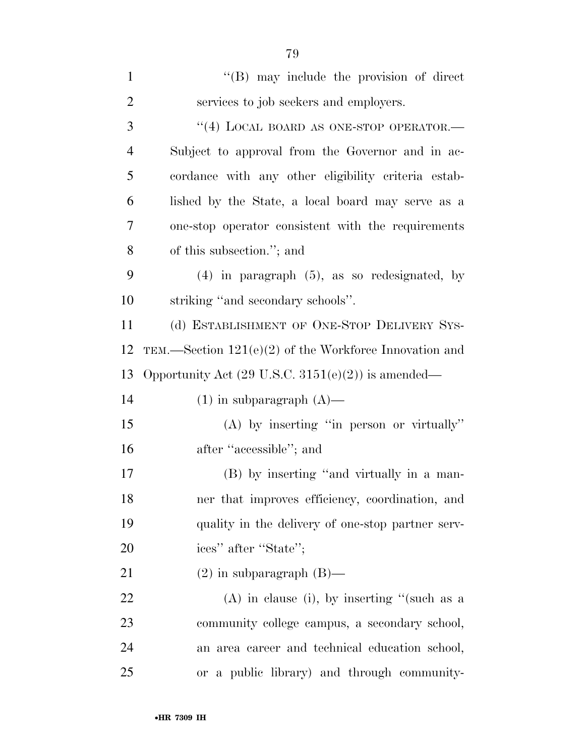| $\mathbf{1}$   | $\lq\lq$ (B) may include the provision of direct              |
|----------------|---------------------------------------------------------------|
| $\overline{2}$ | services to job seekers and employers.                        |
| 3              | "(4) LOCAL BOARD AS ONE-STOP OPERATOR.-                       |
| $\overline{4}$ | Subject to approval from the Governor and in ac-              |
| 5              | cordance with any other eligibility criteria estab-           |
| 6              | lished by the State, a local board may serve as a             |
| 7              | one-stop operator consistent with the requirements            |
| 8              | of this subsection."; and                                     |
| 9              | $(4)$ in paragraph $(5)$ , as so redesignated, by             |
| 10             | striking "and secondary schools".                             |
| 11             | (d) ESTABLISHMENT OF ONE-STOP DELIVERY SYS-                   |
| 12             | TEM.—Section $121(e)(2)$ of the Workforce Innovation and      |
| 13             | Opportunity Act $(29 \text{ U.S.C. } 3151(e)(2))$ is amended— |
| 14             | $(1)$ in subparagraph $(A)$ —                                 |
| 15             | $(A)$ by inserting "in person or virtually"                   |
| 16             | after "accessible"; and                                       |
| 17             | (B) by inserting "and virtually in a man-                     |
| 18             | ner that improves efficiency, coordination, and               |
| 19             | quality in the delivery of one-stop partner serv-             |
| 20             | ices" after "State";                                          |
| 21             | $(2)$ in subparagraph $(B)$ —                                 |
| 22             | $(A)$ in clause (i), by inserting "(such as a                 |
| 23             | community college campus, a secondary school,                 |
| 24             | an area career and technical education school,                |
| 25             | or a public library) and through community-                   |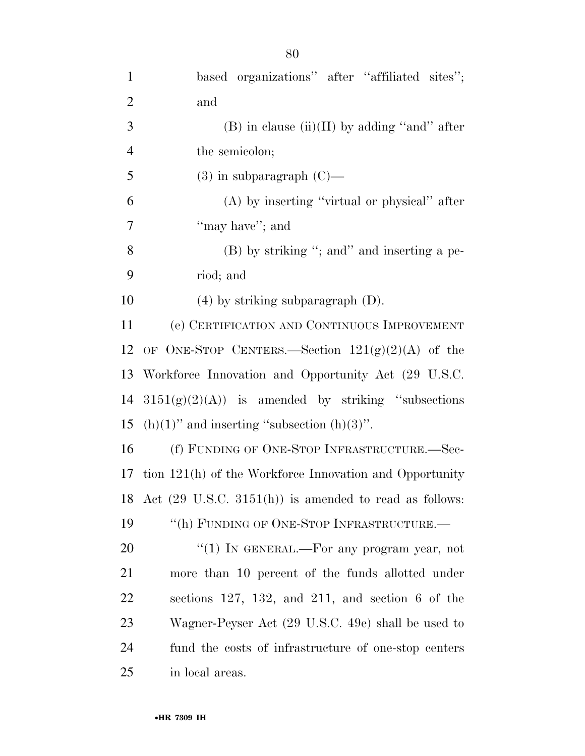| $\mathbf{1}$   | based organizations" after "affiliated sites";                    |
|----------------|-------------------------------------------------------------------|
| $\overline{2}$ | and                                                               |
| 3              | $(B)$ in clause (ii)(II) by adding "and" after                    |
| $\overline{4}$ | the semicolon;                                                    |
| 5              | $(3)$ in subparagraph $(C)$ —                                     |
| 6              | $(A)$ by inserting "virtual or physical" after                    |
| 7              | "may have"; and                                                   |
| 8              | $(B)$ by striking "; and inserting a pe-                          |
| 9              | riod; and                                                         |
| 10             | $(4)$ by striking subparagraph $(D)$ .                            |
| 11             | (e) CERTIFICATION AND CONTINUOUS IMPROVEMENT                      |
| 12             | OF ONE-STOP CENTERS.—Section $121(g)(2)(A)$ of the                |
| 13             | Workforce Innovation and Opportunity Act (29 U.S.C.               |
| 14             | $3151(g)(2)(A)$ is amended by striking "subsections"              |
| 15             | $(h)(1)$ " and inserting "subsection $(h)(3)$ ".                  |
| 16             | (f) FUNDING OF ONE-STOP INFRASTRUCTURE.-Sec-                      |
| 17             | tion 121(h) of the Workforce Innovation and Opportunity           |
| 18             | Act $(29 \text{ U.S.C. } 3151(h))$ is amended to read as follows: |
| 19             | "(h) FUNDING OF ONE-STOP INFRASTRUCTURE.-                         |
| 20             | "(1) IN GENERAL.—For any program year, not                        |
| 21             | more than 10 percent of the funds allotted under                  |
| <u>22</u>      | sections $127, 132,$ and $211,$ and section 6 of the              |
| 23             | Wagner-Peyser Act (29 U.S.C. 49e) shall be used to                |
| 24             | fund the costs of infrastructure of one-stop centers              |
| 25             | in local areas.                                                   |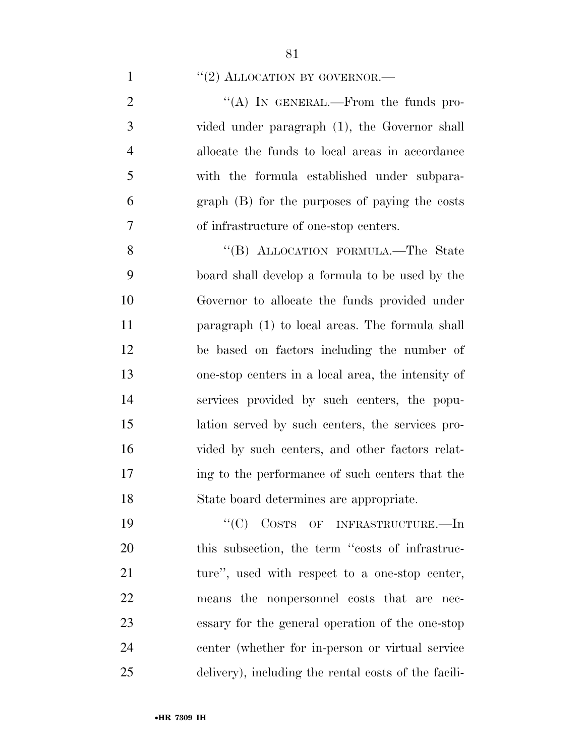1  $\frac{u(2)$  ALLOCATION BY GOVERNOR.

 $\langle (A) \rangle$  In GENERAL.—From the funds pro- vided under paragraph (1), the Governor shall allocate the funds to local areas in accordance with the formula established under subpara- graph (B) for the purposes of paying the costs of infrastructure of one-stop centers.

8 "(B) ALLOCATION FORMULA.—The State board shall develop a formula to be used by the Governor to allocate the funds provided under paragraph (1) to local areas. The formula shall be based on factors including the number of one-stop centers in a local area, the intensity of services provided by such centers, the popu- lation served by such centers, the services pro- vided by such centers, and other factors relat- ing to the performance of such centers that the State board determines are appropriate.

19 "'(C) COSTS OF INFRASTRUCTURE.—In this subsection, the term ''costs of infrastruc-21 ture", used with respect to a one-stop center, means the nonpersonnel costs that are nec- essary for the general operation of the one-stop center (whether for in-person or virtual service delivery), including the rental costs of the facili-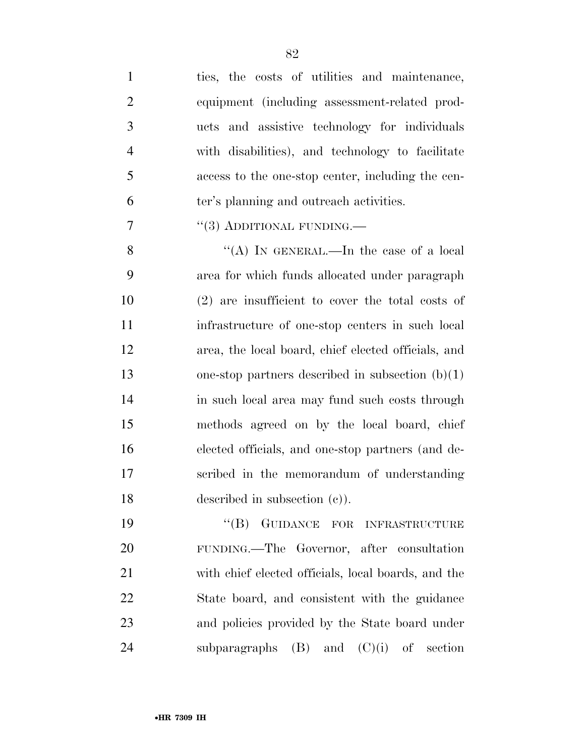| $\mathbf{1}$   | ties, the costs of utilities and maintenance,       |
|----------------|-----------------------------------------------------|
| $\overline{2}$ | equipment (including assessment-related prod-       |
| 3              | ucts and assistive technology for individuals       |
| $\overline{4}$ | with disabilities), and technology to facilitate    |
| 5              | access to the one-stop center, including the cen-   |
| 6              | ter's planning and outreach activities.             |
| $\overline{7}$ | $\cdot\cdot(3)$ ADDITIONAL FUNDING.—                |
| 8              | "(A) IN GENERAL.—In the case of a local             |
| 9              | area for which funds allocated under paragraph      |
| 10             | $(2)$ are insufficient to cover the total costs of  |
| 11             | infrastructure of one-stop centers in such local    |
| 12             | area, the local board, chief elected officials, and |
| 13             | one-stop partners described in subsection $(b)(1)$  |
| 14             | in such local area may fund such costs through      |
| 15             | methods agreed on by the local board, chief         |
| 16             | elected officials, and one-stop partners (and de-   |
| 17             | scribed in the memorandum of understanding          |
| 18             | described in subsection $(c)$ ).                    |
| 19             | GUIDANCE FOR INFRASTRUCTURE<br>$\lq\lq (B)$         |
| 20             | FUNDING.—The Governor, after consultation           |
| 21             | with chief elected officials, local boards, and the |
| 22             | State board, and consistent with the guidance       |
| 23             | and policies provided by the State board under      |
| 24             | $(B)$ and $(C)(i)$ of section<br>subparagraphs      |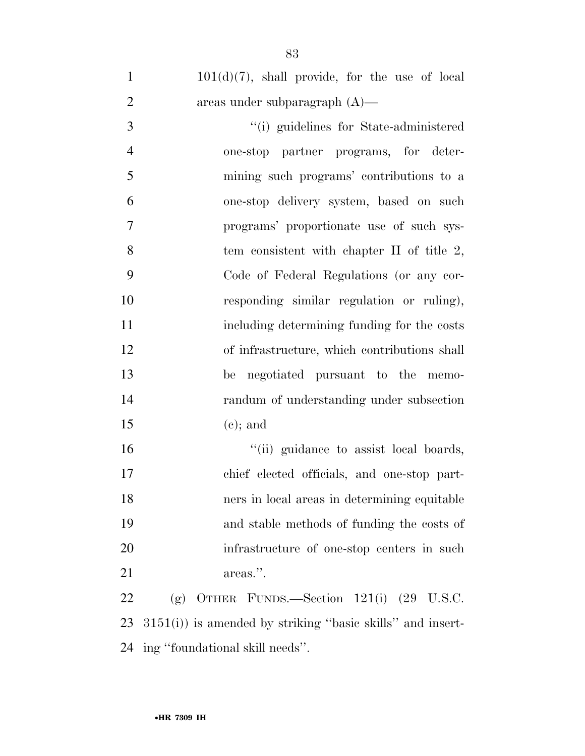$101(d)(7)$ , shall provide, for the use of local areas under subparagraph (A)—

 ''(i) guidelines for State-administered one-stop partner programs, for deter- mining such programs' contributions to a one-stop delivery system, based on such programs' proportionate use of such sys-8 tem consistent with chapter II of title 2, Code of Federal Regulations (or any cor- responding similar regulation or ruling), including determining funding for the costs of infrastructure, which contributions shall be negotiated pursuant to the memo- randum of understanding under subsection (c); and

 $\frac{1}{10}$  guidance to assist local boards, chief elected officials, and one-stop part- ners in local areas in determining equitable and stable methods of funding the costs of infrastructure of one-stop centers in such 21 areas.".

 (g) OTHER FUNDS.—Section 121(i) (29 U.S.C. 3151(i)) is amended by striking ''basic skills'' and insert-ing ''foundational skill needs''.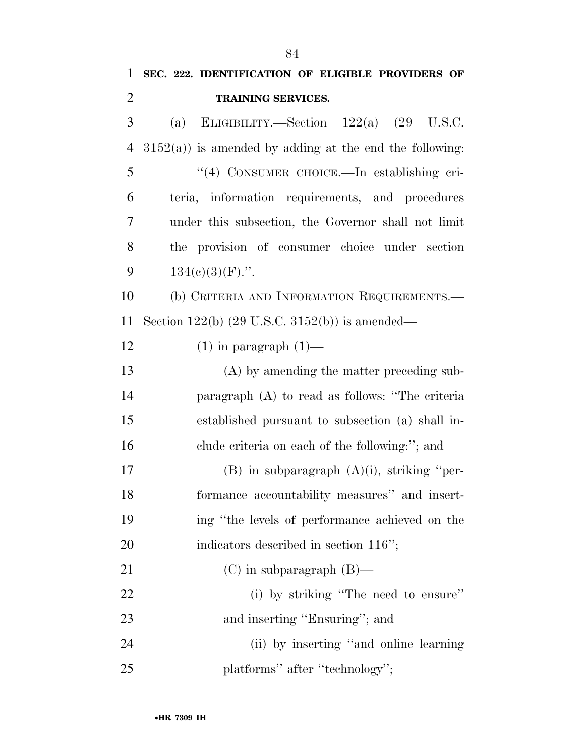| $\mathbf{1}$   | SEC. 222. IDENTIFICATION OF ELIGIBLE PROVIDERS OF          |
|----------------|------------------------------------------------------------|
| $\overline{2}$ | TRAINING SERVICES.                                         |
| 3              | ELIGIBILITY.—Section $122(a)$ $(29 \text{ U.S.C.})$<br>(a) |
| 4              | $3152(a)$ ) is amended by adding at the end the following: |
| 5              | "(4) CONSUMER CHOICE.—In establishing cri-                 |
| 6              | teria, information requirements, and procedures            |
| 7              | under this subsection, the Governor shall not limit        |
| 8              | the provision of consumer choice under section             |
| 9              | $134(c)(3)(F)$ .".                                         |
| 10             | (b) CRITERIA AND INFORMATION REQUIREMENTS.                 |
| 11             | Section $122(b)$ (29 U.S.C. 3152(b)) is amended—           |
| 12             | $(1)$ in paragraph $(1)$ —                                 |
| 13             | (A) by amending the matter preceding sub-                  |
| 14             | paragraph (A) to read as follows: "The criteria            |
| 15             | established pursuant to subsection (a) shall in-           |
| 16             | clude criteria on each of the following:"; and             |
| 17             | $(B)$ in subparagraph $(A)(i)$ , striking "per-            |
| 18             | formance accountability measures" and insert-              |
| 19             | ing "the levels of performance achieved on the             |
| 20             | indicators described in section 116";                      |
| 21             | $(C)$ in subparagraph $(B)$ —                              |
| 22             | (i) by striking "The need to ensure"                       |
| 23             | and inserting "Ensuring"; and                              |
| 24             | (ii) by inserting "and online learning"                    |
| 25             | platforms" after "technology";                             |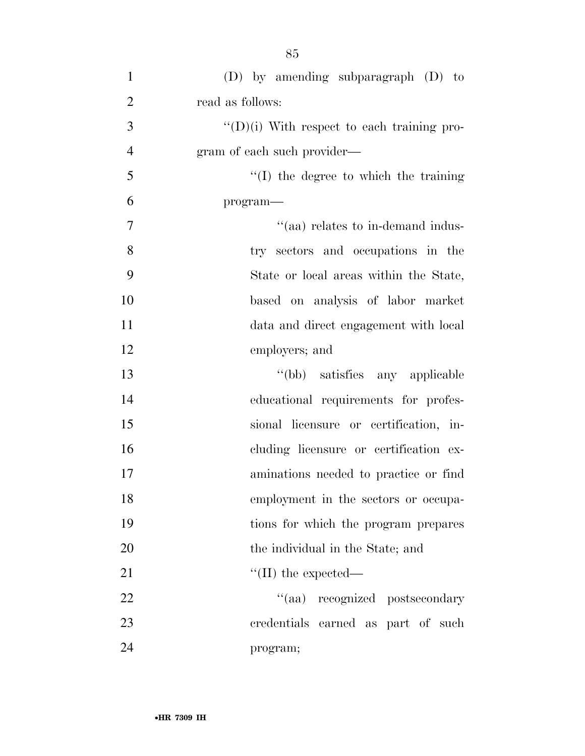| $\mathbf{1}$   | $(D)$ by amending subparagraph $(D)$ to            |
|----------------|----------------------------------------------------|
| $\overline{2}$ | read as follows:                                   |
| 3              | $\lq\lq$ (D)(i) With respect to each training pro- |
| $\overline{4}$ | gram of each such provider—                        |
| 5              | $\lq\lq$ (I) the degree to which the training      |
| 6              | program-                                           |
| $\tau$         | "(aa) relates to in-demand indus-                  |
| 8              | try sectors and occupations in the                 |
| 9              | State or local areas within the State,             |
| 10             | based on analysis of labor market                  |
| 11             | data and direct engagement with local              |
| 12             | employers; and                                     |
| 13             | "(bb) satisfies any applicable                     |
| 14             | educational requirements for profes-               |
| 15             | sional licensure or certification, in-             |
| 16             | cluding licensure or certification ex-             |
| 17             | aminations needed to practice or find              |
| 18             | employment in the sectors or occupa-               |
| 19             | tions for which the program prepares               |
| 20             | the individual in the State; and                   |
| 21             | $\lq\lq$ (II) the expected—                        |
| 22             | "(aa) recognized postsecondary                     |
| 23             | credentials earned as part of such                 |
| 24             | program;                                           |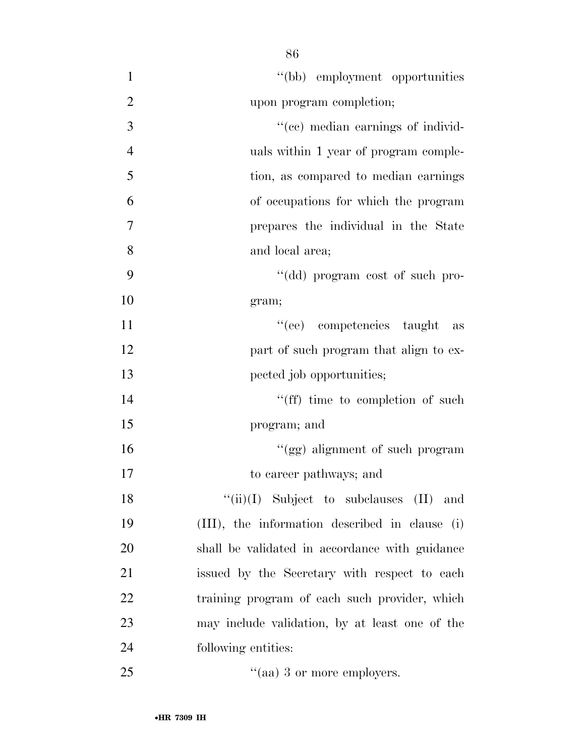| $\mathbf{1}$   | "(bb) employment opportunities                 |
|----------------|------------------------------------------------|
| $\overline{2}$ | upon program completion;                       |
| 3              | "(cc) median earnings of individ-              |
| $\overline{4}$ | uals within 1 year of program comple-          |
| 5              | tion, as compared to median earnings           |
| 6              | of occupations for which the program           |
| $\overline{7}$ | prepares the individual in the State           |
| 8              | and local area;                                |
| 9              | "(dd) program cost of such pro-                |
| 10             | gram;                                          |
| 11             | "(ee) competencies taught<br>as                |
| 12             | part of such program that align to ex-         |
| 13             | pected job opportunities;                      |
| 14             | "(ff) time to completion of such               |
| 15             | program; and                                   |
| 16             | "(gg) alignment of such program                |
| 17             | to career pathways; and                        |
| 18             | " $(iii)(I)$ Subject to subclauses $(II)$ and  |
| 19             | (III), the information described in clause (i) |
| 20             | shall be validated in accordance with guidance |
| 21             | issued by the Secretary with respect to each   |
| 22             | training program of each such provider, which  |
| 23             | may include validation, by at least one of the |
| 24             | following entities:                            |
| 25             | "(aa) 3 or more employers.                     |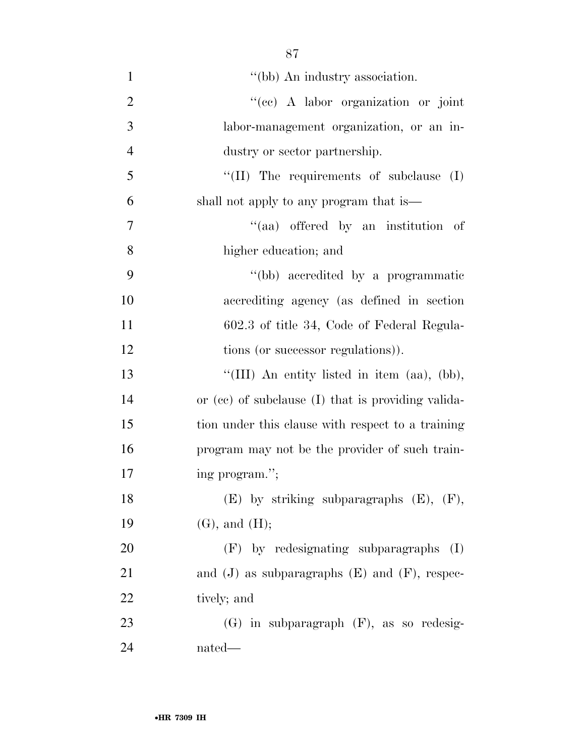| $\mathbf{1}$   | "(bb) An industry association.                       |
|----------------|------------------------------------------------------|
| $\overline{2}$ | "(cc) A labor organization or joint                  |
| 3              | labor-management organization, or an in-             |
| $\overline{4}$ | dustry or sector partnership.                        |
| 5              | "(II) The requirements of subclause $(I)$            |
| 6              | shall not apply to any program that is—              |
| 7              | "(aa) offered by an institution of                   |
| 8              | higher education; and                                |
| 9              | "(bb) accredited by a programmatic                   |
| 10             | accrediting agency (as defined in section            |
| 11             | 602.3 of title 34, Code of Federal Regula-           |
| 12             | tions (or successor regulations)).                   |
| 13             | "(III) An entity listed in item (aa), (bb),          |
| 14             | or (cc) of subclause (I) that is providing valida-   |
| 15             | tion under this clause with respect to a training    |
| 16             | program may not be the provider of such train-       |
| 17             | ing program.";                                       |
| 18             | $(E)$ by striking subparagraphs $(E)$ , $(F)$ ,      |
| 19             | $(G)$ , and $(H)$ ;                                  |
| 20             | (F) by redesignating subparagraphs<br>(I)            |
| 21             | and $(J)$ as subparagraphs $(E)$ and $(F)$ , respec- |
| 22             | tively; and                                          |
| 23             | $(G)$ in subparagraph $(F)$ , as so redesig-         |
| 24             | nated—                                               |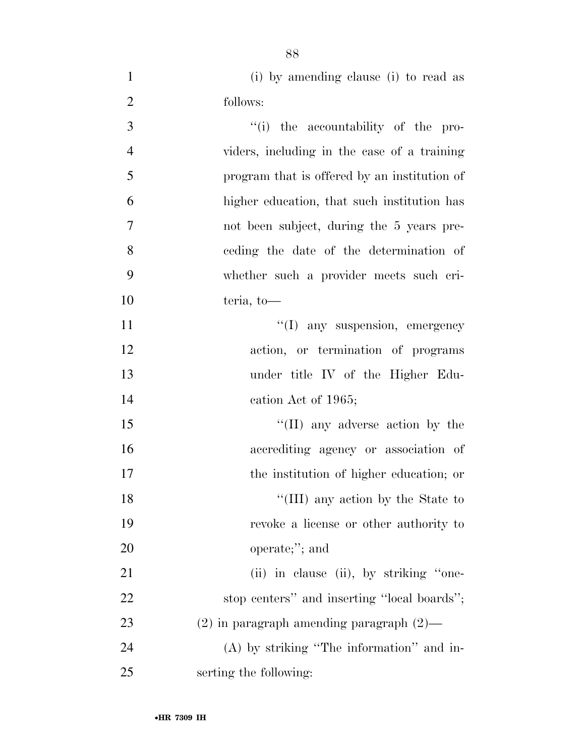(i) by amending clause (i) to read as follows:

| 3              | "(i) the accountability of the pro-           |
|----------------|-----------------------------------------------|
| $\overline{4}$ | viders, including in the case of a training   |
| 5              | program that is offered by an institution of  |
| 6              | higher education, that such institution has   |
| $\tau$         | not been subject, during the 5 years pre-     |
| 8              | ceding the date of the determination of       |
| 9              | whether such a provider meets such cri-       |
| 10             | teria, to-                                    |
| 11             | "(I) any suspension, emergency                |
| 12             | action, or termination of programs            |
| 13             | under title IV of the Higher Edu-             |
| 14             | cation Act of 1965;                           |
| 15             | $\lq\lq$ (II) any adverse action by the       |
| 16             | accrediting agency or association of          |
| 17             | the institution of higher education; or       |
| 18             | "(III) any action by the State to             |
| 19             | revoke a license or other authority to        |
| 20             | operate;"; and                                |
| 21             | (ii) in clause (ii), by striking "one-        |
| 22             | stop centers" and inserting "local boards";   |
| 23             | $(2)$ in paragraph amending paragraph $(2)$ — |
| 24             | (A) by striking "The information" and in-     |
| 25             | serting the following:                        |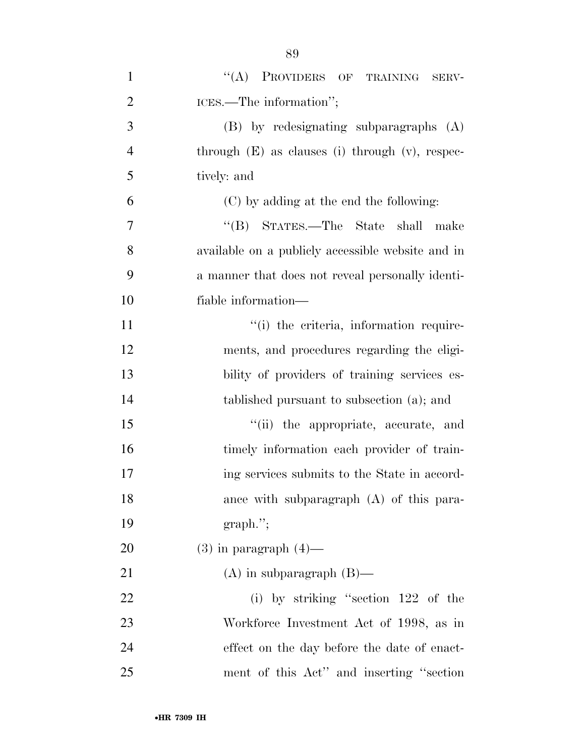| $\mathbf{1}$   | $\lq\lq$ Providers of<br>TRAINING<br>SERV-           |
|----------------|------------------------------------------------------|
| $\overline{2}$ | ICES.—The information";                              |
| 3              | $(B)$ by redesignating subparagraphs $(A)$           |
| $\overline{4}$ | through $(E)$ as clauses (i) through $(v)$ , respec- |
| 5              | tively: and                                          |
| 6              | (C) by adding at the end the following:              |
| $\tau$         | "(B) STATES.—The State shall<br>make                 |
| 8              | available on a publicly accessible website and in    |
| 9              | a manner that does not reveal personally identi-     |
| 10             | fiable information—                                  |
| 11             | "(i) the criteria, information require-              |
| 12             | ments, and procedures regarding the eligi-           |
| 13             | bility of providers of training services es-         |
| 14             | tablished pursuant to subsection (a); and            |
| 15             | "(ii) the appropriate, accurate, and                 |
| 16             | timely information each provider of train-           |
| 17             | ing services submits to the State in accord-         |
| 18             | ance with subparagraph (A) of this para-             |
| 19             | $graph$ .";                                          |
| 20             | $(3)$ in paragraph $(4)$ —                           |
| 21             | $(A)$ in subparagraph $(B)$ —                        |
| 22             | (i) by striking "section $122$ of the                |
| 23             | Workforce Investment Act of 1998, as in              |
| 24             | effect on the day before the date of enact-          |
| 25             | ment of this Act" and inserting "section"            |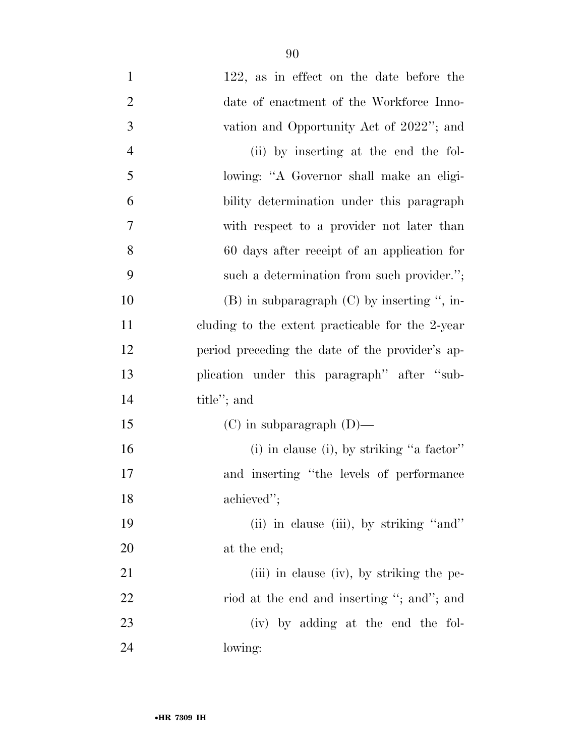| $\mathbf{1}$   | 122, as in effect on the date before the         |
|----------------|--------------------------------------------------|
| $\overline{2}$ | date of enactment of the Workforce Inno-         |
| 3              | vation and Opportunity Act of 2022"; and         |
| $\overline{4}$ | (ii) by inserting at the end the fol-            |
| 5              | lowing: "A Governor shall make an eligi-         |
| 6              | bility determination under this paragraph        |
| 7              | with respect to a provider not later than        |
| 8              | 60 days after receipt of an application for      |
| 9              | such a determination from such provider.";       |
| 10             | $(B)$ in subparagraph $(C)$ by inserting ", in-  |
| 11             | cluding to the extent practicable for the 2-year |
| 12             | period preceding the date of the provider's ap-  |
| 13             | plication under this paragraph" after "sub-      |
| 14             | title"; and                                      |
| 15             | $(C)$ in subparagraph $(D)$ —                    |
| 16             | (i) in clause (i), by striking "a factor"        |
| 17             | and inserting "the levels of performance"        |
| 18             | achieved";                                       |
| 19             | (ii) in clause (iii), by striking "and"          |
| 20             | at the end;                                      |
| 21             | (iii) in clause (iv), by striking the pe-        |
| 22             | riod at the end and inserting "; and"; and       |
| 23             | (iv) by adding at the end the fol-               |
| 24             | lowing:                                          |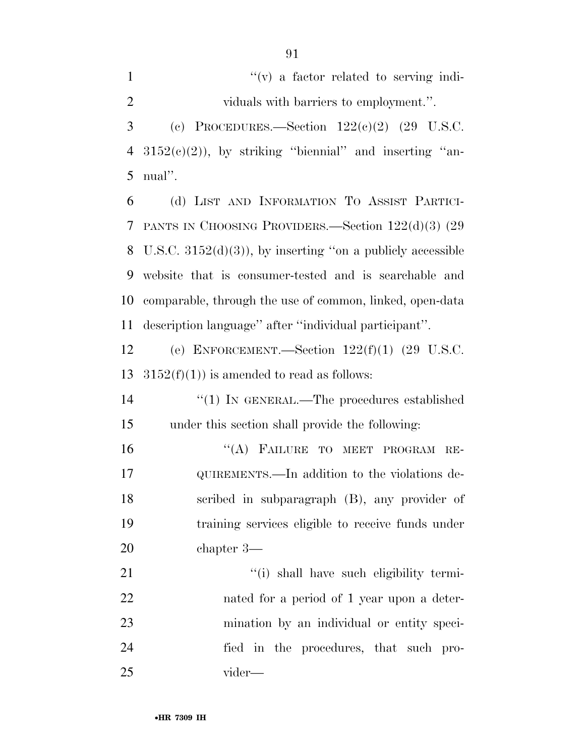$''(v)$  a factor related to serving indi- viduals with barriers to employment.''. 3 (c) PROCEDURES.—Section  $122(e)(2)$  (29 U.S.C.  $3152(c)(2)$ , by striking "biennial" and inserting "an- nual''. (d) LIST AND INFORMATION TO ASSIST PARTICI-PANTS IN CHOOSING PROVIDERS.—Section 122(d)(3) (29

 U.S.C. 3152(d)(3)), by inserting ''on a publicly accessible website that is consumer-tested and is searchable and comparable, through the use of common, linked, open-data description language'' after ''individual participant''.

 (e) ENFORCEMENT.—Section 122(f)(1) (29 U.S.C. 13  $3152(f)(1)$  is amended to read as follows:

14  $\frac{1}{2}$  (1) In GENERAL.—The procedures established under this section shall provide the following:

16 "(A) FAILURE TO MEET PROGRAM RE- QUIREMENTS.—In addition to the violations de- scribed in subparagraph (B), any provider of training services eligible to receive funds under chapter 3—

 $\frac{1}{1}$  shall have such eligibility termi- nated for a period of 1 year upon a deter- mination by an individual or entity speci- fied in the procedures, that such pro-vider—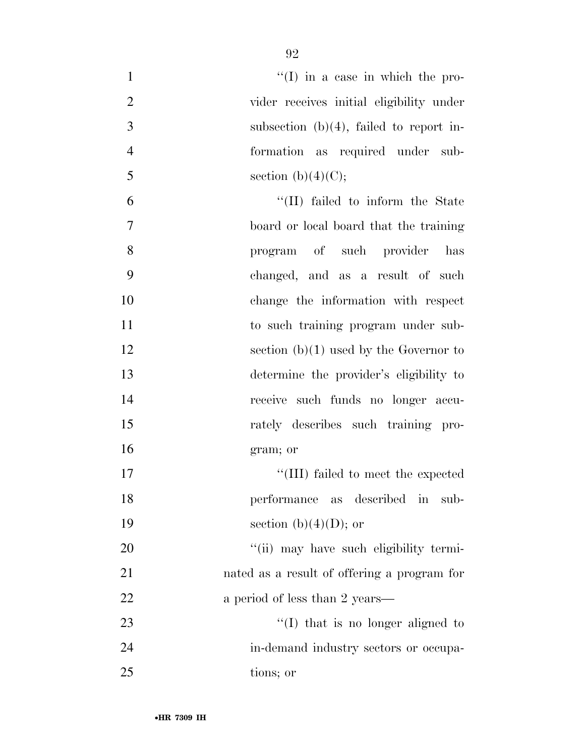| $\mathbf{1}$   | $\lq(1)$ in a case in which the pro-        |
|----------------|---------------------------------------------|
| $\overline{2}$ | vider receives initial eligibility under    |
| 3              | subsection $(b)(4)$ , failed to report in-  |
| $\overline{4}$ | formation as required under sub-            |
| 5              | section (b) $(4)(C)$ ;                      |
| 6              | "(II) failed to inform the State            |
| $\overline{7}$ | board or local board that the training      |
| 8              | program of such provider has                |
| 9              | changed, and as a result of such            |
| 10             | change the information with respect         |
| 11             | to such training program under sub-         |
| 12             | section $(b)(1)$ used by the Governor to    |
| 13             | determine the provider's eligibility to     |
| 14             | receive such funds no longer accu-          |
| 15             | rately describes such training pro-         |
| 16             | gram; or                                    |
| 17             | "(III) failed to meet the expected          |
| 18             | performance as described in<br>sub-         |
| 19             | section (b) $(4)(D)$ ; or                   |
| 20             | "(ii) may have such eligibility termi-      |
| 21             | nated as a result of offering a program for |
| 22             | a period of less than 2 years—              |
| 23             | "(I) that is no longer aligned to           |
| 24             | in-demand industry sectors or occupa-       |
| 25             | tions; or                                   |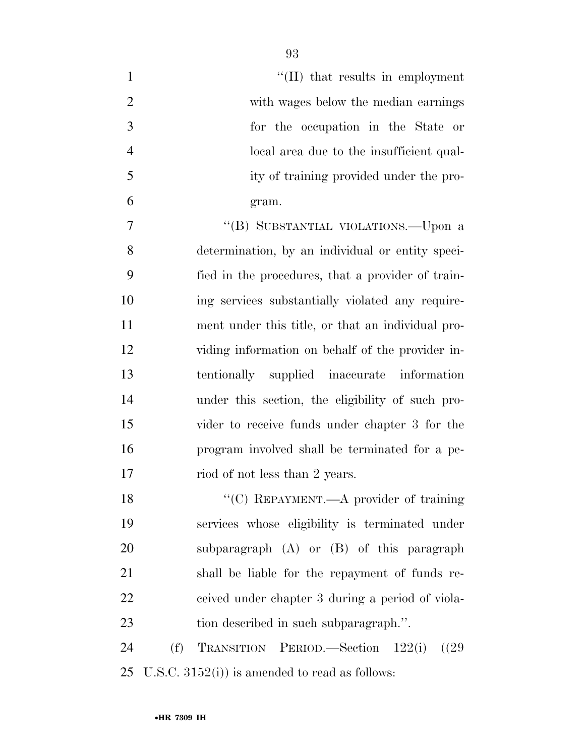| $\mathbf{1}$   | $\lq$ (II) that results in employment             |
|----------------|---------------------------------------------------|
| $\overline{2}$ | with wages below the median earnings              |
| 3              | for the occupation in the State or                |
| $\overline{4}$ | local area due to the insufficient qual-          |
| 5              | ity of training provided under the pro-           |
| 6              | gram.                                             |
| 7              | "(B) SUBSTANTIAL VIOLATIONS.—Upon a               |
| 8              | determination, by an individual or entity speci-  |
| 9              | fied in the procedures, that a provider of train- |
| 10             | ing services substantially violated any require-  |
| 11             | ment under this title, or that an individual pro- |
| 12             | viding information on behalf of the provider in-  |
| 13             | tentionally supplied inaccurate information       |
| 14             | under this section, the eligibility of such pro-  |
| 15             | vider to receive funds under chapter 3 for the    |
| 16             | program involved shall be terminated for a pe-    |
| 17             | riod of not less than 2 years.                    |
| 18             | "(C) REPAYMENT.—A provider of training            |
| 19             | services whose eligibility is terminated under    |
| 20             | subparagraph $(A)$ or $(B)$ of this paragraph     |
| 21             | shall be liable for the repayment of funds re-    |
| 22             | ceived under chapter 3 during a period of viola-  |
| 23             | tion described in such subparagraph.".            |
| 24             | (f)<br>TRANSITION PERIOD.—Section 122(i)<br>(29)  |
| 25             | U.S.C. $3152(i)$ ) is amended to read as follows: |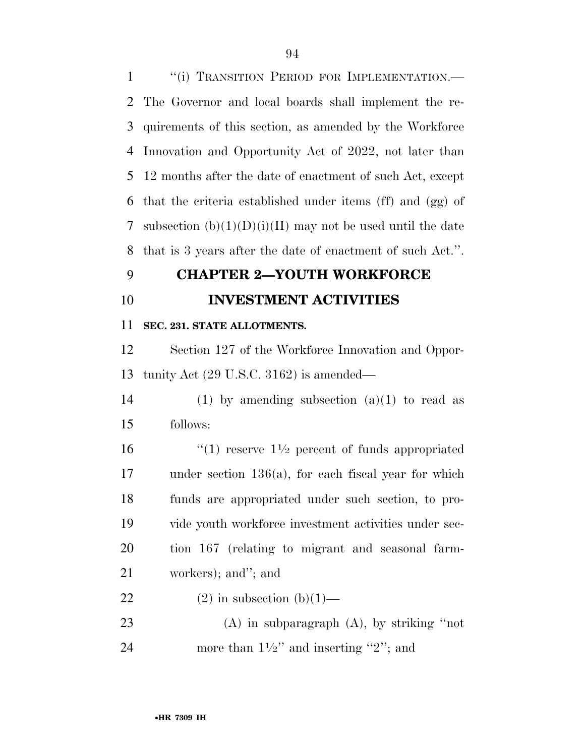1 "(i) TRANSITION PERIOD FOR IMPLEMENTATION.— The Governor and local boards shall implement the re- quirements of this section, as amended by the Workforce Innovation and Opportunity Act of 2022, not later than 12 months after the date of enactment of such Act, except that the criteria established under items (ff) and (gg) of 7 subsection  $(b)(1)(D)(i)(II)$  may not be used until the date that is 3 years after the date of enactment of such Act.''.

## **CHAPTER 2—YOUTH WORKFORCE**

**INVESTMENT ACTIVITIES** 

**SEC. 231. STATE ALLOTMENTS.** 

 Section 127 of the Workforce Innovation and Oppor-tunity Act (29 U.S.C. 3162) is amended—

14 (1) by amending subsection  $(a)(1)$  to read as follows:

 $\frac{1}{2}$  reserve  $1\frac{1}{2}$  percent of funds appropriated under section 136(a), for each fiscal year for which funds are appropriated under such section, to pro- vide youth workforce investment activities under sec- tion 167 (relating to migrant and seasonal farm-workers); and''; and

22 (2) in subsection  $(b)(1)$ —

 (A) in subparagraph (A), by striking ''not 24 more than  $1\frac{1}{2}$  and inserting "2"; and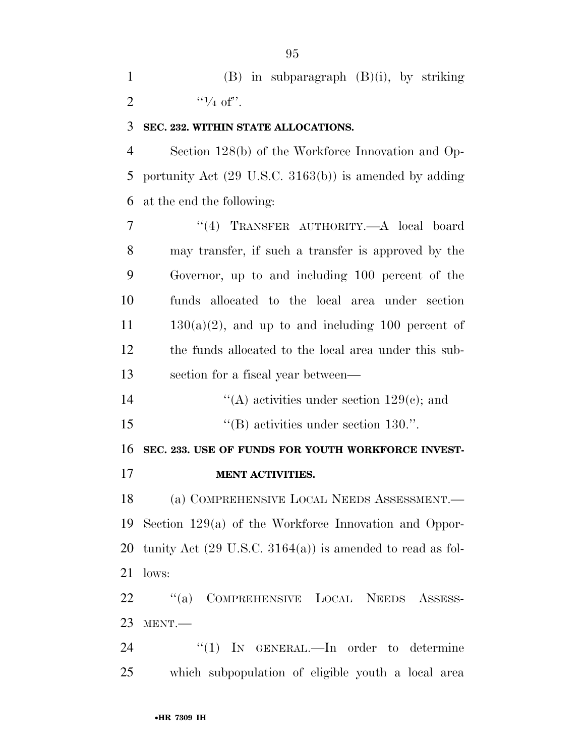|   |                    | $(B)$ in subparagraph $(B)(i)$ , by striking |  |  |
|---|--------------------|----------------------------------------------|--|--|
| 2 | $\frac{1}{4}$ of". |                                              |  |  |

## **SEC. 232. WITHIN STATE ALLOCATIONS.**

 Section 128(b) of the Workforce Innovation and Op- portunity Act (29 U.S.C. 3163(b)) is amended by adding at the end the following:

 ''(4) TRANSFER AUTHORITY.—A local board may transfer, if such a transfer is approved by the Governor, up to and including 100 percent of the funds allocated to the local area under section  $11 \t 130(a)(2)$ , and up to and including 100 percent of the funds allocated to the local area under this sub-section for a fiscal year between—

14  $\langle (A)$  activities under section 129 $(e)$ ; and

15  $\text{``(B) activities under section 130."}$ 

**SEC. 233. USE OF FUNDS FOR YOUTH WORKFORCE INVEST-**

**MENT ACTIVITIES.** 

 (a) COMPREHENSIVE LOCAL NEEDS ASSESSMENT.— Section 129(a) of the Workforce Innovation and Oppor-20 tunity Act  $(29 \text{ U.S.C. } 3164(a))$  is amended to read as fol-lows:

 ''(a) COMPREHENSIVE LOCAL NEEDS ASSESS-MENT.—

24 "(1) In GENERAL.—In order to determine which subpopulation of eligible youth a local area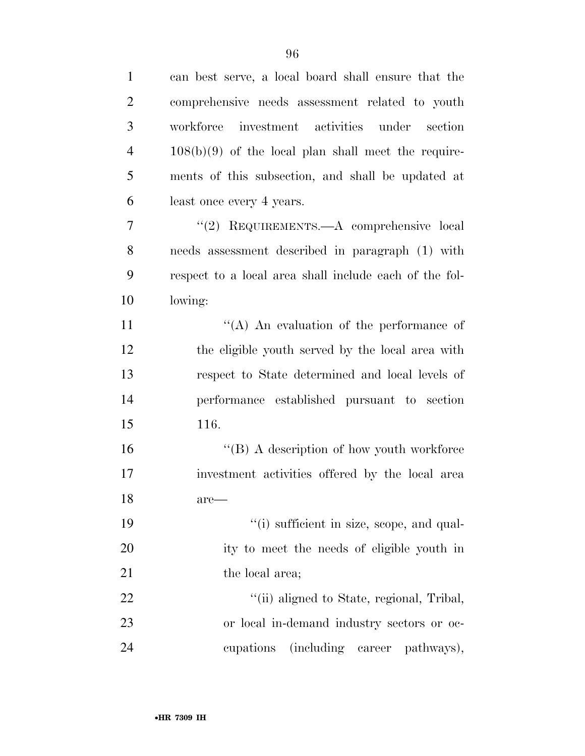| $\mathbf{1}$   | can best serve, a local board shall ensure that the    |
|----------------|--------------------------------------------------------|
| $\overline{2}$ | comprehensive needs assessment related to youth        |
| 3              | investment activities under section<br>workforce       |
| $\overline{4}$ | $108(b)(9)$ of the local plan shall meet the require-  |
| 5              | ments of this subsection, and shall be updated at      |
| 6              | least once every 4 years.                              |
| 7              | "(2) REQUIREMENTS.—A comprehensive local               |
| 8              | needs assessment described in paragraph (1) with       |
| 9              | respect to a local area shall include each of the fol- |
| 10             | lowing:                                                |
| 11             | $\lq\lq$ An evaluation of the performance of           |
| 12             | the eligible youth served by the local area with       |
| 13             | respect to State determined and local levels of        |
| 14             | performance established pursuant to section            |
| 15             | 116.                                                   |
| 16             | $\lq\lq (B)$ A description of how youth workforce      |
| 17             | investment activities offered by the local area        |
| 18             | are—                                                   |
| 19             | "(i) sufficient in size, scope, and qual-              |
| 20             | ity to meet the needs of eligible youth in             |
| 21             | the local area;                                        |
| 22             | "(ii) aligned to State, regional, Tribal,              |
| 23             | or local in-demand industry sectors or oc-             |
| 24             | (including career pathways),<br>cupations              |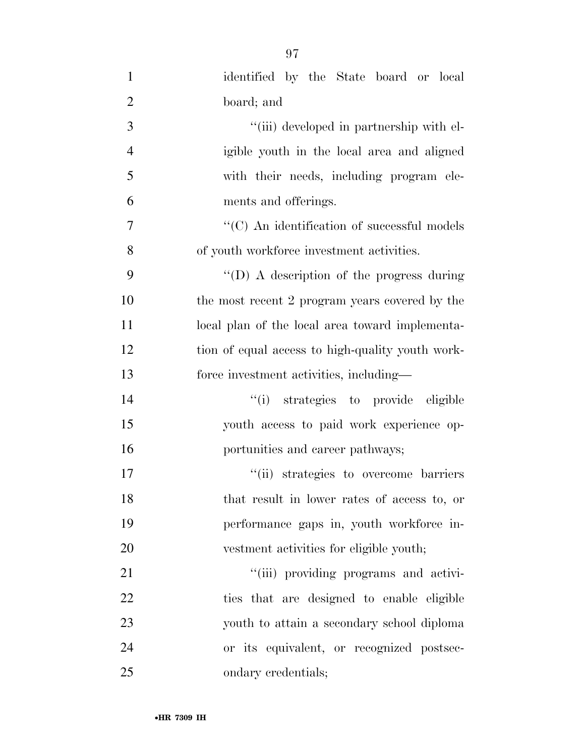| $\mathbf{1}$   | identified by the State board or local             |
|----------------|----------------------------------------------------|
| $\overline{2}$ | board; and                                         |
| 3              | "(iii) developed in partnership with el-           |
| $\overline{4}$ | igible youth in the local area and aligned         |
| 5              | with their needs, including program ele-           |
| 6              | ments and offerings.                               |
| 7              | $\cdot$ (C) An identification of successful models |
| 8              | of youth workforce investment activities.          |
| 9              | "(D) A description of the progress during          |
| 10             | the most recent 2 program years covered by the     |
| 11             | local plan of the local area toward implementa-    |
| 12             | tion of equal access to high-quality youth work-   |
| 13             | force investment activities, including—            |
| 14             | "(i) strategies to provide eligible                |
| 15             | youth access to paid work experience op-           |
| 16             | portunities and career pathways;                   |
| 17             | "(ii) strategies to overcome barriers              |
| 18             | that result in lower rates of access to, or        |
| 19             | performance gaps in, youth workforce in-           |
| 20             | vestment activities for eligible youth;            |
| 21             | "(iii) providing programs and activi-              |
| 22             | ties that are designed to enable eligible          |
| 23             | youth to attain a secondary school diploma         |
| 24             | or its equivalent, or recognized postsec-          |
| 25             | ondary credentials;                                |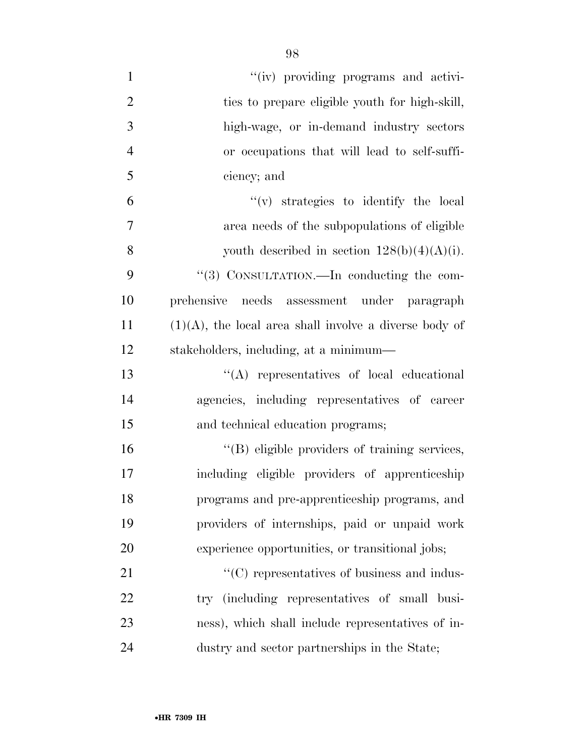| $\mathbf{1}$   | "(iv) providing programs and activi-                      |
|----------------|-----------------------------------------------------------|
| $\overline{2}$ | ties to prepare eligible youth for high-skill,            |
|                |                                                           |
| 3              | high-wage, or in-demand industry sectors                  |
| $\overline{4}$ | or occupations that will lead to self-suffi-              |
| 5              | ciency; and                                               |
| 6              | $f'(v)$ strategies to identify the local                  |
| $\overline{7}$ | area needs of the subpopulations of eligible              |
| 8              | youth described in section $128(b)(4)(A)(i)$ .            |
| 9              | "(3) CONSULTATION.—In conducting the com-                 |
| 10             | needs assessment under paragraph<br>prehensive            |
| 11             | $(1)(A)$ , the local area shall involve a diverse body of |
| 12             | stakeholders, including, at a minimum—                    |
| 13             | $\lq\lq$ representatives of local educational             |
| 14             | agencies, including representatives of career             |
| 15             | and technical education programs;                         |
| 16             | "(B) eligible providers of training services,             |
| 17             | including eligible providers of apprenticeship            |
| 18             | programs and pre-apprenticeship programs, and             |
| 19             | providers of internships, paid or unpaid work             |
| 20             | experience opportunities, or transitional jobs;           |
| 21             | $\cdot\cdot$ (C) representatives of business and indus-   |
| 22             | try (including representatives of small busi-             |
| 23             | ness), which shall include representatives of in-         |
| 24             | dustry and sector partnerships in the State;              |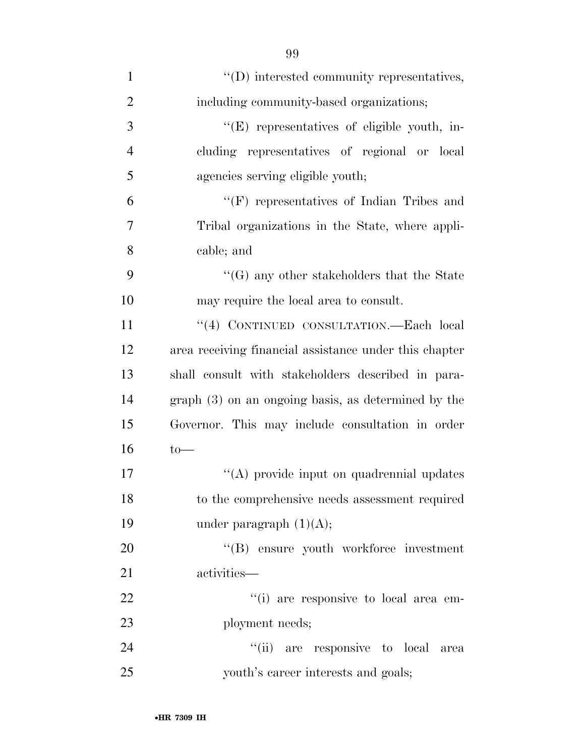| $\mathbf{1}$   | $\lq\lq$ ) interested community representatives,       |
|----------------|--------------------------------------------------------|
| $\overline{2}$ | including community-based organizations;               |
| 3              | "(E) representatives of eligible youth, in-            |
| $\overline{4}$ | cluding representatives of regional or local           |
| 5              | agencies serving eligible youth;                       |
| 6              | $\lq\lq(F)$ representatives of Indian Tribes and       |
| 7              | Tribal organizations in the State, where appli-        |
| 8              | cable; and                                             |
| 9              | $\lq\lq(G)$ any other stakeholders that the State      |
| 10             | may require the local area to consult.                 |
| 11             | "(4) CONTINUED CONSULTATION.—Each local                |
| 12             | area receiving financial assistance under this chapter |
| 13             | shall consult with stakeholders described in para-     |
| 14             | $graph(3)$ on an ongoing basis, as determined by the   |
| 15             | Governor. This may include consultation in order       |
| 16             | $to-$                                                  |
| 17             | "(A) provide input on quadrennial updates              |
| 18             | to the comprehensive needs assessment required         |
| 19             | under paragraph $(1)(A);$                              |
| 20             | "(B) ensure youth workforce investment                 |
| 21             | activities-                                            |
| 22             | "(i) are responsive to local area em-                  |
| 23             | ployment needs;                                        |
| 24             | "(ii) are responsive to local<br>area                  |
| 25             | youth's career interests and goals;                    |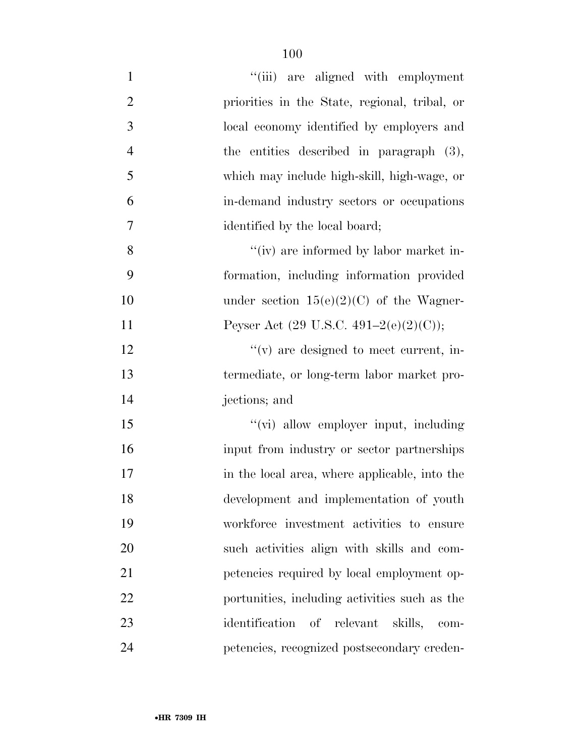| $\mathbf{1}$   | "(iii) are aligned with employment                |
|----------------|---------------------------------------------------|
| $\overline{2}$ | priorities in the State, regional, tribal, or     |
| 3              | local economy identified by employers and         |
| $\overline{4}$ | the entities described in paragraph $(3)$ ,       |
| 5              | which may include high-skill, high-wage, or       |
| 6              | in-demand industry sectors or occupations         |
| 7              | identified by the local board;                    |
| 8              | "(iv) are informed by labor market in-            |
| 9              | formation, including information provided         |
| 10             | under section $15(e)(2)(C)$ of the Wagner-        |
| 11             | Peyser Act $(29 \text{ U.S.C. } 491-2(e)(2)(C));$ |
| 12             | $f'(v)$ are designed to meet current, in-         |
| 13             | termediate, or long-term labor market pro-        |
| 14             | jections; and                                     |
| 15             | "(vi) allow employer input, including             |
| 16             | input from industry or sector partnerships        |
| 17             | in the local area, where applicable, into the     |
| 18             | development and implementation of youth           |
| 19             | workforce investment activities to ensure         |
| 20             | such activities align with skills and com-        |
| 21             | petencies required by local employment op-        |
| 22             | portunities, including activities such as the     |
| 23             | identification of relevant<br>skills,<br>$com-$   |
| 24             | petencies, recognized postsecondary creden-       |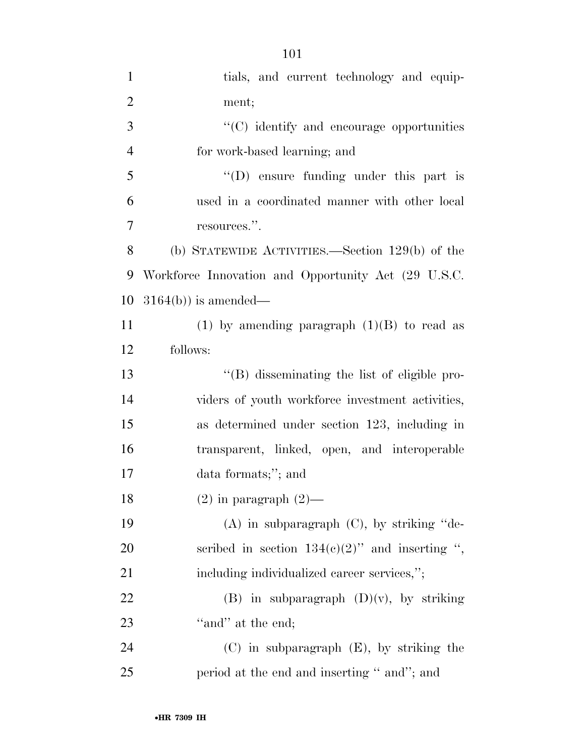| $\mathbf{1}$   | tials, and current technology and equip-            |
|----------------|-----------------------------------------------------|
| $\overline{2}$ | ment;                                               |
| 3              | "(C) identify and encourage opportunities           |
| $\overline{4}$ | for work-based learning; and                        |
| 5              | $\lq\lq$ (D) ensure funding under this part is      |
| 6              | used in a coordinated manner with other local       |
| 7              | resources.".                                        |
| 8              | (b) STATEWIDE ACTIVITIES.—Section $129(b)$ of the   |
| 9              | Workforce Innovation and Opportunity Act (29 U.S.C. |
| 10             | $3164(b)$ is amended—                               |
| 11             | (1) by amending paragraph $(1)(B)$ to read as       |
| 12             | follows:                                            |
| 13             | "(B) disseminating the list of eligible pro-        |
| 14             | viders of youth workforce investment activities,    |
| 15             | as determined under section 123, including in       |
| 16             | transparent, linked, open, and interoperable        |
| 17             | data formats;"; and                                 |
| 18             | $(2)$ in paragraph $(2)$ —                          |
| 19             | $(A)$ in subparagraph $(C)$ , by striking "de-      |
| 20             | scribed in section $134(c)(2)$ " and inserting ",   |
| 21             | including individualized career services,";         |
| 22             | $(B)$ in subparagraph $(D)(v)$ , by striking        |
| 23             | "and" at the end;                                   |
| 24             | $(C)$ in subparagraph $(E)$ , by striking the       |
| 25             | period at the end and inserting " and"; and         |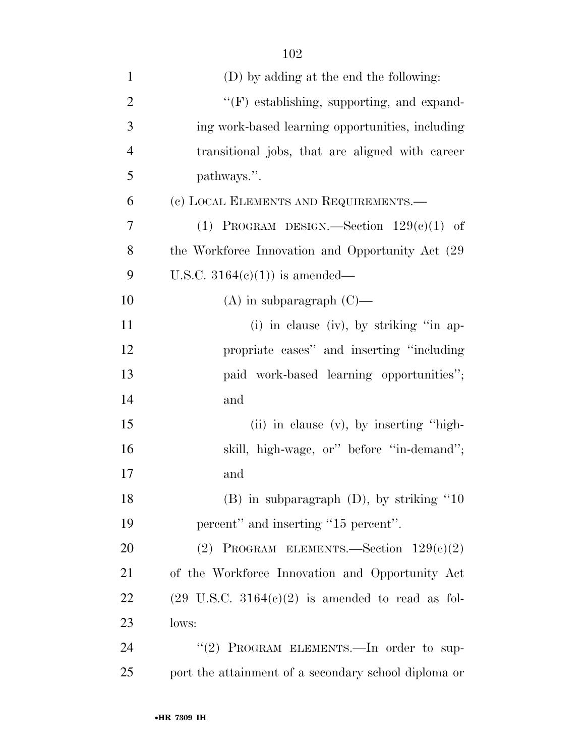| $\mathbf{1}$   | (D) by adding at the end the following:                             |
|----------------|---------------------------------------------------------------------|
| $\overline{2}$ | $\lq\lq(F)$ establishing, supporting, and expand-                   |
| 3              | ing work-based learning opportunities, including                    |
| $\overline{4}$ | transitional jobs, that are aligned with career                     |
| 5              | pathways.".                                                         |
| 6              | (c) LOCAL ELEMENTS AND REQUIREMENTS.—                               |
| $\overline{7}$ | (1) PROGRAM DESIGN.—Section $129(e)(1)$ of                          |
| 8              | the Workforce Innovation and Opportunity Act (29)                   |
| 9              | U.S.C. $3164(e)(1)$ is amended—                                     |
| 10             | $(A)$ in subparagraph $(C)$ —                                       |
| 11             | (i) in clause (iv), by striking "in ap-                             |
| 12             | propriate cases" and inserting "including                           |
| 13             | paid work-based learning opportunities";                            |
| 14             | and                                                                 |
| 15             | (ii) in clause (v), by inserting "high-                             |
| 16             | skill, high-wage, or" before "in-demand";                           |
| 17             | and                                                                 |
| 18             | $(B)$ in subparagraph $(D)$ , by striking "10                       |
| 19             | percent" and inserting "15 percent".                                |
| 20             | (2) PROGRAM ELEMENTS. Section $129(e)(2)$                           |
| 21             | of the Workforce Innovation and Opportunity Act                     |
| 22             | $(29 \text{ U.S.C. } 3164(e)(2) \text{ is amended to read as fol-}$ |
| 23             | lows:                                                               |
| 24             | "(2) PROGRAM ELEMENTS. - In order to sup-                           |
| 25             | port the attainment of a secondary school diploma or                |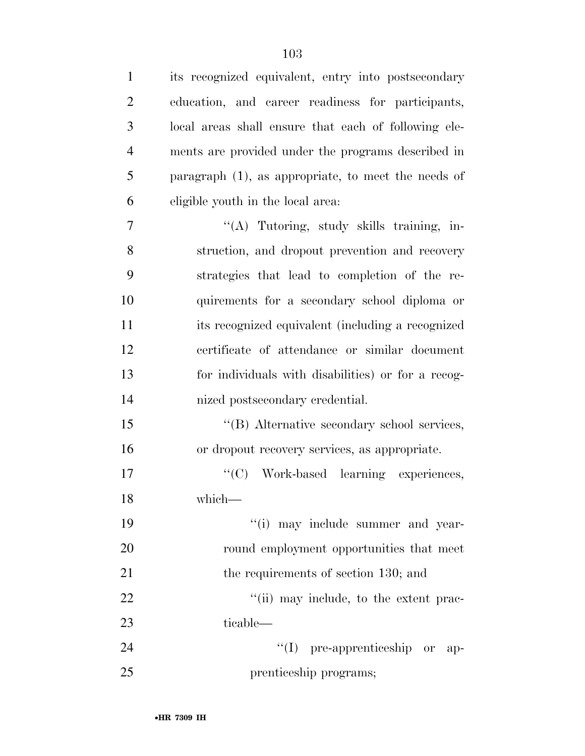| $\mathbf{1}$   | its recognized equivalent, entry into postsecondary    |
|----------------|--------------------------------------------------------|
| $\overline{2}$ | education, and career readiness for participants,      |
| 3              | local areas shall ensure that each of following ele-   |
| $\overline{4}$ | ments are provided under the programs described in     |
| 5              | paragraph $(1)$ , as appropriate, to meet the needs of |
| 6              | eligible youth in the local area:                      |
| $\overline{7}$ | "(A) Tutoring, study skills training, in-              |
| 8              | struction, and dropout prevention and recovery         |
| 9              | strategies that lead to completion of the re-          |
| 10             | quirements for a secondary school diploma or           |
| 11             | its recognized equivalent (including a recognized      |
| 12             | certificate of attendance or similar document          |
| 13             | for individuals with disabilities) or for a recog-     |
| 14             | nized postsecondary credential.                        |
| 15             | "(B) Alternative secondary school services,            |
| 16             | or dropout recovery services, as appropriate.          |
| 17             | "(C) Work-based learning experiences,                  |
| 18             | which—                                                 |
| 19             | "(i) may include summer and year-                      |
| 20             | round employment opportunities that meet               |
| 21             | the requirements of section 130; and                   |
| 22             | "(ii) may include, to the extent prac-                 |
| 23             | ticable—                                               |
| 24             | $\lq\lq$ (I) pre-apprenticeship or<br>-ap-             |
| 25             | prenticeship programs;                                 |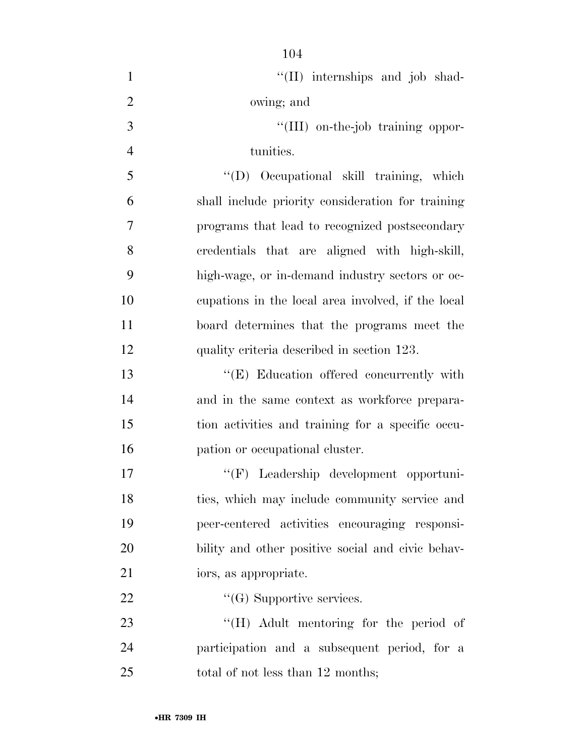| $\mathbf{1}$   | "(II) internships and job shad-                    |
|----------------|----------------------------------------------------|
| $\overline{2}$ | owing; and                                         |
| $\overline{3}$ | "(III) on-the-job training oppor-                  |
| $\overline{4}$ | tunities.                                          |
| 5              | "(D) Occupational skill training, which            |
| 6              | shall include priority consideration for training  |
| $\overline{7}$ | programs that lead to recognized postsecondary     |
| 8              | credentials that are aligned with high-skill,      |
| 9              | high-wage, or in-demand industry sectors or oc-    |
| 10             | cupations in the local area involved, if the local |
| 11             | board determines that the programs meet the        |
| 12             | quality criteria described in section 123.         |
| 13             | "(E) Education offered concurrently with           |
| 14             | and in the same context as workforce prepara-      |
| 15             | tion activities and training for a specific occu-  |
| 16             | pation or occupational cluster.                    |
| 17             | "(F) Leadership development opportuni-             |
| 18             | ties, which may include community service and      |
| 19             | peer-centered activities encouraging responsi-     |
| 20             | bility and other positive social and civic behav-  |
| 21             | iors, as appropriate.                              |
| 22             | $\lq\lq(G)$ Supportive services.                   |
| 23             | $\lq\lq (H)$ Adult mentoring for the period of     |
| 24             | participation and a subsequent period, for a       |
| 25             | total of not less than 12 months;                  |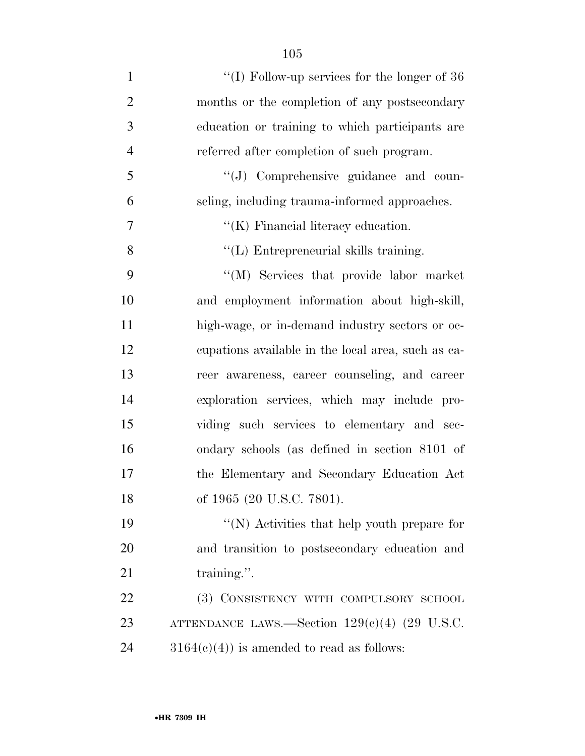| $\mathbf{1}$   | "(I) Follow-up services for the longer of $36$     |
|----------------|----------------------------------------------------|
| $\overline{2}$ | months or the completion of any postsecondary      |
| 3              | education or training to which participants are    |
| $\overline{4}$ | referred after completion of such program.         |
| 5              | $\lq\lq(J)$ Comprehensive guidance and coun-       |
| 6              | seling, including trauma-informed approaches.      |
| 7              | $\lq\lq$ (K) Financial literacy education.         |
| 8              | "(L) Entrepreneurial skills training.              |
| 9              | "(M) Services that provide labor market            |
| 10             | and employment information about high-skill,       |
| 11             | high-wage, or in-demand industry sectors or oc-    |
| 12             | equations available in the local area, such as ea- |
| 13             | reer awareness, career counseling, and career      |
| 14             | exploration services, which may include pro-       |
| 15             | viding such services to elementary and sec-        |
| 16             | ondary schools (as defined in section 8101 of      |
| 17             | the Elementary and Secondary Education Act         |
| 18             | of 1965 (20 U.S.C. 7801).                          |
| 19             | "(N) Activities that help youth prepare for        |
| 20             | and transition to postsecondary education and      |
| 21             | training.".                                        |
| 22             | (3) CONSISTENCY WITH COMPULSORY SCHOOL             |
| 23             | ATTENDANCE LAWS.—Section $129(e)(4)$ (29 U.S.C.    |
| 24             | $3164(c)(4)$ is amended to read as follows:        |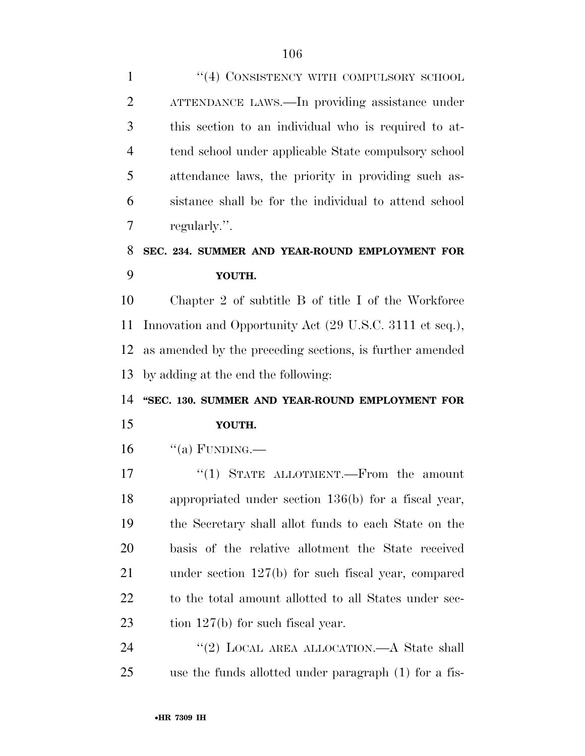| 1                     | "(4) CONSISTENCY WITH COMPULSORY SCHOOL                  |
|-----------------------|----------------------------------------------------------|
| $\overline{2}$        | ATTENDANCE LAWS.—In providing assistance under           |
| 3                     | this section to an individual who is required to at-     |
| $\overline{4}$        | tend school under applicable State compulsory school     |
| 5                     | attendance laws, the priority in providing such as-      |
| 6                     | sistance shall be for the individual to attend school    |
| 7                     | regularly.".                                             |
| 8                     | SEC. 234. SUMMER AND YEAR-ROUND EMPLOYMENT FOR           |
| 9                     | YOUTH.                                                   |
| 10                    | Chapter 2 of subtitle B of title I of the Workforce      |
| 11                    | Innovation and Opportunity Act (29 U.S.C. 3111 et seq.), |
| 12                    | as amended by the preceding sections, is further amended |
| 13                    | by adding at the end the following:                      |
|                       |                                                          |
|                       | "SEC. 130. SUMMER AND YEAR-ROUND EMPLOYMENT FOR          |
|                       | YOUTH.                                                   |
| 14<br>15<br>16        | "(a) FUNDING.—                                           |
| 17                    | "(1) STATE ALLOTMENT.—From the amount                    |
|                       | appropriated under section 136(b) for a fiscal year,     |
|                       | the Secretary shall allot funds to each State on the     |
| 18<br>19<br><b>20</b> | basis of the relative allotment the State received       |
| 21                    | under section $127(b)$ for such fiscal year, compared    |
| 22                    | to the total amount allotted to all States under sec-    |
| 23                    | tion $127(b)$ for such fiscal year.                      |
| 24                    | "(2) LOCAL AREA ALLOCATION.—A State shall                |
| 25                    | use the funds allotted under paragraph (1) for a fis-    |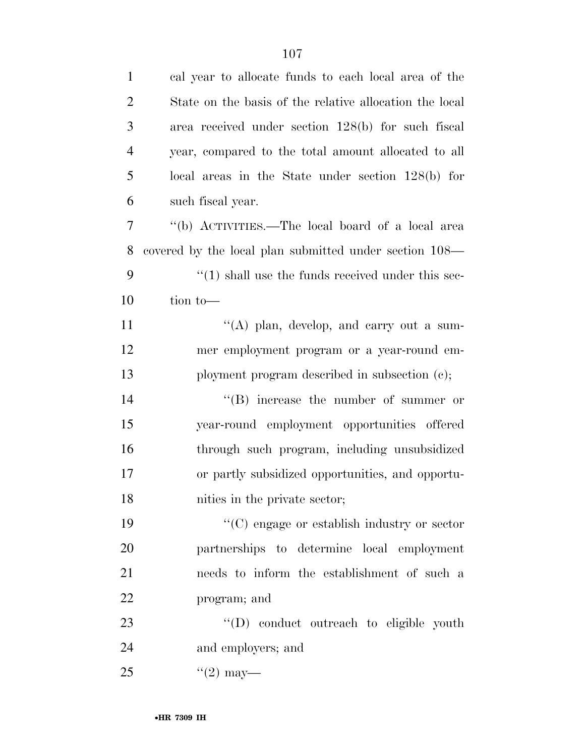| $\mathbf{1}$   | cal year to allocate funds to each local area of the              |
|----------------|-------------------------------------------------------------------|
| $\overline{2}$ | State on the basis of the relative allocation the local           |
| 3              | area received under section 128(b) for such fiscal                |
| $\overline{4}$ | year, compared to the total amount allocated to all               |
| 5              | local areas in the State under section $128(b)$ for               |
| 6              | such fiscal year.                                                 |
| 7              | "(b) ACTIVITIES.—The local board of a local area                  |
| 8              | covered by the local plan submitted under section 108—            |
| 9              | $\cdot\cdot\cdot(1)$ shall use the funds received under this sec- |
| 10             | tion to-                                                          |
| 11             | "(A) plan, develop, and carry out a sum-                          |
| 12             | mer employment program or a year-round em-                        |
| 13             | ployment program described in subsection (c);                     |
| 14             | $\lq\lq(B)$ increase the number of summer or                      |
| 15             | year-round employment opportunities offered                       |
| 16             | through such program, including unsubsidized                      |
| 17             | or partly subsidized opportunities, and opportu-                  |
| 18             | nities in the private sector;                                     |
| 19             | "(C) engage or establish industry or sector                       |
| 20             | partnerships to determine local employment                        |
| 21             | needs to inform the establishment of such a                       |
| 22             | program; and                                                      |
| 23             | "(D) conduct outreach to eligible youth                           |
| 24             | and employers; and                                                |
| 25             | $\frac{1}{2}$ may—                                                |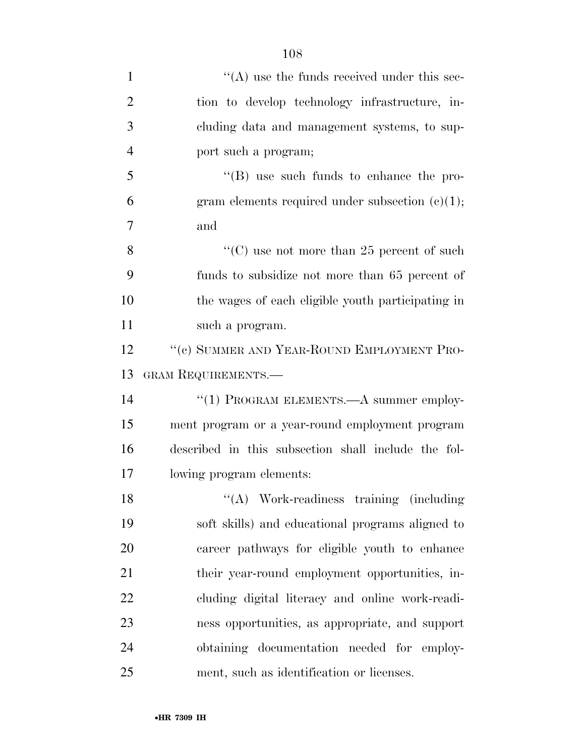| $\mathbf{1}$   | $\lq\lq$ use the funds received under this sec-     |
|----------------|-----------------------------------------------------|
| $\overline{2}$ | tion to develop technology infrastructure, in-      |
| 3              | cluding data and management systems, to sup-        |
| $\overline{4}$ | port such a program;                                |
| 5              | $\lq\lq (B)$ use such funds to enhance the pro-     |
| 6              | gram elements required under subsection $(e)(1)$ ;  |
| 7              | and                                                 |
| 8              | "(C) use not more than 25 percent of such           |
| 9              | funds to subsidize not more than 65 percent of      |
| 10             | the wages of each eligible youth participating in   |
| 11             | such a program.                                     |
| 12             | "(c) SUMMER AND YEAR-ROUND EMPLOYMENT PRO-          |
| 13             | GRAM REQUIREMENTS.-                                 |
| 14             | "(1) PROGRAM ELEMENTS.—A summer employ-             |
| 15             | ment program or a year-round employment program     |
| 16             | described in this subsection shall include the fol- |
| 17             | lowing program elements:                            |
| 18             | "(A) Work-readiness training (including             |
| 19             | soft skills) and educational programs aligned to    |
| 20             | career pathways for eligible youth to enhance       |
| 21             | their year-round employment opportunities, in-      |
| 22             | cluding digital literacy and online work-readi-     |
| 23             | ness opportunities, as appropriate, and support     |
| 24             | obtaining documentation needed for employ-          |
| 25             | ment, such as identification or licenses.           |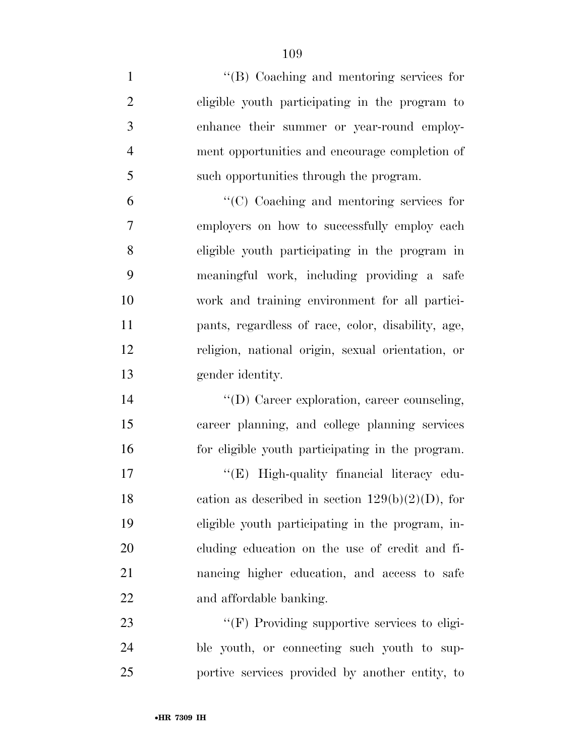''(B) Coaching and mentoring services for eligible youth participating in the program to enhance their summer or year-round employ- ment opportunities and encourage completion of such opportunities through the program. ''(C) Coaching and mentoring services for employers on how to successfully employ each eligible youth participating in the program in meaningful work, including providing a safe work and training environment for all partici- pants, regardless of race, color, disability, age, religion, national origin, sexual orientation, or gender identity.  $\langle (D) \rangle$  Career exploration, career counseling, career planning, and college planning services for eligible youth participating in the program. 17 "'(E) High-quality financial literacy edu-18 cation as described in section  $129(b)(2)(D)$ , for eligible youth participating in the program, in- cluding education on the use of credit and fi- nancing higher education, and access to safe and affordable banking.  $\bullet$  (F) Providing supportive services to eligi- ble youth, or connecting such youth to sup-portive services provided by another entity, to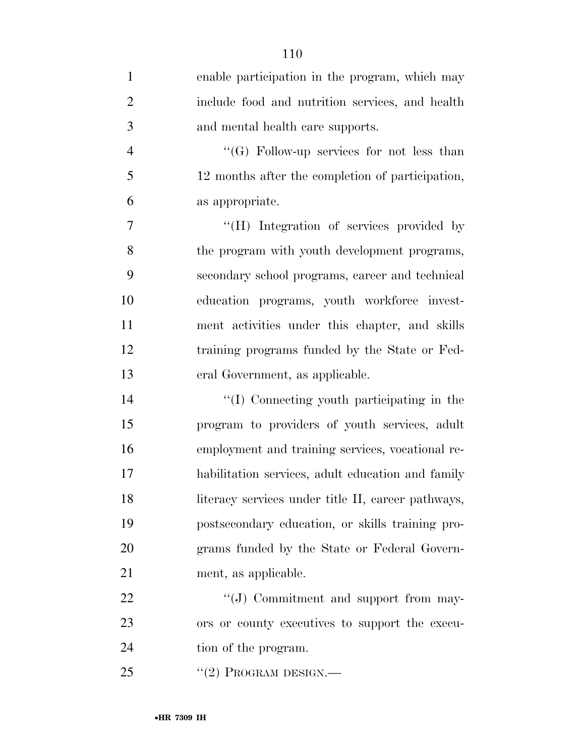| $\mathbf{1}$   | enable participation in the program, which may     |
|----------------|----------------------------------------------------|
| $\overline{2}$ | include food and nutrition services, and health    |
| 3              | and mental health care supports.                   |
| $\overline{4}$ | " $(G)$ Follow-up services for not less than       |
| 5              | 12 months after the completion of participation,   |
| 6              | as appropriate.                                    |
| 7              | "(H) Integration of services provided by           |
| 8              | the program with youth development programs,       |
| 9              | secondary school programs, career and technical    |
| 10             | education programs, youth workforce invest-        |
| 11             | ment activities under this chapter, and skills     |
| 12             | training programs funded by the State or Fed-      |
| 13             | eral Government, as applicable.                    |
| 14             | "(I) Connecting youth participating in the         |
| 15             | program to providers of youth services, adult      |
| 16             | employment and training services, vocational re-   |
| 17             | habilitation services, adult education and family  |
| 18             | literacy services under title II, career pathways, |
| 19             | postsecondary education, or skills training pro-   |
| 20             | grams funded by the State or Federal Govern-       |
| 21             | ment, as applicable.                               |
| 22             | "(J) Commitment and support from may-              |
| 23             | ors or county executives to support the execu-     |
| 24             | tion of the program.                               |
| 25             | $``(2)$ Program DESIGN.—                           |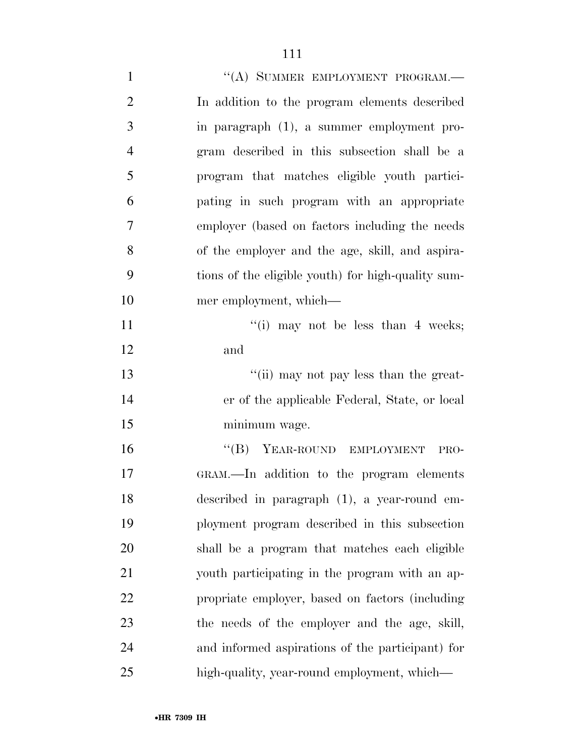| $\mathbf{1}$   | "(A) SUMMER EMPLOYMENT PROGRAM.-                   |
|----------------|----------------------------------------------------|
| $\overline{2}$ | In addition to the program elements described      |
| 3              | in paragraph (1), a summer employment pro-         |
| $\overline{4}$ | gram described in this subsection shall be a       |
| 5              | program that matches eligible youth partici-       |
| 6              | pating in such program with an appropriate         |
| 7              | employer (based on factors including the needs)    |
| 8              | of the employer and the age, skill, and aspira-    |
| 9              | tions of the eligible youth) for high-quality sum- |
| 10             | mer employment, which—                             |
| 11             | "(i) may not be less than 4 weeks;                 |
| 12             | and                                                |
| 13             | "(ii) may not pay less than the great-             |
| 14             | er of the applicable Federal, State, or local      |
| 15             | minimum wage.                                      |
| 16             | "(B) YEAR-ROUND EMPLOYMENT<br>PRO-                 |
| 17             | GRAM.—In addition to the program elements          |
| 18             | described in paragraph (1), a year-round em-       |
| 19             | ployment program described in this subsection      |
| 20             | shall be a program that matches each eligible      |
| 21             | youth participating in the program with an ap-     |
| 22             | propriate employer, based on factors (including    |
| 23             | the needs of the employer and the age, skill,      |
| 24             | and informed aspirations of the participant) for   |
| 25             | high-quality, year-round employment, which—        |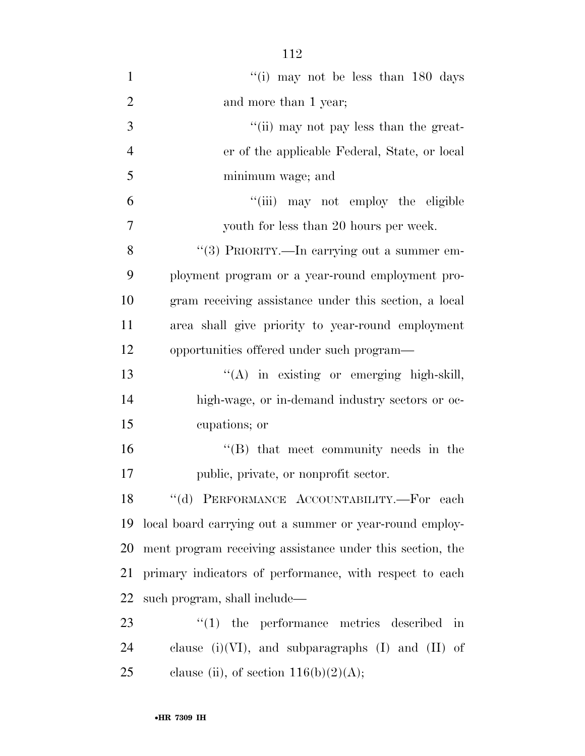| $\mathbf{1}$   | "(i) may not be less than $180$ days                              |  |
|----------------|-------------------------------------------------------------------|--|
| $\overline{2}$ | and more than 1 year;                                             |  |
| 3              | "(ii) may not pay less than the great-                            |  |
| $\overline{4}$ | er of the applicable Federal, State, or local                     |  |
| 5              | minimum wage; and                                                 |  |
| 6              | "(iii) may not employ the eligible                                |  |
| $\overline{7}$ | youth for less than 20 hours per week.                            |  |
| 8              | "(3) PRIORITY.—In carrying out a summer em-                       |  |
| 9              | ployment program or a year-round employment pro-                  |  |
| 10             | gram receiving assistance under this section, a local             |  |
| 11             | area shall give priority to year-round employment                 |  |
| 12             | opportunities offered under such program—                         |  |
| 13             | "(A) in existing or emerging high-skill,                          |  |
| 14             | high-wage, or in-demand industry sectors or oc-                   |  |
| 15             | cupations; or                                                     |  |
| 16             | $\lq\lq (B)$ that meet community needs in the                     |  |
| 17             | public, private, or nonprofit sector.                             |  |
|                | 18 "(d) PERFORMANCE ACCOUNTABILITY.-For each                      |  |
| 19             | local board carrying out a summer or year-round employ-           |  |
| 20             | ment program receiving assistance under this section, the         |  |
| 21             | primary indicators of performance, with respect to each           |  |
| 22             | such program, shall include—                                      |  |
| 23             | $\lq(1)$ the performance metrics described<br>$\operatorname{in}$ |  |
| 24             | clause (i)(VI), and subparagraphs (I) and (II) of                 |  |
| 25             | clause (ii), of section $116(b)(2)(A);$                           |  |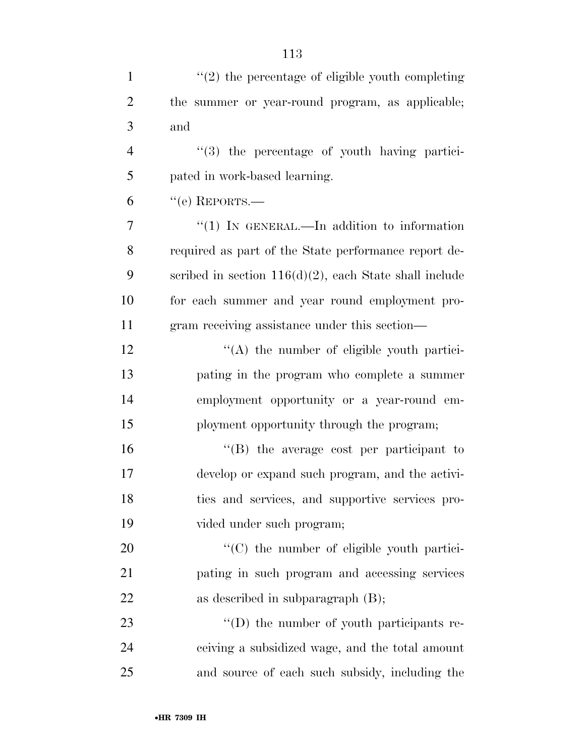| $\mathbf{1}$   | $"(2)$ the percentage of eligible youth completing        |
|----------------|-----------------------------------------------------------|
| $\overline{2}$ | the summer or year-round program, as applicable;          |
| 3              | and                                                       |
| $\overline{4}$ | "(3) the percentage of youth having partici-              |
| 5              | pated in work-based learning.                             |
| 6              | $``$ (e) REPORTS.—                                        |
| 7              | "(1) IN GENERAL.—In addition to information               |
| 8              | required as part of the State performance report de-      |
| 9              | scribed in section $116(d)(2)$ , each State shall include |
| 10             | for each summer and year round employment pro-            |
| 11             | gram receiving assistance under this section—             |
| 12             | $\lq\lq$ the number of eligible youth partici-            |
| 13             | pating in the program who complete a summer               |
| 14             | employment opportunity or a year-round em-                |
| 15             | ployment opportunity through the program;                 |
| 16             | "(B) the average cost per participant to                  |
| 17             | develop or expand such program, and the activi-           |
| 18             | ties and services, and supportive services pro-           |
| 19             | vided under such program;                                 |
| 20             | "(C) the number of eligible youth partici-                |
| 21             | pating in such program and accessing services             |
| 22             | as described in subparagraph $(B)$ ;                      |
| 23             | $\lq\lq$ the number of youth participants re-             |
| 24             | ceiving a subsidized wage, and the total amount           |
| 25             | and source of each such subsidy, including the            |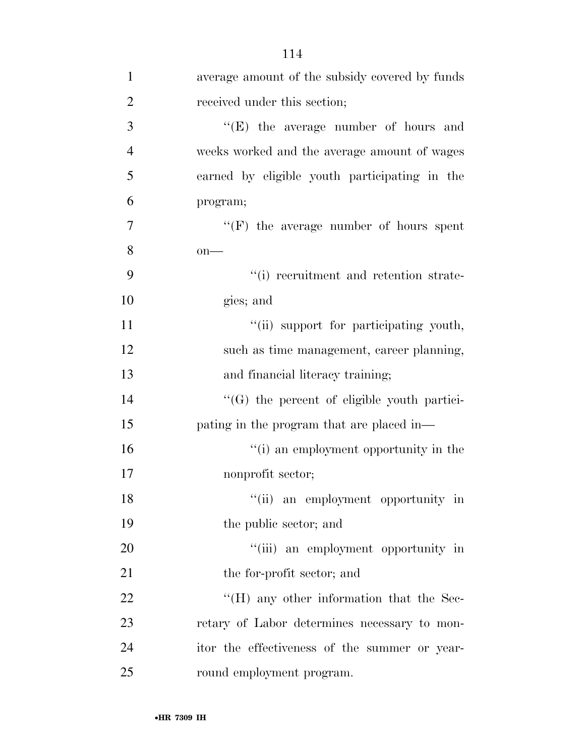| $\mathbf{1}$   | average amount of the subsidy covered by funds   |
|----------------|--------------------------------------------------|
| $\overline{2}$ | received under this section;                     |
| 3              | $\lq\lq(E)$ the average number of hours and      |
| 4              | weeks worked and the average amount of wages     |
| 5              | earned by eligible youth participating in the    |
| 6              | program;                                         |
| 7              | $``(F)$ the average number of hours spent        |
| 8              | $on$ —                                           |
| 9              | "(i) recruitment and retention strate-           |
| 10             | gies; and                                        |
| 11             | "(ii) support for participating youth,           |
| 12             | such as time management, career planning,        |
| 13             | and financial literacy training;                 |
| 14             | "(G) the percent of eligible youth partici-      |
| 15             | pating in the program that are placed in—        |
| 16             | "(i) an employment opportunity in the            |
| 17             | nonprofit sector;                                |
| 18             | "(ii) an employment opportunity in               |
| 19             | the public sector; and                           |
| 20             | "(iii) an employment opportunity in              |
| 21             | the for-profit sector; and                       |
| 22             | $\rm{``(H)}$ any other information that the Sec- |
| 23             | retary of Labor determines necessary to mon-     |
| 24             | itor the effectiveness of the summer or year-    |
| 25             | round employment program.                        |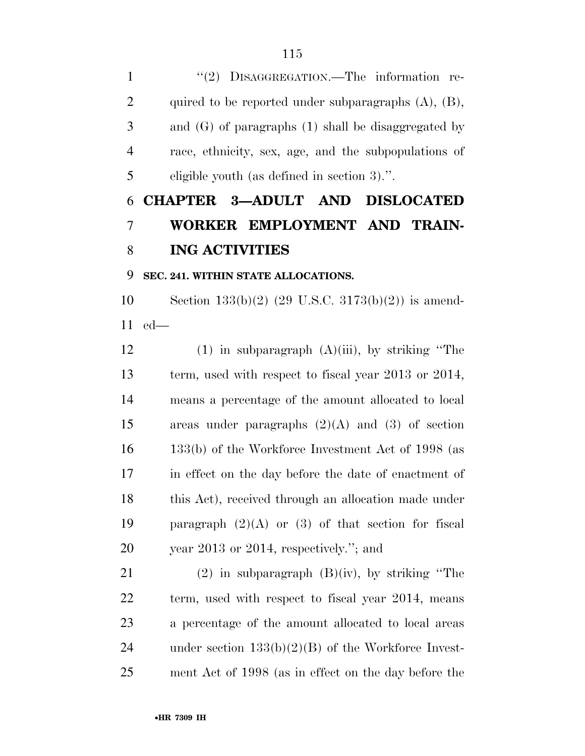1 "(2) DISAGGREGATION.—The information re- quired to be reported under subparagraphs (A), (B), and (G) of paragraphs (1) shall be disaggregated by race, ethnicity, sex, age, and the subpopulations of eligible youth (as defined in section 3).''.

## **CHAPTER 3—ADULT AND DISLOCATED WORKER EMPLOYMENT AND TRAIN-ING ACTIVITIES**

## **SEC. 241. WITHIN STATE ALLOCATIONS.**

 Section 133(b)(2) (29 U.S.C. 3173(b)(2)) is amend-ed—

12 (1) in subparagraph  $(A)(iii)$ , by striking "The term, used with respect to fiscal year 2013 or 2014, means a percentage of the amount allocated to local areas under paragraphs (2)(A) and (3) of section 133(b) of the Workforce Investment Act of 1998 (as in effect on the day before the date of enactment of 18 this Act), received through an allocation made under 19 paragraph  $(2)(A)$  or  $(3)$  of that section for fiscal year 2013 or 2014, respectively.''; and

21 (2) in subparagraph  $(B)(iv)$ , by striking "The term, used with respect to fiscal year 2014, means a percentage of the amount allocated to local areas under section 133(b)(2)(B) of the Workforce Invest-ment Act of 1998 (as in effect on the day before the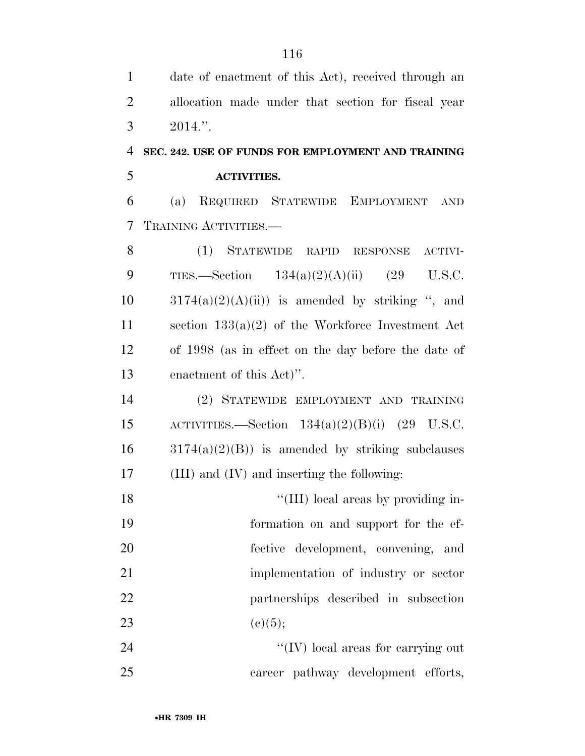| $\mathbf{1}$   | date of enactment of this Act), received through an |
|----------------|-----------------------------------------------------|
| $\overline{2}$ | allocation made under that section for fiscal year  |
| 3              | $2014."$ .                                          |
| $\overline{4}$ | SEC. 242. USE OF FUNDS FOR EMPLOYMENT AND TRAINING  |
| 5              | <b>ACTIVITIES.</b>                                  |
| 6              | REQUIRED STATEWIDE EMPLOYMENT<br>(a)<br><b>AND</b>  |
| 7              | TRAINING ACTIVITIES.                                |
| 8              | (1) STATEWIDE RAPID RESPONSE<br>ACTIVI-             |
| 9              | TIES.—Section $134(a)(2)(A)(ii)$ (29 U.S.C.         |
| 10             | $3174(a)(2)(A(ii))$ is amended by striking ", and   |
| 11             | section $133(a)(2)$ of the Workforce Investment Act |
| 12             | of 1998 (as in effect on the day before the date of |
| 13             | enactment of this Act)".                            |
| 14             | (2) STATEWIDE EMPLOYMENT AND TRAINING               |
| 15             | ACTIVITIES.—Section $134(a)(2)(B)(i)$ (29 U.S.C.    |
| 16             | $3174(a)(2)(B)$ is amended by striking subclauses   |
| 17             | (III) and (IV) and inserting the following:         |
| 18             | "(III) local areas by providing in-                 |
| 19             | formation on and support for the ef-                |
| 20             | fective development, convening, and                 |
| 21             | implementation of industry or sector                |
| 22             | partnerships described in subsection                |
| 23             | (c)(5);                                             |
| 24             | "(IV) local areas for carrying out                  |
| 25             | career pathway development efforts,                 |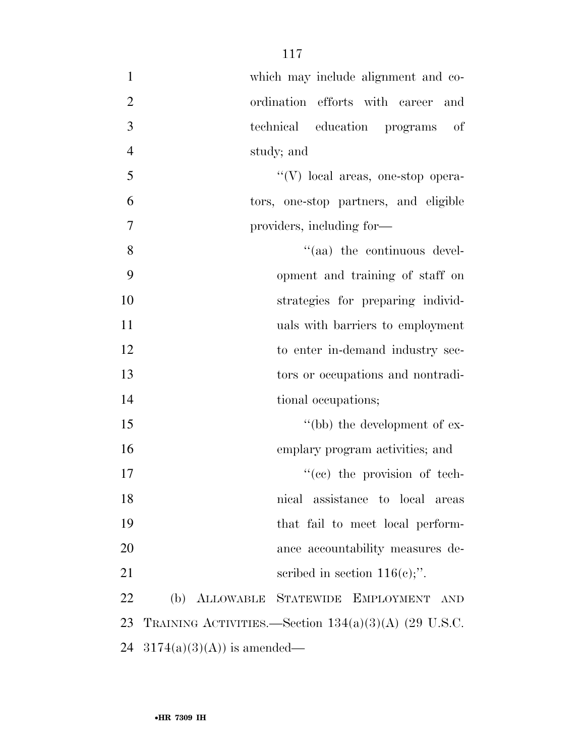| $\mathbf{1}$   | which may include alignment and co-                    |
|----------------|--------------------------------------------------------|
| $\mathbf{2}$   | ordination efforts with career and                     |
| $\overline{3}$ | technical education programs<br>of                     |
| $\overline{4}$ | study; and                                             |
| 5              | "(V) local areas, one-stop opera-                      |
| 6              | tors, one-stop partners, and eligible                  |
| 7              | providers, including for-                              |
| 8              | "(aa) the continuous devel-                            |
| 9              | opment and training of staff on                        |
| 10             | strategies for preparing individ-                      |
| 11             | uals with barriers to employment                       |
| 12             | to enter in-demand industry sec-                       |
| 13             | tors or occupations and nontradi-                      |
| 14             | tional occupations;                                    |
| 15             | "(bb) the development of ex-                           |
| 16             | emplary program activities; and                        |
| 17             | "(cc) the provision of tech-                           |
| 18             | nical assistance to local areas                        |
| 19             | that fail to meet local perform-                       |
| 20             | ance accountability measures de-                       |
| 21             | scribed in section $116(e)$ ;".                        |
| 22             | ALLOWABLE STATEWIDE EMPLOYMENT<br>(b)<br><b>AND</b>    |
| 23             | TRAINING ACTIVITIES.—Section $134(a)(3)(A)$ (29 U.S.C. |
| 24             | $3174(a)(3)(A)$ is amended—                            |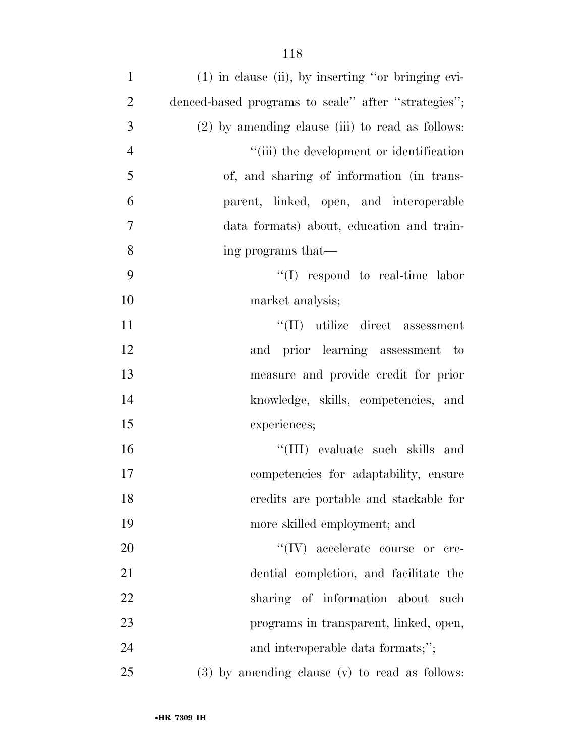| $\mathbf{1}$   | $(1)$ in clause (ii), by inserting "or bringing evi- |
|----------------|------------------------------------------------------|
| $\overline{2}$ | denced-based programs to scale" after "strategies";  |
| 3              | $(2)$ by amending clause (iii) to read as follows:   |
| $\overline{4}$ | "(iii) the development or identification             |
| 5              | of, and sharing of information (in trans-            |
| 6              | parent, linked, open, and interoperable              |
| 7              | data formats) about, education and train-            |
| 8              | ing programs that—                                   |
| 9              | $\lq\lq$ respond to real-time labor                  |
| 10             | market analysis;                                     |
| 11             | "(II) utilize direct assessment                      |
| 12             | and prior learning assessment to                     |
| 13             | measure and provide credit for prior                 |
| 14             | knowledge, skills, competencies, and                 |
| 15             | experiences;                                         |
| 16             | "(III) evaluate such skills and                      |
| 17             | competencies for adaptability, ensure                |
| 18             | credits are portable and stackable for               |
| 19             | more skilled employment; and                         |
| 20             | $``(IV)$ accelerate course or cre-                   |
| 21             | dential completion, and facilitate the               |
| 22             | sharing of information about<br>such                 |
| 23             | programs in transparent, linked, open,               |
| 24             | and interoperable data formats;";                    |
| 25             | $(3)$ by amending clause $(v)$ to read as follows:   |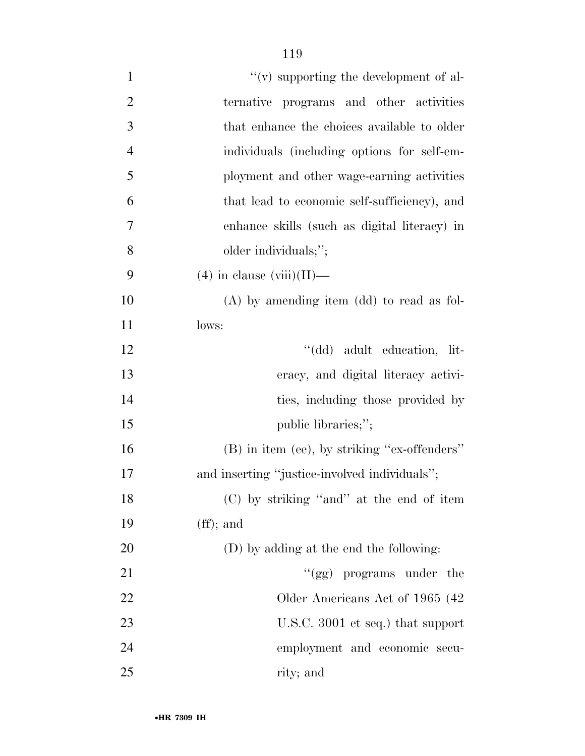| $\mathbf{1}$   | $\lq\lq$ supporting the development of al-    |
|----------------|-----------------------------------------------|
| $\overline{2}$ | programs and other activities<br>ternative    |
| 3              | that enhance the choices available to older   |
| $\overline{4}$ | individuals (including options for self-em-   |
| 5              | ployment and other wage-earning activities    |
| 6              | that lead to economic self-sufficiency), and  |
| $\tau$         | enhance skills (such as digital literacy) in  |
| 8              | older individuals;";                          |
| 9              | $(4)$ in clause (viii)(II)—                   |
| 10             | $(A)$ by amending item $(dd)$ to read as fol- |
| 11             | lows:                                         |
| 12             | "(dd) adult education, lit-                   |
| 13             | eracy, and digital literacy activi-           |
| 14             | ties, including those provided by             |
| 15             | public libraries;";                           |
| 16             | (B) in item (ee), by striking "ex-offenders"  |
| 17             | and inserting "justice-involved individuals"; |
| 18             | (C) by striking "and" at the end of item      |
| 19             | $(f\!f)$ ; and                                |
| 20             | (D) by adding at the end the following:       |
| 21             | "(gg) programs under the                      |
| 22             | Older Americans Act of 1965 (42)              |
| 23             | U.S.C. 3001 et seq.) that support             |
| 24             | employment and economic secu-                 |
| 25             | rity; and                                     |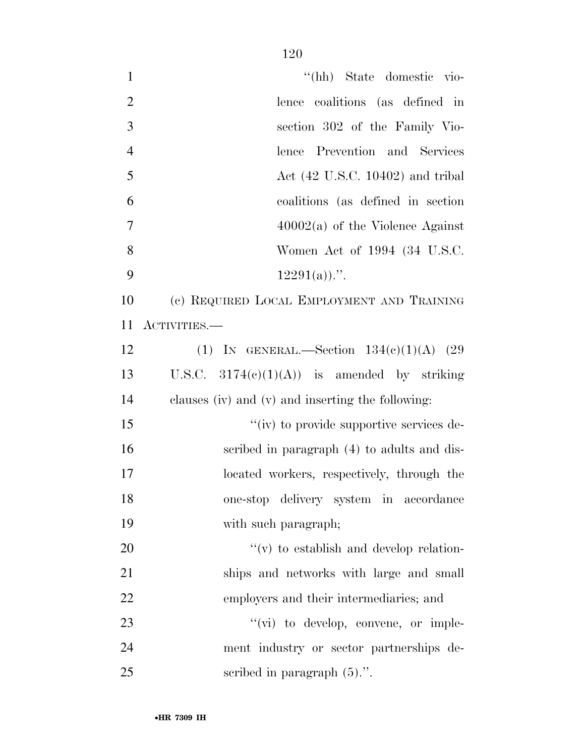| $\mathbf{1}$   | "(hh) State domestic vio-                         |
|----------------|---------------------------------------------------|
| $\overline{2}$ | lence coalitions (as defined in                   |
| 3              | section 302 of the Family Vio-                    |
| $\overline{4}$ | lence Prevention and Services                     |
| 5              | Act $(42 \text{ U.S.C. } 10402)$ and tribal       |
| 6              | coalitions (as defined in section                 |
| $\tau$         | $40002(a)$ of the Violence Against                |
| 8              | Women Act of 1994 (34 U.S.C.                      |
| 9              | $12291(a)$ .".                                    |
| 10             | (c) REQUIRED LOCAL EMPLOYMENT AND TRAINING        |
| 11             | ACTIVITIES.—                                      |
| 12             | (1) IN GENERAL.—Section $134(e)(1)(A)$ (29        |
| 13             | U.S.C. $3174(e)(1)(A)$ is amended by striking     |
| 14             | clauses (iv) and (v) and inserting the following: |
| 15             | "(iv) to provide supportive services de-          |
| 16             | scribed in paragraph (4) to adults and dis-       |
| 17             | located workers, respectively, through the        |
| 18             | one-stop delivery system in accordance            |
| 19             | with such paragraph;                              |
| 20             | $f'(v)$ to establish and develop relation-        |
| 21             | ships and networks with large and small           |
| 22             | employers and their intermediaries; and           |
| 23             | $\lq\lq$ (vi) to develop, convene, or imple-      |
| 24             | ment industry or sector partnerships de-          |
| 25             | scribed in paragraph $(5)$ .".                    |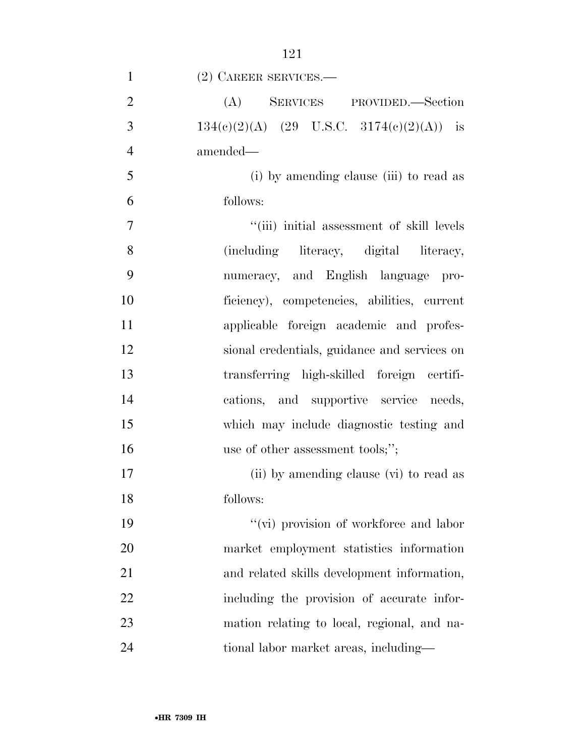| $\mathbf{1}$   | $(2)$ CAREER SERVICES.—                      |
|----------------|----------------------------------------------|
| $\overline{2}$ | (A) SERVICES PROVIDED.—Section               |
| 3              | 134(c)(2)(A) (29 U.S.C. 3174(e)(2)(A)) is    |
| $\overline{4}$ | amended—                                     |
| 5              | (i) by amending clause (iii) to read as      |
| 6              | follows:                                     |
| $\tau$         | "(iii) initial assessment of skill levels    |
| 8              | (including literacy, digital literacy,       |
| 9              | numeracy, and English language pro-          |
| 10             | ficiency), competencies, abilities, current  |
| 11             | applicable foreign academic and profes-      |
| 12             | sional credentials, guidance and services on |
| 13             | transferring high-skilled foreign certifi-   |
| 14             | cations, and supportive service needs,       |
| 15             | which may include diagnostic testing and     |
| 16             | use of other assessment tools;";             |
| 17             | (ii) by amending clause (vi) to read as      |
| 18             | follows:                                     |
| 19             | "(vi) provision of workforce and labor       |
| 20             | market employment statistics information     |
| 21             | and related skills development information,  |
| 22             | including the provision of accurate infor-   |
| 23             | mation relating to local, regional, and na-  |
| 24             | tional labor market areas, including—        |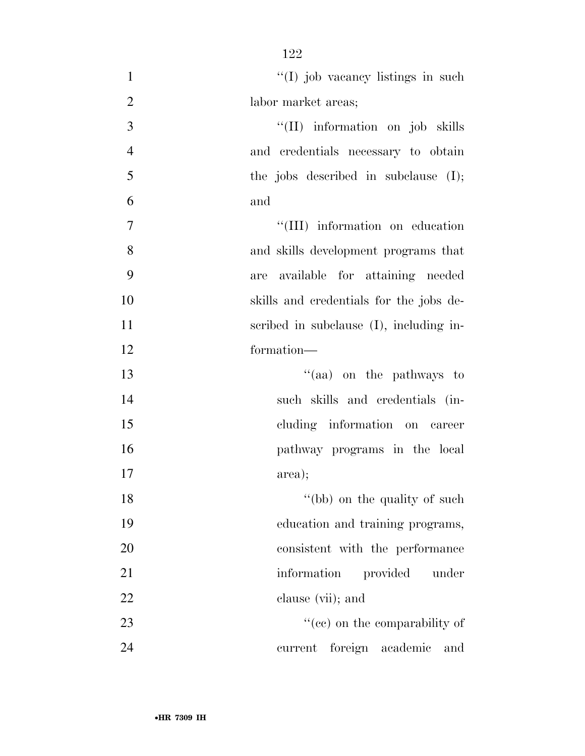| $\mathbf{1}$   | "(I) job vacancy listings in such       |
|----------------|-----------------------------------------|
| $\overline{2}$ | labor market areas;                     |
| 3              | "(II) information on job skills         |
| $\overline{4}$ | and credentials necessary to obtain     |
| 5              | the jobs described in subclause $(I);$  |
| 6              | and                                     |
| 7              | "(III) information on education         |
| 8              | and skills development programs that    |
| 9              | available for attaining needed<br>are   |
| 10             | skills and credentials for the jobs de- |
| 11             | scribed in subclause (I), including in- |
| 12             | formation-                              |
| 13             | "(aa) on the pathways to                |
| 14             | such skills and credentials (in-        |
| 15             | cluding information on career           |
| 16             | pathway programs in the local           |
| 17             | area);                                  |
| 18             | "(bb) on the quality of such            |
| 19             | education and training programs,        |
| 20             | consistent with the performance         |
| 21             | information<br>provided<br>under        |
| 22             | clause (vii); and                       |
| 23             | "(cc) on the comparability of           |
| 24             | current foreign academic<br>and         |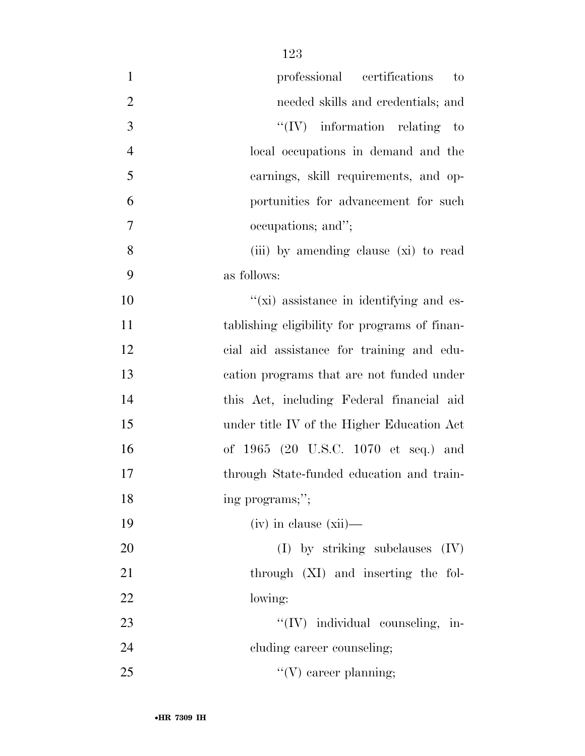| $\mathbf{1}$   | professional certifications<br>$\mathbf{t}$   |
|----------------|-----------------------------------------------|
| $\overline{2}$ | needed skills and credentials; and            |
| 3              | $\lq\lq (IV)$ information relating to         |
| $\overline{4}$ | local occupations in demand and the           |
| 5              | earnings, skill requirements, and op-         |
| 6              | portunities for advancement for such          |
| $\overline{7}$ | occupations; and";                            |
| 8              | (iii) by amending clause (xi) to read         |
| 9              | as follows:                                   |
| 10             | "(xi) assistance in identifying and es-       |
| 11             | tablishing eligibility for programs of finan- |
| 12             | cial aid assistance for training and edu-     |
| 13             | cation programs that are not funded under     |
| 14             | this Act, including Federal financial aid     |
| 15             | under title IV of the Higher Education Act    |
| 16             | of 1965 (20 U.S.C. 1070 et seq.) and          |
| 17             | through State-funded education and train-     |
| 18             | ing programs;";                               |
| 19             | $(iv)$ in clause $(xii)$ —                    |
| 20             | $(I)$ by striking subclauses $(IV)$           |
| 21             | through (XI) and inserting the fol-           |
| 22             | lowing:                                       |
| 23             | "(IV) individual counseling, in-              |
| 24             | cluding career counseling;                    |
| 25             | $\lq\lq(V)$ career planning;                  |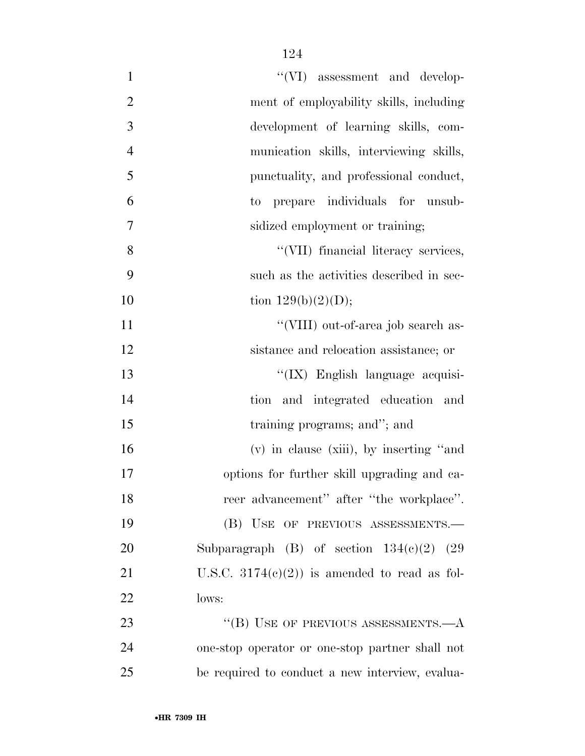| $\mathbf{1}$     | "(VI) assessment and develop-                   |
|------------------|-------------------------------------------------|
| $\overline{2}$   | ment of employability skills, including         |
| 3                | development of learning skills, com-            |
| $\overline{4}$   | munication skills, interviewing skills,         |
| 5                | punctuality, and professional conduct,          |
| 6                | prepare individuals for unsub-<br>to            |
| $\boldsymbol{7}$ | sidized employment or training;                 |
| 8                | "(VII) financial literacy services,             |
| 9                | such as the activities described in sec-        |
| 10               | tion $129(b)(2)(D);$                            |
| 11               | "(VIII) out-of-area job search as-              |
| 12               | sistance and relocation assistance; or          |
| 13               | "(IX) English language acquisi-                 |
| 14               | tion and integrated education and               |
| 15               | training programs; and"; and                    |
| 16               | $(v)$ in clause (xiii), by inserting "and"      |
| 17               | options for further skill upgrading and ca-     |
| 18               | reer advancement" after "the workplace".        |
| 19               | (B) USE OF PREVIOUS ASSESSMENTS.-               |
| 20               | Subparagraph (B) of section $134(c)(2)$ (29)    |
| 21               | U.S.C. $3174(e)(2)$ is amended to read as fol-  |
| 22               | lows:                                           |
| 23               | "(B) USE OF PREVIOUS ASSESSMENTS.— $A$          |
| 24               | one-stop operator or one-stop partner shall not |
| 25               | be required to conduct a new interview, evalua- |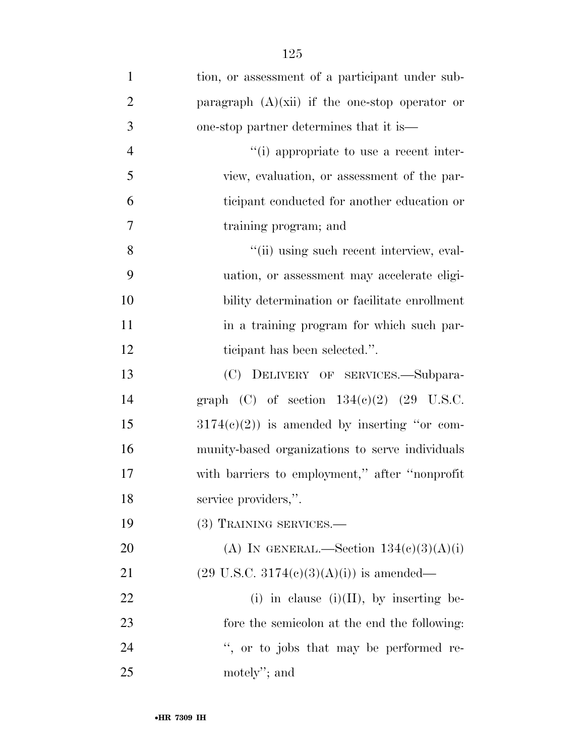| $\mathbf{1}$   | tion, or assessment of a participant under sub-     |
|----------------|-----------------------------------------------------|
| $\overline{2}$ | paragraph $(A)(xii)$ if the one-stop operator or    |
| 3              | one-stop partner determines that it is—             |
| $\overline{4}$ | "(i) appropriate to use a recent inter-             |
| 5              | view, evaluation, or assessment of the par-         |
| 6              | ticipant conducted for another education or         |
| 7              | training program; and                               |
| 8              | "(ii) using such recent interview, eval-            |
| 9              | uation, or assessment may accelerate eligi-         |
| 10             | bility determination or facilitate enrollment       |
| 11             | in a training program for which such par-           |
| 12             | ticipant has been selected.".                       |
| 13             | (C) DELIVERY OF SERVICES.—Subpara-                  |
| 14             | graph (C) of section $134(e)(2)$ (29 U.S.C.         |
| 15             | $3174(c)(2)$ ) is amended by inserting "or com-     |
| 16             | munity-based organizations to serve individuals     |
| 17             | with barriers to employment," after "nonprofit      |
| 18             | service providers,".                                |
| 19             | (3) TRAINING SERVICES.—                             |
| 20             | (A) IN GENERAL.—Section $134(c)(3)(A)(i)$           |
| 21             | $(29 \text{ U.S.C. } 3174(e)(3)(A)(i))$ is amended— |
| 22             | (i) in clause (i)(II), by inserting be-             |
| 23             | fore the semicolon at the end the following:        |
| 24             | ", or to jobs that may be performed re-             |
| 25             | motely"; and                                        |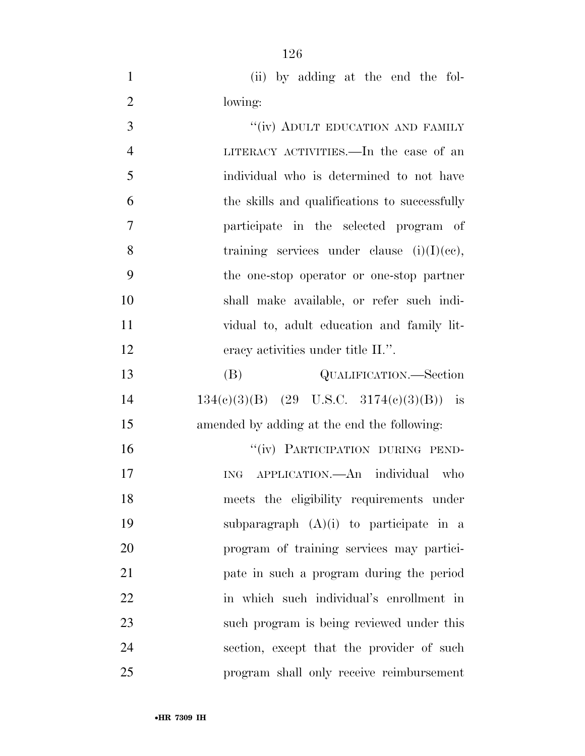1 (ii) by adding at the end the fol-lowing:

| 3              | "(iv) ADULT EDUCATION AND FAMILY              |
|----------------|-----------------------------------------------|
| $\overline{4}$ | LITERACY ACTIVITIES.—In the case of an        |
| 5              | individual who is determined to not have      |
| 6              | the skills and qualifications to successfully |
| 7              | participate in the selected program of        |
| 8              | training services under clause $(i)(I)(ce)$ , |
| 9              | the one-stop operator or one-stop partner     |
| 10             | shall make available, or refer such indi-     |
| 11             | vidual to, adult education and family lit-    |
| 12             | eracy activities under title II.".            |
| 13             | (B)<br>QUALIFICATION.—Section                 |
| 14             | $134(c)(3)(B)$ (29 U.S.C. 3174(c)(3)(B)) is   |
| 15             | amended by adding at the end the following:   |
| 16             | "(iv) PARTICIPATION DURING PEND-              |
| 17             | APPLICATION.—An individual who<br><b>ING</b>  |
| 18             | meets the eligibility requirements under      |
| 19             | subparagraph $(A)(i)$ to participate in a     |
| 20             | program of training services may partici-     |
| 21             | pate in such a program during the period      |
| 22             | in which such individual's enrollment in      |
| 23             | such program is being reviewed under this     |
| 24             | section, except that the provider of such     |
| 25             | program shall only receive reimbursement      |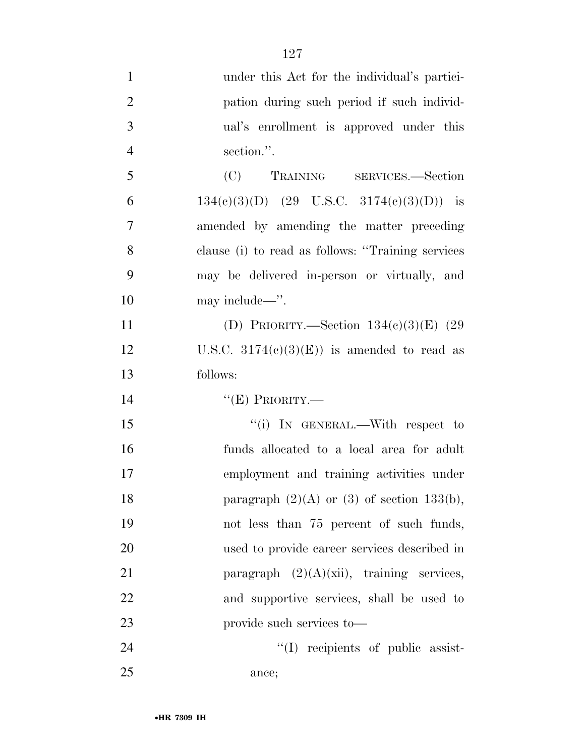under this Act for the individual's partici- pation during such period if such individ- ual's enrollment is approved under this section.''. (C) TRAINING SERVICES.—Section 6 134(e)(3)(D) (29 U.S.C. 3174(e)(3)(D)) is amended by amending the matter preceding clause (i) to read as follows: ''Training services may be delivered in-person or virtually, and 10 may include—". (D) PRIORITY.—Section 134(c)(3)(E) (29 12 U.S.C.  $3174(e)(3)(E)$  is amended to read as follows: ''(E) PRIORITY.— 15 "(i) IN GENERAL.—With respect to funds allocated to a local area for adult employment and training activities under 18 paragraph  $(2)(A)$  or  $(3)$  of section 133(b), not less than 75 percent of such funds, used to provide career services described in 21 paragraph  $(2)(A)(xii)$ , training services, and supportive services, shall be used to provide such services to— ''(I) recipients of public assist-

ance;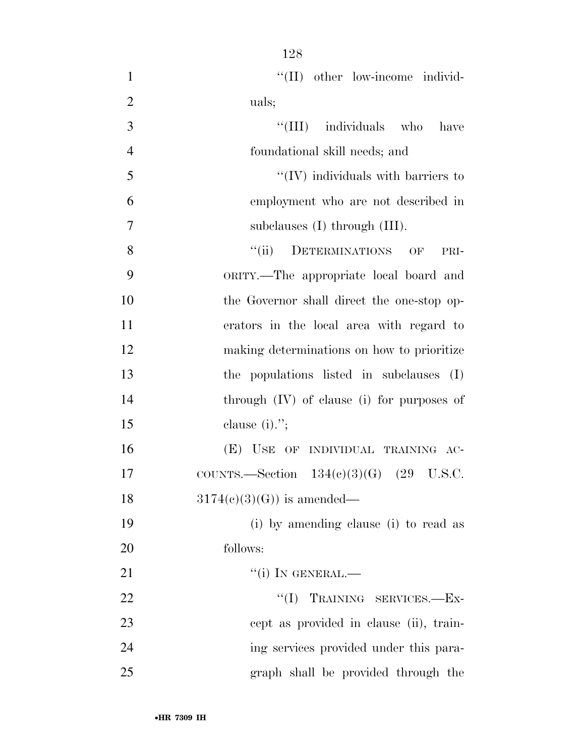$\lq(II)$  other low-income individ-2 uals;  $\frac{1}{1}$  individuals who have foundational skill needs; and  $\mathcal{F}$   $\mathcal{F}$   $\mathcal{F}$  (IV) individuals with barriers to employment who are not described in subclauses (I) through (III). 8 "(ii) DETERMINATIONS OF PRI- ORITY.—The appropriate local board and the Governor shall direct the one-stop op- erators in the local area with regard to making determinations on how to prioritize the populations listed in subclauses (I) through (IV) of clause (i) for purposes of clause (i).''; (E) USE OF INDIVIDUAL TRAINING AC- COUNTS.—Section 134(c)(3)(G) (29 U.S.C.  $3174(e)(3)(G)$  is amended— (i) by amending clause (i) to read as follows:  $''(i)$  In GENERAL.—

22 ''(I) TRAINING SERVICES.—Ex-23 cept as provided in clause (ii), train- ing services provided under this para-graph shall be provided through the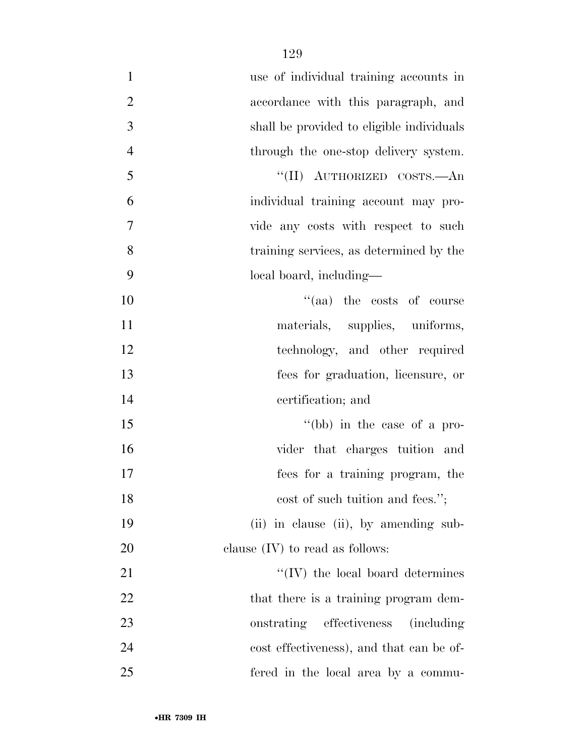| $\mathbf{1}$   | use of individual training accounts in         |
|----------------|------------------------------------------------|
| $\mathbf{2}$   | accordance with this paragraph, and            |
| 3              | shall be provided to eligible individuals      |
| $\overline{4}$ | through the one-stop delivery system.          |
| 5              | "(II) AUTHORIZED COSTS.—An                     |
| 6              | individual training account may pro-           |
| 7              | vide any costs with respect to such            |
| 8              | training services, as determined by the        |
| 9              | local board, including—                        |
| 10             | "(aa) the costs of course                      |
| 11             | materials, supplies, uniforms,                 |
| 12             | technology, and other required                 |
| 13             | fees for graduation, licensure, or             |
| 14             | certification; and                             |
| 15             | "(bb) in the case of a pro-                    |
| 16             | vider that charges tuition and                 |
| 17             | fees for a training program, the               |
| 18             | cost of such tuition and fees.";               |
| 19             | (ii) in clause (ii), by amending sub-          |
| 20             | clause $(IV)$ to read as follows:              |
| 21             | $\lq \lq (IV)$ the local board determines      |
| 22             | that there is a training program dem-          |
| 23             | onstrating effectiveness<br><i>(including)</i> |
| 24             | cost effectiveness), and that can be of-       |
| 25             | fered in the local area by a commu-            |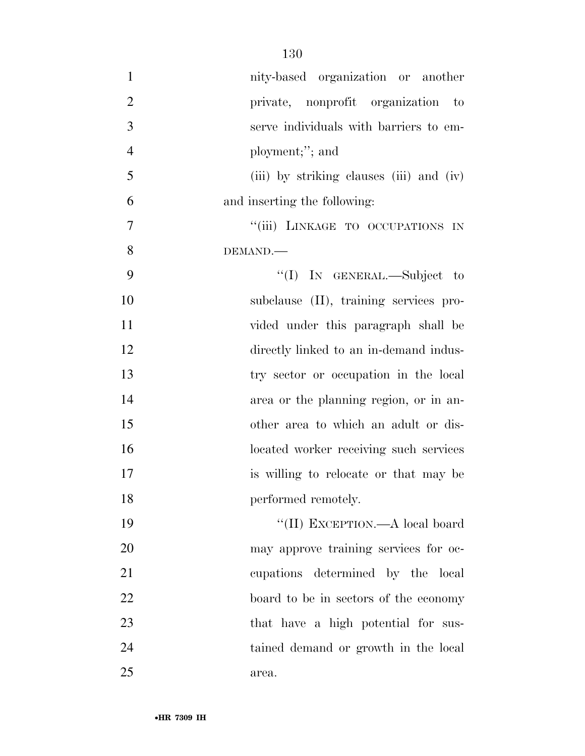| $\mathbf{1}$   | nity-based organization or another       |
|----------------|------------------------------------------|
| $\overline{2}$ | private, nonprofit organization to       |
| 3              | serve individuals with barriers to em-   |
| $\overline{4}$ | ployment;"; and                          |
| 5              | (iii) by striking clauses (iii) and (iv) |
| 6              | and inserting the following:             |
| 7              | "(iii) LINKAGE TO OCCUPATIONS IN         |
| 8              | DEMAND.                                  |
| 9              | "(I) IN GENERAL.—Subject to              |
| 10             | subclause (II), training services pro-   |
| 11             | vided under this paragraph shall be      |
| 12             | directly linked to an in-demand indus-   |
| 13             | try sector or occupation in the local    |
| 14             | area or the planning region, or in an-   |
| 15             | other area to which an adult or dis-     |
| 16             | located worker receiving such services   |
| 17             | is willing to relocate or that may be    |
| 18             | performed remotely.                      |
| 19             | "(II) EXCEPTION.—A local board           |
| 20             | may approve training services for oc-    |
| 21             | cupations determined by the local        |
| 22             | board to be in sectors of the economy    |
| 23             | that have a high potential for sus-      |
| 24             | tained demand or growth in the local     |
| 25             | area.                                    |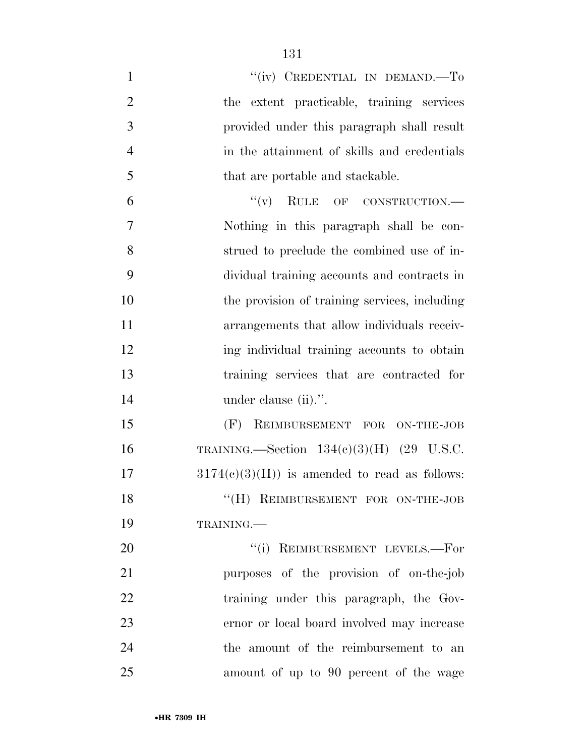| $\mathbf{1}$   | "(iv) CREDENTIAL IN DEMAND.—To                 |
|----------------|------------------------------------------------|
| $\overline{2}$ | the extent practicable, training services      |
| 3              | provided under this paragraph shall result     |
| $\overline{4}$ | in the attainment of skills and credentials    |
| 5              | that are portable and stackable.               |
| 6              | $``(v)$ RULE OF CONSTRUCTION.—                 |
| 7              | Nothing in this paragraph shall be con-        |
| 8              | strued to preclude the combined use of in-     |
| 9              | dividual training accounts and contracts in    |
| 10             | the provision of training services, including  |
| 11             | arrangements that allow individuals receiv-    |
| 12             | ing individual training accounts to obtain     |
| 13             | training services that are contracted for      |
| 14             | under clause (ii).".                           |
| 15             | (F) REIMBURSEMENT FOR ON-THE-JOB               |
| 16             | TRAINING.—Section $134(e)(3)(H)$ (29 U.S.C.    |
| 17             | $3174(c)(3)(H)$ is amended to read as follows: |
| 18             | "(H) REIMBURSEMENT FOR ON-THE-JOB              |
| 19             | TRAINING.                                      |
| 20             | "(i) REIMBURSEMENT LEVELS.-For                 |
| 21             | purposes of the provision of on-the-job        |
| 22             | training under this paragraph, the Gov-        |
| 23             | ernor or local board involved may increase     |
| 24             | the amount of the reimbursement to an          |
| 25             | amount of up to 90 percent of the wage         |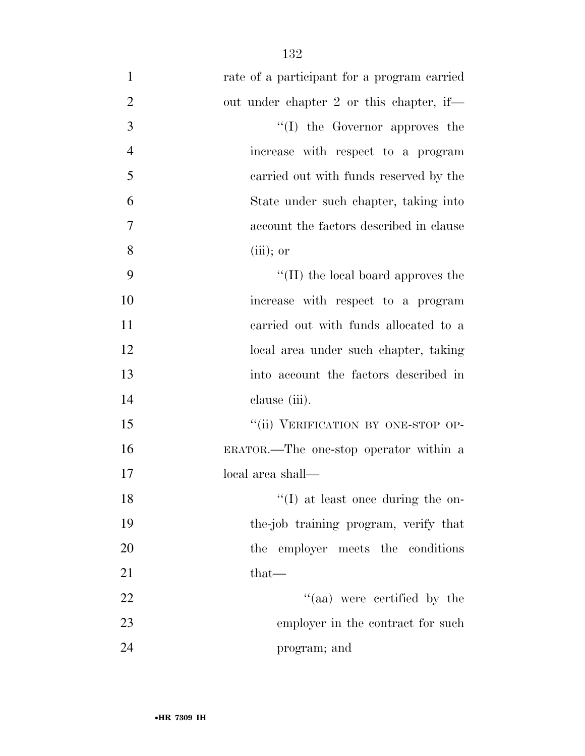| $\mathbf{1}$   | rate of a participant for a program carried |
|----------------|---------------------------------------------|
| $\overline{2}$ | out under chapter 2 or this chapter, if—    |
| 3              | $\lq\lq$ the Governor approves the          |
| $\overline{4}$ | increase with respect to a program          |
| 5              | carried out with funds reserved by the      |
| 6              | State under such chapter, taking into       |
| 7              | account the factors described in clause     |
| 8              | $(iii)$ ; or                                |
| 9              | $\lq\lq$ (II) the local board approves the  |
| 10             | increase with respect to a program          |
| 11             | carried out with funds allocated to a       |
| 12             | local area under such chapter, taking       |
| 13             | into account the factors described in       |
| 14             | clause (iii).                               |
| 15             | "(ii) VERIFICATION BY ONE-STOP OP-          |
| 16             | ERATOR.—The one-stop operator within a      |
| 17             | local area shall—                           |
| 18             | $\lq\lq$ (I) at least once during the on-   |
| 19             | the-job training program, verify that       |
| 20             | the employer meets the conditions           |
| 21             | $that-$                                     |
| 22             | "(aa) were certified by the                 |
| 23             | employer in the contract for such           |
| 24             | program; and                                |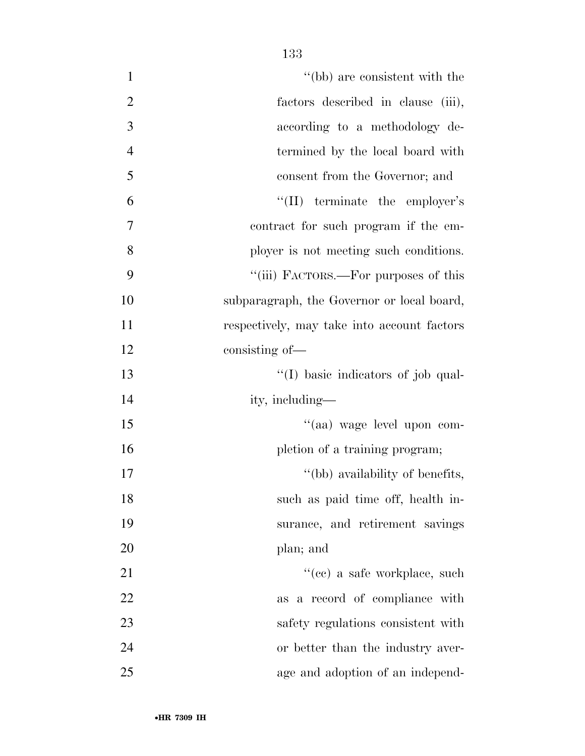| $\mathbf{1}$   | "(bb) are consistent with the               |
|----------------|---------------------------------------------|
| $\overline{2}$ | factors described in clause (iii),          |
| $\overline{3}$ | according to a methodology de-              |
| $\overline{4}$ | termined by the local board with            |
| 5              | consent from the Governor; and              |
| 6              | "(II) terminate the employer's              |
| 7              | contract for such program if the em-        |
| 8              | ployer is not meeting such conditions.      |
| 9              | "(iii) FACTORS.—For purposes of this        |
| 10             | subparagraph, the Governor or local board,  |
| 11             | respectively, may take into account factors |
| 12             | consisting of-                              |
| 13             | "(I) basic indicators of job qual-          |
| 14             | ity, including—                             |
| 15             | "(aa) wage level upon com-                  |
| 16             | pletion of a training program;              |
| 17             | "(bb) availability of benefits,             |
| 18             | such as paid time off, health in-           |
| 19             | surance, and retirement savings             |
| 20             | plan; and                                   |
| 21             | "(ce) a safe workplace, such                |
| 22             | as a record of compliance with              |
| 23             | safety regulations consistent with          |
| 24             | or better than the industry aver-           |
| 25             | age and adoption of an independ-            |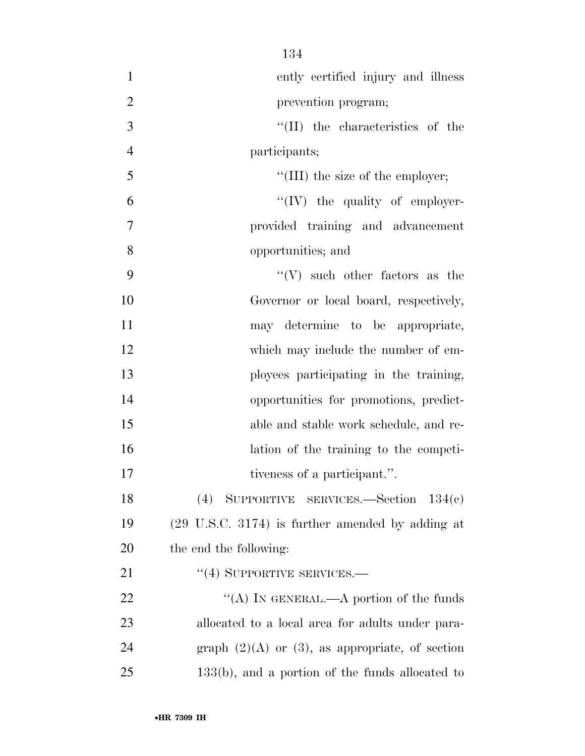| $\mathbf{1}$   | ently certified injury and illness                          |
|----------------|-------------------------------------------------------------|
| $\overline{2}$ | prevention program;                                         |
| 3              | $\lq\lq$ (II) the characteristics of the                    |
| $\overline{4}$ | participants;                                               |
| 5              | "(III) the size of the employer;                            |
| 6              | $\lq\lq (IV)$ the quality of employer-                      |
| 7              | provided training and advancement                           |
| 8              | opportunities; and                                          |
| 9              | $\lq\lq (V)$ such other factors as the                      |
| 10             | Governor or local board, respectively,                      |
| 11             | may determine to be appropriate,                            |
| 12             | which may include the number of em-                         |
| 13             | ployees participating in the training,                      |
| 14             | opportunities for promotions, predict-                      |
| 15             | able and stable work schedule, and re-                      |
| 16             | lation of the training to the competi-                      |
| 17             | tiveness of a participant.".                                |
| 18             | (4) SUPPORTIVE SERVICES.—Section $134(c)$                   |
| 19             | $(29 \text{ U.S.C. } 3174)$ is further amended by adding at |
| 20             | the end the following:                                      |
| 21             | $``(4)$ SUPPORTIVE SERVICES.—                               |
| 22             | "(A) IN GENERAL.—A portion of the funds                     |
| 23             | allocated to a local area for adults under para-            |
| 24             | graph $(2)(A)$ or $(3)$ , as appropriate, of section        |
| 25             | $133(b)$ , and a portion of the funds allocated to          |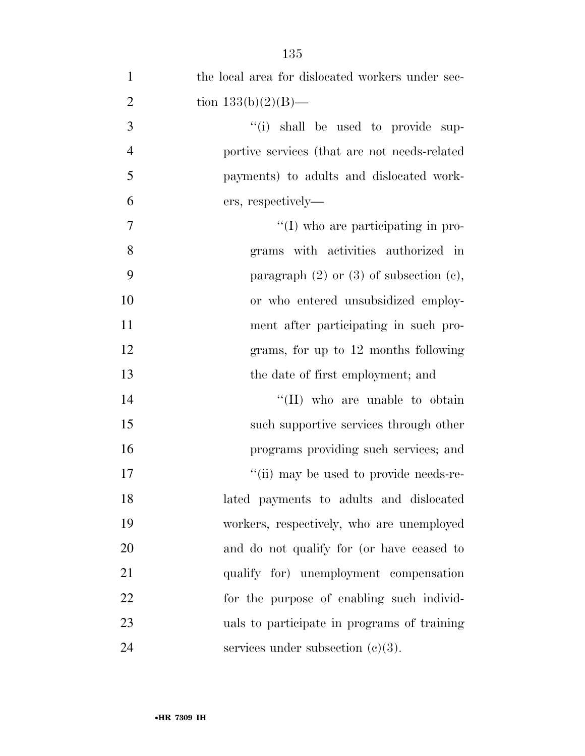| $\mathbf{1}$   | the local area for dislocated workers under sec- |
|----------------|--------------------------------------------------|
| $\overline{2}$ | tion $133(b)(2)(B)$ —                            |
| 3              | "(i) shall be used to provide sup-               |
| $\overline{4}$ | portive services (that are not needs-related     |
| 5              | payments) to adults and dislocated work-         |
| 6              | ers, respectively—                               |
| 7              | $\lq\lq$ (I) who are participating in pro-       |
| 8              | grams with activities authorized in              |
| 9              | paragraph $(2)$ or $(3)$ of subsection $(e)$ ,   |
| 10             | or who entered unsubsidized employ-              |
| 11             | ment after participating in such pro-            |
| 12             | grams, for up to 12 months following             |
| 13             | the date of first employment; and                |
| 14             | "(II) who are unable to obtain                   |
| 15             | such supportive services through other           |
| 16             | programs providing such services; and            |
| 17             | "(ii) may be used to provide needs-re-           |
| 18             | lated payments to adults and dislocated          |
| 19             | workers, respectively, who are unemployed        |
| 20             | and do not qualify for (or have ceased to        |
| 21             | qualify for) unemployment compensation           |
| 22             | for the purpose of enabling such individ-        |
| 23             | uals to participate in programs of training      |
| 24             | services under subsection $(c)(3)$ .             |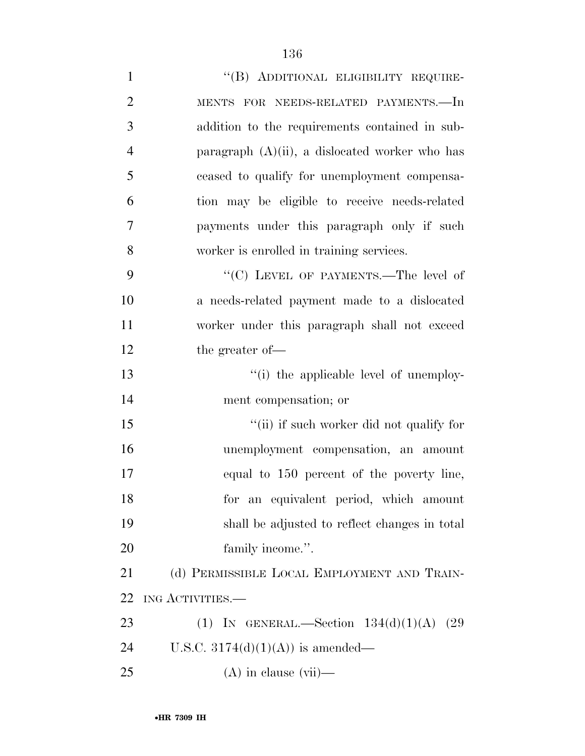| $\mathbf{1}$   | "(B) ADDITIONAL ELIGIBILITY REQUIRE-              |
|----------------|---------------------------------------------------|
| $\overline{2}$ | MENTS FOR NEEDS-RELATED PAYMENTS.-In              |
| 3              | addition to the requirements contained in sub-    |
| $\overline{4}$ | paragraph $(A)(ii)$ , a dislocated worker who has |
| 5              | ceased to qualify for unemployment compensa-      |
| 6              | tion may be eligible to receive needs-related     |
| 7              | payments under this paragraph only if such        |
| 8              | worker is enrolled in training services.          |
| 9              | "(C) LEVEL OF PAYMENTS.—The level of              |
| 10             | a needs-related payment made to a dislocated      |
| 11             | worker under this paragraph shall not exceed      |
| 12             | the greater of-                                   |
| 13             | "(i) the applicable level of unemploy-            |
| 14             | ment compensation; or                             |
| 15             | "(ii) if such worker did not qualify for          |
| 16             | unemployment compensation, an amount              |
| 17             | equal to 150 percent of the poverty line,         |
| 18             | for an equivalent period, which amount            |
| 19             | shall be adjusted to reflect changes in total     |
| 20             | family income.".                                  |
| 21             | (d) PERMISSIBLE LOCAL EMPLOYMENT AND TRAIN-       |
| 22             | ING ACTIVITIES.—                                  |
| 23             | (1) IN GENERAL.—Section $134(d)(1)(A)$<br>(29)    |
| 24             | U.S.C. $3174(d)(1)(A)$ is amended—                |
| 25             | $(A)$ in clause $(vii)$ —                         |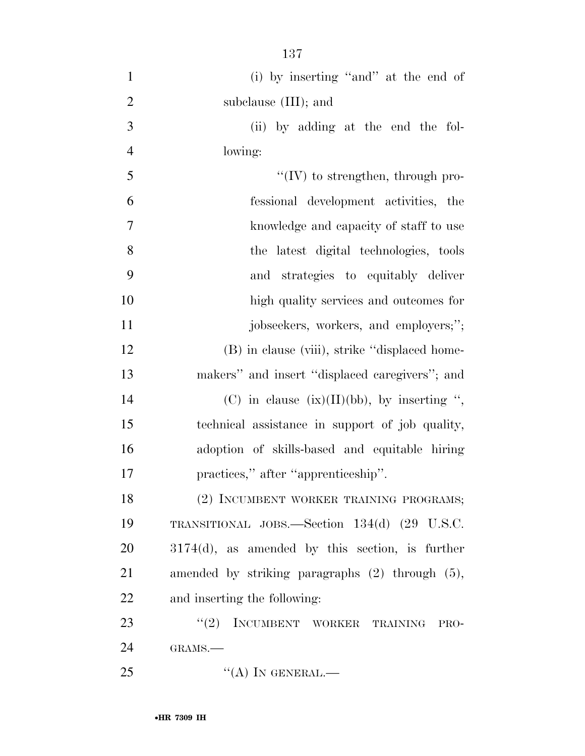| $\mathbf{1}$   | (i) by inserting "and" at the end of                 |
|----------------|------------------------------------------------------|
| $\overline{2}$ | subclause (III); and                                 |
| 3              | (ii) by adding at the end the fol-                   |
| $\overline{4}$ | lowing:                                              |
| 5              | $\lq\lq$ (IV) to strengthen, through pro-            |
| 6              | fessional development activities, the                |
| 7              | knowledge and capacity of staff to use               |
| 8              | the latest digital technologies, tools               |
| 9              | and strategies to equitably deliver                  |
| 10             | high quality services and outcomes for               |
| 11             | jobseekers, workers, and employers;";                |
| 12             | (B) in clause (viii), strike "displaced home-        |
| 13             | makers" and insert "displaced caregivers"; and       |
| 14             | (C) in clause $(ix)(II)(bb)$ , by inserting ",       |
| 15             | technical assistance in support of job quality,      |
| 16             | adoption of skills-based and equitable hiring        |
| 17             | practices," after "apprenticeship".                  |
| 18             | (2) INCUMBENT WORKER TRAINING PROGRAMS;              |
| 19             | TRANSITIONAL JOBS.—Section 134(d) (29 U.S.C.         |
| 20             | $3174(d)$ , as amended by this section, is further   |
| 21             | amended by striking paragraphs $(2)$ through $(5)$ , |
| 22             | and inserting the following:                         |
| 23             | (2)<br>INCUMBENT WORKER TRAINING<br>PRO-             |
| 24             | GRAMS.                                               |
| 25             | $``(A)$ IN GENERAL.—                                 |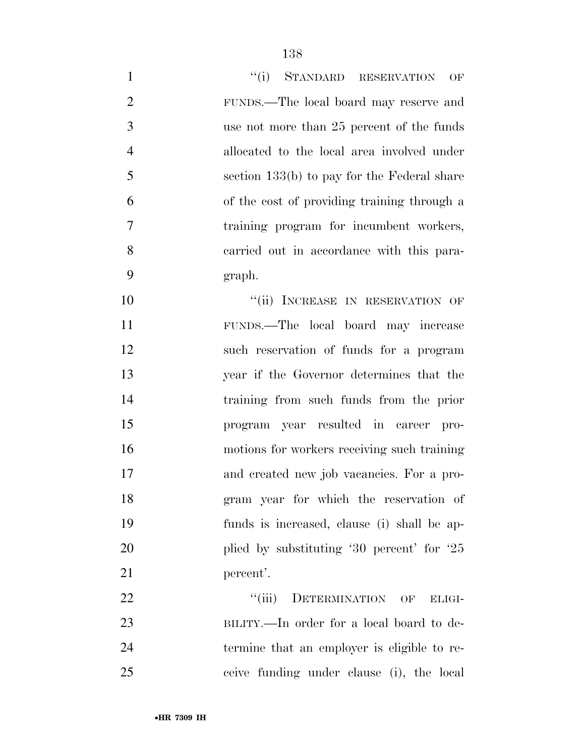| $\mathbf{1}$   | "(i) STANDARD RESERVATION<br>OF               |
|----------------|-----------------------------------------------|
| $\overline{2}$ | FUNDS.—The local board may reserve and        |
| 3              | use not more than 25 percent of the funds     |
| $\overline{4}$ | allocated to the local area involved under    |
| 5              | section $133(b)$ to pay for the Federal share |
| 6              | of the cost of providing training through a   |
| 7              | training program for incumbent workers,       |
| 8              | carried out in accordance with this para-     |
| 9              | graph.                                        |
| 10             | "(ii) INCREASE IN RESERVATION OF              |
| 11             | FUNDS.—The local board may increase           |
| 12             | such reservation of funds for a program       |
| 13             | year if the Governor determines that the      |
| 14             | training from such funds from the prior       |
| 15             | program year resulted in career pro-          |
| 16             | motions for workers receiving such training   |
| 17             | and created new job vacancies. For a pro-     |
| 18             | gram year for which the reservation of        |
| 19             | funds is increased, clause (i) shall be ap-   |
| 20             | plied by substituting $30$ percent for $25$   |
| 21             | percent'.                                     |
| 22             | "(iii) DETERMINATION OF ELIGI-                |
| 23             | BILITY.—In order for a local board to de-     |
| 24             | termine that an employer is eligible to re-   |

ceive funding under clause (i), the local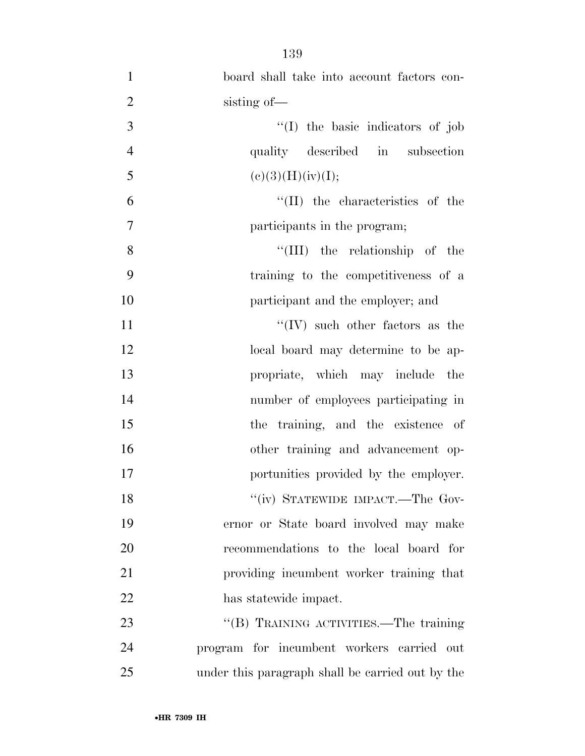- board shall take into account factors con-2 sisting of — ''(I) the basic indicators of job quality described in subsection 5 (e)(3)(H)(iv)(I);  $^{\prime\prime}$ (II) the characteristics of the participants in the program; 8 ''(III) the relationship of the training to the competitiveness of a participant and the employer; and 11  $\langle W \rangle$  such other factors as the 12 local board may determine to be ap- propriate, which may include the number of employees participating in 15 the training, and the existence of other training and advancement op- portunities provided by the employer. 18 "(iv) STATEWIDE IMPACT.—The Gov- ernor or State board involved may make recommendations to the local board for providing incumbent worker training that has statewide impact. 23 "'(B) TRAINING ACTIVITIES.—The training program for incumbent workers carried out
- under this paragraph shall be carried out by the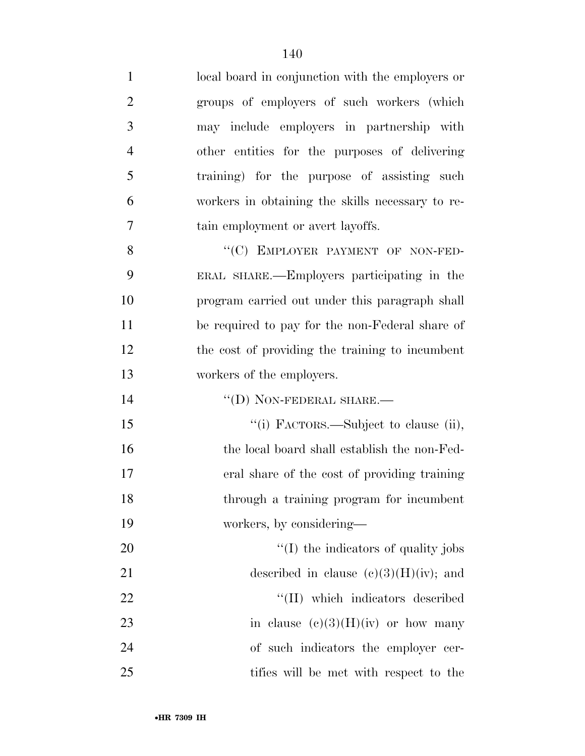local board in conjunction with the employers or groups of employers of such workers (which may include employers in partnership with other entities for the purposes of delivering training) for the purpose of assisting such workers in obtaining the skills necessary to re- tain employment or avert layoffs. 8 "(C) EMPLOYER PAYMENT OF NON-FED-

 ERAL SHARE.—Employers participating in the program carried out under this paragraph shall be required to pay for the non-Federal share of the cost of providing the training to incumbent workers of the employers.

14  $''(D)$  NON-FEDERAL SHARE.—

15 '(i) FACTORS.—Subject to clause (ii), 16 the local board shall establish the non-Fed- eral share of the cost of providing training through a training program for incumbent workers, by considering—

 $\frac{1}{20}$  The indicators of quality jobs 21 described in clause  $(e)(3)(H)(iv)$ ; and  $\text{``(II)}$  which indicators described 23 in clause  $(e)(3)(H)(iv)$  or how many of such indicators the employer cer-tifies will be met with respect to the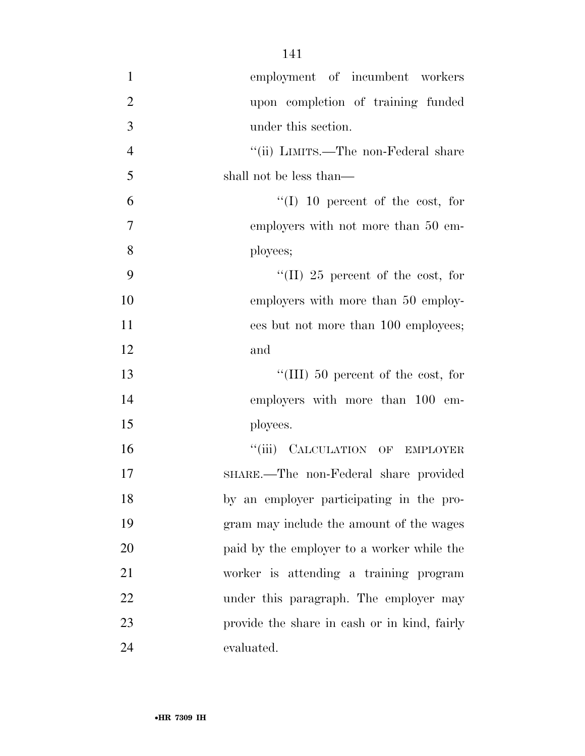| $\mathbf{1}$   | employment of incumbent workers              |
|----------------|----------------------------------------------|
| $\overline{2}$ | upon completion of training funded           |
| 3              | under this section.                          |
| $\overline{4}$ | "(ii) LIMITS.—The non-Federal share          |
| 5              | shall not be less than—                      |
| 6              | $\lq(1)$ 10 percent of the cost, for         |
| 7              | employers with not more than 50 em-          |
| 8              | ployees;                                     |
| 9              | "(II) 25 percent of the cost, for            |
| 10             | employers with more than 50 employ-          |
| 11             | ees but not more than 100 employees;         |
| 12             | and                                          |
| 13             | "(III) 50 percent of the cost, for           |
| 14             | employers with more than 100 em-             |
| 15             | ployees.                                     |
| 16             | "(iii) CALCULATION OF EMPLOYER               |
| 17             | SHARE.—The non-Federal share provided        |
| 18             | by an employer participating in the pro-     |
| 19             | gram may include the amount of the wages     |
| 20             | paid by the employer to a worker while the   |
| 21             | worker is attending a training program       |
| 22             | under this paragraph. The employer may       |
| 23             | provide the share in cash or in kind, fairly |
| 24             | evaluated.                                   |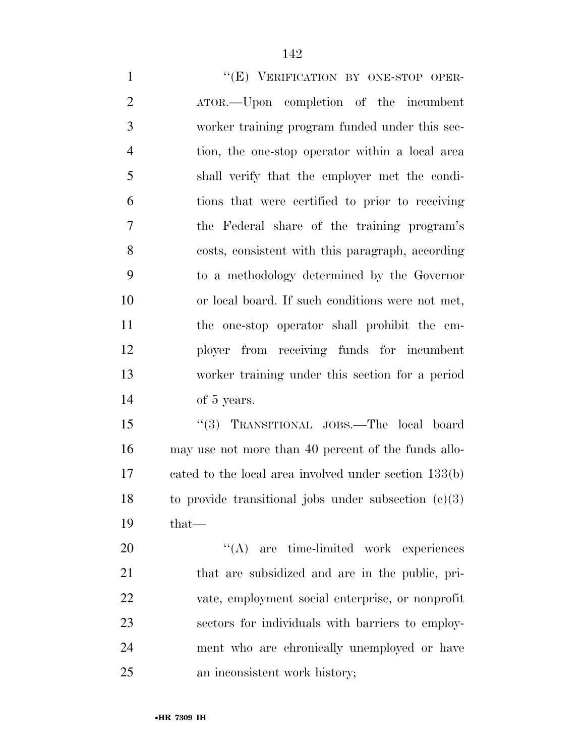1 ""(E) VERIFICATION BY ONE-STOP OPER- ATOR.—Upon completion of the incumbent worker training program funded under this sec- tion, the one-stop operator within a local area shall verify that the employer met the condi- tions that were certified to prior to receiving the Federal share of the training program's costs, consistent with this paragraph, according to a methodology determined by the Governor or local board. If such conditions were not met, the one-stop operator shall prohibit the em- ployer from receiving funds for incumbent worker training under this section for a period of 5 years.

 ''(3) TRANSITIONAL JOBS.—The local board may use not more than 40 percent of the funds allo- cated to the local area involved under section 133(b) 18 to provide transitional jobs under subsection  $(c)(3)$ that—

 $\text{``(A)}$  are time-limited work experiences that are subsidized and are in the public, pri- vate, employment social enterprise, or nonprofit sectors for individuals with barriers to employ- ment who are chronically unemployed or have an inconsistent work history;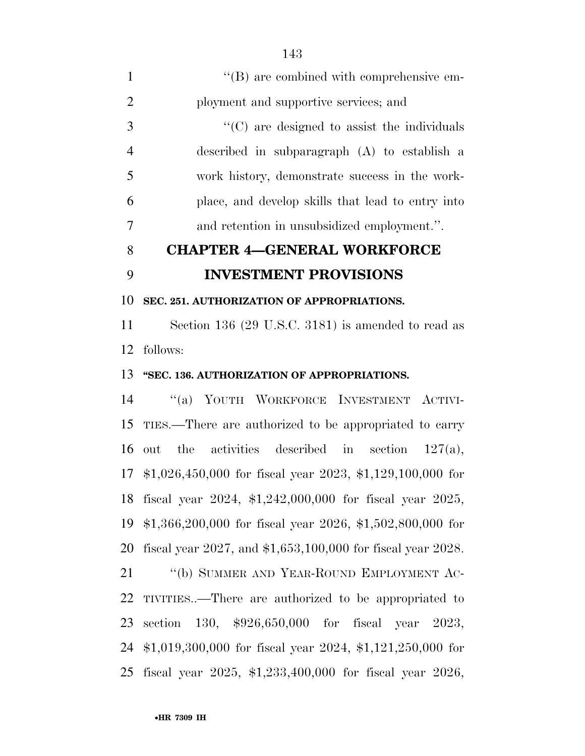| $\mathbf{1}$   | "(B) are combined with comprehensive em-                      |
|----------------|---------------------------------------------------------------|
| $\overline{2}$ | ployment and supportive services; and                         |
| 3              | $\cdot$ (C) are designed to assist the individuals            |
| $\overline{4}$ | described in subparagraph (A) to establish a                  |
| 5              | work history, demonstrate success in the work-                |
| 6              | place, and develop skills that lead to entry into             |
| 7              | and retention in unsubsidized employment.".                   |
| 8              | <b>CHAPTER 4-GENERAL WORKFORCE</b>                            |
| 9              | <b>INVESTMENT PROVISIONS</b>                                  |
| 10             | SEC. 251. AUTHORIZATION OF APPROPRIATIONS.                    |
| 11             | Section 136 (29 U.S.C. 3181) is amended to read as            |
| 12             | follows:                                                      |
| 13             | "SEC. 136. AUTHORIZATION OF APPROPRIATIONS.                   |
| 14             | "(a) YOUTH WORKFORCE INVESTMENT ACTIVI-                       |
| 15             | TIES.—There are authorized to be appropriated to carry        |
| 16             | the activities described in section<br>out<br>$127(a)$ ,      |
|                | 17 \$1,026,450,000 for fiscal year 2023, \$1,129,100,000 for  |
|                | 18 fiscal year 2024, \$1,242,000,000 for fiscal year 2025,    |
|                | 19 \$1,366,200,000 for fiscal year 2026, \$1,502,800,000 for  |
| 20             | fiscal year 2027, and $$1,653,100,000$ for fiscal year 2028.  |
| 21             | "(b) SUMMER AND YEAR-ROUND EMPLOYMENT AC-                     |
| 22             | TIVITIES—There are authorized to be appropriated to           |
| 23             | section 130, $$926,650,000$ for fiscal year 2023,             |
| 24             | $$1,019,300,000$ for fiscal year 2024, \$1,121,250,000 for    |
| 25             | fiscal year $2025$ , \$1,233,400,000 for fiscal year $2026$ , |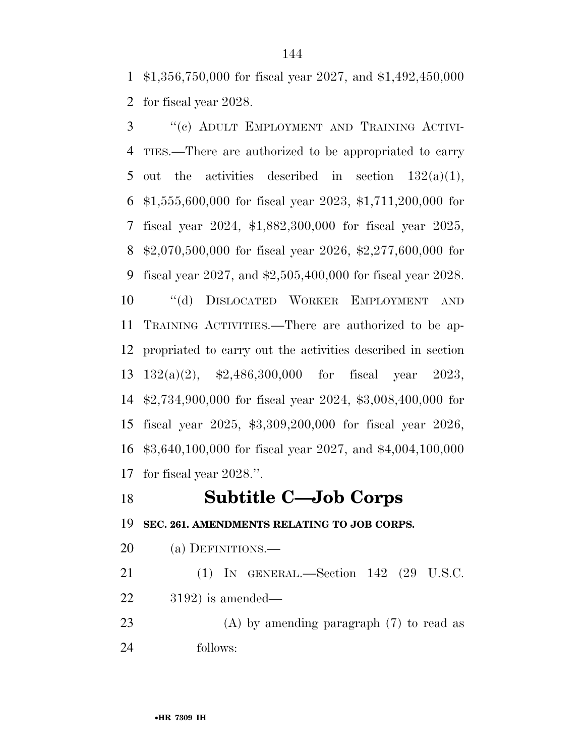\$1,356,750,000 for fiscal year 2027, and \$1,492,450,000 for fiscal year 2028.

 ''(c) ADULT EMPLOYMENT AND TRAINING ACTIVI- TIES.—There are authorized to be appropriated to carry 5 out the activities described in section  $132(a)(1)$ , \$1,555,600,000 for fiscal year 2023, \$1,711,200,000 for fiscal year 2024, \$1,882,300,000 for fiscal year 2025, \$2,070,500,000 for fiscal year 2026, \$2,277,600,000 for fiscal year 2027, and \$2,505,400,000 for fiscal year 2028. ''(d) DISLOCATED WORKER EMPLOYMENT AND TRAINING ACTIVITIES.—There are authorized to be ap- propriated to carry out the activities described in section 132(a)(2), \$2,486,300,000 for fiscal year 2023, \$2,734,900,000 for fiscal year 2024, \$3,008,400,000 for fiscal year 2025, \$3,309,200,000 for fiscal year 2026, \$3,640,100,000 for fiscal year 2027, and \$4,004,100,000 for fiscal year 2028.''.

## **Subtitle C—Job Corps**

**SEC. 261. AMENDMENTS RELATING TO JOB CORPS.** 

(a) DEFINITIONS.—

 (1) IN GENERAL.—Section 142 (29 U.S.C. 3192) is amended—

 (A) by amending paragraph (7) to read as follows: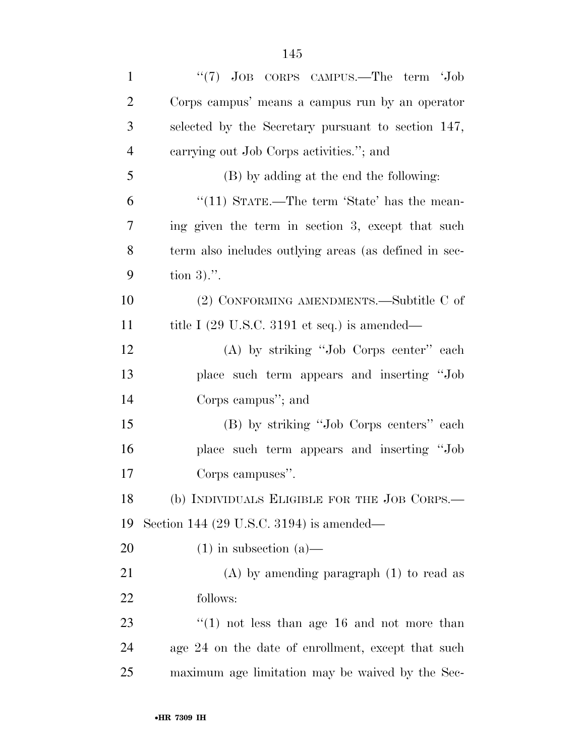| $\mathbf{1}$   | "(7) JOB CORPS CAMPUS.—The term 'Job                            |
|----------------|-----------------------------------------------------------------|
| $\overline{2}$ | Corps campus' means a campus run by an operator                 |
| 3              | selected by the Secretary pursuant to section 147,              |
| $\overline{4}$ | carrying out Job Corps activities."; and                        |
| 5              | (B) by adding at the end the following:                         |
| 6              | "(11) STATE.—The term 'State' has the mean-                     |
| 7              | ing given the term in section 3, except that such               |
| 8              | term also includes outlying areas (as defined in sec-           |
| 9              | tion $3)$ .".                                                   |
| 10             | (2) CONFORMING AMENDMENTS.—Subtitle C of                        |
| 11             | title I $(29 \text{ U.S.C. } 3191 \text{ et seq.})$ is amended— |
| 12             | (A) by striking "Job Corps center" each                         |
| 13             | place such term appears and inserting "Job                      |
| 14             | Corps campus"; and                                              |
| 15             | (B) by striking "Job Corps centers" each                        |
| 16             | place such term appears and inserting "Job                      |
| 17             | Corps campuses".                                                |
| 18             | (b) INDIVIDUALS ELIGIBLE FOR THE JOB CORPS.—                    |
| 19             | Section 144 (29 U.S.C. 3194) is amended—                        |
| 20             | $(1)$ in subsection $(a)$ —                                     |
| 21             | $(A)$ by amending paragraph $(1)$ to read as                    |
| 22             | follows:                                                        |
| 23             | $(1)$ not less than age 16 and not more than                    |
| 24             | age 24 on the date of enrollment, except that such              |
| 25             | maximum age limitation may be waived by the Sec-                |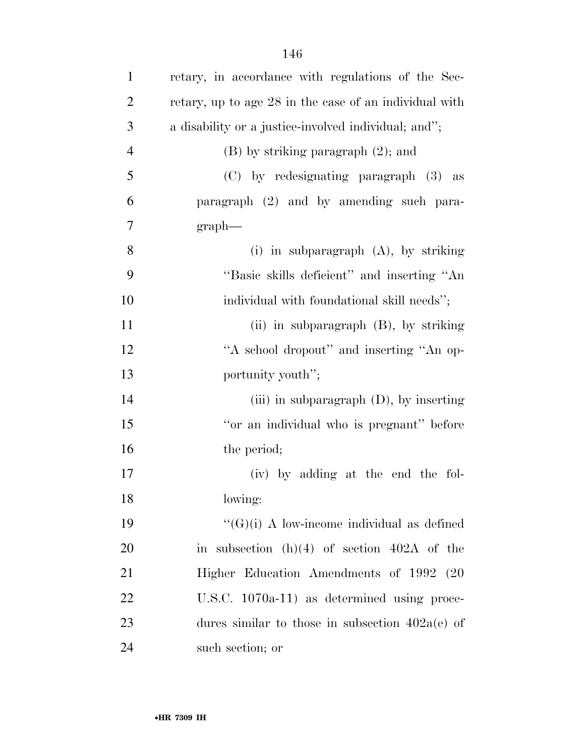| $\mathbf{1}$   | retary, in accordance with regulations of the Sec-     |
|----------------|--------------------------------------------------------|
| $\overline{2}$ | retary, up to age 28 in the case of an individual with |
| 3              | a disability or a justice-involved individual; and";   |
| $\overline{4}$ | $(B)$ by striking paragraph $(2)$ ; and                |
| 5              | (C) by redesignating paragraph (3) as                  |
| 6              | paragraph (2) and by amending such para-               |
| 7              | $graph$ —                                              |
| 8              | (i) in subparagraph $(A)$ , by striking                |
| 9              | "Basic skills deficient" and inserting "An             |
| 10             | individual with foundational skill needs";             |
| 11             | (ii) in subparagraph $(B)$ , by striking               |
| 12             | "A school dropout" and inserting "An op-               |
| 13             | portunity youth";                                      |
| 14             | (iii) in subparagraph $(D)$ , by inserting             |
| 15             | "or an individual who is pregnant" before              |
| 16             | the period;                                            |
| 17             | (iv) by adding at the end the fol-                     |
| 18             | lowing:                                                |
| 19             | " $(G)(i)$ A low-income individual as defined          |
| <b>20</b>      | in subsection $(h)(4)$ of section 402A of the          |
| 21             | Higher Education Amendments of 1992 (20                |
| 22             | U.S.C. $1070a-11$ as determined using proce-           |
| 23             | dures similar to those in subsection $402a(e)$ of      |
| 24             | such section; or                                       |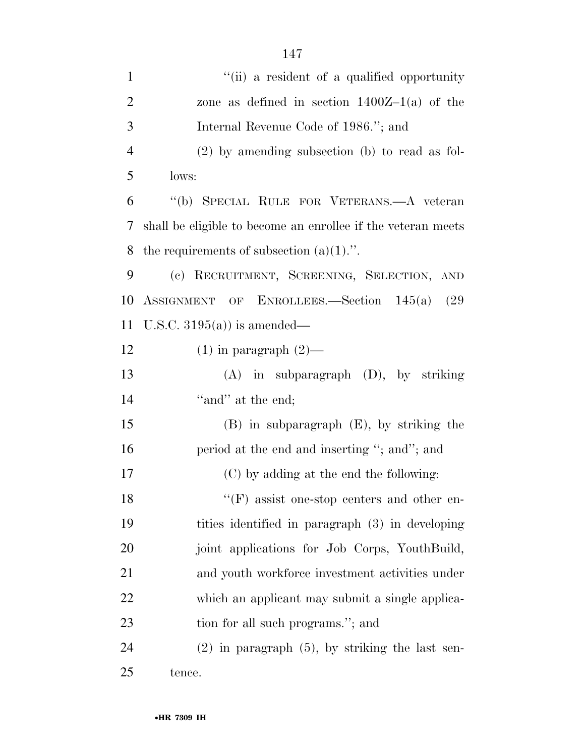| $\mathbf{1}$   | "(ii) a resident of a qualified opportunity                  |
|----------------|--------------------------------------------------------------|
| $\overline{2}$ | zone as defined in section $1400Z-1(a)$ of the               |
| 3              | Internal Revenue Code of 1986."; and                         |
| $\overline{4}$ | $(2)$ by amending subsection (b) to read as fol-             |
| 5              | lows:                                                        |
| 6              | "(b) SPECIAL RULE FOR VETERANS.—A veteran                    |
| 7              | shall be eligible to become an enrollee if the veteran meets |
| 8              | the requirements of subsection $(a)(1)$ .".                  |
| 9              | (c) RECRUITMENT, SCREENING, SELECTION, AND                   |
| 10             | ASSIGNMENT OF ENROLLEES.—Section 145(a)<br>(29)              |
| 11             | U.S.C. $3195(a)$ is amended—                                 |
| 12             | $(1)$ in paragraph $(2)$ —                                   |
| 13             | $(A)$ in subparagraph $(D)$ , by striking                    |
| 14             | "and" at the end;                                            |
| 15             | $(B)$ in subparagraph $(E)$ , by striking the                |
| 16             | period at the end and inserting "; and"; and                 |
| 17             | (C) by adding at the end the following:                      |
| 18             | $``(F)$ assist one-stop centers and other en-                |
| 19             | tities identified in paragraph (3) in developing             |
| 20             | joint applications for Job Corps, YouthBuild,                |
| 21             | and youth workforce investment activities under              |
| 22             | which an applicant may submit a single applica-              |
| 23             | tion for all such programs."; and                            |
| 24             | $(2)$ in paragraph $(5)$ , by striking the last sen-         |
| 25             | tence.                                                       |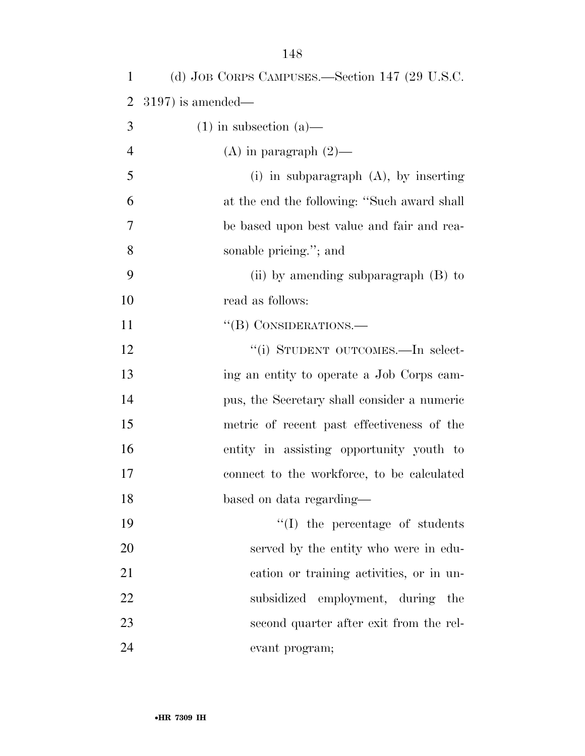| 1              | (d) JOB CORPS CAMPUSES.—Section 147 (29 U.S.C. |
|----------------|------------------------------------------------|
| $\overline{2}$ | $3197$ ) is amended—                           |
| 3              | $(1)$ in subsection $(a)$ —                    |
| $\overline{4}$ | (A) in paragraph $(2)$ —                       |
| 5              | (i) in subparagraph $(A)$ , by inserting       |
| 6              | at the end the following: "Such award shall    |
| 7              | be based upon best value and fair and rea-     |
| 8              | sonable pricing."; and                         |
| 9              | (ii) by amending subparagraph $(B)$ to         |
| 10             | read as follows:                               |
| 11             | "(B) CONSIDERATIONS.—                          |
| 12             | "(i) STUDENT OUTCOMES.—In select-              |
| 13             | ing an entity to operate a Job Corps cam-      |
| 14             | pus, the Secretary shall consider a numeric    |
| 15             | metric of recent past effectiveness of the     |
| 16             | entity in assisting opportunity youth to       |
| 17             | connect to the workforce, to be calculated     |
| 18             | based on data regarding—                       |
| 19             | $\lq\lq$ the percentage of students            |
| 20             | served by the entity who were in edu-          |
| 21             | cation or training activities, or in un-       |
| 22             | subsidized employment, during the              |
| 23             | second quarter after exit from the rel-        |
| 24             | evant program;                                 |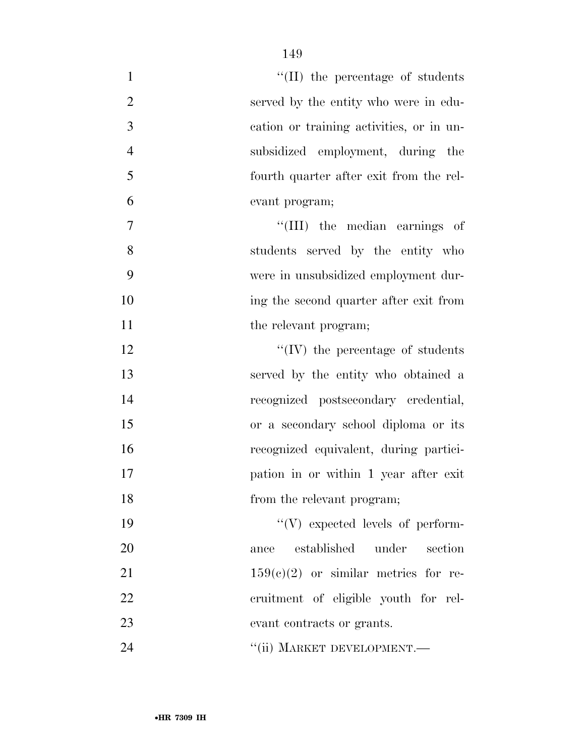| $\mathbf{1}$   | $\lq\lq$ (II) the percentage of students |
|----------------|------------------------------------------|
| $\overline{2}$ | served by the entity who were in edu-    |
| 3              | cation or training activities, or in un- |
| $\overline{4}$ | subsidized employment, during the        |
| 5              | fourth quarter after exit from the rel-  |
| 6              | evant program;                           |
| $\tau$         | "(III) the median earnings of            |
| 8              | students served by the entity who        |
| 9              | were in unsubsidized employment dur-     |
| 10             | ing the second quarter after exit from   |
| 11             | the relevant program;                    |
| 12             | $\lq\lq$ (IV) the percentage of students |
| 13             | served by the entity who obtained a      |
| 14             | recognized postsecondary credential,     |
| 15             | or a secondary school diploma or its     |
| 16             | recognized equivalent, during partici-   |
| 17             | pation in or within 1 year after exit    |
| 18             | from the relevant program;               |
| 19             | $\lq\lq(V)$ expected levels of perform-  |
| 20             | established<br>under<br>section<br>ance  |
| 21             | $159(c)(2)$ or similar metrics for re-   |
| 22             | cruitment of eligible youth for rel-     |
| 23             | evant contracts or grants.               |
| 24             | "(ii) MARKET DEVELOPMENT.-               |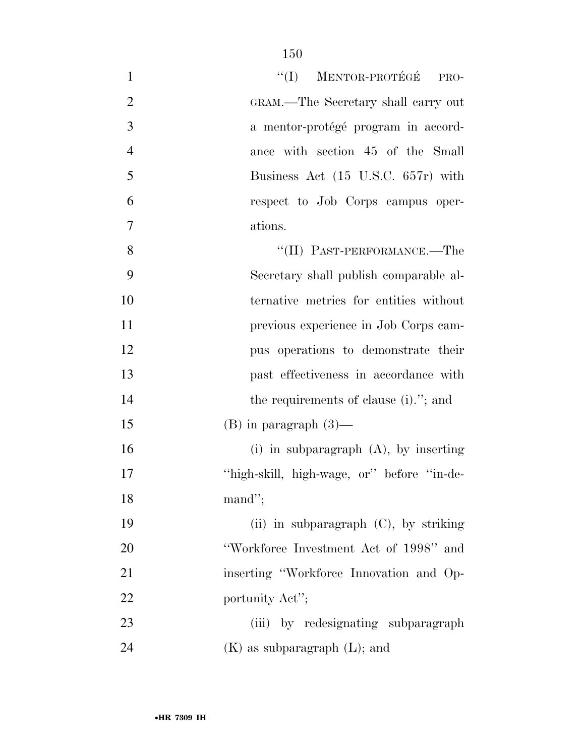| $\mathbf{1}$   | "(I) MENTOR-PROTÉGÉ PRO-                   |
|----------------|--------------------------------------------|
| $\overline{c}$ | GRAM.—The Secretary shall carry out        |
| 3              | a mentor-protégé program in accord-        |
| $\overline{4}$ | ance with section 45 of the Small          |
| 5              | Business Act (15 U.S.C. 657r) with         |
| 6              | respect to Job Corps campus oper-          |
| $\overline{7}$ | ations.                                    |
| 8              | $``(II)$ PAST-PERFORMANCE.—The             |
| 9              | Secretary shall publish comparable al-     |
| 10             | ternative metrics for entities without     |
| 11             | previous experience in Job Corps cam-      |
| 12             | pus operations to demonstrate their        |
| 13             | past effectiveness in accordance with      |
| 14             | the requirements of clause (i)."; and      |
| 15             | $(B)$ in paragraph $(3)$ —                 |
| 16             | (i) in subparagraph $(A)$ , by inserting   |
| 17             | "high-skill, high-wage, or" before "in-de- |
| 18             | mand";                                     |
| 19             | (ii) in subparagraph (C), by striking      |
| 20             | "Workforce Investment Act of 1998" and     |
| 21             | inserting "Workforce Innovation and Op-    |
| 22             | portunity Act";                            |
| 23             | (iii) by redesignating subparagraph        |
| 24             | $(K)$ as subparagraph $(L)$ ; and          |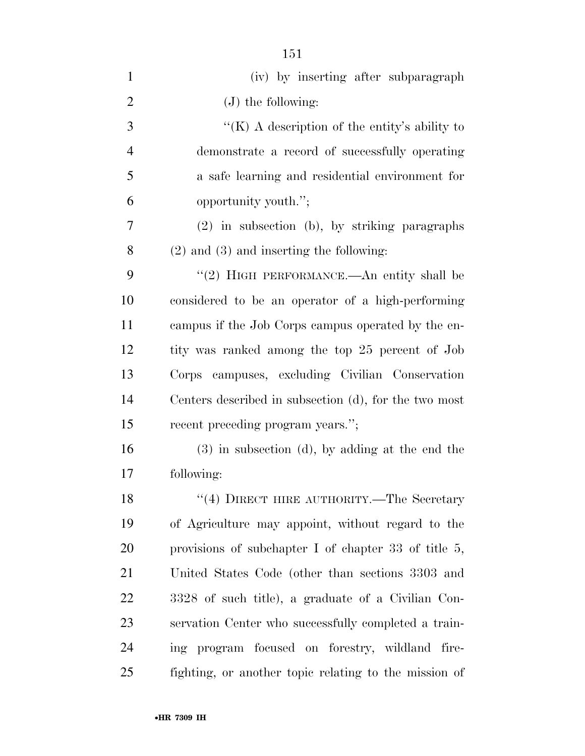| $\mathbf{1}$   | (iv) by inserting after subparagraph                    |
|----------------|---------------------------------------------------------|
| $\overline{2}$ | $(J)$ the following:                                    |
| 3              | "(K) A description of the entity's ability to           |
| $\overline{4}$ | demonstrate a record of successfully operating          |
| 5              | a safe learning and residential environment for         |
| 6              | opportunity youth.";                                    |
| 7              | $(2)$ in subsection (b), by striking paragraphs         |
| 8              | $(2)$ and $(3)$ and inserting the following:            |
| 9              | "(2) HIGH PERFORMANCE.—An entity shall be               |
| 10             | considered to be an operator of a high-performing       |
| 11             | campus if the Job Corps campus operated by the en-      |
| 12             | tity was ranked among the top 25 percent of Job         |
| 13             | Corps campuses, excluding Civilian Conservation         |
| 14             | Centers described in subsection (d), for the two most   |
| 15             | recent preceding program years.";                       |
| 16             | $(3)$ in subsection $(d)$ , by adding at the end the    |
| 17             | following:                                              |
| 18             | "(4) DIRECT HIRE AUTHORITY.—The Secretary               |
| 19             | of Agriculture may appoint, without regard to the       |
| 20             | provisions of subchapter I of chapter 33 of title $5$ , |
| 21             | United States Code (other than sections 3303 and        |
| 22             | 3328 of such title), a graduate of a Civilian Con-      |
| 23             | servation Center who successfully completed a train-    |
| 24             | ing program focused on forestry, wildland fire-         |
| 25             | fighting, or another topic relating to the mission of   |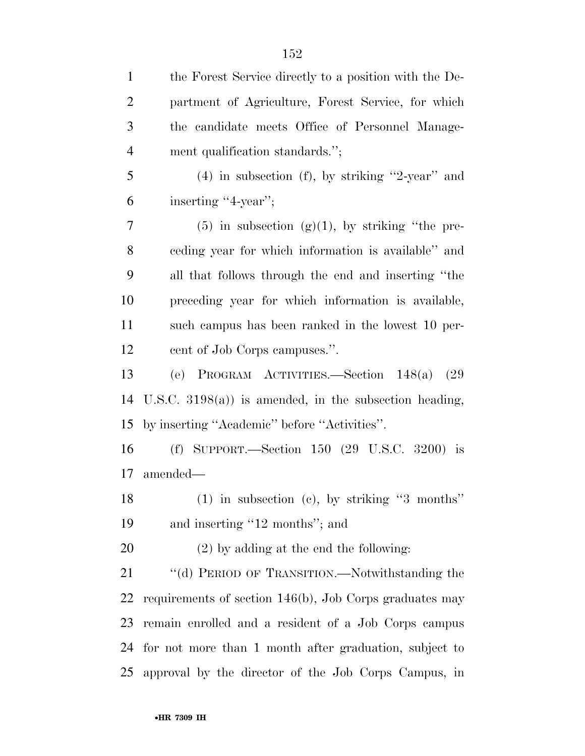| $\mathbf{1}$   | the Forest Service directly to a position with the De-     |
|----------------|------------------------------------------------------------|
| $\overline{2}$ | partment of Agriculture, Forest Service, for which         |
| 3              | the candidate meets Office of Personnel Manage-            |
| $\overline{4}$ | ment qualification standards.";                            |
| 5              | $(4)$ in subsection $(f)$ , by striking "2-year" and       |
| 6              | inserting "4-year";                                        |
| 7              | $(5)$ in subsection $(g)(1)$ , by striking "the pre-       |
| 8              | eeding year for which information is available" and        |
| 9              | all that follows through the end and inserting "the        |
| 10             | preceding year for which information is available,         |
| 11             | such campus has been ranked in the lowest 10 per-          |
| 12             | cent of Job Corps campuses.".                              |
| 13             | (e) PROGRAM ACTIVITIES.—Section $148(a)$ (29)              |
| 14             | U.S.C. $3198(a)$ is amended, in the subsection heading,    |
| 15             | by inserting "Academic" before "Activities".               |
| 16             | (f) SUPPORT.—Section $150$ (29 U.S.C. 3200) is             |
| 17             | amended—                                                   |
| 18             | $(1)$ in subsection (c), by striking "3 months"            |
| 19             | and inserting "12 months"; and                             |
| 20             | $(2)$ by adding at the end the following:                  |
| 21             | "(d) PERIOD OF TRANSITION.—Notwithstanding the             |
| <u>22</u>      | requirements of section $146(b)$ , Job Corps graduates may |
| 23             | remain enrolled and a resident of a Job Corps campus       |
| 24             | for not more than 1 month after graduation, subject to     |
| 25             | approval by the director of the Job Corps Campus, in       |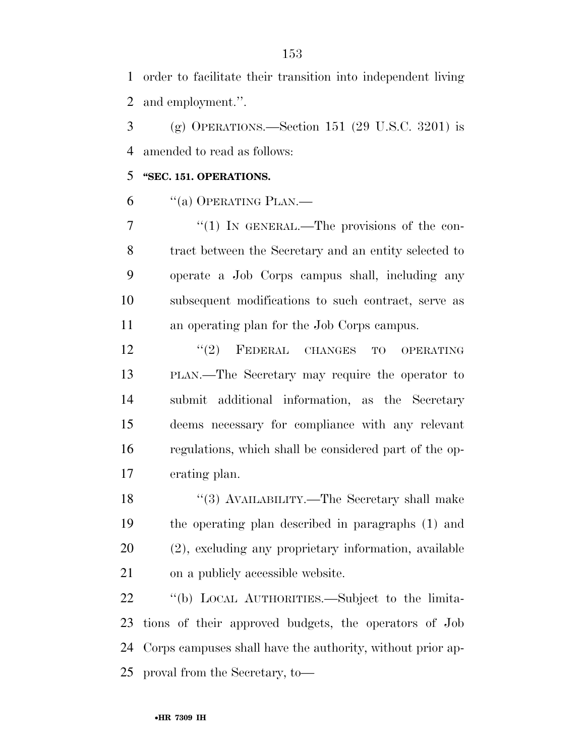order to facilitate their transition into independent living and employment.''.

 (g) OPERATIONS.—Section 151 (29 U.S.C. 3201) is amended to read as follows:

## **''SEC. 151. OPERATIONS.**

"(a) OPERATING PLAN.—

7 "(1) In GENERAL.—The provisions of the con- tract between the Secretary and an entity selected to operate a Job Corps campus shall, including any subsequent modifications to such contract, serve as an operating plan for the Job Corps campus.

12 "(2) FEDERAL CHANGES TO OPERATING PLAN.—The Secretary may require the operator to submit additional information, as the Secretary deems necessary for compliance with any relevant regulations, which shall be considered part of the op-erating plan.

18 ''(3) AVAILABILITY.—The Secretary shall make the operating plan described in paragraphs (1) and (2), excluding any proprietary information, available on a publicly accessible website.

 ''(b) LOCAL AUTHORITIES.—Subject to the limita- tions of their approved budgets, the operators of Job Corps campuses shall have the authority, without prior ap-proval from the Secretary, to—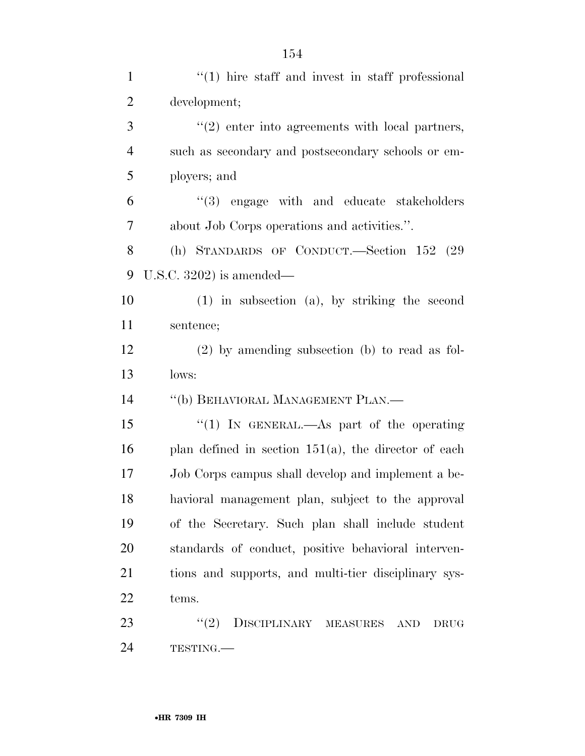| $\mathbf{1}$   | $f'(1)$ hire staff and invest in staff professional       |
|----------------|-----------------------------------------------------------|
| $\overline{2}$ | development;                                              |
| 3              | $"(2)$ enter into agreements with local partners,         |
| $\overline{4}$ | such as secondary and postsecondary schools or em-        |
| 5              | ployers; and                                              |
| 6              | "(3) engage with and educate stakeholders                 |
| 7              | about Job Corps operations and activities.".              |
| 8              | (h) STANDARDS OF CONDUCT.—Section 152 (29)                |
| 9              | U.S.C. $3202$ ) is amended—                               |
| 10             | $(1)$ in subsection $(a)$ , by striking the second        |
| 11             | sentence;                                                 |
| 12             | $(2)$ by amending subsection (b) to read as fol-          |
| 13             | lows:                                                     |
| 14             | "(b) BEHAVIORAL MANAGEMENT PLAN.—                         |
| 15             | "(1) IN GENERAL.—As part of the operating                 |
| 16             | plan defined in section $151(a)$ , the director of each   |
| 17             | Job Corps campus shall develop and implement a be-        |
| 18             | havioral management plan, subject to the approval         |
| 19             | of the Secretary. Such plan shall include student         |
| 20             | standards of conduct, positive behavioral interven-       |
| 21             | tions and supports, and multi-tier disciplinary sys-      |
| 22             | tems.                                                     |
| 23             | DISCIPLINARY MEASURES<br>(2)<br><b>AND</b><br><b>DRUG</b> |
| 24             | TESTING.                                                  |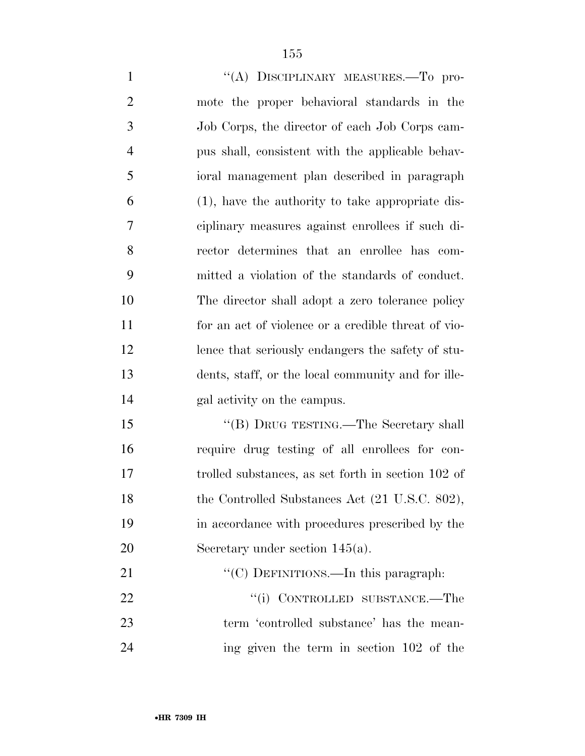1 "(A) DISCIPLINARY MEASURES.—To pro- mote the proper behavioral standards in the Job Corps, the director of each Job Corps cam- pus shall, consistent with the applicable behav- ioral management plan described in paragraph (1), have the authority to take appropriate dis- ciplinary measures against enrollees if such di- rector determines that an enrollee has com- mitted a violation of the standards of conduct. The director shall adopt a zero tolerance policy for an act of violence or a credible threat of vio- lence that seriously endangers the safety of stu- dents, staff, or the local community and for ille- gal activity on the campus. 15 "(B) DRUG TESTING.—The Secretary shall require drug testing of all enrollees for con-

 trolled substances, as set forth in section 102 of 18 the Controlled Substances Act (21 U.S.C. 802), in accordance with procedures prescribed by the 20 Secretary under section 145(a).

21 ""(C) DEFINITIONS.—In this paragraph: 22 "(i) CONTROLLED SUBSTANCE.—The term 'controlled substance' has the mean-ing given the term in section 102 of the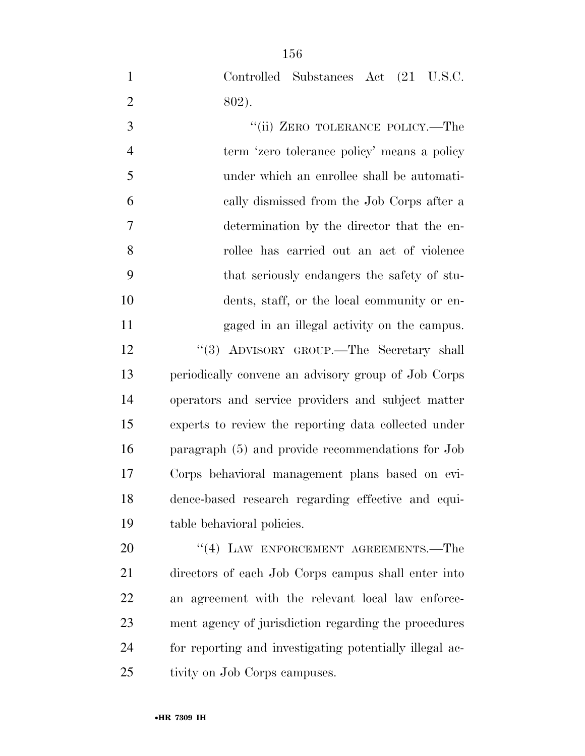Controlled Substances Act (21 U.S.C. 802).

3 "(ii) ZERO TOLERANCE POLICY.—The term 'zero tolerance policy' means a policy under which an enrollee shall be automati- cally dismissed from the Job Corps after a determination by the director that the en- rollee has carried out an act of violence that seriously endangers the safety of stu- dents, staff, or the local community or en- gaged in an illegal activity on the campus. ''(3) ADVISORY GROUP.—The Secretary shall periodically convene an advisory group of Job Corps operators and service providers and subject matter experts to review the reporting data collected under paragraph (5) and provide recommendations for Job Corps behavioral management plans based on evi- dence-based research regarding effective and equi-table behavioral policies.

20 "(4) LAW ENFORCEMENT AGREEMENTS.—The directors of each Job Corps campus shall enter into an agreement with the relevant local law enforce- ment agency of jurisdiction regarding the procedures for reporting and investigating potentially illegal ac-tivity on Job Corps campuses.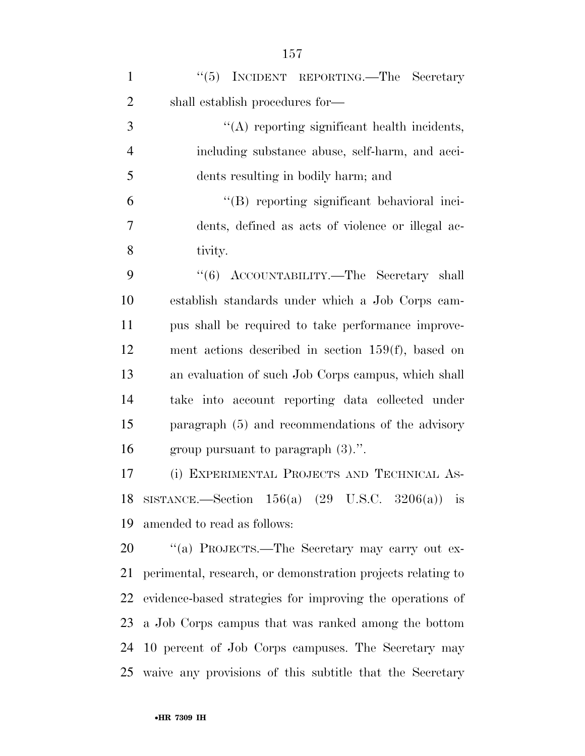| $\mathbf{1}$   | "(5) INCIDENT REPORTING.—The Secretary                      |
|----------------|-------------------------------------------------------------|
| $\overline{2}$ | shall establish procedures for—                             |
| 3              | $\lq\lq$ reporting significant health incidents,            |
| $\overline{4}$ | including substance abuse, self-harm, and acci-             |
| 5              | dents resulting in bodily harm; and                         |
| 6              | "(B) reporting significant behavioral inci-                 |
| 7              | dents, defined as acts of violence or illegal ac-           |
| 8              | tivity.                                                     |
| 9              | "(6) ACCOUNTABILITY.—The Secretary shall                    |
| 10             | establish standards under which a Job Corps cam-            |
| 11             | pus shall be required to take performance improve-          |
| 12             | ment actions described in section $159(f)$ , based on       |
| 13             | an evaluation of such Job Corps campus, which shall         |
| 14             | take into account reporting data collected under            |
| 15             | paragraph (5) and recommendations of the advisory           |
| 16             | group pursuant to paragraph $(3)$ .".                       |
| 17             | (i) EXPERIMENTAL PROJECTS AND TECHNICAL AS-                 |
|                | 18 SISTANCE.—Section $156(a)$ (29 U.S.C. 3206(a)) is        |
| 19             | amended to read as follows:                                 |
| 20             | "(a) PROJECTS.—The Secretary may carry out ex-              |
| 21             | perimental, research, or demonstration projects relating to |
| 22             | evidence-based strategies for improving the operations of   |
| 23             | a Job Corps campus that was ranked among the bottom         |
|                | 24 10 percent of Job Corps campuses. The Secretary may      |
|                | 25 waive any provisions of this subtitle that the Secretary |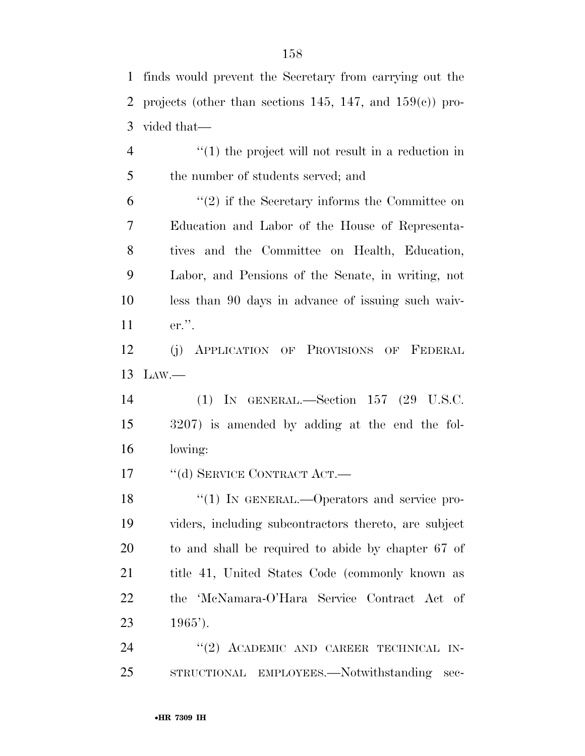finds would prevent the Secretary from carrying out the 2 projects (other than sections 145, 147, and  $159(e)$ ) pro-vided that—

4 ''(1) the project will not result in a reduction in the number of students served; and

 ''(2) if the Secretary informs the Committee on Education and Labor of the House of Representa- tives and the Committee on Health, Education, Labor, and Pensions of the Senate, in writing, not less than 90 days in advance of issuing such waiv-er.''.

 (j) APPLICATION OF PROVISIONS OF FEDERAL LAW.—

 (1) IN GENERAL.—Section 157 (29 U.S.C. 3207) is amended by adding at the end the fol-lowing:

17 "(d) SERVICE CONTRACT ACT.—

18 "(1) IN GENERAL.—Operators and service pro- viders, including subcontractors thereto, are subject to and shall be required to abide by chapter 67 of title 41, United States Code (commonly known as the 'McNamara-O'Hara Service Contract Act of 23  $1965'$ ).

24 "(2) ACADEMIC AND CAREER TECHNICAL IN-STRUCTIONAL EMPLOYEES.—Notwithstanding sec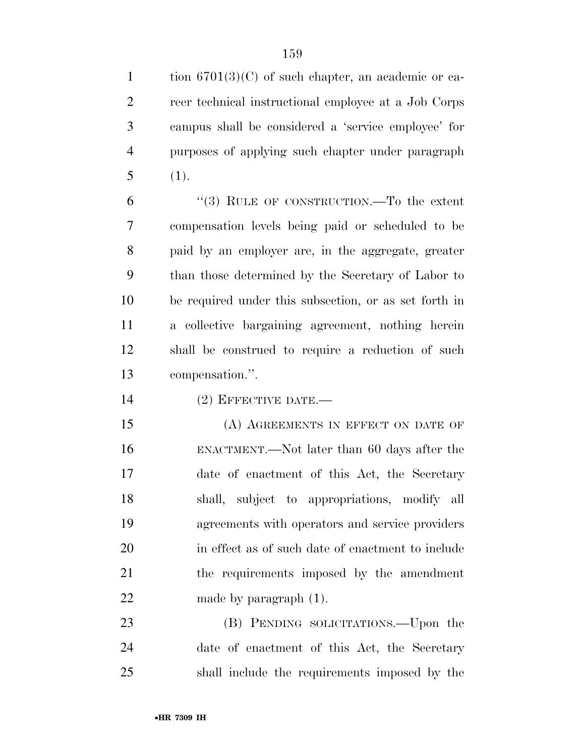1 tion  $6701(3)(C)$  of such chapter, an academic or ca- reer technical instructional employee at a Job Corps campus shall be considered a 'service employee' for purposes of applying such chapter under paragraph (1).

 ''(3) RULE OF CONSTRUCTION.—To the extent compensation levels being paid or scheduled to be paid by an employer are, in the aggregate, greater than those determined by the Secretary of Labor to be required under this subsection, or as set forth in a collective bargaining agreement, nothing herein shall be construed to require a reduction of such compensation.''.

14 (2) EFFECTIVE DATE.—

15 (A) AGREEMENTS IN EFFECT ON DATE OF ENACTMENT.—Not later than 60 days after the date of enactment of this Act, the Secretary shall, subject to appropriations, modify all agreements with operators and service providers in effect as of such date of enactment to include the requirements imposed by the amendment 22 made by paragraph  $(1)$ .

 (B) PENDING SOLICITATIONS.—Upon the date of enactment of this Act, the Secretary shall include the requirements imposed by the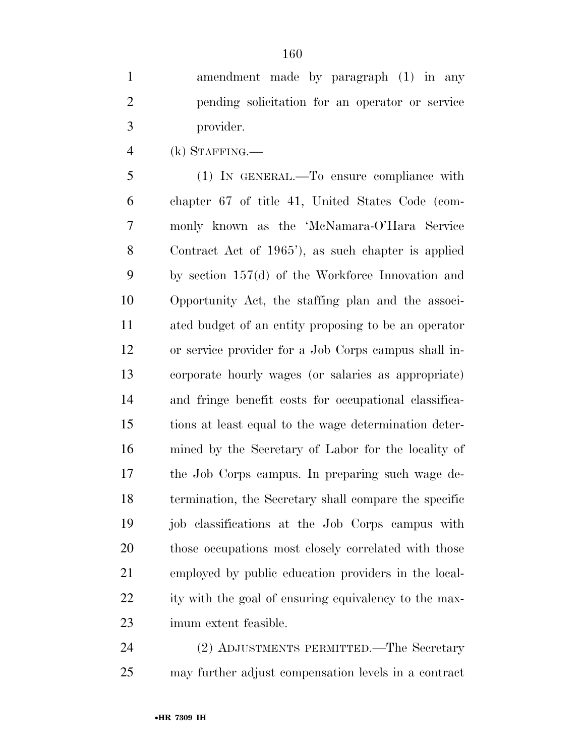amendment made by paragraph (1) in any pending solicitation for an operator or service provider.

(k) STAFFING.—

 (1) IN GENERAL.—To ensure compliance with chapter 67 of title 41, United States Code (com- monly known as the 'McNamara-O'Hara Service Contract Act of 1965'), as such chapter is applied by section 157(d) of the Workforce Innovation and Opportunity Act, the staffing plan and the associ- ated budget of an entity proposing to be an operator or service provider for a Job Corps campus shall in- corporate hourly wages (or salaries as appropriate) and fringe benefit costs for occupational classifica- tions at least equal to the wage determination deter- mined by the Secretary of Labor for the locality of the Job Corps campus. In preparing such wage de- termination, the Secretary shall compare the specific job classifications at the Job Corps campus with 20 those occupations most closely correlated with those employed by public education providers in the local- ity with the goal of ensuring equivalency to the max-imum extent feasible.

 (2) ADJUSTMENTS PERMITTED.—The Secretary may further adjust compensation levels in a contract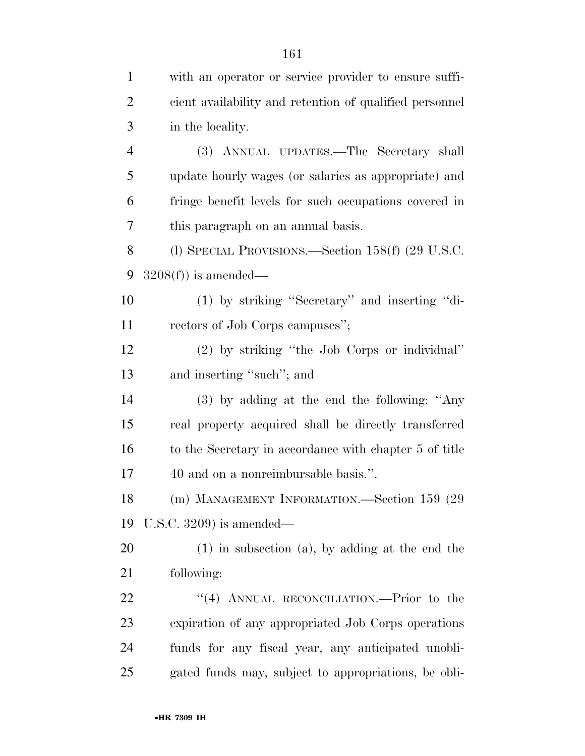| $\mathbf{1}$   | with an operator or service provider to ensure suffi-   |
|----------------|---------------------------------------------------------|
| 2              | cient availability and retention of qualified personnel |
| 3              | in the locality.                                        |
| $\overline{4}$ | (3) ANNUAL UPDATES.—The Secretary shall                 |
| 5              | update hourly wages (or salaries as appropriate) and    |
| 6              | fringe benefit levels for such occupations covered in   |
| 7              | this paragraph on an annual basis.                      |
| 8              | (l) SPECIAL PROVISIONS.—Section $158(f)$ (29 U.S.C.     |
| 9              | $3208(f)$ ) is amended—                                 |
| 10             | (1) by striking "Secretary" and inserting "di-          |
| 11             | rectors of Job Corps campuses";                         |
| 12             | (2) by striking "the Job Corps or individual"           |
| 13             | and inserting "such"; and                               |
| 14             | $(3)$ by adding at the end the following: "Any          |
| 15             | real property acquired shall be directly transferred    |
| 16             | to the Secretary in accordance with chapter 5 of title  |
| 17             | 40 and on a nonreimbursable basis.".                    |
| 18             | (m) MANAGEMENT INFORMATION.—Section 159 (29             |
| 19             | U.S.C. $3209$ is amended—                               |
| 20             | $(1)$ in subsection $(a)$ , by adding at the end the    |
| 21             | following:                                              |
| 22             | "(4) ANNUAL RECONCILIATION.—Prior to the                |
| 23             | expiration of any appropriated Job Corps operations     |
| 24             | funds for any fiscal year, any anticipated unobli-      |
| 25             | gated funds may, subject to appropriations, be obli-    |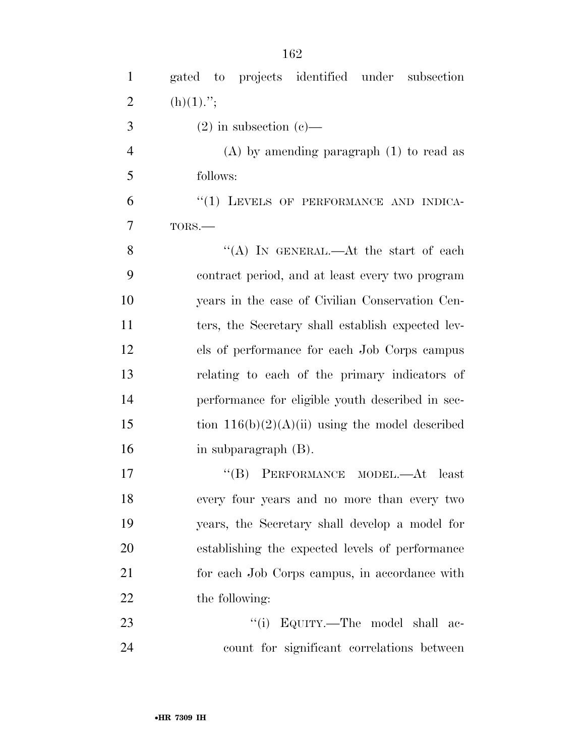| $\mathbf{1}$   | gated to projects identified under<br>subsection  |
|----------------|---------------------------------------------------|
| $\overline{2}$ | $(h)(1)$ .";                                      |
| 3              | $(2)$ in subsection $(e)$ —                       |
| $\overline{4}$ | $(A)$ by amending paragraph $(1)$ to read as      |
| 5              | follows:                                          |
| 6              | "(1) LEVELS OF PERFORMANCE AND INDICA-            |
| $\overline{7}$ | TORS.-                                            |
| 8              | "(A) IN GENERAL.—At the start of each             |
| 9              | contract period, and at least every two program   |
| 10             | years in the case of Civilian Conservation Cen-   |
| 11             | ters, the Secretary shall establish expected lev- |
| 12             | els of performance for each Job Corps campus      |
| 13             | relating to each of the primary indicators of     |
| 14             | performance for eligible youth described in sec-  |
| 15             | tion $116(b)(2)(A)(ii)$ using the model described |
| 16             | in subparagraph (B).                              |
| 17             | "(B) PERFORMANCE MODEL.—At least                  |
| 18             | every four years and no more than every two       |
| 19             | years, the Secretary shall develop a model for    |
| 20             | establishing the expected levels of performance   |
| 21             | for each Job Corps campus, in accordance with     |
| 22             | the following:                                    |
| 23             | "(i) EQUITY.—The model shall ac-                  |
| 24             | count for significant correlations between        |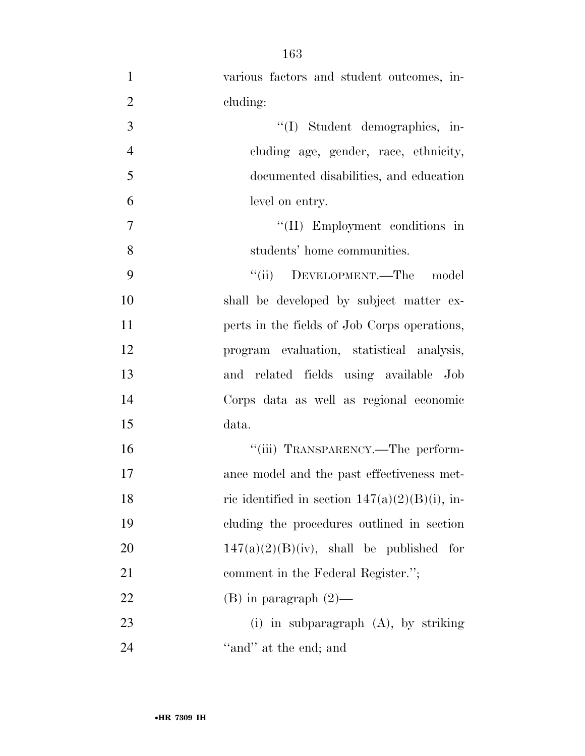various factors and student outcomes, in-2 cluding: 3 ''(I) Student demographics, in- cluding age, gender, race, ethnicity, documented disabilities, and education level on entry.  $''(II)$  Employment conditions in students' home communities. 9 "(ii) DEVELOPMENT.—The model shall be developed by subject matter ex-**perts** in the fields of Job Corps operations, program evaluation, statistical analysis, and related fields using available Job Corps data as well as regional economic 15 data.  $"$ (iii) TRANSPARENCY.—The perform- ance model and the past effectiveness met-18 ric identified in section  $147(a)(2)(B)(i)$ , in- cluding the procedures outlined in section  $147(a)(2)(B)(iv)$ , shall be published for 21 comment in the Federal Register."; 22 (B) in paragraph  $(2)$ — (i) in subparagraph (A), by striking 24 ''and'' at the end; and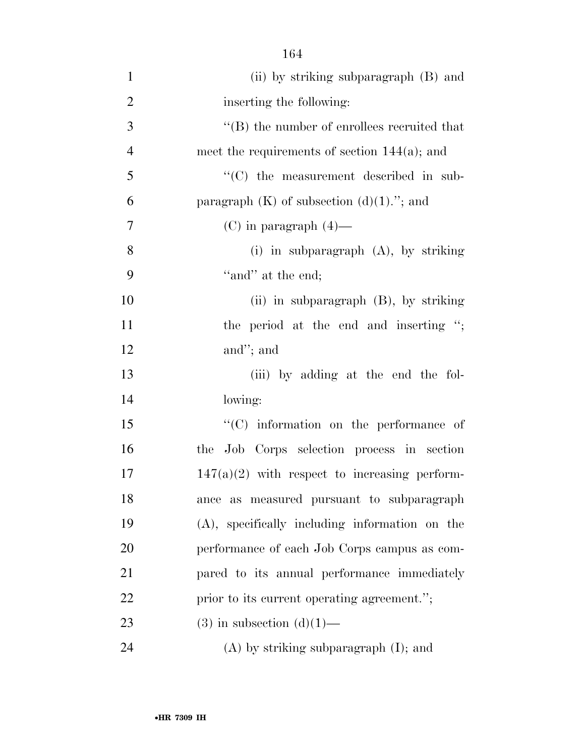| $\mathbf{1}$   | (ii) by striking subparagraph (B) and             |
|----------------|---------------------------------------------------|
| $\overline{2}$ | inserting the following:                          |
| 3              | $\lq\lq$ the number of enrollees recruited that   |
| $\overline{4}$ | meet the requirements of section $144(a)$ ; and   |
| 5              | "(C) the measurement described in sub-            |
| 6              | paragraph $(K)$ of subsection $(d)(1)$ ."; and    |
| $\overline{7}$ | (C) in paragraph $(4)$ —                          |
| 8              | (i) in subparagraph $(A)$ , by striking           |
| 9              | "and" at the end;                                 |
| 10             | $(ii)$ in subparagraph $(B)$ , by striking        |
| 11             | the period at the end and inserting ";            |
| 12             | and"; and                                         |
| 13             | (iii) by adding at the end the fol-               |
| 14             | lowing:                                           |
| 15             | "(C) information on the performance of            |
| 16             | the Job Corps selection process in section        |
| 17             | $147(a)(2)$ with respect to increasing perform-   |
| 18             | as measured pursuant to subparagraph<br>ance      |
| 19             | $(A)$ , specifically including information on the |
| 20             | performance of each Job Corps campus as com-      |
| 21             | pared to its annual performance immediately       |
| 22             | prior to its current operating agreement.";       |
| 23             | $(3)$ in subsection $(d)(1)$ —                    |
| 24             | $(A)$ by striking subparagraph $(I)$ ; and        |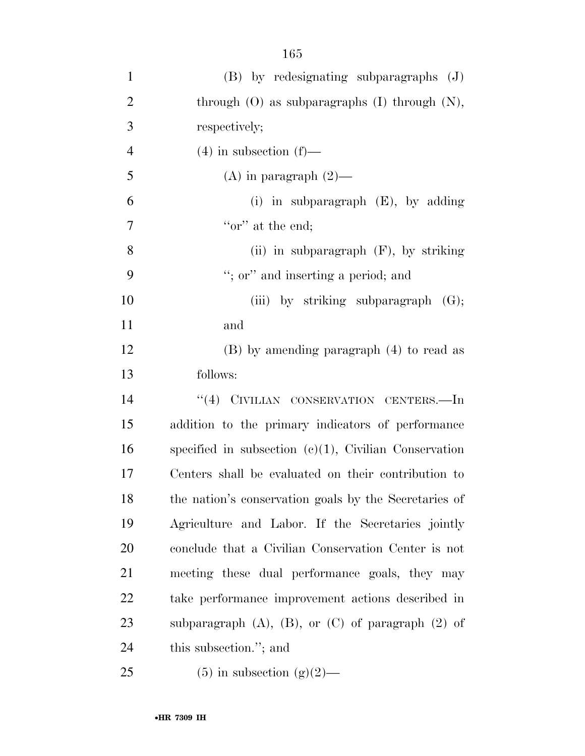| $\mathbf{1}$   | $(B)$ by redesignating subparagraphs $(J)$                  |
|----------------|-------------------------------------------------------------|
| $\overline{2}$ | through $(O)$ as subparagraphs $(I)$ through $(N)$ ,        |
| 3              | respectively;                                               |
| $\overline{4}$ | $(4)$ in subsection $(f)$ —                                 |
| 5              | (A) in paragraph $(2)$ —                                    |
| 6              | (i) in subparagraph $(E)$ , by adding                       |
| 7              | "or" at the end;                                            |
| 8              | (ii) in subparagraph $(F)$ , by striking                    |
| 9              | "; or" and inserting a period; and                          |
| 10             | (iii) by striking subparagraph $(G)$ ;                      |
| 11             | and                                                         |
| 12             | (B) by amending paragraph (4) to read as                    |
| 13             | follows:                                                    |
| 14             | "(4) CIVILIAN CONSERVATION CENTERS.—In                      |
| 15             | addition to the primary indicators of performance           |
| 16             | specified in subsection $(c)(1)$ , Civilian Conservation    |
| 17             | Centers shall be evaluated on their contribution to         |
| 18             | the nation's conservation goals by the Secretaries of       |
| 19             | Agriculture and Labor. If the Secretaries jointly           |
| 20             | conclude that a Civilian Conservation Center is not         |
| 21             | meeting these dual performance goals, they may              |
| 22             | take performance improvement actions described in           |
| 23             | subparagraph $(A)$ , $(B)$ , or $(C)$ of paragraph $(2)$ of |
| 24             | this subsection."; and                                      |
| 25             | $(5)$ in subsection $(g)(2)$ —                              |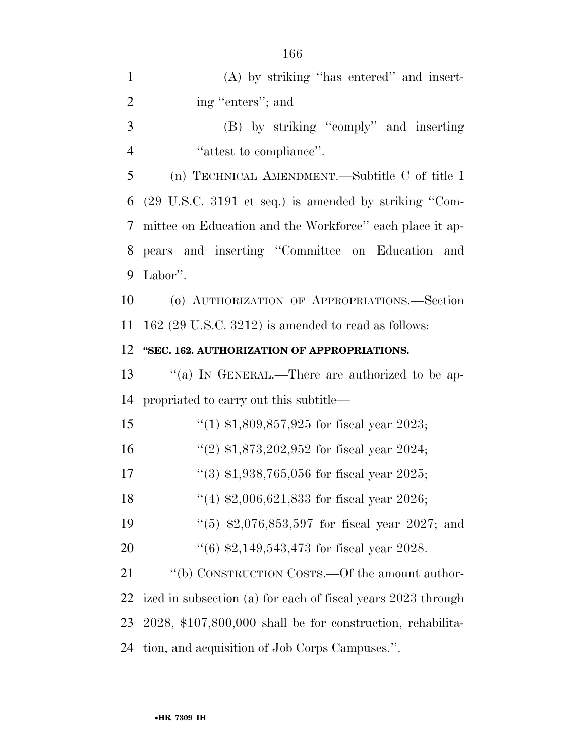| $(A)$ by striking "has entered" and insert-                              |
|--------------------------------------------------------------------------|
| ing "enters"; and                                                        |
| (B) by striking "comply" and inserting                                   |
| "attest to compliance".                                                  |
| (n) TECHNICAL AMENDMENT.—Subtitle C of title I                           |
| $(29 \text{ U.S.C. } 3191 \text{ et seq.})$ is amended by striking "Com- |
| mittee on Education and the Workforce" each place it ap-                 |
| pears and inserting "Committee on Education and                          |
| Labor".                                                                  |
| (o) AUTHORIZATION OF APPROPRIATIONS.-Section                             |
| $162$ (29 U.S.C. 3212) is amended to read as follows:                    |
| "SEC. 162. AUTHORIZATION OF APPROPRIATIONS.                              |
| "(a) IN GENERAL.—There are authorized to be ap-                          |
| propriated to carry out this subtitle—                                   |
|                                                                          |
| "(1) $$1,809,857,925$ for fiscal year 2023;                              |
| "(2) $$1,873,202,952$ for fiscal year 2024;                              |
| $(3)$ \$1,938,765,056 for fiscal year 2025;                              |
| "(4) $$2,006,621,833$ for fiscal year 2026;                              |
| "(5) $$2,076,853,597$ for fiscal year 2027; and                          |
| $(6)$ \$2,149,543,473 for fiscal year 2028.                              |
| "(b) CONSTRUCTION COSTS.—Of the amount author-                           |
| ized in subsection (a) for each of fiscal years 2023 through             |
| 2028, \$107,800,000 shall be for construction, rehabilita-               |
|                                                                          |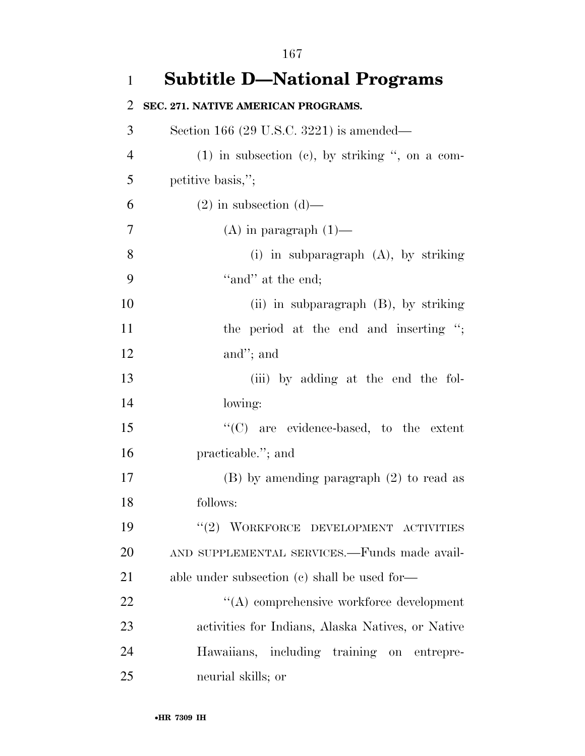**Subtitle D—National Programs SEC. 271. NATIVE AMERICAN PROGRAMS.**  Section 166 (29 U.S.C. 3221) is amended— (1) in subsection (c), by striking '', on a com- petitive basis,''; 6 (2) in subsection  $(d)$ — 7 (A) in paragraph  $(1)$ — (i) in subparagraph (A), by striking ''and'' at the end; (ii) in subparagraph (B), by striking 11 the period at the end and inserting "; and''; and (iii) by adding at the end the fol- lowing: ''(C) are evidence-based, to the extent practicable.''; and (B) by amending paragraph (2) to read as follows: 19 "(2) WORKFORCE DEVELOPMENT ACTIVITIES AND SUPPLEMENTAL SERVICES.—Funds made avail-21 able under subsection (c) shall be used for— 22 ''(A) comprehensive workforce development activities for Indians, Alaska Natives, or Native Hawaiians, including training on entrepre-neurial skills; or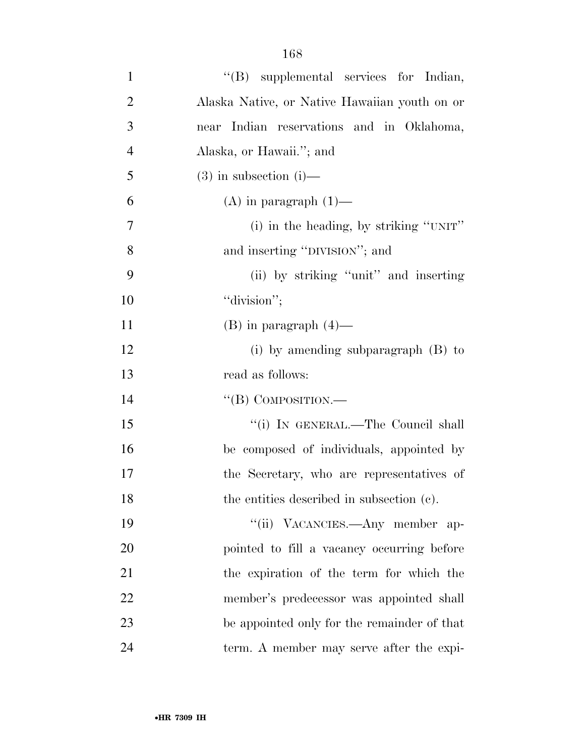| $\mathbf{1}$   | "(B) supplemental services for Indian,        |
|----------------|-----------------------------------------------|
| $\overline{2}$ | Alaska Native, or Native Hawaiian youth on or |
| 3              | near Indian reservations and in Oklahoma,     |
| $\overline{4}$ | Alaska, or Hawaii."; and                      |
| 5              | $(3)$ in subsection $(i)$ —                   |
| 6              | $(A)$ in paragraph $(1)$ —                    |
| 7              | (i) in the heading, by striking "UNIT"        |
| 8              | and inserting "DIVISION"; and                 |
| 9              | (ii) by striking "unit" and inserting         |
| 10             | "division";                                   |
| 11             | $(B)$ in paragraph $(4)$ —                    |
| 12             | (i) by amending subparagraph $(B)$ to         |
| 13             | read as follows:                              |
| 14             | $\lq\lq$ (B) COMPOSITION.—                    |
| 15             | "(i) IN GENERAL.—The Council shall            |
| 16             | be composed of individuals, appointed by      |
| 17             | the Secretary, who are representatives of     |
| 18             | the entities described in subsection (c).     |
| 19             | "(ii) VACANCIES.—Any member ap-               |
| 20             | pointed to fill a vacancy occurring before    |
| 21             | the expiration of the term for which the      |
| 22             | member's predecessor was appointed shall      |
| 23             | be appointed only for the remainder of that   |
| 24             | term. A member may serve after the expi-      |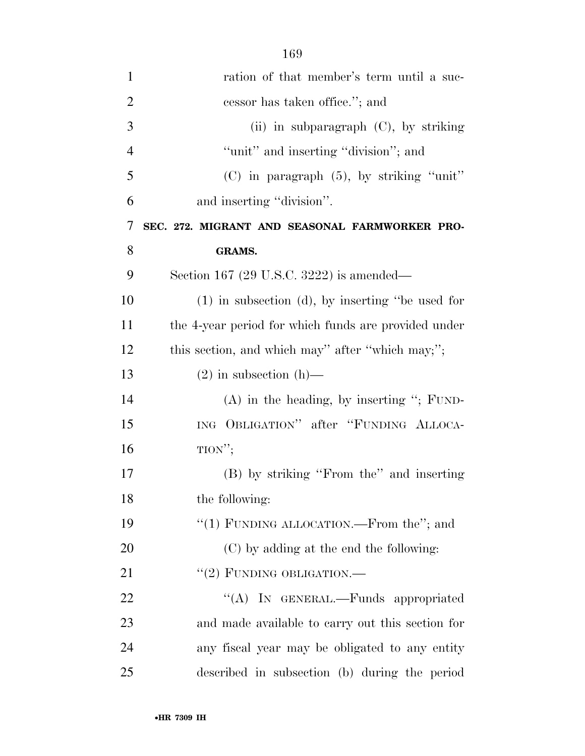| $\mathbf{1}$   | ration of that member's term until a suc-             |
|----------------|-------------------------------------------------------|
| $\overline{2}$ | cessor has taken office."; and                        |
| 3              | (ii) in subparagraph (C), by striking                 |
| $\overline{4}$ | "unit" and inserting "division"; and                  |
| 5              | $(C)$ in paragraph $(5)$ , by striking "unit"         |
| 6              | and inserting "division".                             |
| 7              | SEC. 272. MIGRANT AND SEASONAL FARMWORKER PRO-        |
| 8              | <b>GRAMS.</b>                                         |
| 9              | Section 167 (29 U.S.C. 3222) is amended—              |
| 10             | $(1)$ in subsection $(d)$ , by inserting "be used for |
| 11             | the 4-year period for which funds are provided under  |
| 12             | this section, and which may'' after "which may;";     |
| 13             | $(2)$ in subsection $(h)$ —                           |
| 14             | $(A)$ in the heading, by inserting "; FUND-           |
| 15             | ING OBLIGATION" after "FUNDING ALLOCA-                |
| 16             | $TION''$ ;                                            |
| 17             | (B) by striking "From the" and inserting              |
| 18             | the following:                                        |
| 19             | "(1) FUNDING ALLOCATION.—From the"; and               |
| 20             | (C) by adding at the end the following:               |
| 21             | $``(2)$ FUNDING OBLIGATION.—                          |
| 22             | "(A) IN GENERAL.—Funds appropriated                   |
| 23             | and made available to carry out this section for      |
| 24             | any fiscal year may be obligated to any entity        |
| 25             | described in subsection (b) during the period         |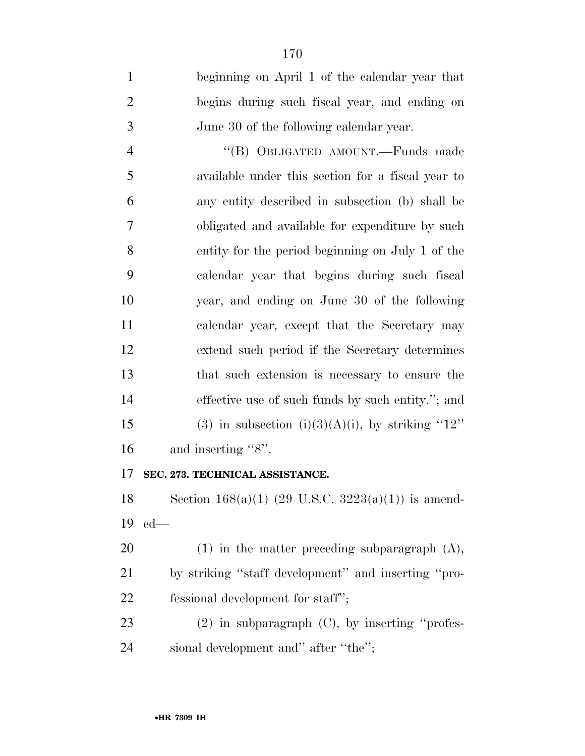| $\mathbf{1}$   | beginning on April 1 of the calendar year that    |
|----------------|---------------------------------------------------|
| $\overline{2}$ | begins during such fiscal year, and ending on     |
| 3              | June 30 of the following calendar year.           |
| $\overline{4}$ | "(B) OBLIGATED AMOUNT.—Funds made                 |
| 5              | available under this section for a fiscal year to |
| 6              | any entity described in subsection (b) shall be   |
| 7              | obligated and available for expenditure by such   |
| 8              | entity for the period beginning on July 1 of the  |
| 9              | calendar year that begins during such fiscal      |
| 10             | year, and ending on June 30 of the following      |
| 11             | calendar year, except that the Secretary may      |
| 12             | extend such period if the Secretary determines    |
| 13             | that such extension is necessary to ensure the    |
| 14             | effective use of such funds by such entity."; and |
| 15             | (3) in subsection (i)(3)(A)(i), by striking "12"  |
| 16             | and inserting "8".                                |
|                |                                                   |

## **SEC. 273. TECHNICAL ASSISTANCE.**

 Section 168(a)(1) (29 U.S.C. 3223(a)(1)) is amend-ed—

 (1) in the matter preceding subparagraph (A), by striking ''staff development'' and inserting ''pro-22 fessional development for staff";

 (2) in subparagraph (C), by inserting ''profes-sional development and'' after ''the'';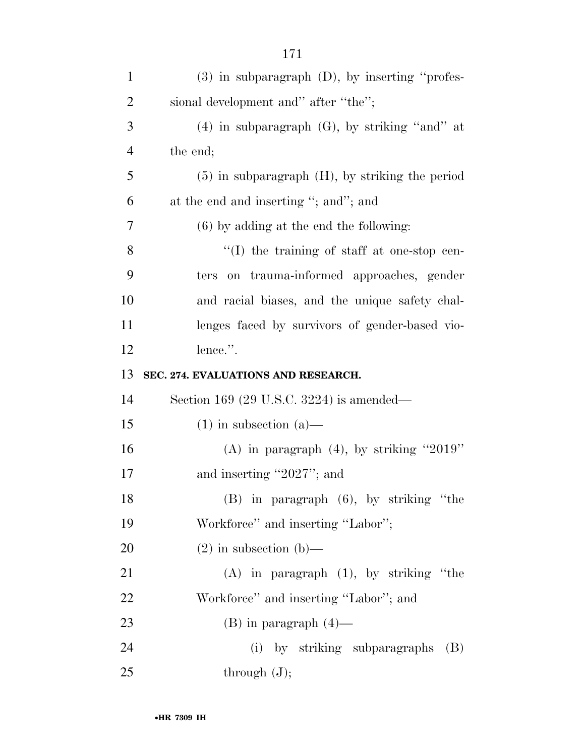| $\mathbf{1}$   | $(3)$ in subparagraph $(D)$ , by inserting "profes-  |
|----------------|------------------------------------------------------|
| $\overline{2}$ | sional development and" after "the";                 |
| 3              | $(4)$ in subparagraph $(G)$ , by striking "and" at   |
| $\overline{4}$ | the end;                                             |
| 5              | $(5)$ in subparagraph $(H)$ , by striking the period |
| 6              | at the end and inserting "; and"; and                |
| $\overline{7}$ | $(6)$ by adding at the end the following:            |
| 8              | "(I) the training of staff at one-stop cen-          |
| 9              | on trauma-informed approaches, gender<br>ters        |
| 10             | and racial biases, and the unique safety chal-       |
| 11             | lenges faced by survivors of gender-based vio-       |
| 12             | lence.".                                             |
| 13             | SEC. 274. EVALUATIONS AND RESEARCH.                  |
| 14             | Section 169 (29 U.S.C. 3224) is amended—             |
| 15             | $(1)$ in subsection $(a)$ —                          |
| 16             | (A) in paragraph $(4)$ , by striking "2019"          |
| 17             | and inserting "2027"; and                            |
| 18             | (B) in paragraph (6), by striking "the               |
| 19             | Workforce" and inserting "Labor";                    |
| 20             | $(2)$ in subsection $(b)$ —                          |
| 21             | $(A)$ in paragraph $(1)$ , by striking "the          |
| 22             | Workforce" and inserting "Labor"; and                |
| 23             | $(B)$ in paragraph $(4)$ —                           |
| 24             | (i) by striking subparagraphs<br>(B)                 |
| 25             | through $(J)$ ;                                      |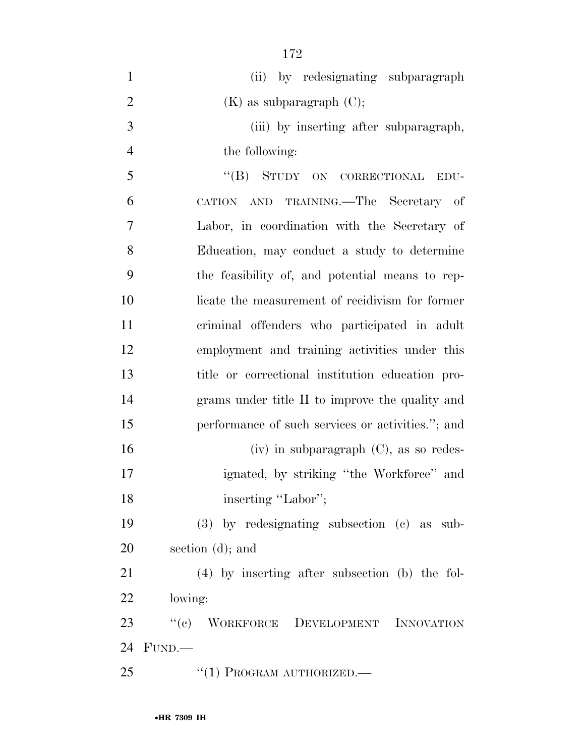| $\mathbf{1}$   | (ii) by redesignating subparagraph                |
|----------------|---------------------------------------------------|
| $\overline{2}$ | $(K)$ as subparagraph $(C)$ ;                     |
| 3              | (iii) by inserting after subparagraph,            |
| $\overline{4}$ | the following:                                    |
| 5              | "(B) STUDY ON CORRECTIONAL<br>EDU-                |
| 6              | CATION AND TRAINING.—The Secretary of             |
| 7              | Labor, in coordination with the Secretary of      |
| 8              | Education, may conduct a study to determine       |
| 9              | the feasibility of, and potential means to rep-   |
| 10             | licate the measurement of recidivism for former   |
| 11             | criminal offenders who participated in adult      |
| 12             | employment and training activities under this     |
| 13             | title or correctional institution education pro-  |
| 14             | grams under title II to improve the quality and   |
| 15             | performance of such services or activities."; and |
| 16             | $(iv)$ in subparagraph $(C)$ , as so redes-       |
| 17             | ignated, by striking "the Workforce" and          |
| 18             | inserting "Labor";                                |
| 19             | $(3)$ by redesignating subsection $(c)$ as sub-   |
| 20             | section $(d)$ ; and                               |
| 21             | $(4)$ by inserting after subsection (b) the fol-  |
| <u>22</u>      | lowing:                                           |
| 23             | "(c) WORKFORCE DEVELOPMENT INNOVATION             |
| 24             | FUND.                                             |
| 25             | $``(1)$ PROGRAM AUTHORIZED.—                      |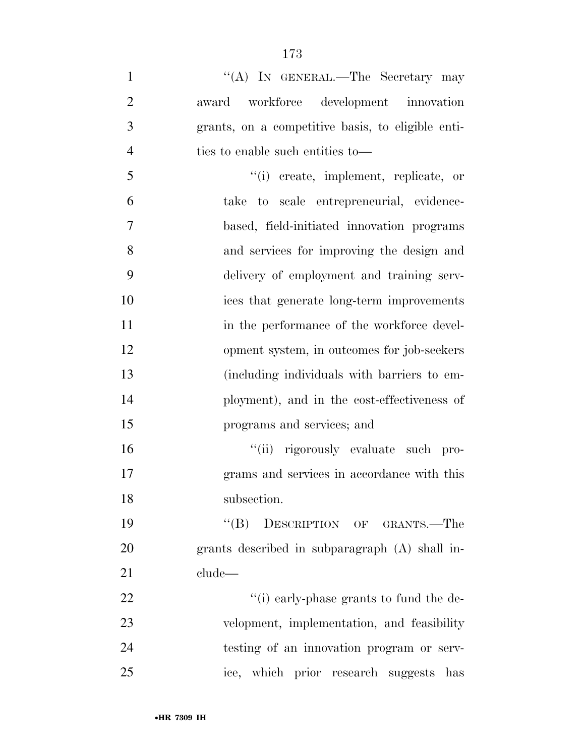1 ''(A) IN GENERAL.—The Secretary may award workforce development innovation grants, on a competitive basis, to eligible enti- ties to enable such entities to— ''(i) create, implement, replicate, or take to scale entrepreneurial, evidence- based, field-initiated innovation programs and services for improving the design and delivery of employment and training serv- ices that generate long-term improvements 11 in the performance of the workforce devel- opment system, in outcomes for job-seekers (including individuals with barriers to em- ployment), and in the cost-effectiveness of programs and services; and ''(ii) rigorously evaluate such pro- grams and services in accordance with this subsection. ''(B) DESCRIPTION OF GRANTS.—The grants described in subparagraph (A) shall in- clude—  $\frac{1}{2}$   $\frac{1}{2}$   $\frac{1}{2}$   $\frac{1}{2}$   $\frac{1}{2}$   $\frac{1}{2}$   $\frac{1}{2}$   $\frac{1}{2}$   $\frac{1}{2}$   $\frac{1}{2}$   $\frac{1}{2}$   $\frac{1}{2}$   $\frac{1}{2}$   $\frac{1}{2}$   $\frac{1}{2}$   $\frac{1}{2}$   $\frac{1}{2}$   $\frac{1}{2}$   $\frac{1}{2}$   $\frac{1}{2}$   $\frac{1}{2}$   $\frac{1}{2}$ 

 velopment, implementation, and feasibility testing of an innovation program or serv-ice, which prior research suggests has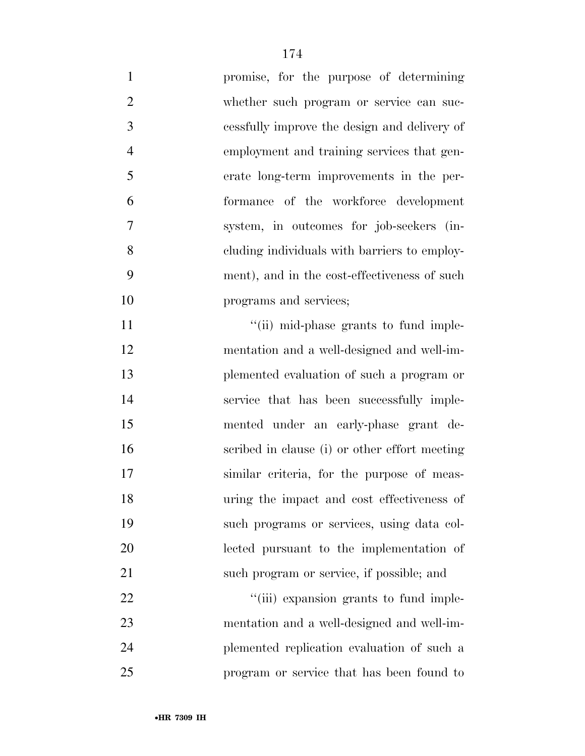| $\mathbf{1}$   | promise, for the purpose of determining       |
|----------------|-----------------------------------------------|
| $\overline{2}$ | whether such program or service can suc-      |
| $\mathfrak{Z}$ | cessfully improve the design and delivery of  |
| $\overline{4}$ | employment and training services that gen-    |
| 5              | erate long-term improvements in the per-      |
| 6              | formance of the workforce development         |
| 7              | system, in outcomes for job-seekers (in-      |
| 8              | eluding individuals with barriers to employ-  |
| 9              | ment), and in the cost-effectiveness of such  |
| 10             | programs and services;                        |
| 11             | "(ii) mid-phase grants to fund imple-         |
| 12             | mentation and a well-designed and well-im-    |
| 13             | plemented evaluation of such a program or     |
| 14             | service that has been successfully imple-     |
| 15             | mented under an early-phase grant de-         |
| 16             | scribed in clause (i) or other effort meeting |
| 17             | similar criteria, for the purpose of meas-    |
| 18             | uring the impact and cost effectiveness of    |
| 19             | such programs or services, using data col-    |
| 20             | lected pursuant to the implementation of      |
| 21             | such program or service, if possible; and     |
| 22             | "(iii) expansion grants to fund imple-        |
| 23             | mentation and a well-designed and well-im-    |
| 24             | plemented replication evaluation of such a    |
| 25             | program or service that has been found to     |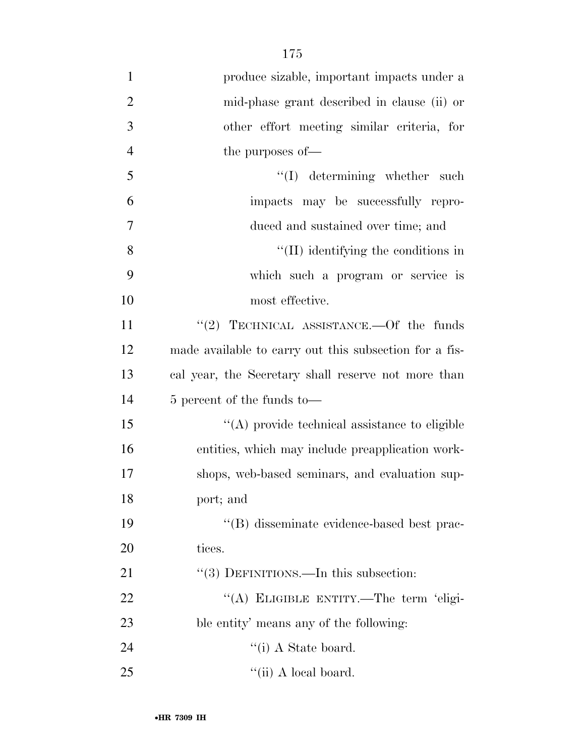produce sizable, important impacts under a mid-phase grant described in clause (ii) or other effort meeting similar criteria, for 4 the purposes of — 5 ''(I) determining whether such impacts may be successfully repro- duced and sustained over time; and 8 ''(II) identifying the conditions in which such a program or service is most effective. 11 "(2) TECHNICAL ASSISTANCE.—Of the funds made available to carry out this subsection for a fis- cal year, the Secretary shall reserve not more than 5 percent of the funds to—  $\langle (A) \rangle$  provide technical assistance to eligible entities, which may include preapplication work- shops, web-based seminars, and evaluation sup- port; and ''(B) disseminate evidence-based best prac-20 tices. 21 "(3) DEFINITIONS.—In this subsection: 22 "(A) ELIGIBLE ENTITY.—The term 'eligi- ble entity' means any of the following: 24 ''(i) A State board.

175

25  $\qquad \qquad \text{(ii) A local board.}$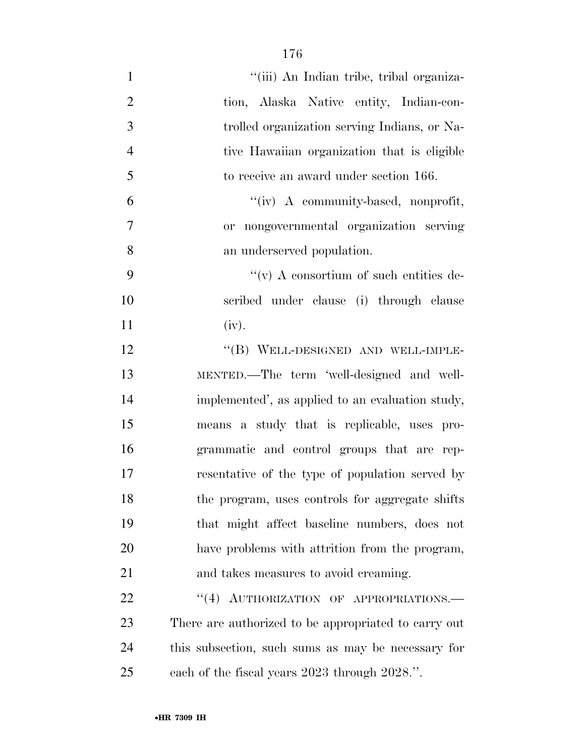| $\mathbf{1}$   | "(iii) An Indian tribe, tribal organiza-             |
|----------------|------------------------------------------------------|
| $\mathbf{2}$   | tion, Alaska Native entity, Indian-con-              |
| 3              | trolled organization serving Indians, or Na-         |
| $\overline{4}$ | tive Hawaiian organization that is eligible          |
| 5              | to receive an award under section 166.               |
| 6              | "(iv) A community-based, nonprofit,                  |
| 7              | or nongovernmental organization serving              |
| 8              | an underserved population.                           |
| 9              | $\lq\lq$ (v) A consortium of such entities de-       |
| 10             | scribed under clause (i) through clause              |
| 11             | (iv).                                                |
| 12             | "(B) WELL-DESIGNED AND WELL-IMPLE-                   |
| 13             | MENTED.—The term 'well-designed and well-            |
| 14             | implemented', as applied to an evaluation study,     |
| 15             | means a study that is replicable, uses pro-          |
| 16             | grammatic and control groups that are rep-           |
| 17             | resentative of the type of population served by      |
| 18             | the program, uses controls for aggregate shifts      |
| 19             | that might affect baseline numbers, does not         |
| 20             | have problems with attrition from the program,       |
| 21             | and takes measures to avoid creaming.                |
| 22             | "(4) AUTHORIZATION OF APPROPRIATIONS.-               |
| 23             | There are authorized to be appropriated to carry out |
| 24             | this subsection, such sums as may be necessary for   |
| 25             | each of the fiscal years 2023 through 2028.".        |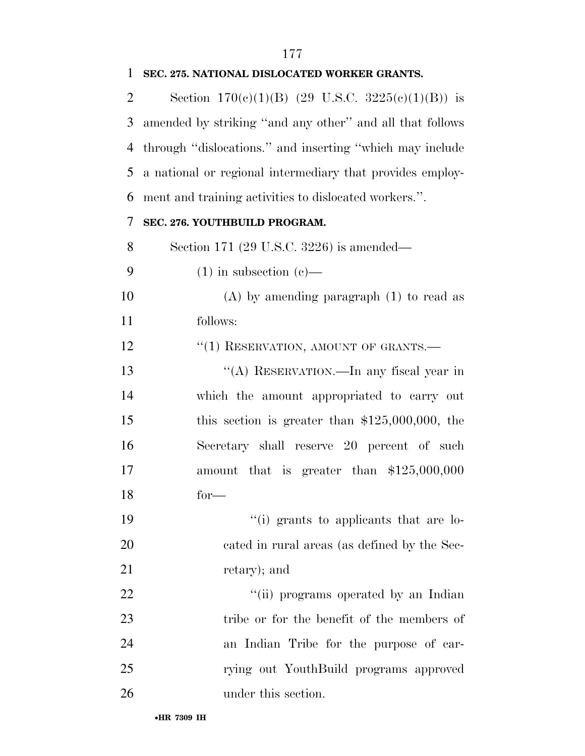## **SEC. 275. NATIONAL DISLOCATED WORKER GRANTS.**

2 Section  $170(e)(1)(B)$  (29 U.S.C.  $3225(e)(1)(B)$ ) is amended by striking ''and any other'' and all that follows through ''dislocations.'' and inserting ''which may include a national or regional intermediary that provides employ-ment and training activities to dislocated workers.''.

## **SEC. 276. YOUTHBUILD PROGRAM.**

Section 171 (29 U.S.C. 3226) is amended—

- 9  $(1)$  in subsection  $(e)$ —
- (A) by amending paragraph (1) to read as follows:

12 <sup>"</sup>(1) RESERVATION, AMOUNT OF GRANTS.

 ''(A) RESERVATION.—In any fiscal year in which the amount appropriated to carry out this section is greater than \$125,000,000, the Secretary shall reserve 20 percent of such amount that is greater than \$125,000,000 for—

19  $\frac{1}{2}$  (i) grants to applicants that are lo- cated in rural areas (as defined by the Sec-21 retary); and

 $\frac{1}{1}$   $\frac{1}{1}$  programs operated by an Indian 23 tribe or for the benefit of the members of an Indian Tribe for the purpose of car- rying out YouthBuild programs approved under this section.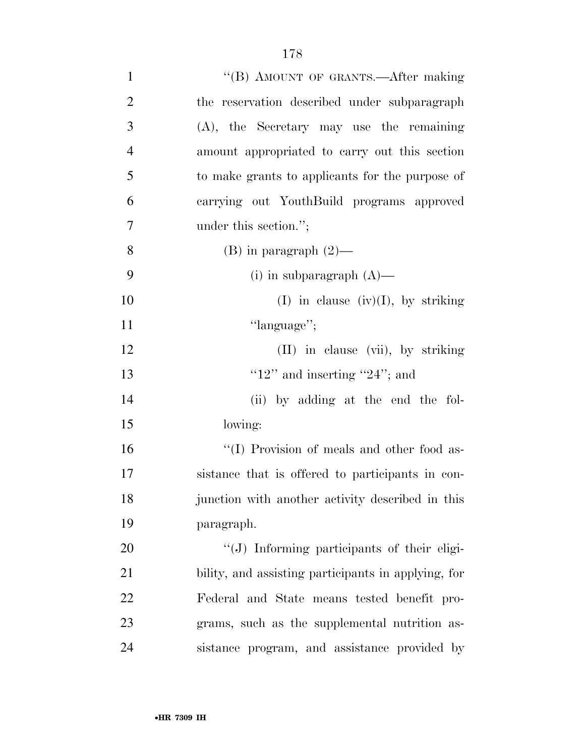| $\mathbf{1}$   | "(B) AMOUNT OF GRANTS.—After making                 |
|----------------|-----------------------------------------------------|
| $\overline{2}$ | the reservation described under subparagraph        |
| 3              | $(A)$ , the Secretary may use the remaining         |
| $\overline{4}$ | amount appropriated to carry out this section       |
| 5              | to make grants to applicants for the purpose of     |
| 6              | carrying out YouthBuild programs approved           |
| 7              | under this section.";                               |
| 8              | $(B)$ in paragraph $(2)$ —                          |
| 9              | (i) in subparagraph $(A)$ —                         |
| 10             | (I) in clause (iv)(I), by striking                  |
| 11             | "language";                                         |
| 12             | (II) in clause (vii), by striking                   |
| 13             | " $12"$ and inserting " $24"$ ; and                 |
| 14             | (ii) by adding at the end the fol-                  |
| 15             | lowing:                                             |
| 16             | "(I) Provision of meals and other food as-          |
| 17             | sistance that is offered to participants in con-    |
| 18             | junction with another activity described in this    |
| 19             | paragraph.                                          |
| $20\,$         | $\lq\lq(J)$ Informing participants of their eligi-  |
| 21             | bility, and assisting participants in applying, for |
| 22             | Federal and State means tested benefit pro-         |
| 23             | grams, such as the supplemental nutrition as-       |
| 24             | sistance program, and assistance provided by        |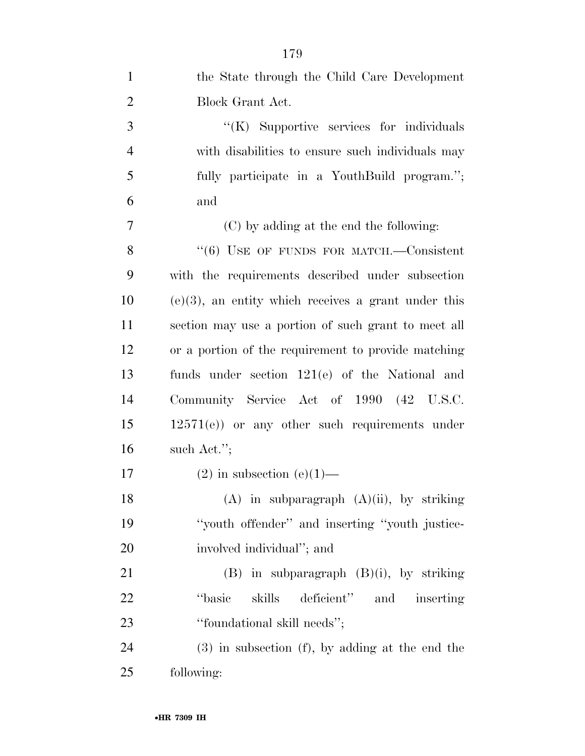| $\mathbf{1}$   | the State through the Child Care Development           |
|----------------|--------------------------------------------------------|
| $\overline{2}$ | Block Grant Act.                                       |
| 3              | "(K) Supportive services for individuals               |
| $\overline{4}$ | with disabilities to ensure such individuals may       |
| 5              | fully participate in a YouthBuild program.";           |
| 6              | and                                                    |
| $\overline{7}$ | (C) by adding at the end the following:                |
| 8              | $(6)$ USE OF FUNDS FOR MATCH.—Consistent               |
| 9              | with the requirements described under subsection       |
| 10             | $(e)(3)$ , an entity which receives a grant under this |
| 11             | section may use a portion of such grant to meet all    |
| 12             | or a portion of the requirement to provide matching    |
| 13             | funds under section $121(e)$ of the National and       |
| 14             | Community Service Act of 1990 (42 U.S.C.               |
| 15             | $12571(e)$ or any other such requirements under        |
| 16             | such Act.";                                            |
| 17             | $(2)$ in subsection $(e)(1)$ —                         |
| 18             | $(A)$ in subparagraph $(A)(ii)$ , by striking          |
| 19             | "youth offender" and inserting "youth justice-         |
| 20             | involved individual"; and                              |
| 21             | $(B)$ in subparagraph $(B)(i)$ , by striking           |
| 22             | skills deficient" and inserting<br>"basic              |
| 23             | "foundational skill needs";                            |
| 24             | $(3)$ in subsection $(f)$ , by adding at the end the   |
| 25             | following:                                             |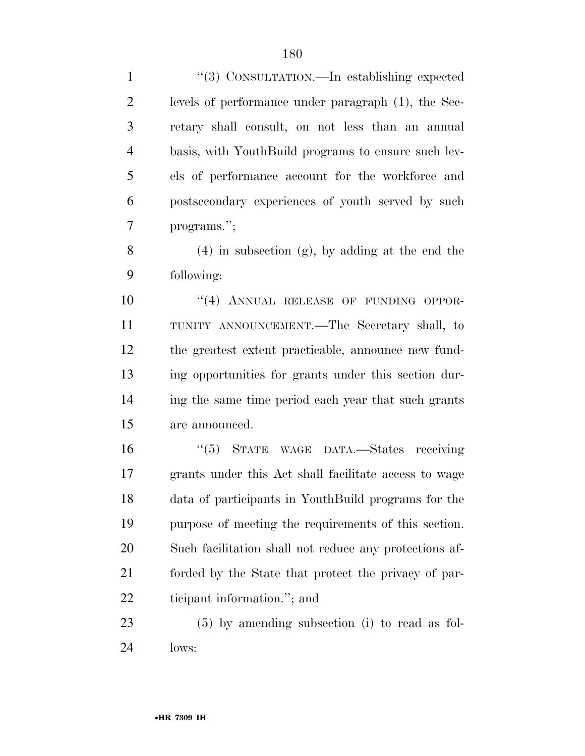''(3) CONSULTATION.—In establishing expected levels of performance under paragraph (1), the Sec- retary shall consult, on not less than an annual basis, with YouthBuild programs to ensure such lev- els of performance account for the workforce and postsecondary experiences of youth served by such programs.'';

8 (4) in subsection  $(g)$ , by adding at the end the following:

 $((4)$  ANNUAL RELEASE OF FUNDING OPPOR- TUNITY ANNOUNCEMENT.—The Secretary shall, to the greatest extent practicable, announce new fund- ing opportunities for grants under this section dur- ing the same time period each year that such grants are announced.

 ''(5) STATE WAGE DATA.—States receiving grants under this Act shall facilitate access to wage data of participants in YouthBuild programs for the purpose of meeting the requirements of this section. Such facilitation shall not reduce any protections af- forded by the State that protect the privacy of par-ticipant information.''; and

 (5) by amending subsection (i) to read as fol-lows: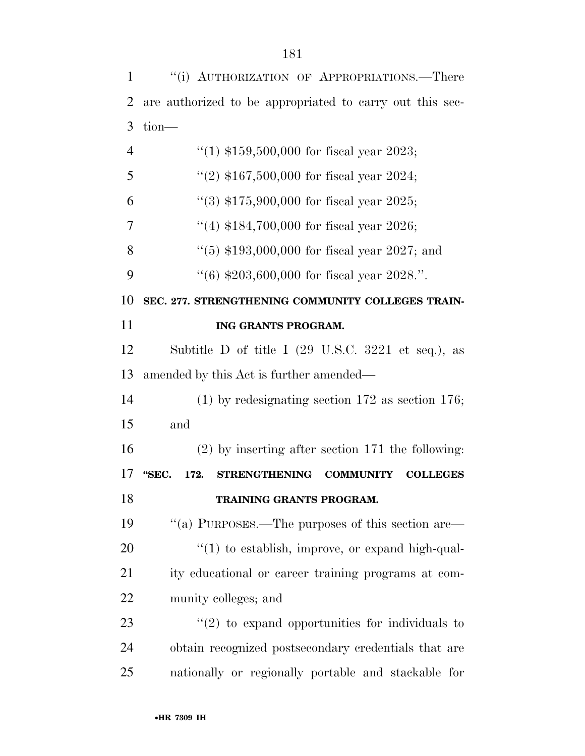''(i) AUTHORIZATION OF APPROPRIATIONS.—There are authorized to be appropriated to carry out this sec- tion—  $\frac{4}{1}$   $\frac{159,500,000}{1}$  for fiscal year 2023;  $\frac{4}{2}$  \$167,500,000 for fiscal year 2024;  $\frac{4}{3}$  \$175,900,000 for fiscal year 2025;  $\frac{4}{184}$  \$184,700,000 for fiscal year 2026; 8 "(5) \$193,000,000 for fiscal year 2027; and  $\frac{4}{6}$   $\frac{4}{203,600,000}$  for fiscal year 2028.". **SEC. 277. STRENGTHENING COMMUNITY COLLEGES TRAIN- ING GRANTS PROGRAM.**  Subtitle D of title I (29 U.S.C. 3221 et seq.), as amended by this Act is further amended— (1) by redesignating section 172 as section 176; and (2) by inserting after section 171 the following: **''SEC. 172. STRENGTHENING COMMUNITY COLLEGES TRAINING GRANTS PROGRAM.**  ''(a) PURPOSES.—The purposes of this section are—  $\frac{1}{20}$  to establish, improve, or expand high-qual- ity educational or career training programs at com- munity colleges; and  $\frac{1}{23}$  ''(2) to expand opportunities for individuals to obtain recognized postsecondary credentials that are nationally or regionally portable and stackable for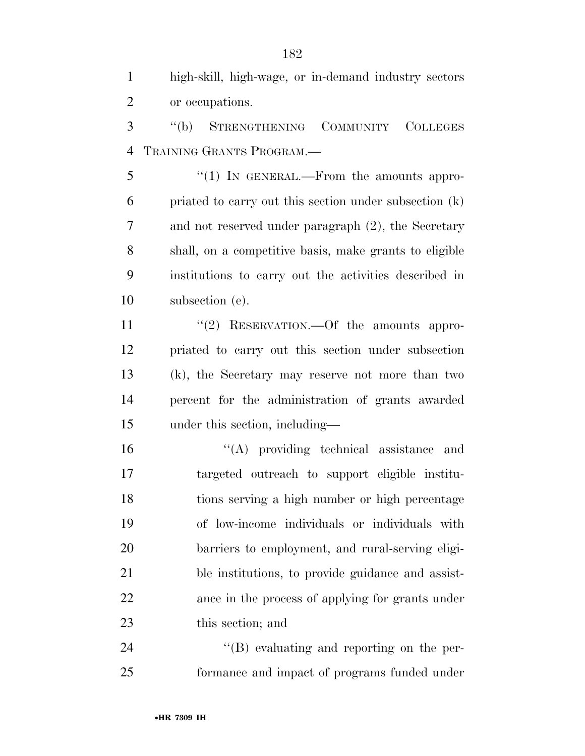high-skill, high-wage, or in-demand industry sectors or occupations.

 ''(b) STRENGTHENING COMMUNITY COLLEGES TRAINING GRANTS PROGRAM.—

5 "(1) IN GENERAL.—From the amounts appro- priated to carry out this section under subsection (k) and not reserved under paragraph (2), the Secretary shall, on a competitive basis, make grants to eligible institutions to carry out the activities described in subsection (e).

11 "(2) RESERVATION.—Of the amounts appro- priated to carry out this section under subsection (k), the Secretary may reserve not more than two percent for the administration of grants awarded under this section, including—

 ''(A) providing technical assistance and targeted outreach to support eligible institu- tions serving a high number or high percentage of low-income individuals or individuals with barriers to employment, and rural-serving eligi- ble institutions, to provide guidance and assist- ance in the process of applying for grants under this section; and

24  $\langle$  (B) evaluating and reporting on the per-formance and impact of programs funded under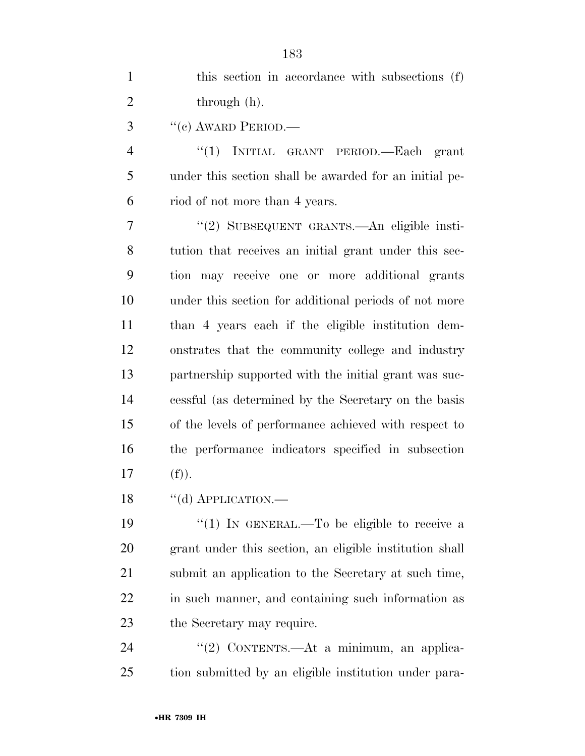| $\mathbf{1}$   | this section in accordance with subsections (f)        |
|----------------|--------------------------------------------------------|
| $\overline{2}$ | through (h).                                           |
| 3              | $``(e)$ AWARD PERIOD.—                                 |
| 4              | "(1) INITIAL GRANT PERIOD.—Each grant                  |
| 5              | under this section shall be awarded for an initial pe- |
| 6              | riod of not more than 4 years.                         |
| 7              | "(2) SUBSEQUENT GRANTS.—An eligible insti-             |
| 8              | tution that receives an initial grant under this sec-  |
| 9              | tion may receive one or more additional grants         |
| 10             | under this section for additional periods of not more  |
| 11             | than 4 years each if the eligible institution dem-     |
| 12             | onstrates that the community college and industry      |
| 13             | partnership supported with the initial grant was suc-  |
| 14             | cessful (as determined by the Secretary on the basis   |
| 15             | of the levels of performance achieved with respect to  |
| 16             | the performance indicators specified in subsection     |
| 17             | (f)).                                                  |
|                |                                                        |

18 "(d) APPLICATION.—

19 "(1) IN GENERAL.—To be eligible to receive a grant under this section, an eligible institution shall submit an application to the Secretary at such time, in such manner, and containing such information as the Secretary may require.

24 ''(2) CONTENTS.—At a minimum, an applica-tion submitted by an eligible institution under para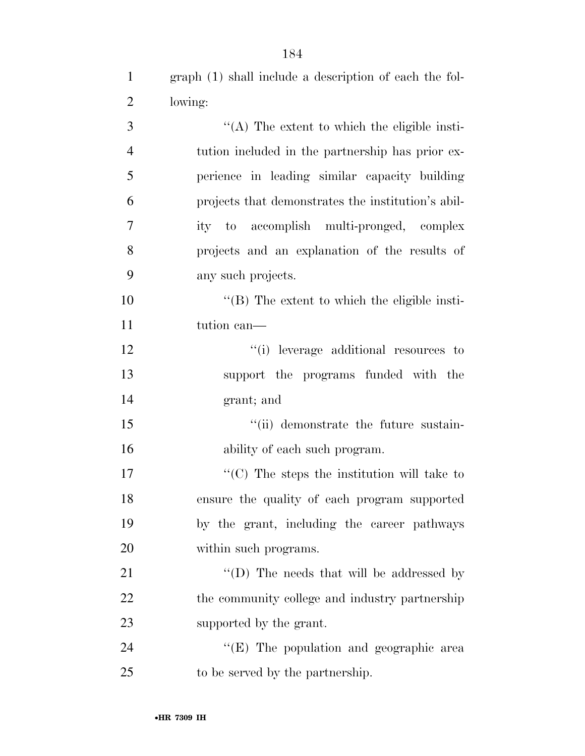graph (1) shall include a description of each the fol-

| $\mathbf{2}$   | lowing:                                                          |
|----------------|------------------------------------------------------------------|
| 3              | $\lq\lq$ . The extent to which the eligible insti-               |
| $\overline{4}$ | tution included in the partnership has prior ex-                 |
| 5              | perience in leading similar capacity building                    |
| 6              | projects that demonstrates the institution's abil-               |
| $\tau$         | ity to accomplish multi-pronged, complex                         |
| 8              | projects and an explanation of the results of                    |
| 9              | any such projects.                                               |
| 10             | $\lq\lq$ (B) The extent to which the eligible insti-             |
| 11             | tution can—                                                      |
| 12             | "(i) leverage additional resources to                            |
| 13             | support the programs funded with the                             |
| 14             | grant; and                                                       |
| 15             | "(ii) demonstrate the future sustain-                            |
| 16             | ability of each such program.                                    |
| 17             | $\lq\lq$ <sup>c</sup> (C) The steps the institution will take to |
| 18             | ensure the quality of each program supported                     |
| 19             | by the grant, including the career pathways                      |
| 20             | within such programs.                                            |
| 21             | "(D) The needs that will be addressed by                         |
| 22             | the community college and industry partnership                   |
| 23             | supported by the grant.                                          |
| 24             | $\lq\lq$ (E) The population and geographic area                  |
| 25             | to be served by the partnership.                                 |
|                |                                                                  |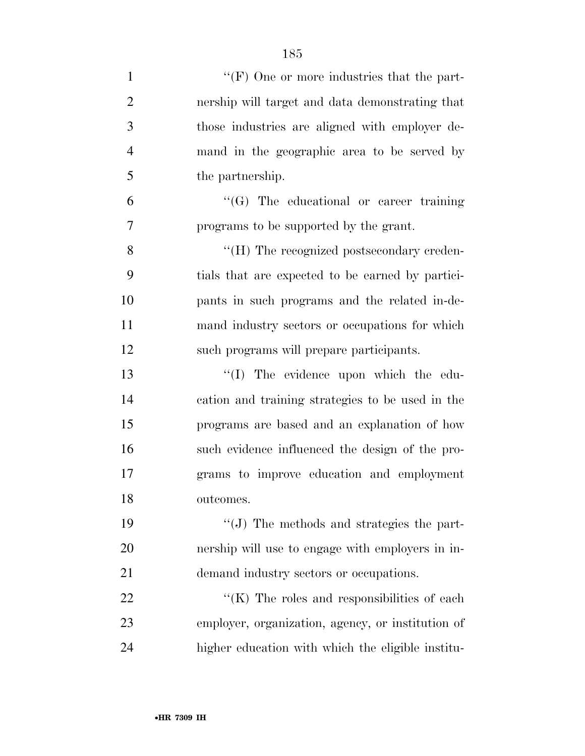| $\mathbf{1}$   | " $(F)$ One or more industries that the part-     |
|----------------|---------------------------------------------------|
| $\overline{2}$ | nership will target and data demonstrating that   |
| 3              | those industries are aligned with employer de-    |
| $\overline{4}$ | mand in the geographic area to be served by       |
| 5              | the partnership.                                  |
| 6              | $\lq\lq(G)$ The educational or career training    |
| 7              | programs to be supported by the grant.            |
| 8              | "(H) The recognized postsecondary creden-         |
| 9              | tials that are expected to be earned by partici-  |
| 10             | pants in such programs and the related in-de-     |
| 11             | mand industry sectors or occupations for which    |
| 12             | such programs will prepare participants.          |
| 13             | "(I) The evidence upon which the edu-             |
| 14             | cation and training strategies to be used in the  |
| 15             | programs are based and an explanation of how      |
| 16             | such evidence influenced the design of the pro-   |
| 17             | grams to improve education and employment         |
| 18             | outcomes.                                         |
| 19             | $\lq\lq$ . The methods and strategies the part-   |
| 20             | nership will use to engage with employers in in-  |
| 21             | demand industry sectors or occupations.           |
| 22             | " $(K)$ The roles and responsibilities of each    |
| 23             | employer, organization, agency, or institution of |
| 24             | higher education with which the eligible institu- |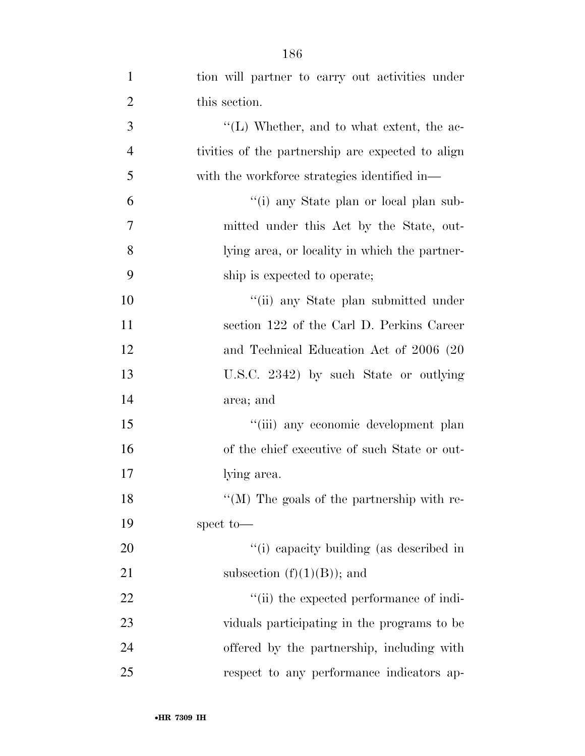| $\mathbf{1}$   | tion will partner to carry out activities under   |
|----------------|---------------------------------------------------|
| $\overline{2}$ | this section.                                     |
| 3              | $\lq\lq$ . Whether, and to what extent, the ac-   |
| $\overline{4}$ | tivities of the partnership are expected to align |
| 5              | with the workforce strategies identified in—      |
| 6              | "(i) any State plan or local plan sub-            |
| 7              | mitted under this Act by the State, out-          |
| 8              | lying area, or locality in which the partner-     |
| 9              | ship is expected to operate;                      |
| 10             | "(ii) any State plan submitted under              |
| 11             | section 122 of the Carl D. Perkins Career         |
| 12             | and Technical Education Act of 2006 (20           |
| 13             | U.S.C. 2342) by such State or outlying            |
| 14             | area; and                                         |
| 15             | "(iii) any economic development plan              |
| 16             | of the chief executive of such State or out-      |
| 17             | lying area.                                       |
| 18             | "(M) The goals of the partnership with re-        |
| 19             | spect to-                                         |
| 20             | "(i) capacity building (as described in           |
| 21             | subsection $(f)(1)(B)$ ; and                      |
| 22             | "(ii) the expected performance of indi-           |
| 23             | viduals participating in the programs to be       |
| 24             | offered by the partnership, including with        |
| 25             | respect to any performance indicators ap-         |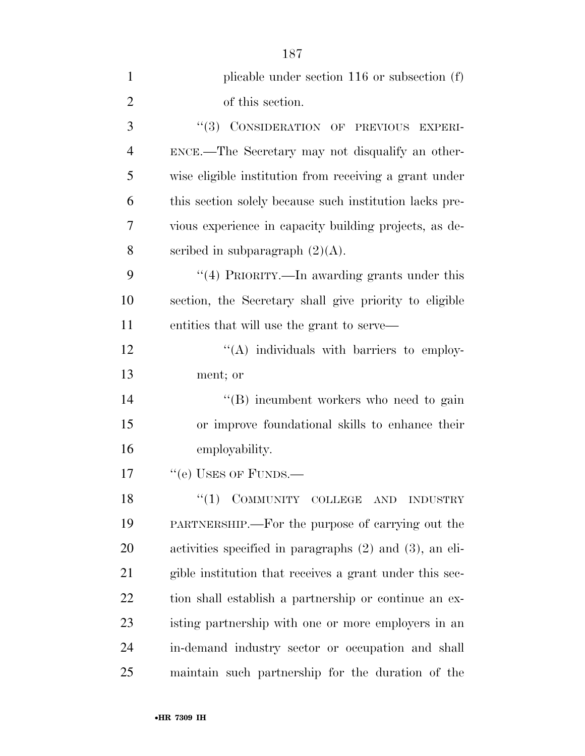| $\mathbf{1}$   | plicable under section $116$ or subsection $(f)$             |
|----------------|--------------------------------------------------------------|
| $\overline{2}$ | of this section.                                             |
| 3              | "(3) CONSIDERATION OF PREVIOUS EXPERI-                       |
| $\overline{4}$ | ENCE.—The Secretary may not disqualify an other-             |
| 5              | wise eligible institution from receiving a grant under       |
| 6              | this section solely because such institution lacks pre-      |
| 7              | vious experience in capacity building projects, as de-       |
| 8              | scribed in subparagraph $(2)(A)$ .                           |
| 9              | "(4) PRIORITY.—In awarding grants under this                 |
| 10             | section, the Secretary shall give priority to eligible       |
| 11             | entities that will use the grant to serve—                   |
| 12             | "(A) individuals with barriers to employ-                    |
| 13             | ment; or                                                     |
| 14             | "(B) incumbent workers who need to gain                      |
| 15             | or improve foundational skills to enhance their              |
| 16             | employability.                                               |
| 17             | "(e) USES OF FUNDS.-                                         |
| 18             | $(1)$ COMMUNITY COLLEGE AND<br><b>INDUSTRY</b>               |
| 19             | PARTNERSHIP.—For the purpose of carrying out the             |
| 20             | activities specified in paragraphs $(2)$ and $(3)$ , an eli- |
| 21             | gible institution that receives a grant under this sec-      |
| 22             | tion shall establish a partnership or continue an ex-        |
| 23             | isting partnership with one or more employers in an          |
| 24             | in-demand industry sector or occupation and shall            |
| 25             | maintain such partnership for the duration of the            |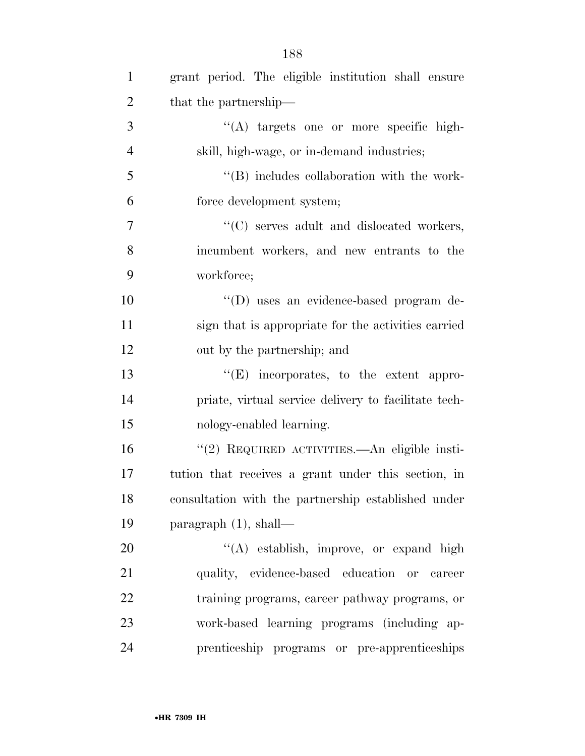| $\mathbf{1}$   | grant period. The eligible institution shall ensure  |
|----------------|------------------------------------------------------|
| $\overline{2}$ | that the partnership—                                |
| 3              | "(A) targets one or more specific high-              |
| $\overline{4}$ | skill, high-wage, or in-demand industries;           |
| 5              | $\lq\lq$ (B) includes collaboration with the work-   |
| 6              | force development system;                            |
| $\overline{7}$ | "(C) serves adult and dislocated workers,            |
| 8              | incumbent workers, and new entrants to the           |
| 9              | workforce;                                           |
| 10             | "(D) uses an evidence-based program de-              |
| 11             | sign that is appropriate for the activities carried  |
| 12             | out by the partnership; and                          |
| 13             | $\lq\lq(E)$ incorporates, to the extent appro-       |
| 14             | priate, virtual service delivery to facilitate tech- |
| 15             | nology-enabled learning.                             |
| 16             | "(2) REQUIRED ACTIVITIES.—An eligible insti-         |
| 17             | tution that receives a grant under this section, in  |
| 18             | consultation with the partnership established under  |
| 19             | paragraph $(1)$ , shall—                             |
| 20             | "(A) establish, improve, or expand high              |
| 21             | quality, evidence-based education or<br>career       |
| 22             | training programs, career pathway programs, or       |
| 23             | work-based learning programs (including ap-          |
| 24             | prenticeship programs or pre-apprenticeships         |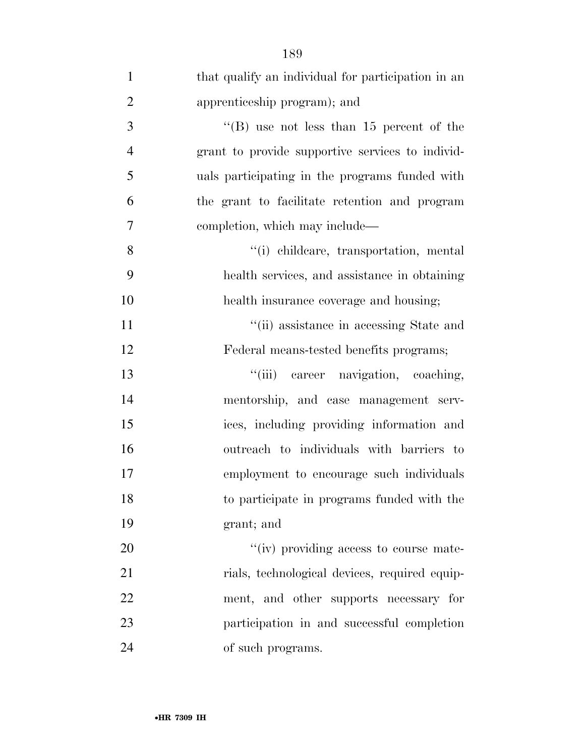| $\mathbf{1}$   | that qualify an individual for participation in an |
|----------------|----------------------------------------------------|
| $\overline{2}$ | apprenticeship program); and                       |
| 3              | "(B) use not less than $15$ percent of the         |
| $\overline{4}$ | grant to provide supportive services to individ-   |
| 5              | uals participating in the programs funded with     |
| 6              | the grant to facilitate retention and program      |
| 7              | completion, which may include—                     |
| 8              | "(i) childcare, transportation, mental             |
| 9              | health services, and assistance in obtaining       |
| 10             | health insurance coverage and housing;             |
| 11             | "(ii) assistance in accessing State and            |
| 12             | Federal means-tested benefits programs;            |
| 13             | "(iii) career navigation, coaching,                |
| 14             | mentorship, and case management serv-              |
| 15             | ices, including providing information and          |
| 16             | outreach to individuals with barriers to           |
| 17             | employment to encourage such individuals           |
| 18             | to participate in programs funded with the         |
| 19             | grant; and                                         |
| 20             | "(iv) providing access to course mate-             |
| 21             | rials, technological devices, required equip-      |
| 22             | ment, and other supports necessary for             |
| 23             | participation in and successful completion         |
| 24             | of such programs.                                  |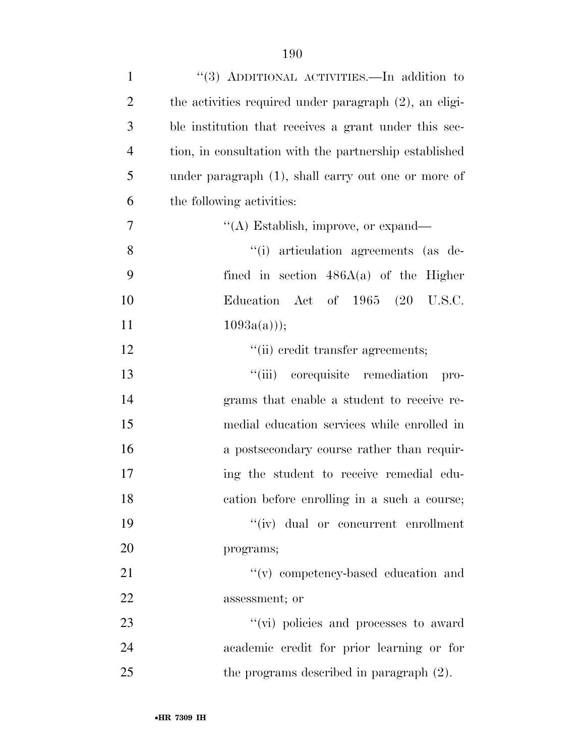| $\mathbf{1}$   | "(3) ADDITIONAL ACTIVITIES.—In addition to                |
|----------------|-----------------------------------------------------------|
| $\overline{2}$ | the activities required under paragraph $(2)$ , an eligi- |
| 3              | ble institution that receives a grant under this sec-     |
| $\overline{4}$ | tion, in consultation with the partnership established    |
| 5              | under paragraph (1), shall carry out one or more of       |
| 6              | the following activities:                                 |
| 7              | "(A) Establish, improve, or expand—                       |
| 8              | "(i) articulation agreements (as de-                      |
| 9              | fined in section $486A(a)$ of the Higher                  |
| 10             | Education Act of 1965 (20 U.S.C.                          |
| 11             | $1093a(a))$ ;                                             |
| 12             | "(ii) credit transfer agreements;                         |
| 13             | "(iii) corequisite remediation<br>pro-                    |
| 14             | grams that enable a student to receive re-                |
| 15             | medial education services while enrolled in               |
| 16             | a postsecondary course rather than requir-                |
| 17             | ing the student to receive remedial edu-                  |
| 18             | cation before enrolling in a such a course;               |
| 19             | "(iv) dual or concurrent enrollment                       |
| 20             | programs;                                                 |
| 21             | "(v) competency-based education and                       |
| 22             | assessment; or                                            |
| 23             | "(vi) policies and processes to award                     |
| 24             | academic credit for prior learning or for                 |
| 25             | the programs described in paragraph $(2)$ .               |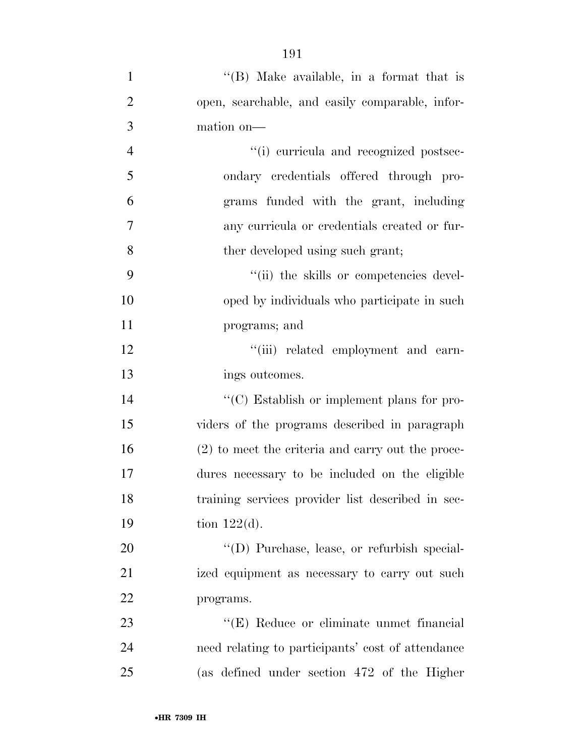| $\mathbf{1}$   | "(B) Make available, in a format that is            |
|----------------|-----------------------------------------------------|
| $\overline{2}$ | open, searchable, and easily comparable, infor-     |
| $\mathfrak{Z}$ | mation on-                                          |
| $\overline{4}$ | "(i) curricula and recognized postsec-              |
| 5              | ondary credentials offered through pro-             |
| 6              | grams funded with the grant, including              |
| 7              | any curricula or credentials created or fur-        |
| 8              | ther developed using such grant;                    |
| 9              | "(ii) the skills or competencies devel-             |
| 10             | oped by individuals who participate in such         |
| 11             | programs; and                                       |
| 12             | "(iii) related employment and earn-                 |
| 13             | ings outcomes.                                      |
| 14             | "(C) Establish or implement plans for pro-          |
| 15             | viders of the programs described in paragraph       |
| 16             | (2) to meet the criteria and carry out the proce-   |
| 17             | dures necessary to be included on the eligible      |
| 18             | training services provider list described in sec-   |
| 19             | tion $122(d)$ .                                     |
| 20             | $\lq\lq$ (D) Purchase, lease, or refurbish special- |
| 21             | ized equipment as necessary to carry out such       |
| 22             | programs.                                           |
| 23             | "(E) Reduce or eliminate unmet financial            |
| 24             | need relating to participants' cost of attendance   |
| 25             | (as defined under section 472 of the Higher         |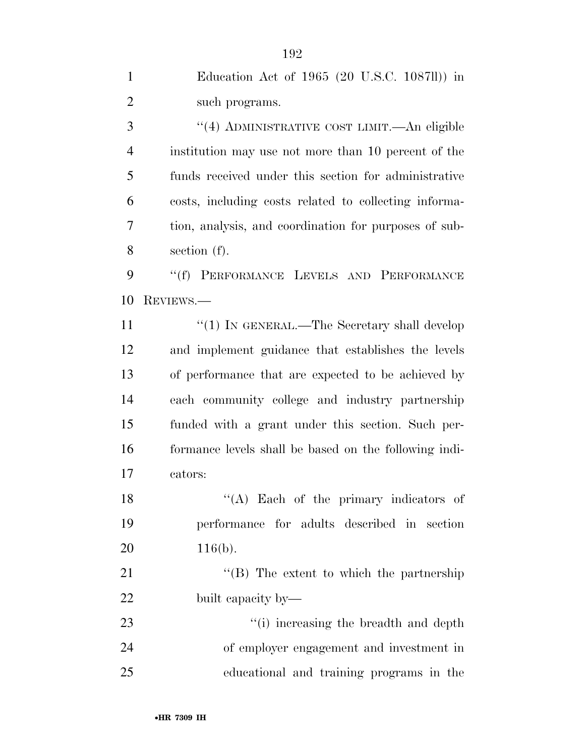| $\mathbf{1}$   | Education Act of 1965 (20 U.S.C. 1087ll)) in          |
|----------------|-------------------------------------------------------|
| $\overline{2}$ | such programs.                                        |
| 3              | "(4) ADMINISTRATIVE COST LIMIT.—An eligible           |
| $\overline{4}$ | institution may use not more than 10 percent of the   |
| 5              | funds received under this section for administrative  |
| 6              | costs, including costs related to collecting informa- |
| 7              | tion, analysis, and coordination for purposes of sub- |
| 8              | section $(f)$ .                                       |
| 9              | "(f) PERFORMANCE LEVELS AND PERFORMANCE               |
| 10             | REVIEWS.                                              |
| 11             | "(1) IN GENERAL.—The Secretary shall develop          |
| 12             | and implement guidance that establishes the levels    |
| 13             | of performance that are expected to be achieved by    |
| 14             | each community college and industry partnership       |
| 15             | funded with a grant under this section. Such per-     |
| 16             | formance levels shall be based on the following indi- |
| 17             | cators:                                               |
| 18             | "(A) Each of the primary indicators of                |
| 19             | performance for adults described in section           |
| 20             | $116(b)$ .                                            |
| 21             | "(B) The extent to which the partnership              |
| 22             | built capacity by—                                    |
| 23             | "(i) increasing the breadth and depth                 |
| 24             | of employer engagement and investment in              |
| 25             | educational and training programs in the              |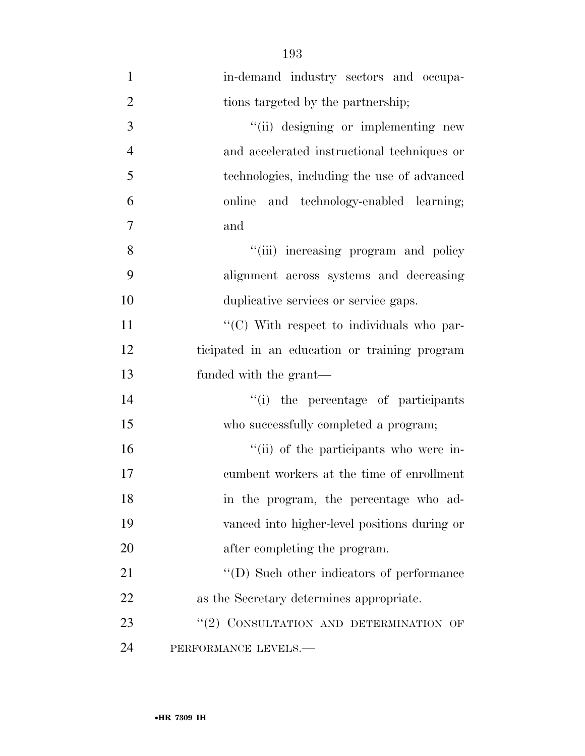| $\mathbf{1}$   | in-demand industry sectors and occupa-        |
|----------------|-----------------------------------------------|
| $\overline{2}$ | tions targeted by the partnership;            |
| 3              | "(ii) designing or implementing new           |
| $\overline{4}$ | and accelerated instructional techniques or   |
| 5              | technologies, including the use of advanced   |
| 6              | online and technology-enabled learning;       |
| 7              | and                                           |
| 8              | "(iii) increasing program and policy          |
| 9              | alignment across systems and decreasing       |
| 10             | duplicative services or service gaps.         |
| 11             | "(C) With respect to individuals who par-     |
| 12             | ticipated in an education or training program |
| 13             | funded with the grant—                        |
| 14             | "(i) the percentage of participants           |
| 15             | who successfully completed a program;         |
| 16             | "(ii) of the participants who were in-        |
| 17             | cumbent workers at the time of enrollment     |
| 18             | in the program, the percentage who ad-        |
| 19             | vanced into higher-level positions during or  |
| 20             | after completing the program.                 |
| 21             | "(D) Such other indicators of performance     |
| 22             | as the Secretary determines appropriate.      |
| 23             | "(2) CONSULTATION AND DETERMINATION OF        |
| 24             | PERFORMANCE LEVELS.-                          |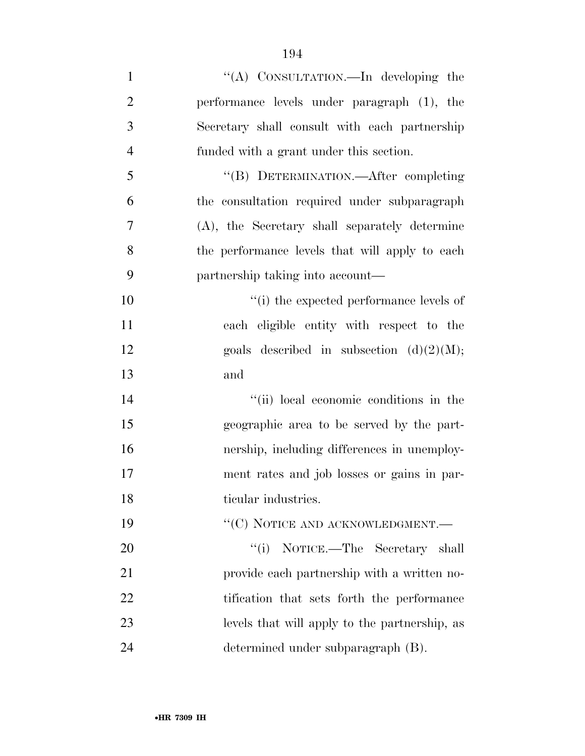''(A) CONSULTATION.—In developing the performance levels under paragraph (1), the Secretary shall consult with each partnership funded with a grant under this section. ''(B) DETERMINATION.—After completing the consultation required under subparagraph (A), the Secretary shall separately determine the performance levels that will apply to each partnership taking into account—  $\frac{1}{10}$  the expected performance levels of each eligible entity with respect to the 12 goals described in subsection  $(d)(2)(M);$  and 14 ''(ii) local economic conditions in the geographic area to be served by the part- nership, including differences in unemploy- ment rates and job losses or gains in par-18 ticular industries. 19 "'(C) NOTICE AND ACKNOWLEDGMENT.— 20 ''(i) NOTICE.—The Secretary shall provide each partnership with a written no-22 tification that sets forth the performance levels that will apply to the partnership, as determined under subparagraph (B).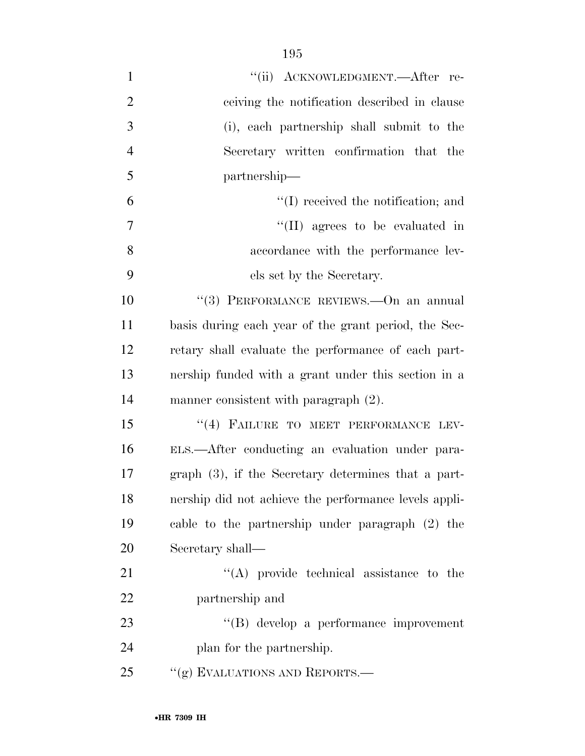| $\mathbf{1}$   | "(ii) ACKNOWLEDGMENT.—After re-                        |
|----------------|--------------------------------------------------------|
| $\overline{2}$ | ceiving the notification described in clause           |
| 3              | (i), each partnership shall submit to the              |
| $\overline{4}$ | Secretary written confirmation that the                |
| 5              | partnership—                                           |
| 6              | $\lq\lq$ received the notification; and                |
| $\overline{7}$ | "(II) agrees to be evaluated in                        |
| 8              | accordance with the performance lev-                   |
| 9              | els set by the Secretary.                              |
| 10             | "(3) PERFORMANCE REVIEWS.—On an annual                 |
| 11             | basis during each year of the grant period, the Sec-   |
| 12             | retary shall evaluate the performance of each part-    |
| 13             | nership funded with a grant under this section in a    |
| 14             | manner consistent with paragraph (2).                  |
| 15             | "(4) FAILURE TO MEET PERFORMANCE LEV-                  |
| 16             | ELS.—After conducting an evaluation under para-        |
| 17             | graph $(3)$ , if the Secretary determines that a part- |
| 18             | nership did not achieve the performance levels appli-  |
| 19             | cable to the partnership under paragraph (2) the       |
| 20             | Secretary shall—                                       |
| 21             | $\lq\lq$ provide technical assistance to the           |
| 22             | partnership and                                        |
| 23             | $\lq\lq(B)$ develop a performance improvement          |
| 24             | plan for the partnership.                              |
| 25             | "(g) EVALUATIONS AND REPORTS.—                         |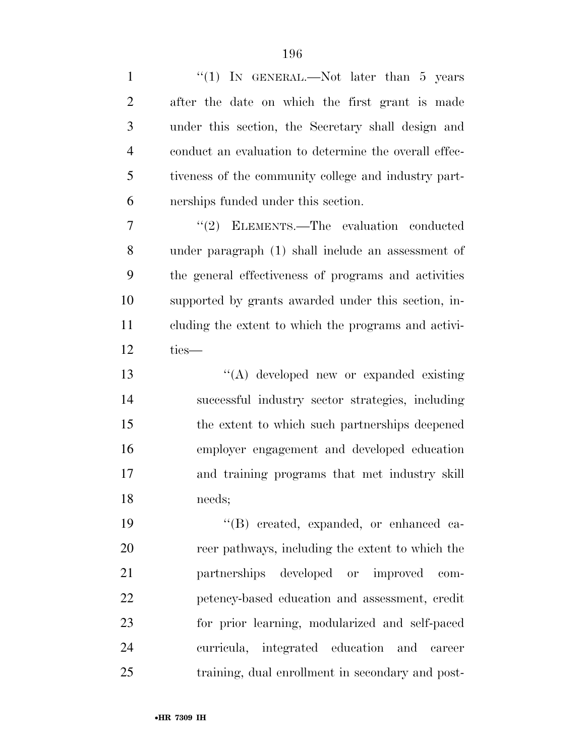| $\mathbf{1}$   | "(1) IN GENERAL.—Not later than 5 years               |
|----------------|-------------------------------------------------------|
| $\overline{2}$ | after the date on which the first grant is made       |
| 3              | under this section, the Secretary shall design and    |
| $\overline{4}$ | conduct an evaluation to determine the overall effec- |
| 5              | tiveness of the community college and industry part-  |
| 6              | nerships funded under this section.                   |
| $\overline{7}$ | "(2) ELEMENTS.—The evaluation conducted               |
| 8              | under paragraph (1) shall include an assessment of    |
| 9              | the general effectiveness of programs and activities  |
| 10             | supported by grants awarded under this section, in-   |
| 11             | cluding the extent to which the programs and activi-  |
| 12             | ties-                                                 |
| 13             | "(A) developed new or expanded existing               |
| 14             | successful industry sector strategies, including      |
| 15             | the extent to which such partnerships deepened        |
| 16             | employer engagement and developed education           |
| 17             | and training programs that met industry skill         |
| 18             | needs;                                                |
| 19             | "(B) created, expanded, or enhanced ca-               |
| 20             | reer pathways, including the extent to which the      |
| 21             | partnerships<br>developed or improved<br>com-         |
| 22             | petency-based education and assessment, credit        |
| 23             | for prior learning, modularized and self-paced        |
| 24             | integrated education and<br>curricula,<br>career      |
| 25             | training, dual enrollment in secondary and post-      |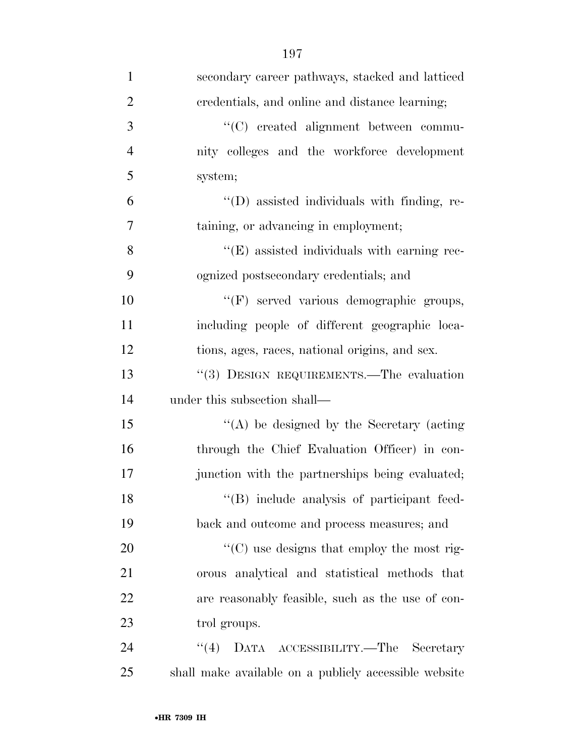| $\mathbf{1}$   | secondary career pathways, stacked and latticed       |
|----------------|-------------------------------------------------------|
| $\overline{2}$ | credentials, and online and distance learning;        |
| 3              | "(C) created alignment between commu-                 |
| $\overline{4}$ | nity colleges and the workforce development           |
| 5              | system;                                               |
| 6              | "(D) assisted individuals with finding, re-           |
| 7              | taining, or advancing in employment;                  |
| 8              | "(E) assisted individuals with earning rec-           |
| 9              | ognized postsecondary credentials; and                |
| 10             | "(F) served various demographic groups,               |
| 11             | including people of different geographic loca-        |
| 12             | tions, ages, races, national origins, and sex.        |
| 13             | "(3) DESIGN REQUIREMENTS.—The evaluation              |
| 14             | under this subsection shall—                          |
| 15             | $\lq\lq$ be designed by the Secretary (acting         |
| 16             | through the Chief Evaluation Officer) in con-         |
| 17             | junction with the partnerships being evaluated;       |
| 18             | "(B) include analysis of participant feed-            |
| 19             | back and outcome and process measures; and            |
| 20             | "(C) use designs that employ the most rig-            |
| 21             | orous analytical and statistical methods that         |
| 22             | are reasonably feasible, such as the use of con-      |
| 23             | trol groups.                                          |
| 24             | ``(4)<br>DATA ACCESSIBILITY.—The Secretary            |
| 25             | shall make available on a publicly accessible website |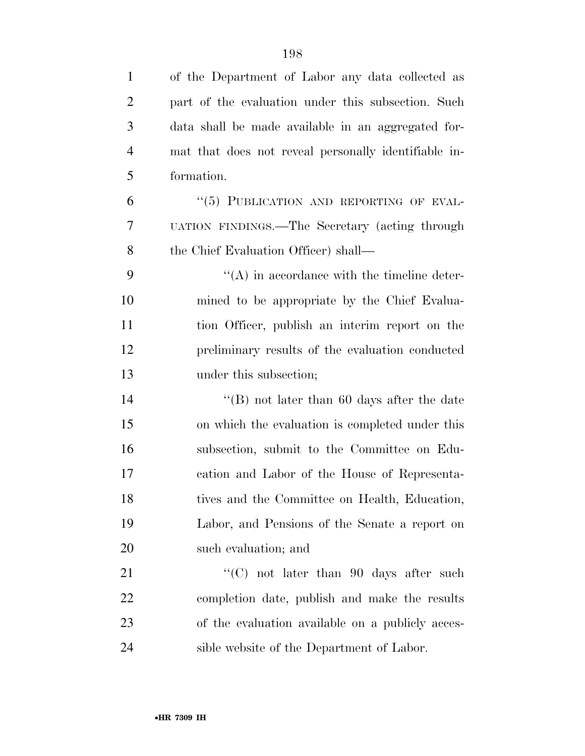| $\mathbf{1}$   | of the Department of Labor any data collected as     |
|----------------|------------------------------------------------------|
| $\overline{2}$ | part of the evaluation under this subsection. Such   |
| 3              | data shall be made available in an aggregated for-   |
| $\overline{4}$ | mat that does not reveal personally identifiable in- |
| 5              | formation.                                           |
| 6              | "(5) PUBLICATION AND REPORTING OF EVAL-              |
| $\overline{7}$ | UATION FINDINGS.—The Secretary (acting through       |
| 8              | the Chief Evaluation Officer) shall—                 |
| 9              | $\lq\lq$ in accordance with the timeline deter-      |
| 10             | mined to be appropriate by the Chief Evalua-         |
| 11             | tion Officer, publish an interim report on the       |
| 12             | preliminary results of the evaluation conducted      |
| 13             | under this subsection;                               |
| 14             | "(B) not later than 60 days after the date           |
| 15             | on which the evaluation is completed under this      |
| 16             | subsection, submit to the Committee on Edu-          |
| 17             | cation and Labor of the House of Representa-         |
| 18             | tives and the Committee on Health, Education,        |
| 19             | Labor, and Pensions of the Senate a report on        |
| 20             | such evaluation; and                                 |
| 21             | "(C) not later than 90 days after such               |
| 22             | completion date, publish and make the results        |
| 23             | of the evaluation available on a publicly acces-     |
|                |                                                      |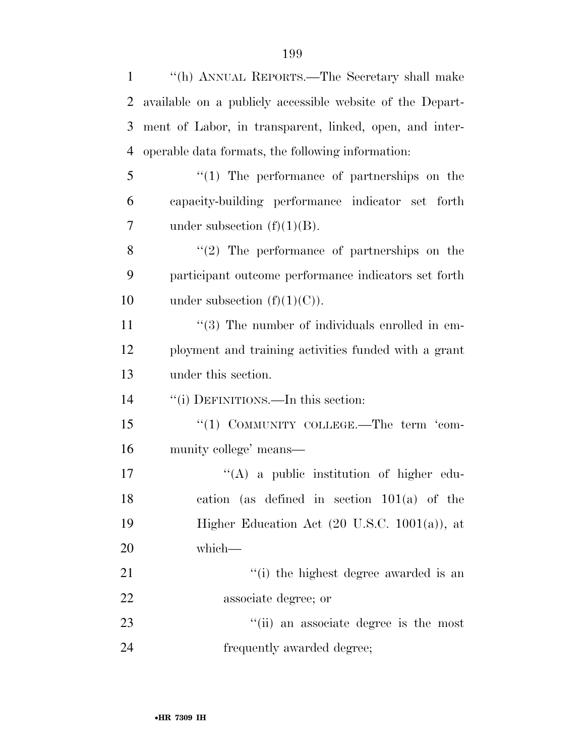| $\mathbf{1}$   | "(h) ANNUAL REPORTS.—The Secretary shall make             |
|----------------|-----------------------------------------------------------|
| $\overline{2}$ | available on a publicly accessible website of the Depart- |
| 3              | ment of Labor, in transparent, linked, open, and inter-   |
| 4              | operable data formats, the following information:         |
| 5              | $\lq(1)$ The performance of partnerships on the           |
| 6              | capacity-building performance indicator set forth         |
| 7              | under subsection $(f)(1)(B)$ .                            |
| 8              | $\lq(2)$ The performance of partnerships on the           |
| 9              | participant outcome performance indicators set forth      |
| 10             | under subsection $(f)(1)(C)$ .                            |
| 11             | $\lq(3)$ The number of individuals enrolled in em-        |
| 12             | ployment and training activities funded with a grant      |
| 13             | under this section.                                       |
| 14             | "(i) DEFINITIONS.—In this section:                        |
| 15             | "(1) COMMUNITY COLLEGE.—The term 'com-                    |
| 16             | munity college' means—                                    |
| 17             | "(A) a public institution of higher edu-                  |
| 18             | cation (as defined in section $101(a)$ of the             |
| 19             | Higher Education Act $(20 \text{ U.S.C. } 1001(a))$ , at  |
| 20             | which-                                                    |
| 21             | "(i) the highest degree awarded is an                     |
| 22             | associate degree; or                                      |
| 23             | "(ii) an associate degree is the most                     |
| 24             | frequently awarded degree;                                |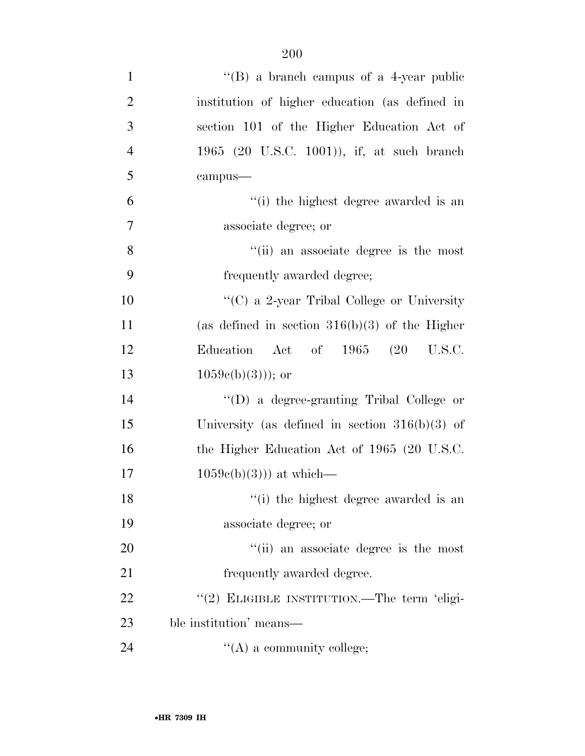| $\mathbf{1}$   | "(B) a branch campus of a 4-year public          |
|----------------|--------------------------------------------------|
| $\overline{2}$ | institution of higher education (as defined in   |
| 3              | section 101 of the Higher Education Act of       |
| $\overline{4}$ | 1965 (20 U.S.C. 1001)), if, at such branch       |
| 5              | campus-                                          |
| 6              | "(i) the highest degree awarded is an            |
| 7              | associate degree; or                             |
| 8              | "(ii) an associate degree is the most            |
| 9              | frequently awarded degree;                       |
| 10             | "(C) a 2-year Tribal College or University       |
| 11             | (as defined in section $316(b)(3)$ of the Higher |
| 12             | Act of 1965 (20 U.S.C.<br>Education              |
| 13             | $1059e(b)(3))$ ; or                              |
| 14             | "(D) a degree-granting Tribal College or         |
| 15             | University (as defined in section $316(b)(3)$ of |
| 16             | the Higher Education Act of 1965 (20 U.S.C.      |
| 17             | $1059e(b)(3))$ at which—                         |
| 18             | "(i) the highest degree awarded is an            |
| 19             | associate degree; or                             |
| 20             | "(ii) an associate degree is the most            |
| 21             | frequently awarded degree.                       |
| 22             | "(2) ELIGIBLE INSTITUTION.—The term 'eligi-      |
| 23             | ble institution' means—                          |
| 24             | $\lq\lq$ (A) a community college;                |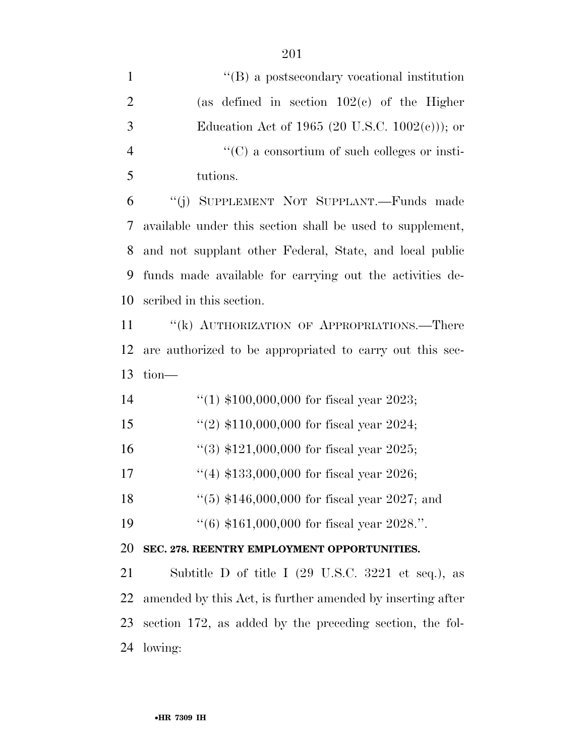| $\mathbf{1}$   | $\lq\lq (B)$ a postsecondary vocational institution                   |
|----------------|-----------------------------------------------------------------------|
| $\overline{2}$ | (as defined in section $102(c)$ of the Higher                         |
| 3              | Education Act of 1965 (20 U.S.C. $1002(c)$ ); or                      |
| $\overline{4}$ | $\lq\lq$ (C) a consortium of such colleges or insti-                  |
| 5              | tutions.                                                              |
| 6              | "(j) SUPPLEMENT NOT SUPPLANT.—Funds made                              |
| 7              | available under this section shall be used to supplement,             |
| 8              | and not supplant other Federal, State, and local public               |
| 9              | funds made available for carrying out the activities de-              |
| 10             | scribed in this section.                                              |
| 11             | "(k) AUTHORIZATION OF APPROPRIATIONS.—There                           |
| 12             | are authorized to be appropriated to carry out this sec-              |
| 13             | tion-                                                                 |
| 14             | "(1) $$100,000,000$ for fiscal year 2023;                             |
| 15             | "(2) $$110,000,000$ for fiscal year 2024;                             |
| 16             | "(3) $$121,000,000$ for fiscal year 2025;                             |
| 17             | "(4) $$133,000,000$ for fiscal year 2026;                             |
| 18             | "(5) $$146,000,000$ for fiscal year 2027; and                         |
| 19             | $(6)$ \$161,000,000 for fiscal year 2028.".                           |
| 20             | SEC. 278. REENTRY EMPLOYMENT OPPORTUNITIES.                           |
| 21             | Subtitle D of title I $(29 \text{ U.S.C. } 3221 \text{ et seq.}),$ as |
| 22             | amended by this Act, is further amended by inserting after            |
| 23             | section 172, as added by the preceding section, the fol-              |

lowing: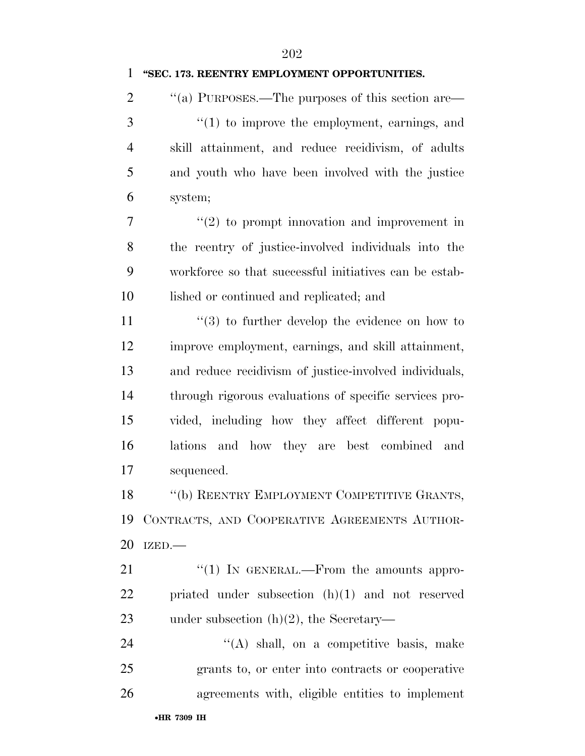## **''SEC. 173. REENTRY EMPLOYMENT OPPORTUNITIES.**

 $\cdot$  "(a) PURPOSES.—The purposes of this section are— ''(1) to improve the employment, earnings, and skill attainment, and reduce recidivism, of adults and youth who have been involved with the justice system;

 $7 \t$  ''(2) to prompt innovation and improvement in the reentry of justice-involved individuals into the workforce so that successful initiatives can be estab-lished or continued and replicated; and

 $\frac{1}{3}$  to further develop the evidence on how to improve employment, earnings, and skill attainment, and reduce recidivism of justice-involved individuals, through rigorous evaluations of specific services pro- vided, including how they affect different popu- lations and how they are best combined and sequenced.

18 "(b) REENTRY EMPLOYMENT COMPETITIVE GRANTS, CONTRACTS, AND COOPERATIVE AGREEMENTS AUTHOR-IZED.—

21 "(1) IN GENERAL.—From the amounts appro- priated under subsection (h)(1) and not reserved under subsection (h)(2), the Secretary—

24 ''(A) shall, on a competitive basis, make grants to, or enter into contracts or cooperative agreements with, eligible entities to implement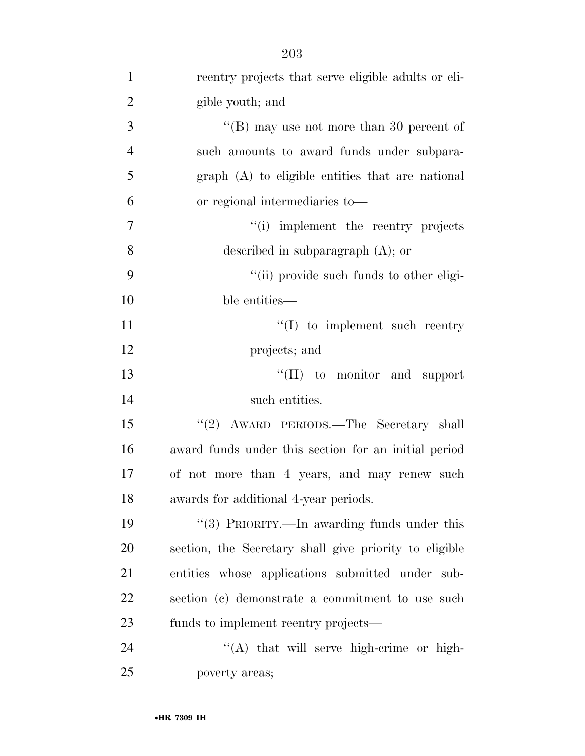| $\mathbf{1}$   | reentry projects that serve eligible adults or eli-    |
|----------------|--------------------------------------------------------|
| $\overline{2}$ | gible youth; and                                       |
| 3              | "(B) may use not more than 30 percent of               |
| $\overline{4}$ | such amounts to award funds under subpara-             |
| 5              | graph (A) to eligible entities that are national       |
| 6              | or regional intermediaries to—                         |
| $\overline{7}$ | "(i) implement the reentry projects                    |
| 8              | described in subparagraph $(A)$ ; or                   |
| 9              | "(ii) provide such funds to other eligi-               |
| 10             | ble entities—                                          |
| 11             | $\lq\lq$ to implement such reentry                     |
| 12             | projects; and                                          |
| 13             | "(II) to monitor and support                           |
| 14             | such entities.                                         |
| 15             | "(2) AWARD PERIODS.—The Secretary shall                |
| 16             | award funds under this section for an initial period   |
| 17             | of not more than 4 years, and may renew such           |
| 18             | awards for additional 4-year periods.                  |
| 19             | "(3) PRIORITY.—In awarding funds under this            |
| 20             | section, the Secretary shall give priority to eligible |
| 21             | entities whose applications submitted under sub-       |
| 22             | section (c) demonstrate a commitment to use such       |
| 23             | funds to implement reentry projects—                   |
| 24             | "(A) that will serve high-crime or high-               |
| 25             | poverty areas;                                         |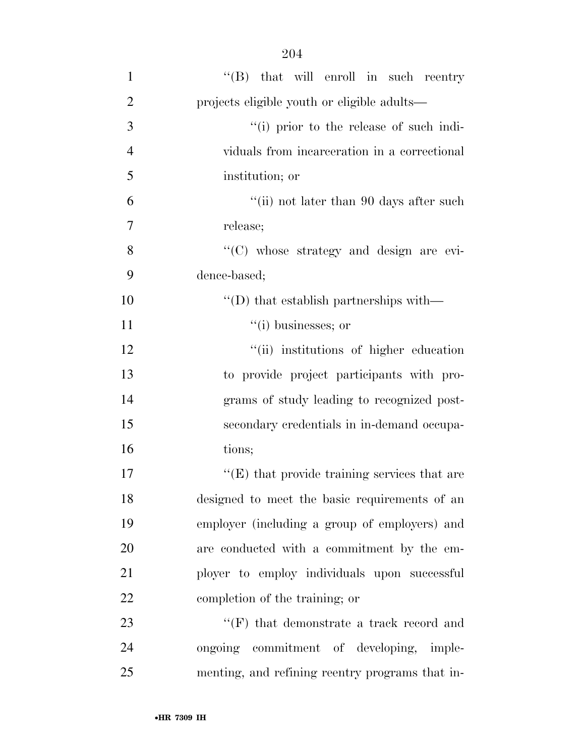| 3              | "(i) prior to the release of such indi-                     |
|----------------|-------------------------------------------------------------|
| $\overline{4}$ | viduals from incarceration in a correctional                |
| 5              | institution; or                                             |
| 6              | "(ii) not later than 90 days after such                     |
| $\overline{7}$ | release;                                                    |
| 8              | "(C) whose strategy and design are evi-                     |
| 9              | dence-based;                                                |
| 10             | $\lq\lq$ <sup>*</sup> (D) that establish partnerships with— |
| 11             | $``(i)$ businesses; or                                      |
| 12             | "(ii) institutions of higher education                      |
| 13             | to provide project participants with pro-                   |
| 14             | grams of study leading to recognized post-                  |
| 15             | secondary credentials in in-demand occupa-                  |
| 16             | tions;                                                      |
| 17             | $\lq\lq(E)$ that provide training services that are         |
| 18             | designed to meet the basic requirements of an               |
| 19             | employer (including a group of employers) and               |
| 20             | are conducted with a commitment by the em-                  |
| 21             | ployer to employ individuals upon successful                |
| 22             | completion of the training; or                              |

23  $"$ (F) that demonstrate a track record and ongoing commitment of developing, imple-menting, and refining reentry programs that in-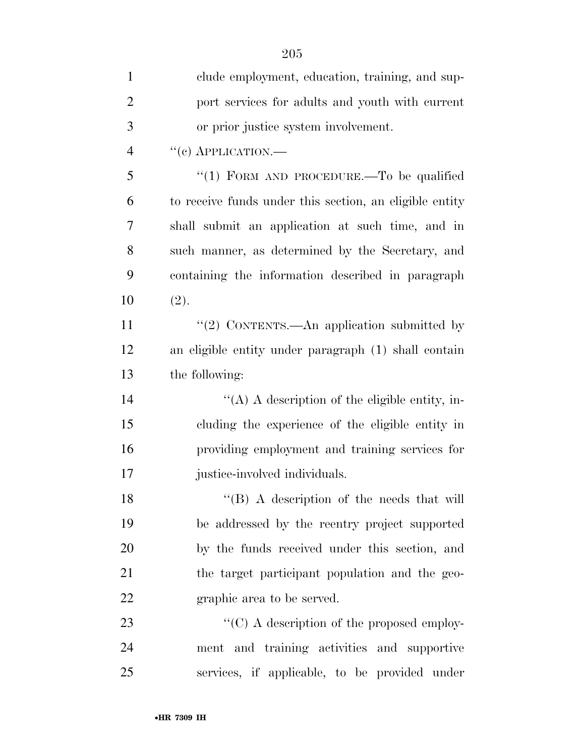| $\mathbf{1}$   | clude employment, education, training, and sup-         |
|----------------|---------------------------------------------------------|
| $\overline{2}$ | port services for adults and youth with current         |
| 3              | or prior justice system involvement.                    |
| $\overline{4}$ | $``(e)$ APPLICATION.—                                   |
| 5              | "(1) FORM AND PROCEDURE.—To be qualified                |
| 6              | to receive funds under this section, an eligible entity |
| 7              | shall submit an application at such time, and in        |
| 8              | such manner, as determined by the Secretary, and        |
| 9              | containing the information described in paragraph       |
| 10             | (2).                                                    |
| 11             | "(2) CONTENTS.—An application submitted by              |
| 12             | an eligible entity under paragraph (1) shall contain    |
| 13             | the following:                                          |
| 14             | "(A) A description of the eligible entity, in-          |
| 15             | cluding the experience of the eligible entity in        |
| 16             | providing employment and training services for          |
| 17             | justice-involved individuals.                           |
| 18             | "(B) A description of the needs that will               |
| 19             | be addressed by the reentry project supported           |
| 20             | by the funds received under this section, and           |
| 21             | the target participant population and the geo-          |
| 22             | graphic area to be served.                              |
| 23             | $\lq\lq$ (C) A description of the proposed employ-      |
| 24             | ment and training activities and supportive             |
| 25             | services, if applicable, to be provided under           |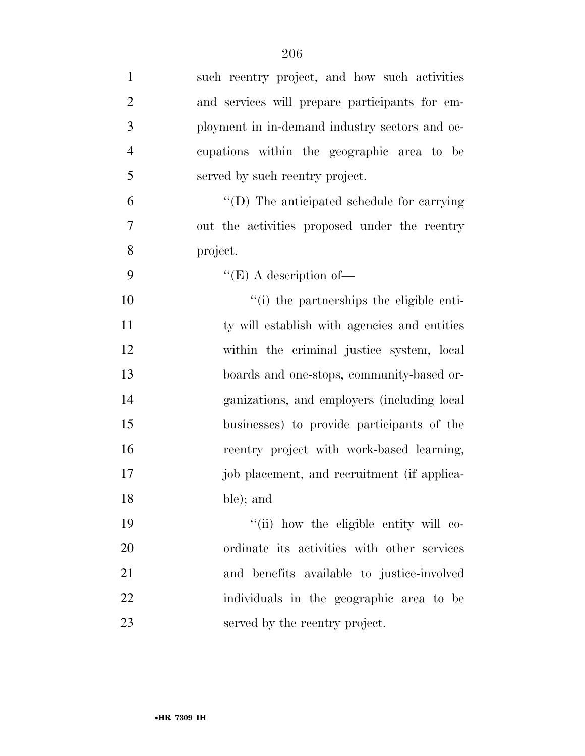| $\mathbf{1}$   | such reentry project, and how such activities  |
|----------------|------------------------------------------------|
| $\mathbf{2}$   | and services will prepare participants for em- |
| $\mathfrak{Z}$ | ployment in in-demand industry sectors and oc- |
| $\overline{4}$ | cupations within the geographic area to be     |
| 5              | served by such reentry project.                |
| 6              | "(D) The anticipated schedule for carrying     |
| 7              | out the activities proposed under the reentry  |
| 8              | project.                                       |
| 9              | $\lq\lq(E)$ A description of —                 |
| 10             | "(i) the partnerships the eligible enti-       |
| 11             | ty will establish with agencies and entities   |
| 12             | within the criminal justice system, local      |
| 13             | boards and one-stops, community-based or-      |
| 14             | ganizations, and employers (including local    |
| 15             | businesses) to provide participants of the     |
| 16             | reentry project with work-based learning,      |
| 17             | job placement, and recruitment (if applica-    |
| 18             | ble); and                                      |
| 19             | "(ii) how the eligible entity will co-         |
| 20             | ordinate its activities with other services    |
| 21             | and benefits available to justice-involved     |
| 22             | individuals in the geographic area to be       |
| 23             | served by the reentry project.                 |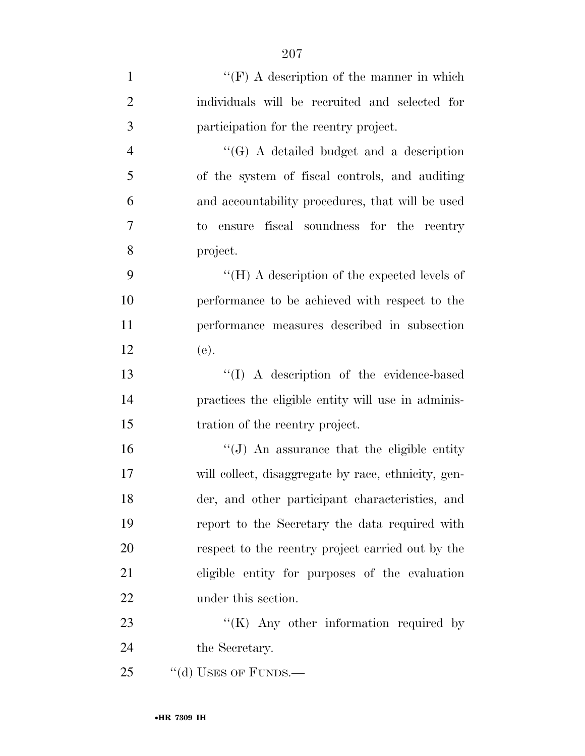| $\mathbf{1}$   | $``(F)$ A description of the manner in which        |
|----------------|-----------------------------------------------------|
| $\overline{2}$ | individuals will be recruited and selected for      |
| $\mathfrak{Z}$ | participation for the reentry project.              |
| $\overline{4}$ | $\lq\lq(G)$ A detailed budget and a description     |
| 5              | of the system of fiscal controls, and auditing      |
| 6              | and accountability procedures, that will be used    |
| $\overline{7}$ | to ensure fiscal soundness for the reentry          |
| 8              | project.                                            |
| 9              | "(H) A description of the expected levels of        |
| 10             | performance to be achieved with respect to the      |
| 11             | performance measures described in subsection        |
| 12             | (e).                                                |
| 13             | "(I) A description of the evidence-based            |
| 14             | practices the eligible entity will use in adminis-  |
| 15             | tration of the reentry project.                     |
| 16             | "(J) An assurance that the eligible entity          |
| 17             | will collect, disaggregate by race, ethnicity, gen- |
| 18             | der, and other participant characteristics, and     |
| 19             | report to the Secretary the data required with      |
| 20             | respect to the reentry project carried out by the   |
| 21             | eligible entity for purposes of the evaluation      |
| 22             | under this section.                                 |
| 23             | " $(K)$ Any other information required by           |
| 24             | the Secretary.                                      |
| 25             | "(d) USES OF FUNDS.—                                |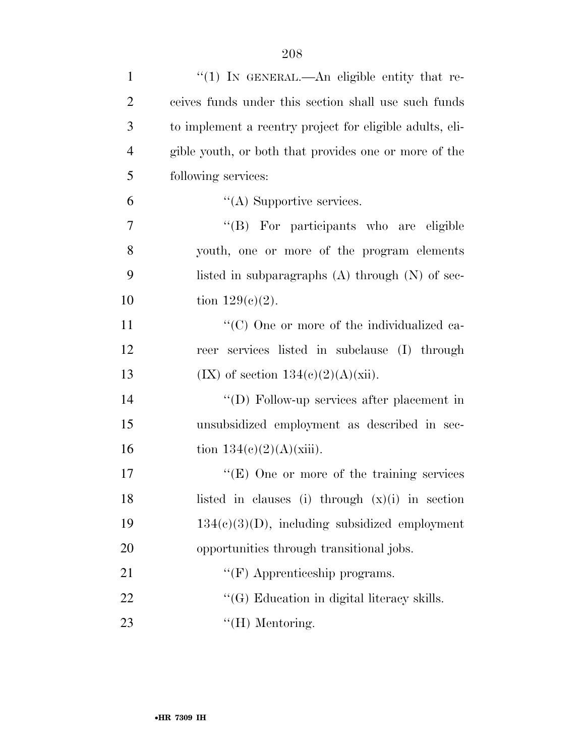| $\mathbf{1}$   | " $(1)$ In GENERAL.—An eligible entity that re-          |
|----------------|----------------------------------------------------------|
| $\overline{2}$ | ceives funds under this section shall use such funds     |
| 3              | to implement a reentry project for eligible adults, eli- |
| $\overline{4}$ | gible youth, or both that provides one or more of the    |
| 5              | following services:                                      |
| 6              | $\lq\lq$ Supportive services.                            |
| 7              | "(B) For participants who are eligible                   |
| 8              | youth, one or more of the program elements               |
| 9              | listed in subparagraphs $(A)$ through $(N)$ of sec-      |
| 10             | tion $129(c)(2)$ .                                       |
| 11             | "(C) One or more of the individualized ca-               |
| 12             | reer services listed in subclause (I) through            |
| 13             | $(IX)$ of section $134(c)(2)(A)(xii)$ .                  |
| 14             | "(D) Follow-up services after placement in               |
| 15             | unsubsidized employment as described in sec-             |
| 16             | tion $134(c)(2)(A)(xiii)$ .                              |
| 17             | "(E) One or more of the training services                |
| 18             | listed in clauses (i) through $(x)(i)$ in section        |
| 19             | $134(c)(3)(D)$ , including subsidized employment         |
| 20             | opportunities through transitional jobs.                 |
| 21             | $\lq\lq(F)$ Apprenticeship programs.                     |
| 22             | $\lq\lq(G)$ Education in digital literacy skills.        |
| 23             | $\lq\lq(H)$ Mentoring.                                   |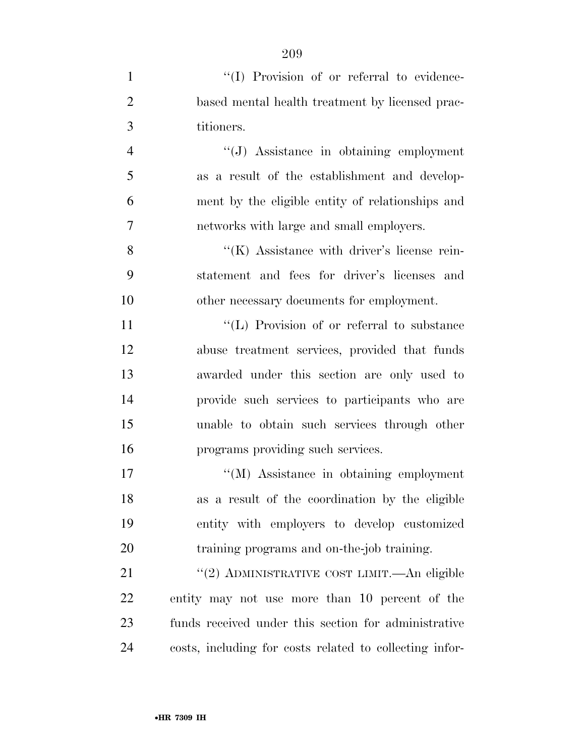| $\mathbf{1}$   | "(I) Provision of or referral to evidence-              |
|----------------|---------------------------------------------------------|
| $\overline{2}$ | based mental health treatment by licensed prac-         |
| $\mathfrak{Z}$ | titioners.                                              |
| $\overline{4}$ | "(J) Assistance in obtaining employment                 |
| 5              | as a result of the establishment and develop-           |
| 6              | ment by the eligible entity of relationships and        |
| $\overline{7}$ | networks with large and small employers.                |
| 8              | $\lq\lq$ (K) Assistance with driver's license rein-     |
| 9              | statement and fees for driver's licenses and            |
| 10             | other necessary documents for employment.               |
| 11             | "(L) Provision of or referral to substance              |
| 12             | abuse treatment services, provided that funds           |
| 13             | awarded under this section are only used to             |
| 14             | provide such services to participants who are           |
| 15             | unable to obtain such services through other            |
| 16             | programs providing such services.                       |
| 17             | "(M) Assistance in obtaining employment                 |
| 18             | as a result of the coordination by the eligible         |
| 19             | entity with employers to develop customized             |
| 20             | training programs and on-the-job training.              |
| 21             | "(2) ADMINISTRATIVE COST LIMIT.—An eligible             |
| 22             | entity may not use more than 10 percent of the          |
| 23             | funds received under this section for administrative    |
| 24             | costs, including for costs related to collecting infor- |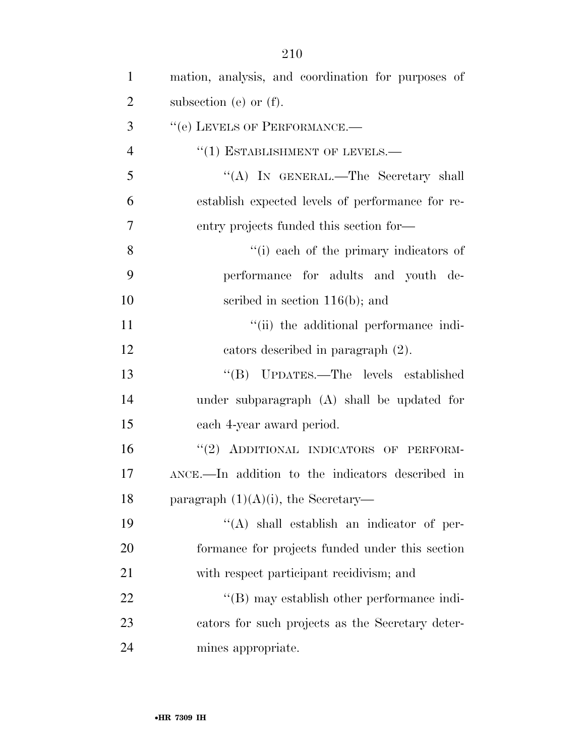| $\mathbf{1}$   | mation, analysis, and coordination for purposes of |
|----------------|----------------------------------------------------|
| $\overline{2}$ | subsection (e) or $(f)$ .                          |
| 3              | "(e) LEVELS OF PERFORMANCE.-                       |
| $\overline{4}$ | $``(1)$ ESTABLISHMENT OF LEVELS.—                  |
| 5              | "(A) IN GENERAL.—The Secretary shall               |
| 6              | establish expected levels of performance for re-   |
| 7              | entry projects funded this section for—            |
| 8              | "(i) each of the primary indicators of             |
| 9              | performance for adults and youth de-               |
| 10             | scribed in section $116(b)$ ; and                  |
| 11             | "(ii) the additional performance indi-             |
| 12             | cators described in paragraph (2).                 |
| 13             | "(B) UPDATES.—The levels established               |
| 14             | under subparagraph (A) shall be updated for        |
| 15             | each 4-year award period.                          |
| 16             | "(2) ADDITIONAL INDICATORS OF PERFORM-             |
| 17             | ANCE.—In addition to the indicators described in   |
| 18             | paragraph $(1)(A)(i)$ , the Secretary—             |
| 19             | $\lq\lq$ shall establish an indicator of per-      |
| 20             | formance for projects funded under this section    |
| 21             | with respect participant recidivism; and           |
| 22             | $\lq\lq$ (B) may establish other performance indi- |
| 23             | cators for such projects as the Secretary deter-   |
| 24             | mines appropriate.                                 |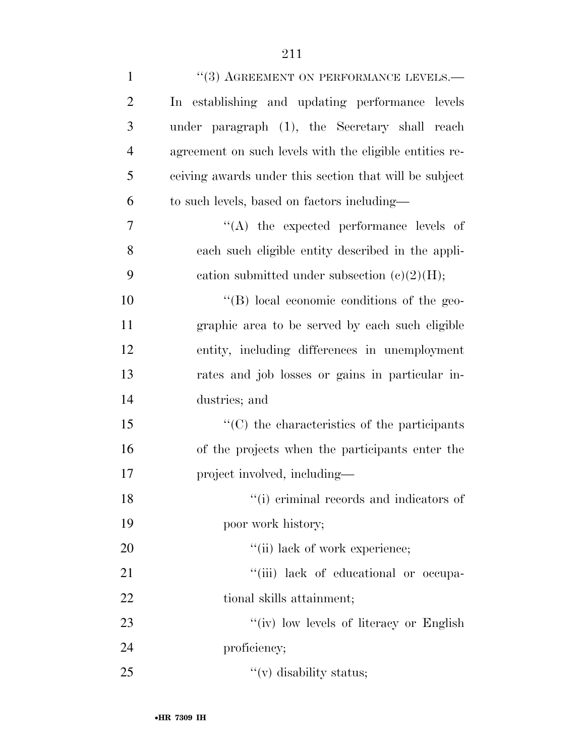| $\mathbf{1}$   | $``(3)$ AGREEMENT ON PERFORMANCE LEVELS.—               |
|----------------|---------------------------------------------------------|
| $\overline{2}$ | In establishing and updating performance levels         |
| 3              | under paragraph (1), the Secretary shall reach          |
| $\overline{4}$ | agreement on such levels with the eligible entities re- |
| 5              | ceiving awards under this section that will be subject  |
| 6              | to such levels, based on factors including—             |
| 7              | $\lq\lq$ the expected performance levels of             |
| 8              | each such eligible entity described in the appli-       |
| 9              | cation submitted under subsection $(c)(2)(H);$          |
| 10             | $\lq\lq (B)$ local economic conditions of the geo-      |
| 11             | graphic area to be served by each such eligible         |
| 12             | entity, including differences in unemployment           |
| 13             | rates and job losses or gains in particular in-         |
| 14             | dustries; and                                           |
| 15             | $\cdot$ (C) the characteristics of the participants     |
| 16             | of the projects when the participants enter the         |
| 17             | project involved, including—                            |
| 18             | "(i) eriminal records and indicators of                 |
| 19             | poor work history;                                      |
| 20             | "(ii) lack of work experience;                          |
| 21             | "(iii) lack of educational or occupa-                   |
| 22             | tional skills attainment;                               |
| 23             | "(iv) low levels of literacy or English                 |
| 24             | proficiency;                                            |
| 25             | "(v) disability status;                                 |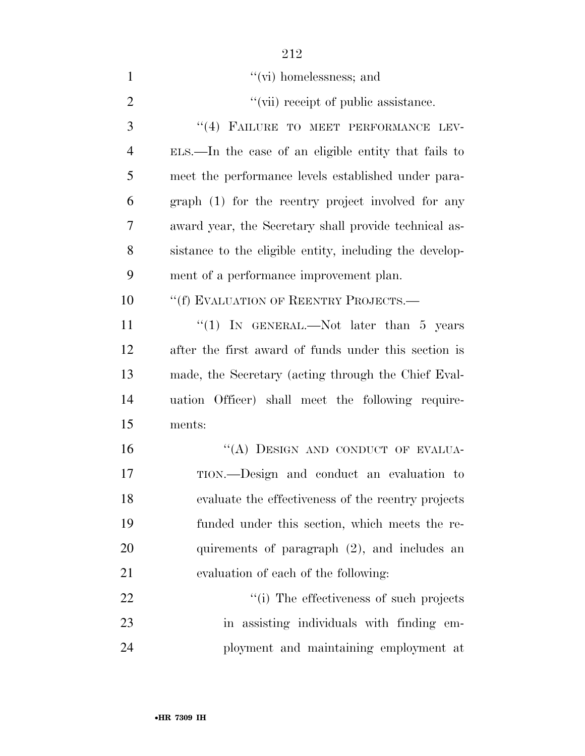| $\mathbf{1}$   | $``$ (vi) homelessness; and                             |
|----------------|---------------------------------------------------------|
| $\overline{2}$ | "(vii) receipt of public assistance.                    |
| 3              | "(4) FAILURE TO MEET PERFORMANCE LEV-                   |
| $\overline{4}$ | ELS.—In the case of an eligible entity that fails to    |
| 5              | meet the performance levels established under para-     |
| 6              | graph (1) for the reentry project involved for any      |
| 7              | award year, the Secretary shall provide technical as-   |
| 8              | sistance to the eligible entity, including the develop- |
| 9              | ment of a performance improvement plan.                 |
| 10             | "(f) EVALUATION OF REENTRY PROJECTS.—                   |
| 11             | "(1) IN GENERAL.—Not later than $5$ years               |
| 12             | after the first award of funds under this section is    |
| 13             | made, the Secretary (acting through the Chief Eval-     |
| 14             | uation Officer) shall meet the following require-       |
| 15             | ments:                                                  |
| 16             | "(A) DESIGN AND CONDUCT OF EVALUA-                      |
| 17             | TION.—Design and conduct an evaluation to               |
| 18             | evaluate the effectiveness of the reentry projects      |
| 19             | funded under this section, which meets the re-          |
| 20             | quirements of paragraph $(2)$ , and includes an         |
| 21             | evaluation of each of the following:                    |
| 22             | "(i) The effectiveness of such projects                 |
| 23             | in assisting individuals with finding em-               |
| 24             | ployment and maintaining employment at                  |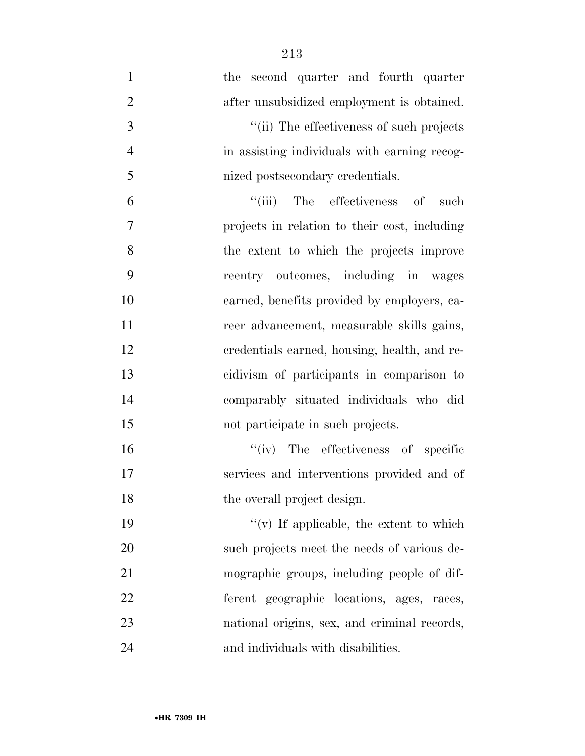the second quarter and fourth quarter 2 after unsubsidized employment is obtained.  $\frac{1}{10}$  The effectiveness of such projects in assisting individuals with earning recog-5 nized postsecondary credentials. 6 "(iii) The effectiveness of such projects in relation to their cost, including the extent to which the projects improve reentry outcomes, including in wages earned, benefits provided by employers, ca- reer advancement, measurable skills gains, credentials earned, housing, health, and re- cidivism of participants in comparison to comparably situated individuals who did 15 not participate in such projects.  $''(iv)$  The effectiveness of specific services and interventions provided and of 18 the overall project design.  $''(v)$  If applicable, the extent to which such projects meet the needs of various de-mographic groups, including people of dif-

ferent geographic locations, ages, races,

national origins, sex, and criminal records,

24 and individuals with disabilities.

•**HR 7309 IH**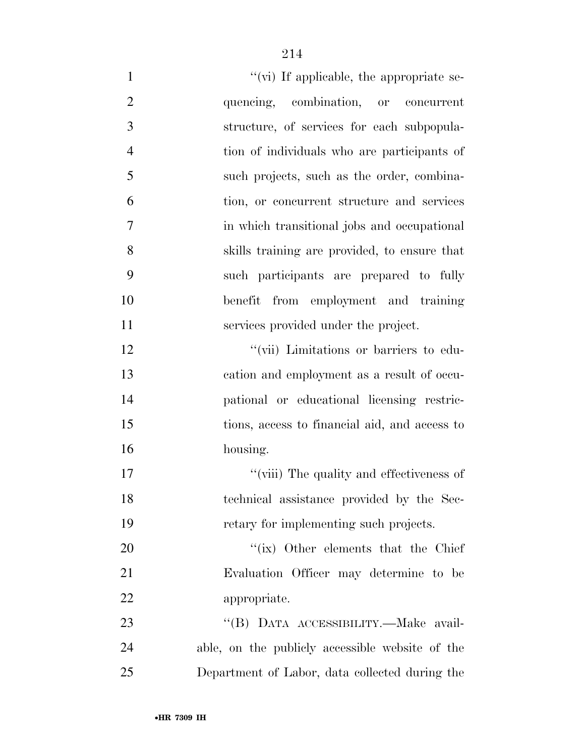| $\mathbf{1}$   | "(vi) If applicable, the appropriate se-        |
|----------------|-------------------------------------------------|
| $\overline{2}$ | quencing, combination, or concurrent            |
| 3              | structure, of services for each subpopula-      |
| $\overline{4}$ | tion of individuals who are participants of     |
| 5              | such projects, such as the order, combina-      |
| 6              | tion, or concurrent structure and services      |
| 7              | in which transitional jobs and occupational     |
| 8              | skills training are provided, to ensure that    |
| 9              | such participants are prepared to fully         |
| 10             | from employment and training<br>benefit         |
| 11             | services provided under the project.            |
| 12             | "(vii) Limitations or barriers to edu-          |
| 13             | cation and employment as a result of occu-      |
| 14             | pational or educational licensing restric-      |
| 15             | tions, access to financial aid, and access to   |
| 16             | housing.                                        |
| 17             | "(viii) The quality and effectiveness of        |
| 18             | technical assistance provided by the Sec-       |
| 19             | retary for implementing such projects.          |
| 20             | "(ix) Other elements that the Chief             |
| 21             | Evaluation Officer may determine to be          |
| 22             | appropriate.                                    |
| 23             | "(B) DATA ACCESSIBILITY.—Make avail-            |
| 24             | able, on the publicly accessible website of the |
| 25             | Department of Labor, data collected during the  |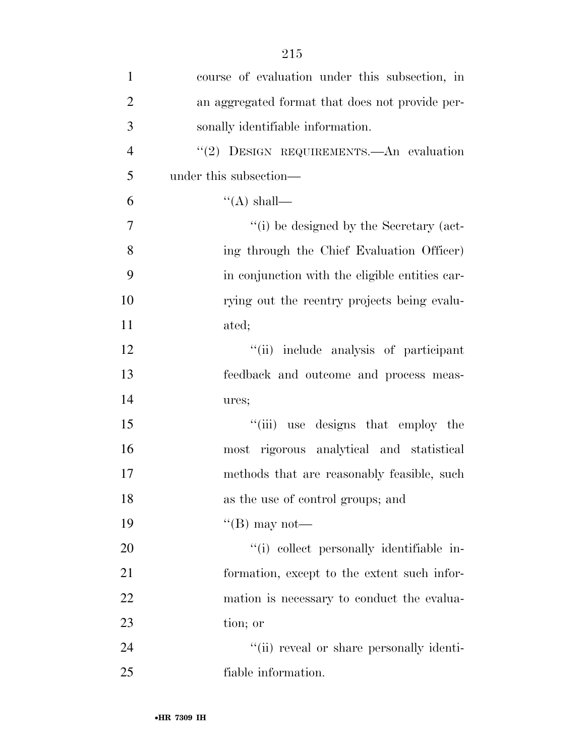| $\mathbf{1}$   | course of evaluation under this subsection, in  |
|----------------|-------------------------------------------------|
| $\overline{2}$ | an aggregated format that does not provide per- |
| 3              | sonally identifiable information.               |
| $\overline{4}$ | "(2) DESIGN REQUIREMENTS. An evaluation         |
| 5              | under this subsection—                          |
| 6              | $``(A)$ shall—                                  |
| 7              | "(i) be designed by the Secretary (act-         |
| 8              | ing through the Chief Evaluation Officer)       |
| 9              | in conjunction with the eligible entities car-  |
| 10             | rying out the reentry projects being evalu-     |
| 11             | ated;                                           |
| 12             | "(ii) include analysis of participant           |
| 13             | feedback and outcome and process meas-          |
| 14             | ures;                                           |
| 15             | "(iii) use designs that employ the              |
| 16             | most rigorous analytical and statistical        |
| 17             | methods that are reasonably feasible, such      |
| 18             | as the use of control groups; and               |
| 19             | "(B) may not—                                   |
| 20             | "(i) collect personally identifiable in-        |
| 21             | formation, except to the extent such infor-     |
| 22             | mation is necessary to conduct the evalua-      |
| 23             | tion; or                                        |
| 24             | "(ii) reveal or share personally identi-        |
| 25             | fiable information.                             |
|                |                                                 |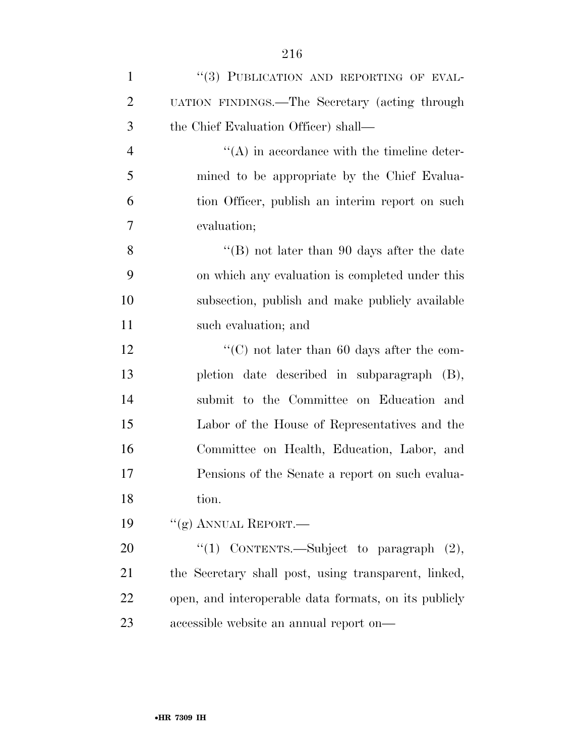| $\mathbf{1}$   | "(3) PUBLICATION AND REPORTING OF EVAL-         |
|----------------|-------------------------------------------------|
| $\overline{2}$ | UATION FINDINGS.—The Secretary (acting through  |
| 3              | the Chief Evaluation Officer) shall—            |
| $\overline{4}$ | $\lq\lq$ in accordance with the timeline deter- |
| 5              | mined to be appropriate by the Chief Evalua-    |
| 6              | tion Officer, publish an interim report on such |
| $\overline{7}$ | evaluation;                                     |
| 8              | "(B) not later than 90 days after the date      |
| 9              | on which any evaluation is completed under this |
| 10             | subsection, publish and make publicly available |
| 11             | such evaluation; and                            |
| 12             | "(C) not later than $60$ days after the com-    |
| 13             | pletion date described in subparagraph (B),     |
| 14             | submit to the Committee on Education and        |
| 15             | Labor of the House of Representatives and the   |
| 16             | Committee on Health, Education, Labor, and      |
| 17             | Pensions of the Senate a report on such evalua- |
| 18             | tion.                                           |
| 19             | "(g) ANNUAL REPORT.—                            |
| 20             | "(1) CONTENTS.—Subject to paragraph $(2)$ ,     |
|                |                                                 |

 the Secretary shall post, using transparent, linked, open, and interoperable data formats, on its publicly accessible website an annual report on—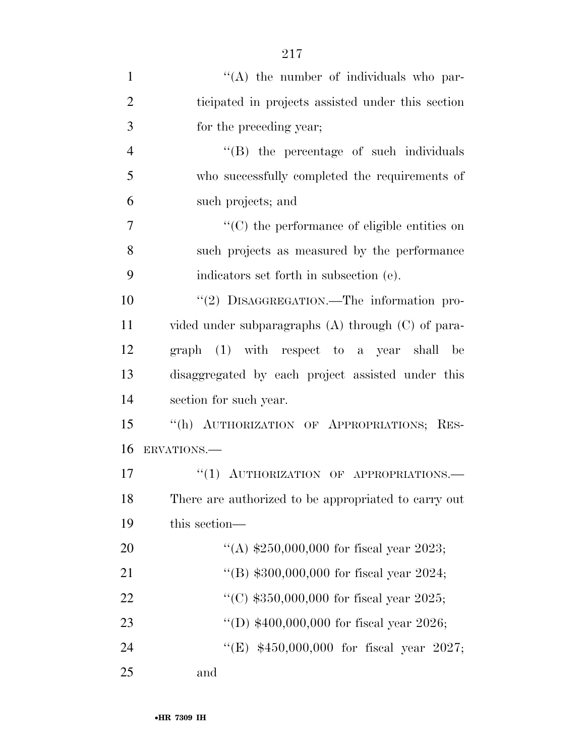| $\mathbf{1}$   | $\lq\lq$ the number of individuals who par-            |
|----------------|--------------------------------------------------------|
| $\overline{2}$ | ticipated in projects assisted under this section      |
| 3              | for the preceding year;                                |
| $\overline{4}$ | $\lq\lq$ the percentage of such individuals            |
| 5              | who successfully completed the requirements of         |
| 6              | such projects; and                                     |
| 7              | $\cdot$ (C) the performance of eligible entities on    |
| 8              | such projects as measured by the performance           |
| 9              | indicators set forth in subsection (e).                |
| 10             | "(2) DISAGGREGATION.—The information pro-              |
| 11             | vided under subparagraphs $(A)$ through $(C)$ of para- |
| 12             | graph (1) with respect to a year shall be              |
| 13             | disaggregated by each project assisted under this      |
| 14             | section for such year.                                 |
| 15             | "(h) AUTHORIZATION OF APPROPRIATIONS; RES-             |
| 16             | ERVATIONS.-                                            |
| 17             | "(1) AUTHORIZATION OF APPROPRIATIONS.                  |
| 18             | There are authorized to be appropriated to carry out   |
| 19             | this section-                                          |
| 20             | "(A) $$250,000,000$ for fiscal year 2023;              |
| 21             | "(B) $$300,000,000$ for fiscal year 2024;              |
| 22             | "(C) $$350,000,000$ for fiscal year 2025;              |
| 23             | "(D) $$400,000,000$ for fiscal year 2026;              |
| 24             | "(E) $$450,000,000$ for fiscal year 2027;              |
| 25             | and                                                    |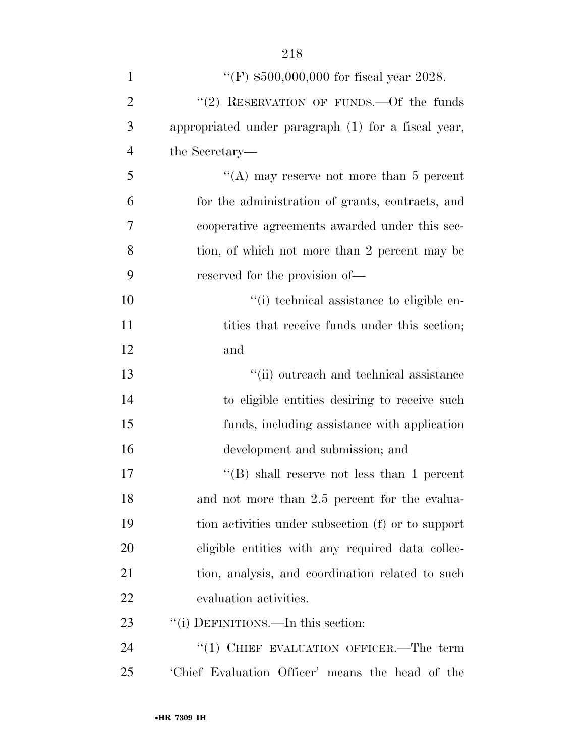| $\mathbf{1}$   | "(F) $$500,000,000$ for fiscal year 2028.           |
|----------------|-----------------------------------------------------|
| $\overline{2}$ | "(2) RESERVATION OF FUNDS. - Of the funds           |
| 3              | appropriated under paragraph (1) for a fiscal year, |
| $\overline{4}$ | the Secretary—                                      |
| 5              | "(A) may reserve not more than $5$ percent          |
| 6              | for the administration of grants, contracts, and    |
| 7              | cooperative agreements awarded under this sec-      |
| 8              | tion, of which not more than 2 percent may be       |
| 9              | reserved for the provision of—                      |
| 10             | "(i) technical assistance to eligible en-           |
| 11             | tities that receive funds under this section;       |
| 12             | and                                                 |
| 13             | "(ii) outreach and technical assistance             |
| 14             | to eligible entities desiring to receive such       |
| 15             | funds, including assistance with application        |
| 16             | development and submission; and                     |
| 17             | "(B) shall reserve not less than 1 percent          |
| 18             | and not more than 2.5 percent for the evalua-       |
| 19             | tion activities under subsection (f) or to support  |
| 20             | eligible entities with any required data collec-    |
| 21             | tion, analysis, and coordination related to such    |
| 22             | evaluation activities.                              |
| 23             | "(i) DEFINITIONS.—In this section:                  |
| 24             | "(1) CHIEF EVALUATION OFFICER.—The term             |
| 25             | Chief Evaluation Officer' means the head of the     |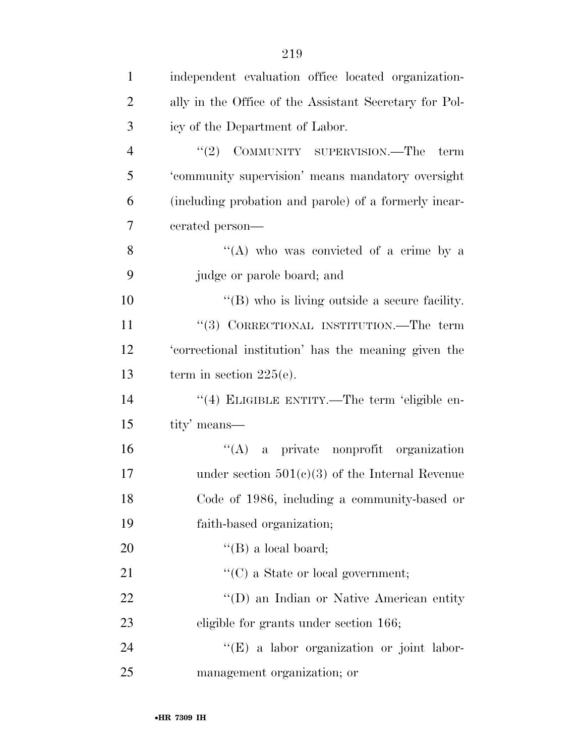| $\mathbf{1}$   | independent evaluation office located organization-    |
|----------------|--------------------------------------------------------|
| $\overline{2}$ | ally in the Office of the Assistant Secretary for Pol- |
| 3              | icy of the Department of Labor.                        |
| $\overline{4}$ | "(2) COMMUNITY SUPERVISION.—The<br>term                |
| 5              | 'community supervision' means mandatory oversight      |
| 6              | (including probation and parole) of a formerly incar-  |
| 7              | cerated person—                                        |
| 8              | "(A) who was convicted of a crime by a                 |
| 9              | judge or parole board; and                             |
| 10             | $\lq\lq$ (B) who is living outside a secure facility.  |
| 11             | "(3) CORRECTIONAL INSTITUTION.—The term                |
| 12             | 'correctional institution' has the meaning given the   |
| 13             | term in section $225(e)$ .                             |
| 14             | "(4) ELIGIBLE ENTITY.—The term 'eligible en-           |
| 15             | tity' means—                                           |
| 16             | $\lq\lq$ a private nonprofit organization              |
| 17             | under section $501(c)(3)$ of the Internal Revenue      |
| 18             | Code of 1986, including a community-based or           |
| 19             | faith-based organization;                              |
| 20             | $\lq\lq (B)$ a local board;                            |
| 21             | $\lq\lq$ (C) a State or local government;              |
| 22             | "(D) an Indian or Native American entity               |
| 23             | eligible for grants under section 166;                 |
| 24             | "(E) a labor organization or joint labor-              |
| 25             | management organization; or                            |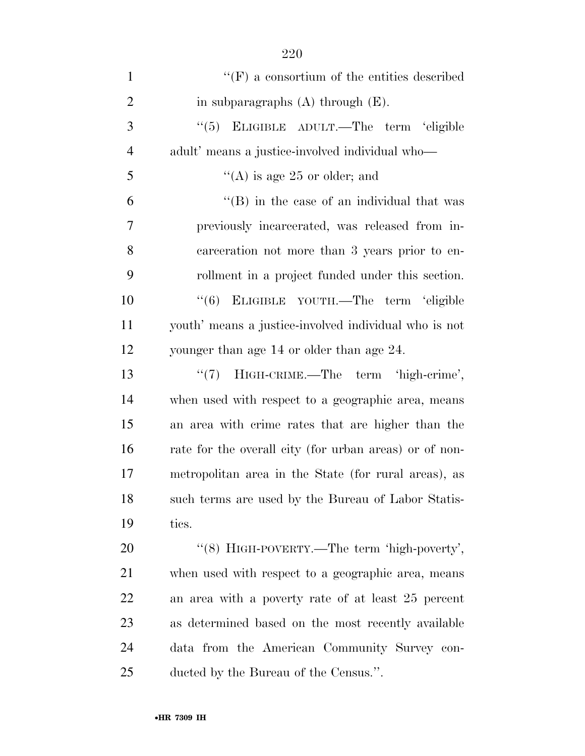| $\mathbf{1}$   | $\lq\lq(F)$ a consortium of the entities described     |
|----------------|--------------------------------------------------------|
| $\overline{2}$ | in subparagraphs $(A)$ through $(E)$ .                 |
| 3              | "(5) ELIGIBLE ADULT.—The term 'eligible                |
| $\overline{4}$ | adult' means a justice-involved individual who—        |
| 5              | "(A) is age 25 or older; and                           |
| 6              | $\lq\lq$ (B) in the case of an individual that was     |
| 7              | previously incarcerated, was released from in-         |
| 8              | carceration not more than 3 years prior to en-         |
| 9              | rollment in a project funded under this section.       |
| 10             | "(6) ELIGIBLE YOUTH.—The term 'eligible                |
| 11             | youth' means a justice-involved individual who is not  |
| 12             | younger than age 14 or older than age 24.              |
| 13             | HIGH-CRIME.—The term 'high-crime',<br>(4(7))           |
| 14             | when used with respect to a geographic area, means     |
| 15             | an area with crime rates that are higher than the      |
| 16             | rate for the overall city (for urban areas) or of non- |
| 17             | metropolitan area in the State (for rural areas), as   |
| 18             | such terms are used by the Bureau of Labor Statis-     |
| 19             | tics.                                                  |
| 20             | "(8) HIGH-POVERTY.—The term 'high-poverty',            |
| 21             | when used with respect to a geographic area, means     |
| 22             | an area with a poverty rate of at least 25 percent     |
| 23             | as determined based on the most recently available     |
| 24             | data from the American Community Survey con-           |
| 25             | ducted by the Bureau of the Census.".                  |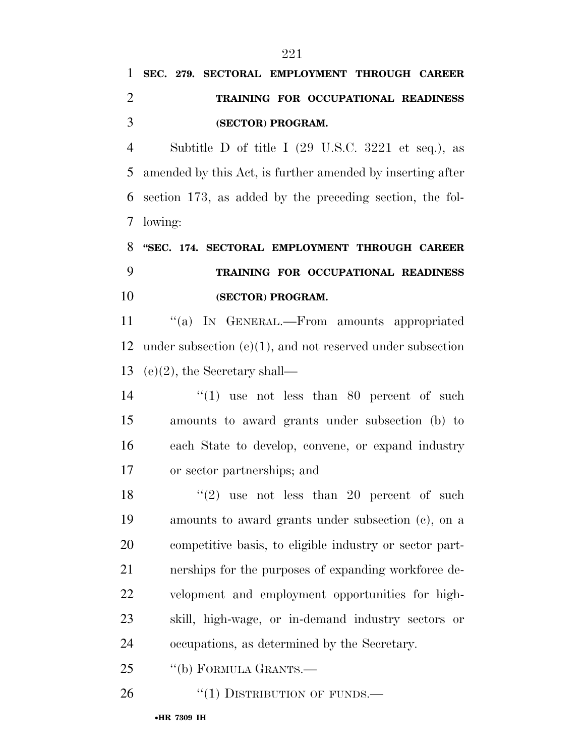# **SEC. 279. SECTORAL EMPLOYMENT THROUGH CAREER TRAINING FOR OCCUPATIONAL READINESS (SECTOR) PROGRAM.**

 Subtitle D of title I (29 U.S.C. 3221 et seq.), as amended by this Act, is further amended by inserting after section 173, as added by the preceding section, the fol-lowing:

# **''SEC. 174. SECTORAL EMPLOYMENT THROUGH CAREER TRAINING FOR OCCUPATIONAL READINESS (SECTOR) PROGRAM.**

11 "(a) IN GENERAL.—From amounts appropriated under subsection (e)(1), and not reserved under subsection (e)(2), the Secretary shall—

14 ''(1) use not less than 80 percent of such amounts to award grants under subsection (b) to each State to develop, convene, or expand industry or sector partnerships; and

 $(2)$  use not less than 20 percent of such amounts to award grants under subsection (c), on a competitive basis, to eligible industry or sector part- nerships for the purposes of expanding workforce de- velopment and employment opportunities for high- skill, high-wage, or in-demand industry sectors or occupations, as determined by the Secretary.

25 "(b) FORMULA GRANTS.—

26 "(1) DISTRIBUTION OF FUNDS.—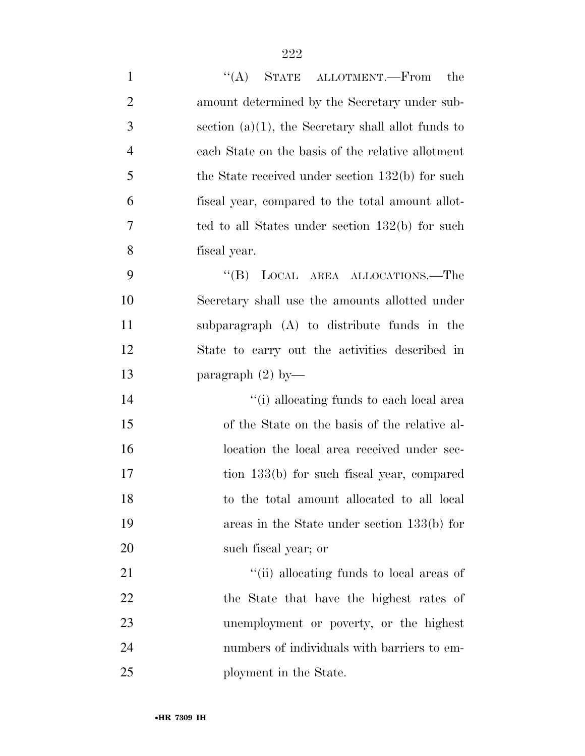| $\mathbf{1}$   | "(A) STATE ALLOTMENT.—From the                        |
|----------------|-------------------------------------------------------|
| $\overline{2}$ | amount determined by the Secretary under sub-         |
| 3              | section $(a)(1)$ , the Secretary shall allot funds to |
| $\overline{4}$ | each State on the basis of the relative allotment     |
| 5              | the State received under section $132(b)$ for such    |
| 6              | fiscal year, compared to the total amount allot-      |
| 7              | ted to all States under section 132(b) for such       |
| 8              | fiscal year.                                          |
| 9              | LOCAL AREA ALLOCATIONS.—The<br>$\lq\lq (B)$           |
| 10             | Secretary shall use the amounts allotted under        |
| 11             | subparagraph (A) to distribute funds in the           |
| 12             | State to carry out the activities described in        |
| 13             | paragraph $(2)$ by-                                   |
| 14             | "(i) allocating funds to each local area              |
| 15             | of the State on the basis of the relative al-         |
| 16             | location the local area received under sec-           |
| 17             | tion 133(b) for such fiscal year, compared            |
| 18             | to the total amount allocated to all local            |
| 19             | areas in the State under section $133(b)$ for         |
| 20             | such fiscal year; or                                  |
| 21             | "(ii) allocating funds to local areas of              |
| 22             | the State that have the highest rates of              |
| 23             | unemployment or poverty, or the highest               |
| 24             | numbers of individuals with barriers to em-           |
| 25             | ployment in the State.                                |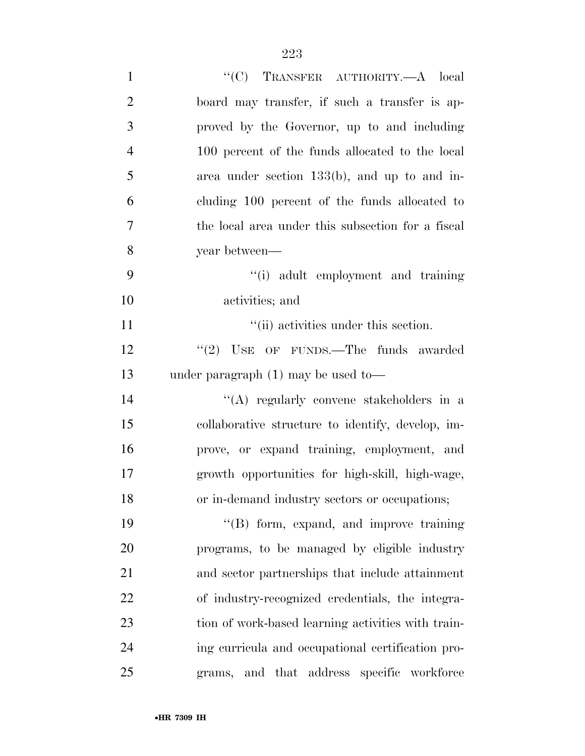| $\mathbf{1}$   | "(C) TRANSFER AUTHORITY.—A local                   |
|----------------|----------------------------------------------------|
| $\overline{2}$ | board may transfer, if such a transfer is ap-      |
| 3              | proved by the Governor, up to and including        |
| $\overline{4}$ | 100 percent of the funds allocated to the local    |
| 5              | area under section $133(b)$ , and up to and in-    |
| 6              | cluding 100 percent of the funds allocated to      |
| $\overline{7}$ | the local area under this subsection for a fiscal  |
| 8              | year between—                                      |
| 9              | "(i) adult employment and training                 |
| 10             | activities; and                                    |
| 11             | "(ii) activities under this section.               |
| 12             | $``(2)$ USE OF FUNDS.—The funds awarded            |
| 13             | under paragraph $(1)$ may be used to-              |
| 14             | "(A) regularly convene stakeholders in a           |
| 15             | collaborative structure to identify, develop, im-  |
| 16             | prove, or expand training, employment, and         |
| 17             | growth opportunities for high-skill, high-wage,    |
| 18             | or in-demand industry sectors or occupations;      |
| 19             | "(B) form, expand, and improve training            |
| 20             | programs, to be managed by eligible industry       |
| 21             | and sector partnerships that include attainment    |
| 22             | of industry-recognized credentials, the integra-   |
| 23             | tion of work-based learning activities with train- |
| 24             | ing curricula and occupational certification pro-  |
| 25             | and that address specific workforce<br>grams,      |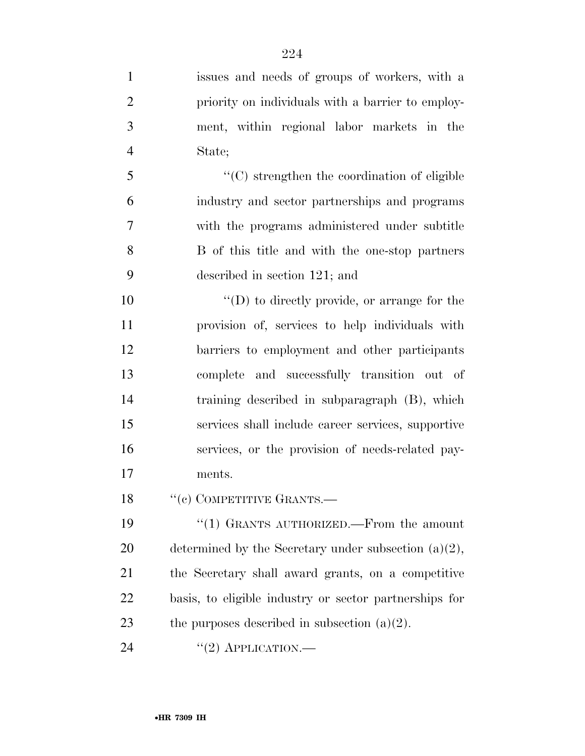- issues and needs of groups of workers, with a priority on individuals with a barrier to employ- ment, within regional labor markets in the State; ''(C) strengthen the coordination of eligible industry and sector partnerships and programs with the programs administered under subtitle
- B of this title and with the one-stop partners described in section 121; and

 $\langle (D) \rangle$  to directly provide, or arrange for the provision of, services to help individuals with barriers to employment and other participants complete and successfully transition out of training described in subparagraph (B), which services shall include career services, supportive services, or the provision of needs-related pay-ments.

18 "(c) COMPETITIVE GRANTS.—

 ''(1) GRANTS AUTHORIZED.—From the amount 20 determined by the Secretary under subsection  $(a)(2)$ , the Secretary shall award grants, on a competitive basis, to eligible industry or sector partnerships for 23 the purposes described in subsection  $(a)(2)$ .

24  $((2)$  APPLICATION.—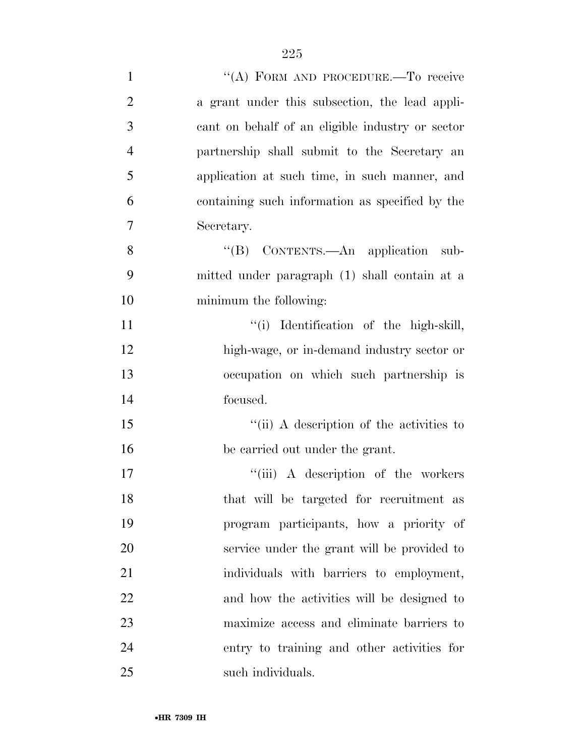| $\mathbf{1}$   | "(A) FORM AND PROCEDURE.—To receive              |
|----------------|--------------------------------------------------|
| $\overline{2}$ | a grant under this subsection, the lead appli-   |
| 3              | cant on behalf of an eligible industry or sector |
| $\overline{4}$ | partnership shall submit to the Secretary an     |
| 5              | application at such time, in such manner, and    |
| 6              | containing such information as specified by the  |
| 7              | Secretary.                                       |
| 8              | "(B) CONTENTS.—An application sub-               |
| 9              | mitted under paragraph (1) shall contain at a    |
| 10             | minimum the following:                           |
| 11             | "(i) Identification of the high-skill,           |
| 12             | high-wage, or in-demand industry sector or       |
| 13             | occupation on which such partnership is          |
| 14             | focused.                                         |
| 15             | "(ii) A description of the activities to         |
| 16             | be carried out under the grant.                  |
| 17             | "(iii) A description of the workers              |
| 18             | that will be targeted for recruitment as         |
| 19             | program participants, how a priority of          |
| 20             | service under the grant will be provided to      |
| 21             | individuals with barriers to employment,         |
| 22             | and how the activities will be designed to       |
| 23             | maximize access and eliminate barriers to        |
| 24             | entry to training and other activities for       |
| 25             | such individuals.                                |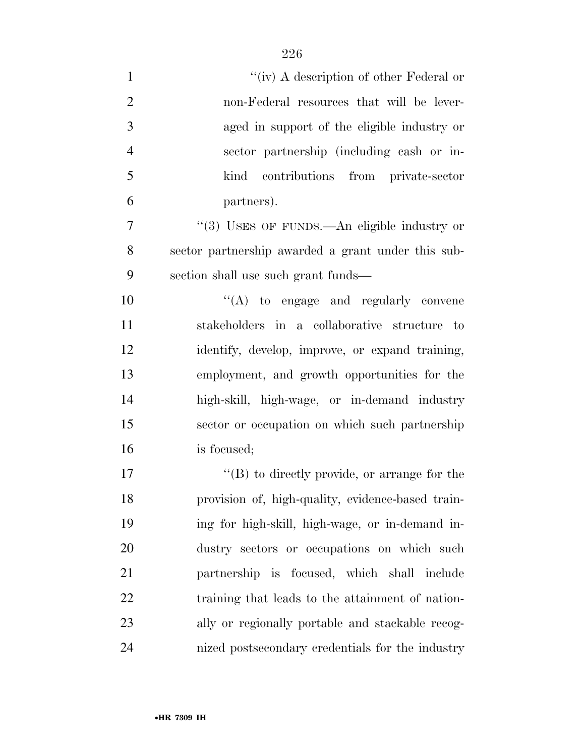| $\mathbf{1}$   | "(iv) A description of other Federal or              |
|----------------|------------------------------------------------------|
| $\overline{2}$ | non-Federal resources that will be lever-            |
| 3              | aged in support of the eligible industry or          |
| $\overline{4}$ | sector partnership (including cash or in-            |
| 5              | contributions from private-sector<br>kind            |
| 6              | partners).                                           |
| 7              | "(3) USES OF FUNDS.—An eligible industry or          |
| 8              | sector partnership awarded a grant under this sub-   |
| 9              | section shall use such grant funds—                  |
| 10             | "(A) to engage and regularly convene                 |
| 11             | stakeholders in a collaborative structure to         |
| 12             | identify, develop, improve, or expand training,      |
| 13             | employment, and growth opportunities for the         |
| 14             | high-skill, high-wage, or in-demand industry         |
| 15             | sector or occupation on which such partnership       |
| 16             | is focused;                                          |
| 17             | $\lq\lq (B)$ to directly provide, or arrange for the |
| 18             | provision of, high-quality, evidence-based train-    |
| 19             | ing for high-skill, high-wage, or in-demand in-      |
| 20             | dustry sectors or occupations on which such          |
| 21             | partnership is focused, which shall include          |
| 22             | training that leads to the attainment of nation-     |
| 23             | ally or regionally portable and stackable recog-     |
| 24             | nized postsecondary credentials for the industry     |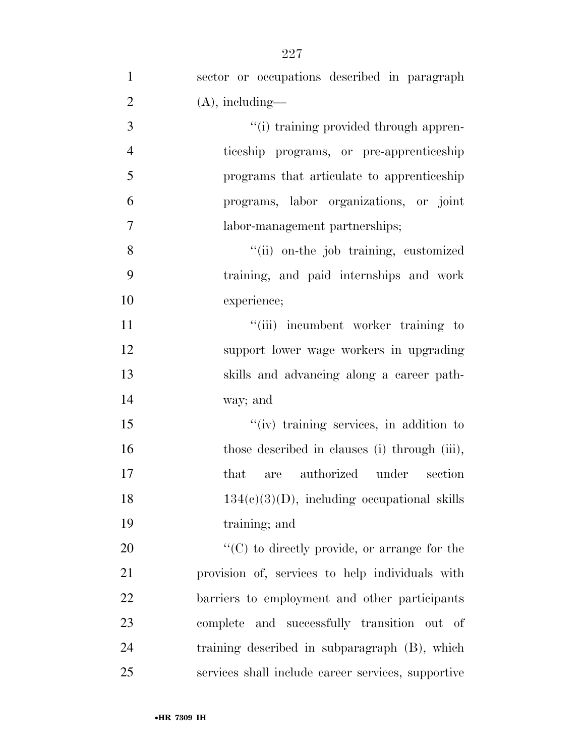| $\mathbf{1}$   | sector or occupations described in paragraph         |
|----------------|------------------------------------------------------|
| $\overline{2}$ | $(A)$ , including—                                   |
| 3              | "(i) training provided through appren-               |
| $\overline{4}$ | ticeship programs, or pre-apprenticeship             |
| 5              | programs that articulate to apprenticeship           |
| 6              | programs, labor organizations, or joint              |
| $\overline{7}$ | labor-management partnerships;                       |
| 8              | "(ii) on-the job training, customized                |
| 9              | training, and paid internships and work              |
| 10             | experience;                                          |
| 11             | "(iii) incumbent worker training to                  |
| 12             | support lower wage workers in upgrading              |
| 13             | skills and advancing along a career path-            |
| 14             | way; and                                             |
| 15             | "(iv) training services, in addition to              |
| 16             | those described in clauses (i) through (iii),        |
| 17             | are authorized under section<br>that                 |
| 18             | $134(c)(3)(D)$ , including occupational skills       |
| 19             | training; and                                        |
| 20             | $\lq\lq$ (C) to directly provide, or arrange for the |
| 21             | provision of, services to help individuals with      |
| 22             | barriers to employment and other participants        |
| 23             | complete and successfully transition out of          |
| 24             | training described in subparagraph (B), which        |
| 25             | services shall include career services, supportive   |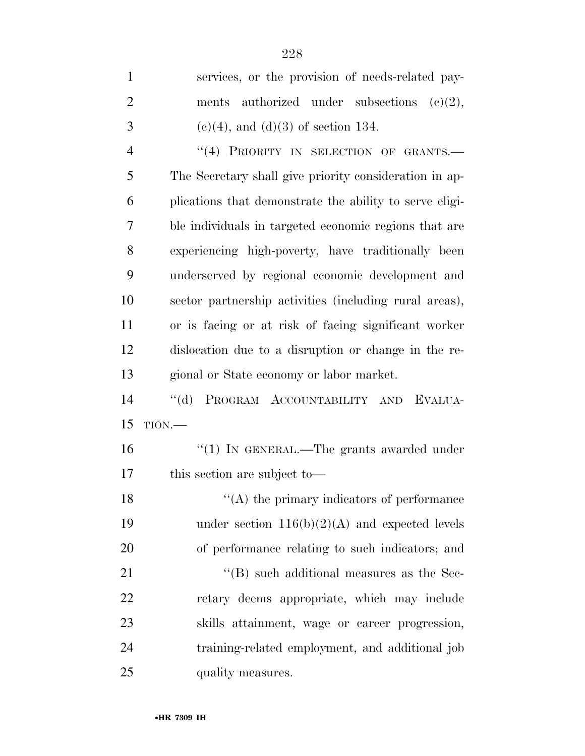| $\mathbf{1}$   | services, or the provision of needs-related pay-        |
|----------------|---------------------------------------------------------|
| $\overline{2}$ | authorized under subsections<br>(c)(2),<br>ments        |
| 3              | $(c)(4)$ , and $(d)(3)$ of section 134.                 |
| $\overline{4}$ | "(4) PRIORITY IN SELECTION OF GRANTS.-                  |
| 5              | The Secretary shall give priority consideration in ap-  |
| 6              | plications that demonstrate the ability to serve eligi- |
| 7              | ble individuals in targeted economic regions that are   |
| 8              | experiencing high-poverty, have traditionally been      |
| 9              | underserved by regional economic development and        |
| 10             | sector partnership activities (including rural areas),  |
| 11             | or is facing or at risk of facing significant worker    |
| 12             | disocation due to a disruption or change in the re-     |
| 13             | gional or State economy or labor market.                |
| 14             | PROGRAM ACCOUNTABILITY AND EVALUA-<br>$\lq\lq (d)$      |
| 15             | $TION$ .                                                |
| 16             | $``(1)$ IN GENERAL.—The grants awarded under            |
| 17             | this section are subject to-                            |
| 18             | $\lq\lq$ (A) the primary indicators of performance      |
| 19             | under section $116(b)(2)(A)$ and expected levels        |
| 20             | of performance relating to such indicators; and         |
| 21             | $\cdot$ (B) such additional measures as the Sec-        |
| 22             | retary deems appropriate, which may include             |
| 23             | skills attainment, wage or career progression,          |
| 24             | training-related employment, and additional job         |
| 25             | quality measures.                                       |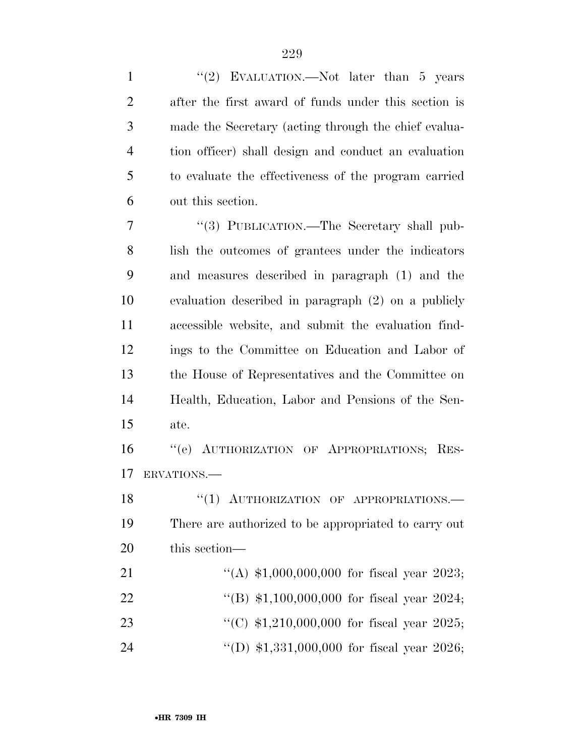| $\mathbf{1}$   | "(2) EVALUATION.—Not later than $5$ years            |
|----------------|------------------------------------------------------|
| $\overline{2}$ | after the first award of funds under this section is |
| 3              | made the Secretary (acting through the chief evalua- |
| $\overline{4}$ | tion officer) shall design and conduct an evaluation |
| 5              | to evaluate the effectiveness of the program carried |
| 6              | out this section.                                    |
| 7              | "(3) PUBLICATION.—The Secretary shall pub-           |
| 8              | lish the outcomes of grantees under the indicators   |
| 9              | and measures described in paragraph (1) and the      |
| 10             | evaluation described in paragraph (2) on a publicly  |
| 11             | accessible website, and submit the evaluation find-  |
| 12             | ings to the Committee on Education and Labor of      |
| 13             | the House of Representatives and the Committee on    |
| 14             | Health, Education, Labor and Pensions of the Sen-    |
| 15             | ate.                                                 |
| 16             | "(e) AUTHORIZATION OF APPROPRIATIONS; RES-           |
| 17             | ERVATIONS.                                           |
| 18             | "(1) AUTHORIZATION OF APPROPRIATIONS.                |
| 19             | There are authorized to be appropriated to carry out |
| 20             | this section—                                        |
| 21             | "(A) $$1,000,000,000$ for fiscal year 2023;          |
| 22             | "(B) $$1,100,000,000$ for fiscal year 2024;          |
| 23             | "(C) $$1,210,000,000$ for fiscal year 2025;          |
| 24             | "(D) $$1,331,000,000$ for fiscal year 2026;          |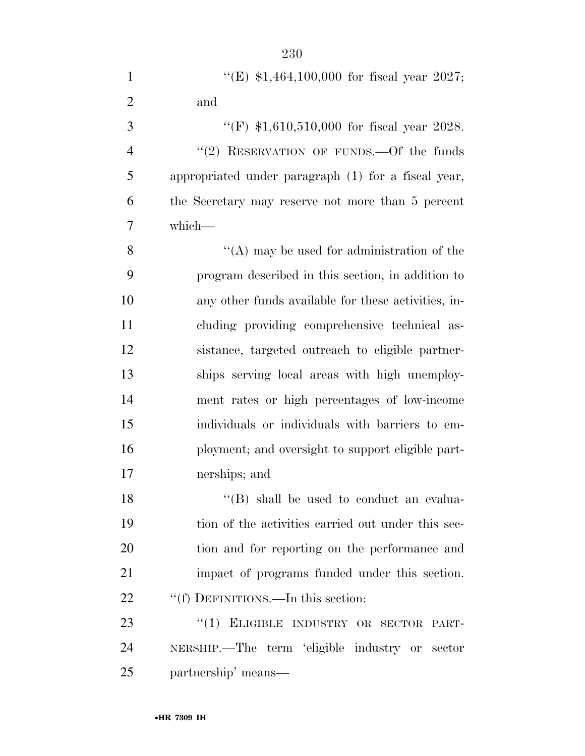| $\mathbf{1}$   | "(E) $$1,464,100,000$ for fiscal year 2027;         |
|----------------|-----------------------------------------------------|
| $\overline{2}$ | and                                                 |
| $\mathfrak{Z}$ | "(F) $$1,610,510,000$ for fiscal year 2028.         |
| $\overline{4}$ | "(2) RESERVATION OF FUNDS. - Of the funds           |
| 5              | appropriated under paragraph (1) for a fiscal year, |
| 6              | the Secretary may reserve not more than 5 percent   |
| $\overline{7}$ | which-                                              |
| 8              | $\lq\lq$ may be used for administration of the      |
| 9              | program described in this section, in addition to   |
| 10             | any other funds available for these activities, in- |
| 11             | cluding providing comprehensive technical as-       |
| 12             | sistance, targeted outreach to eligible partner-    |
| 13             | ships serving local areas with high unemploy-       |
| 14             | ment rates or high percentages of low-income        |
| 15             | individuals or individuals with barriers to em-     |
| 16             | ployment; and oversight to support eligible part-   |
| 17             | nerships; and                                       |
| 18             | "(B) shall be used to conduct an evalua-            |
| 19             | tion of the activities carried out under this sec-  |
| 20             | tion and for reporting on the performance and       |
| 21             | impact of programs funded under this section.       |
| 22             | "(f) DEFINITIONS.—In this section:                  |
| 23             | "(1) ELIGIBLE INDUSTRY OR SECTOR PART-              |
| 24             | NERSHIP.—The term 'eligible industry or sector      |
| 25             | partnership' means—                                 |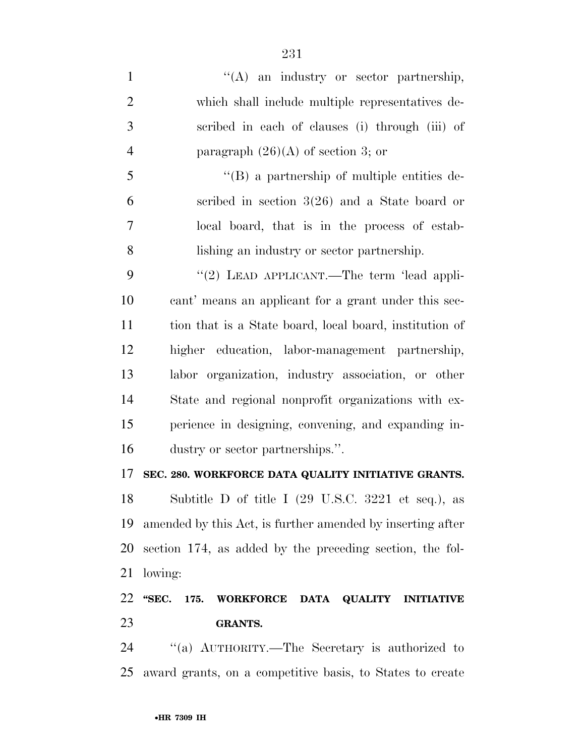| $\mathbf{1}$   | $\lq\lq$ an industry or sector partnership,                            |
|----------------|------------------------------------------------------------------------|
| $\overline{2}$ | which shall include multiple representatives de-                       |
| 3              | scribed in each of clauses (i) through (iii) of                        |
| $\overline{4}$ | paragraph $(26)(A)$ of section 3; or                                   |
| 5              | $\lq\lq (B)$ a partnership of multiple entities de-                    |
| 6              | scribed in section $3(26)$ and a State board or                        |
| 7              | local board, that is in the process of estab-                          |
| 8              | lishing an industry or sector partnership.                             |
| 9              | "(2) LEAD APPLICANT.—The term 'lead appli-                             |
| 10             | cant' means an applicant for a grant under this sec-                   |
| 11             | tion that is a State board, local board, institution of                |
| 12             | higher education, labor-management partnership,                        |
| 13             | labor organization, industry association, or other                     |
| 14             | State and regional nonprofit organizations with ex-                    |
| 15             | perience in designing, convening, and expanding in-                    |
| 16             | dustry or sector partnerships.".                                       |
| 17             | SEC. 280. WORKFORCE DATA QUALITY INITIATIVE GRANTS.                    |
| 18             | Subtitle D of title I (29 U.S.C. 3221 et seq.), as                     |
| 19             | amended by this Act, is further amended by inserting after             |
| 20             | section 174, as added by the preceding section, the fol-               |
| 21             | lowing:                                                                |
| 22             | "SEC.<br><b>WORKFORCE</b><br>DATA QUALITY<br>175.<br><b>INITIATIVE</b> |
| 23             | <b>GRANTS.</b>                                                         |

24 "(a) AUTHORITY.—The Secretary is authorized to award grants, on a competitive basis, to States to create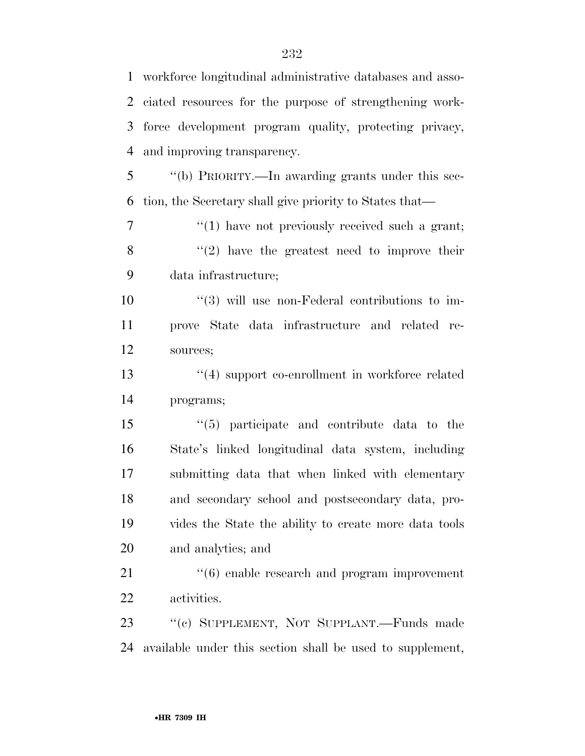workforce longitudinal administrative databases and asso- ciated resources for the purpose of strengthening work- force development program quality, protecting privacy, and improving transparency. ''(b) PRIORITY.—In awarding grants under this sec- tion, the Secretary shall give priority to States that—  $\frac{1}{1}$  have not previously received such a grant;  $\langle \mathcal{C}(2) \rangle$  have the greatest need to improve their data infrastructure;  $(3)$  will use non-Federal contributions to im- prove State data infrastructure and related re- sources; ''(4) support co-enrollment in workforce related programs; ''(5) participate and contribute data to the State's linked longitudinal data system, including submitting data that when linked with elementary and secondary school and postsecondary data, pro- vides the State the ability to create more data tools and analytics; and  $\frac{4}{6}$  enable research and program improvement activities. ''(c) SUPPLEMENT, NOT SUPPLANT.—Funds made available under this section shall be used to supplement,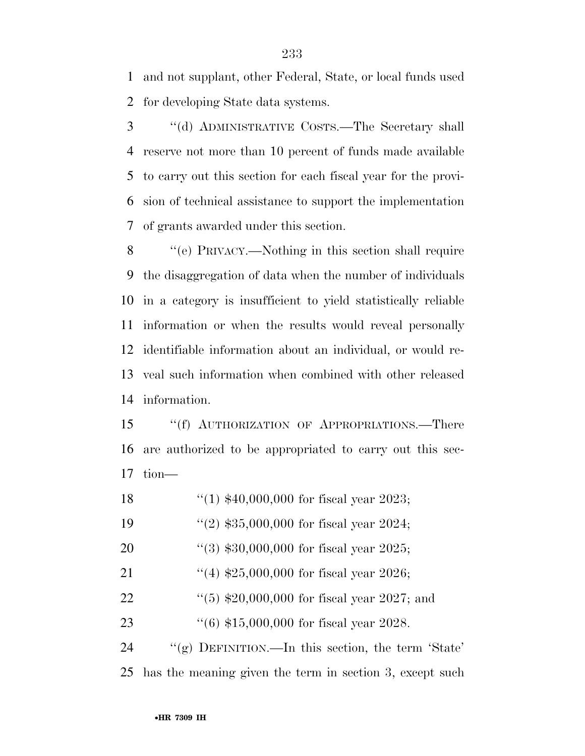and not supplant, other Federal, State, or local funds used for developing State data systems.

 ''(d) ADMINISTRATIVE COSTS.—The Secretary shall reserve not more than 10 percent of funds made available to carry out this section for each fiscal year for the provi- sion of technical assistance to support the implementation of grants awarded under this section.

 ''(e) PRIVACY.—Nothing in this section shall require the disaggregation of data when the number of individuals in a category is insufficient to yield statistically reliable information or when the results would reveal personally identifiable information about an individual, or would re- veal such information when combined with other released information.

 ''(f) AUTHORIZATION OF APPROPRIATIONS.—There are authorized to be appropriated to carry out this sec-tion—

''(1) \$40,000,000 for fiscal year 2023;

''(2) \$35,000,000 for fiscal year 2024;

- ''(3) \$30,000,000 for fiscal year 2025;
- 21 ''(4)  $$25,000,000$  for fiscal year 2026;
- 22 ''(5) \$20,000,000 for fiscal year 2027; and

''(6) \$15,000,000 for fiscal year 2028.

 ''(g) DEFINITION.—In this section, the term 'State' has the meaning given the term in section 3, except such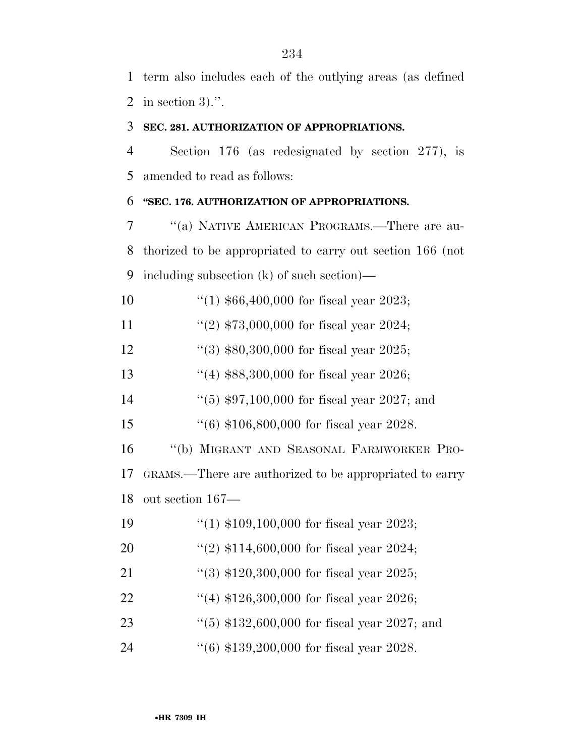term also includes each of the outlying areas (as defined in section 3).''.

### **SEC. 281. AUTHORIZATION OF APPROPRIATIONS.**

 Section 176 (as redesignated by section 277), is amended to read as follows:

### **''SEC. 176. AUTHORIZATION OF APPROPRIATIONS.**

 ''(a) NATIVE AMERICAN PROGRAMS.—There are au- thorized to be appropriated to carry out section 166 (not including subsection (k) of such section)—

''(1) \$66,400,000 for fiscal year 2023;

11 ''(2)  $$73,000,000$  for fiscal year 2024;

''(3) \$80,300,000 for fiscal year 2025;

- ''(4) \$88,300,000 for fiscal year 2026;
- ''(5) \$97,100,000 for fiscal year 2027; and
- ''(6) \$106,800,000 for fiscal year 2028.

 ''(b) MIGRANT AND SEASONAL FARMWORKER PRO- GRAMS.—There are authorized to be appropriated to carry out section 167—

- ''(1) \$109,100,000 for fiscal year 2023; ''(2) \$114,600,000 for fiscal year 2024;
- 21 ''(3) \$120,300,000 for fiscal year 2025;
- ''(4) \$126,300,000 for fiscal year 2026;
- ''(5) \$132,600,000 for fiscal year 2027; and
- ''(6) \$139,200,000 for fiscal year 2028.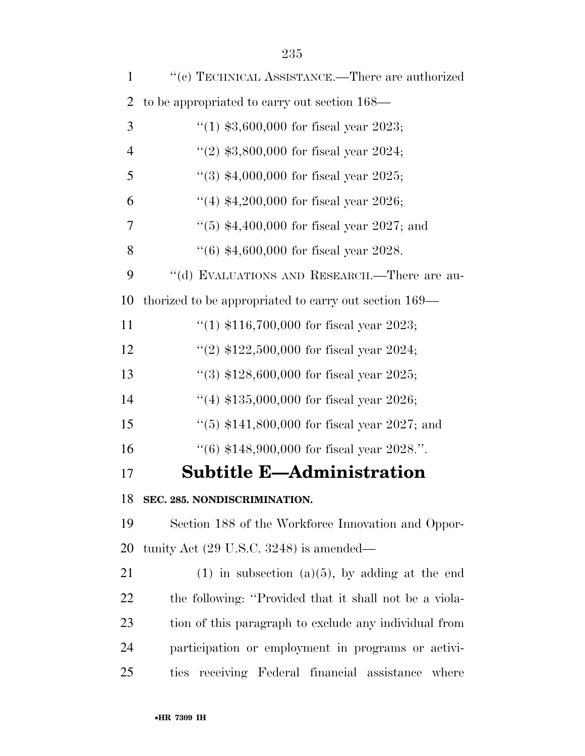| $\mathbf{1}$   | "(c) TECHNICAL ASSISTANCE.—There are authorized         |
|----------------|---------------------------------------------------------|
| $\overline{2}$ | to be appropriated to carry out section 168—            |
| 3              | "(1) $$3,600,000$ for fiscal year 2023;                 |
| $\overline{4}$ | "(2) $$3,800,000$ for fiscal year 2024;                 |
| 5              | "(3) $*4,000,000$ for fiscal year 2025;                 |
| 6              | "(4) $*4,200,000$ for fiscal year 2026;                 |
| 7              | "(5) $$4,400,000$ for fiscal year 2027; and             |
| 8              | $(6)$ \$4,600,000 for fiscal year 2028.                 |
| 9              | "(d) EVALUATIONS AND RESEARCH.—There are au-            |
| 10             | thorized to be appropriated to carry out section 169—   |
| 11             | "(1) $$116,700,000$ for fiscal year 2023;               |
| 12             | "(2) $$122,500,000$ for fiscal year 2024;               |
| 13             | "(3) $$128,600,000$ for fiscal year 2025;               |
| 14             | "(4) $$135,000,000$ for fiscal year 2026;               |
| 15             | "(5) $$141,800,000$ for fiscal year 2027; and           |
| 16             | $(6)$ \$148,900,000 for fiscal year 2028.".             |
| 17             | <b>Subtitle E-Administration</b>                        |
| 18             | SEC. 285. NONDISCRIMINATION.                            |
| 19             | Section 188 of the Workforce Innovation and Oppor-      |
| 20             | tunity Act $(29 \text{ U.S.C. } 3248)$ is amended—      |
| 21             | $(1)$ in subsection $(a)(5)$ , by adding at the end     |
| 22             | the following: "Provided that it shall not be a viola-  |
| 23             | tion of this paragraph to exclude any individual from   |
| 24             | participation or employment in programs or activi-      |
| 25             | receiving Federal financial assistance<br>ties<br>where |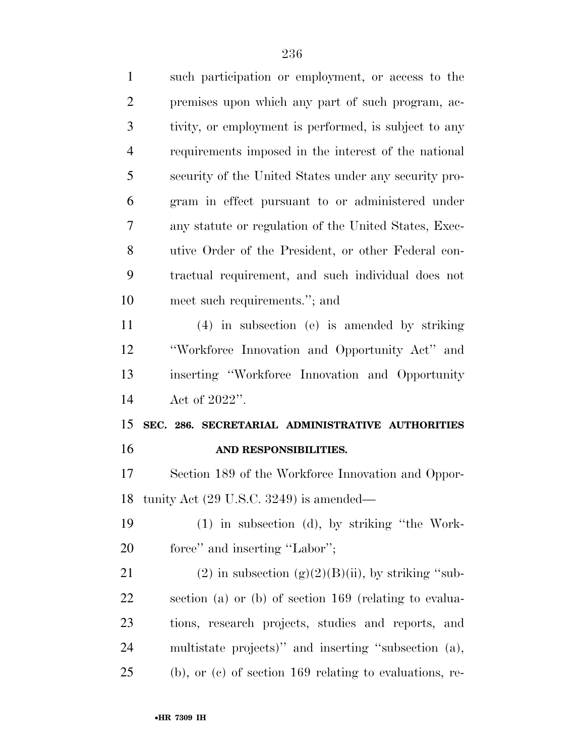| $\mathbf{1}$   | such participation or employment, or access to the     |
|----------------|--------------------------------------------------------|
| $\overline{2}$ | premises upon which any part of such program, ac-      |
| 3              | tivity, or employment is performed, is subject to any  |
| $\overline{4}$ | requirements imposed in the interest of the national   |
| 5              | security of the United States under any security pro-  |
| 6              | gram in effect pursuant to or administered under       |
| 7              | any statute or regulation of the United States, Exec-  |
| 8              | utive Order of the President, or other Federal con-    |
| 9              | tractual requirement, and such individual does not     |
| 10             | meet such requirements."; and                          |
| 11             | (4) in subsection (e) is amended by striking           |
| 12             | "Workforce Innovation and Opportunity Act" and         |
| 13             | inserting "Workforce Innovation and Opportunity        |
|                |                                                        |
| 14             | Act of $2022$ ".                                       |
| 15             | SEC. 286. SECRETARIAL ADMINISTRATIVE AUTHORITIES       |
| 16             | AND RESPONSIBILITIES.                                  |
| 17             | Section 189 of the Workforce Innovation and Oppor-     |
|                | 18 tunity Act (29 U.S.C. 3249) is amended—             |
| 19             | $(1)$ in subsection $(d)$ , by striking "the Work-     |
| 20             | force" and inserting "Labor";                          |
| 21             | (2) in subsection $(g)(2)(B)(ii)$ , by striking "sub-  |
| 22             | section (a) or (b) of section 169 (relating to evalua- |
| 23             | tions, research projects, studies and reports, and     |
| 24             | multistate projects)" and inserting "subsection (a),   |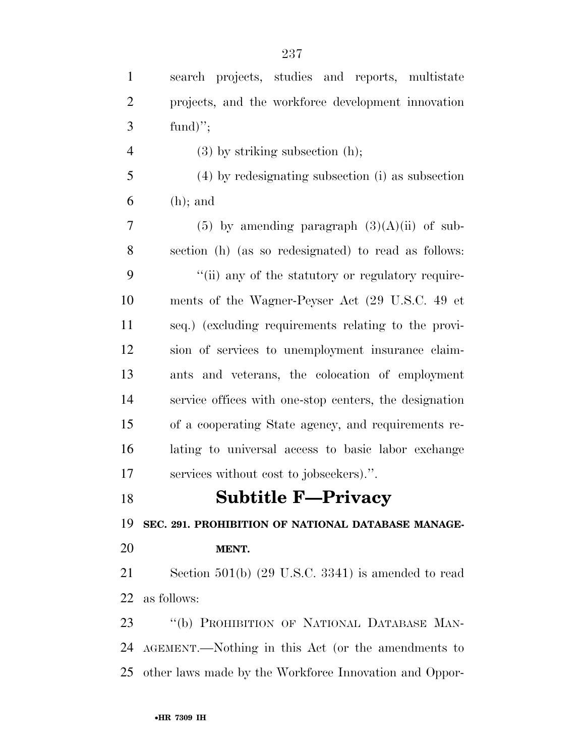| $\mathbf{1}$   | search projects, studies and reports, multistate       |
|----------------|--------------------------------------------------------|
| $\overline{c}$ | projects, and the workforce development innovation     |
| $\mathfrak{Z}$ | fund)";                                                |
| $\overline{4}$ | $(3)$ by striking subsection $(h)$ ;                   |
| 5              | (4) by redesignating subsection (i) as subsection      |
| 6              | $(h)$ ; and                                            |
| $\tau$         | $(5)$ by amending paragraph $(3)(A)(ii)$ of sub-       |
| 8              | section (h) (as so redesignated) to read as follows:   |
| 9              | "(ii) any of the statutory or regulatory require-      |
| 10             | ments of the Wagner-Peyser Act (29 U.S.C. 49 et        |
| 11             | seq.) (excluding requirements relating to the provi-   |
| 12             | sion of services to unemployment insurance claim-      |
| 13             | ants and veterans, the colocation of employment        |
| 14             | service offices with one-stop centers, the designation |
| 15             | of a cooperating State agency, and requirements re-    |
| 16             | lating to universal access to basic labor exchange     |
| 17             | services without cost to jobseekers).".                |
| 18             | <b>Subtitle F-Privacy</b>                              |
| 19             | SEC. 291. PROHIBITION OF NATIONAL DATABASE MANAGE-     |
| 20             | MENT.                                                  |
| 21             | Section $501(b)$ (29 U.S.C. 3341) is amended to read   |
| 22             | as follows:                                            |
| 23             | "(b) PROHIBITION OF NATIONAL DATABASE MAN-             |
| 24             | AGEMENT.—Nothing in this Act (or the amendments to     |
| 25             | other laws made by the Workforce Innovation and Oppor- |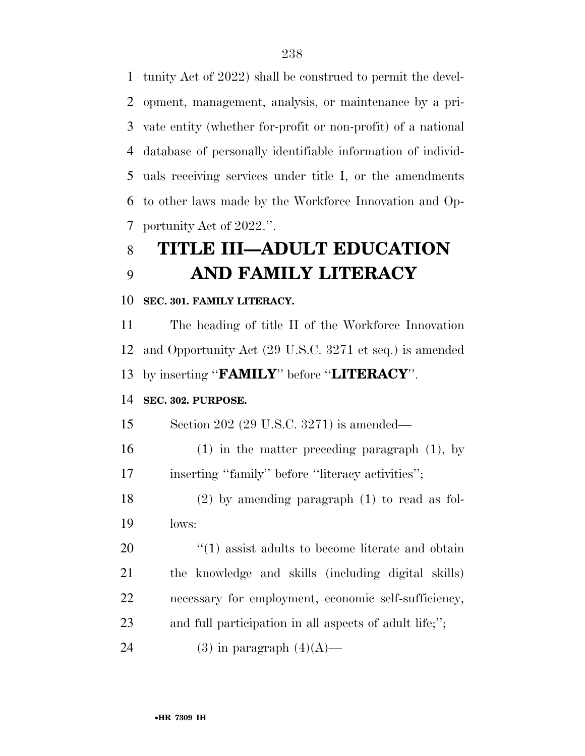tunity Act of 2022) shall be construed to permit the devel- opment, management, analysis, or maintenance by a pri- vate entity (whether for-profit or non-profit) of a national database of personally identifiable information of individ- uals receiving services under title I, or the amendments to other laws made by the Workforce Innovation and Op-portunity Act of 2022.''.

# **TITLE III—ADULT EDUCATION AND FAMILY LITERACY**

**SEC. 301. FAMILY LITERACY.** 

 The heading of title II of the Workforce Innovation and Opportunity Act (29 U.S.C. 3271 et seq.) is amended by inserting ''**FAMILY**'' before ''**LITERACY**''.

### **SEC. 302. PURPOSE.**

Section 202 (29 U.S.C. 3271) is amended—

 (1) in the matter preceding paragraph (1), by 17 inserting "family" before "literacy activities";

 (2) by amending paragraph (1) to read as fol-lows:

 $\frac{1}{20}$  (1) assist adults to become literate and obtain the knowledge and skills (including digital skills) necessary for employment, economic self-sufficiency, and full participation in all aspects of adult life;'';

24 (3) in paragraph  $(4)(A)$ —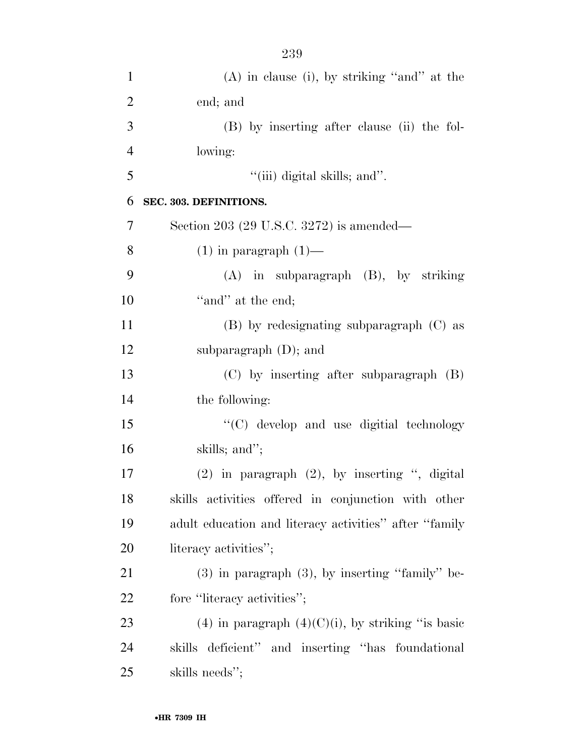| $\mathbf{1}$   | $(A)$ in clause (i), by striking "and" at the          |
|----------------|--------------------------------------------------------|
| $\overline{2}$ | end; and                                               |
| 3              | (B) by inserting after clause (ii) the fol-            |
| $\overline{4}$ | lowing:                                                |
| 5              | "(iii) digital skills; and".                           |
| 6              | SEC. 303. DEFINITIONS.                                 |
| 7              | Section 203 (29 U.S.C. 3272) is amended—               |
| 8              | $(1)$ in paragraph $(1)$ —                             |
| 9              | $(A)$ in subparagraph $(B)$ , by striking              |
| 10             | "and" at the end;                                      |
| 11             | $(B)$ by redesignating subparagraph $(C)$ as           |
| 12             | subparagraph $(D)$ ; and                               |
| 13             | $(C)$ by inserting after subparagraph $(B)$            |
| 14             | the following:                                         |
| 15             | "(C) develop and use digitial technology               |
| 16             | skills; and";                                          |
| 17             | $(2)$ in paragraph $(2)$ , by inserting ", digital     |
| 18             | skills activities offered in conjunction with other    |
| 19             | adult education and literacy activities" after "family |
| 20             | literacy activities";                                  |
| 21             | $(3)$ in paragraph $(3)$ , by inserting "family" be-   |
| 22             | fore "literacy activities";                            |
| 23             | (4) in paragraph $(4)(C)(i)$ , by striking "is basic   |
| 24             | skills deficient" and inserting "has foundational      |
| 25             | skills needs";                                         |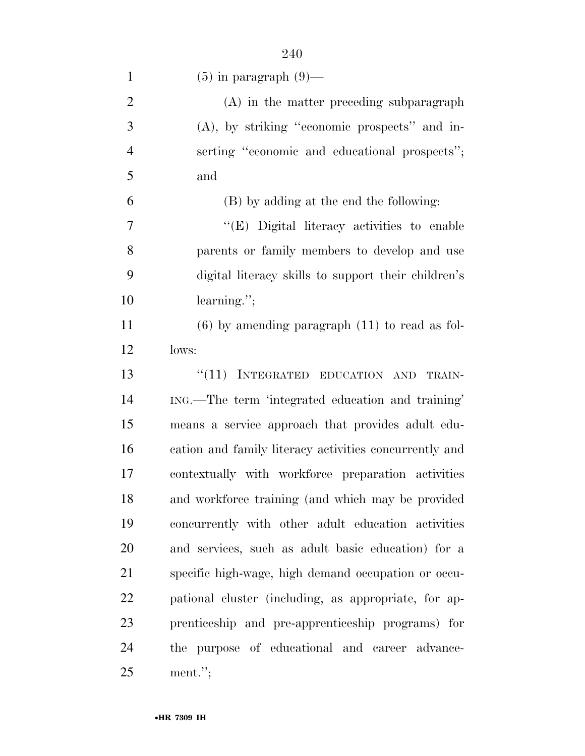| $\mathbf{1}$   | $(5)$ in paragraph $(9)$ —                             |
|----------------|--------------------------------------------------------|
| $\overline{2}$ | (A) in the matter preceding subparagraph               |
| 3              | $(A)$ , by striking "economic prospects" and in-       |
| $\overline{4}$ | serting "economic and educational prospects";          |
| 5              | and                                                    |
| 6              | (B) by adding at the end the following:                |
| $\overline{7}$ | "(E) Digital literacy activities to enable             |
| 8              | parents or family members to develop and use           |
| 9              | digital literacy skills to support their children's    |
| 10             | $learning$ .";                                         |
| 11             | $(6)$ by amending paragraph $(11)$ to read as fol-     |
| 12             | lows:                                                  |
| 13             | "(11) INTEGRATED EDUCATION AND<br>TRAIN-               |
| 14             | ING.—The term 'integrated education and training'      |
| 15             | means a service approach that provides adult edu-      |
| 16             | cation and family literacy activities concurrently and |
| 17             | contextually with workforce preparation activities     |
| 18             | and workforce training (and which may be provided      |
| 19             | concurrently with other adult education activities     |
| 20             | and services, such as adult basic education) for a     |
| 21             | specific high-wage, high demand occupation or occu-    |
| 22             | pational cluster (including, as appropriate, for ap-   |
| 23             | prenticeship and pre-apprenticeship programs) for      |
| 24             | purpose of educational and career advance-<br>the      |
| 25             | $ment.$ ";                                             |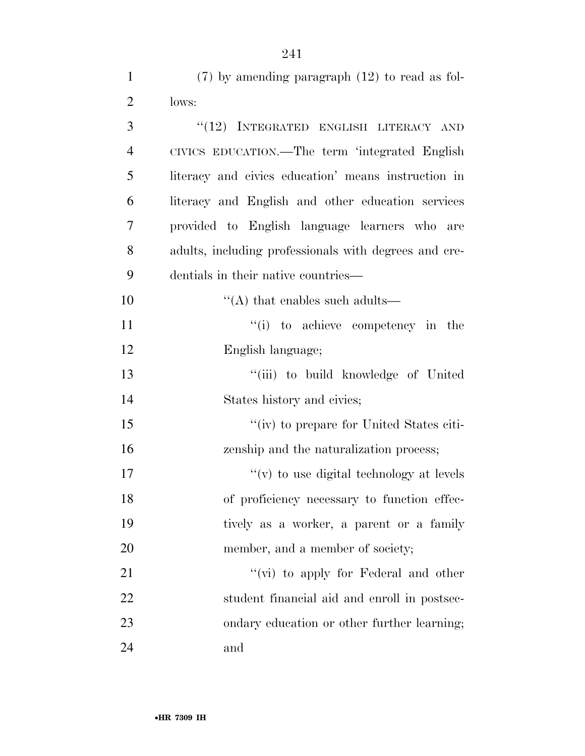| $\mathbf{1}$   | $(7)$ by amending paragraph $(12)$ to read as fol-    |
|----------------|-------------------------------------------------------|
| $\overline{2}$ | lows:                                                 |
| 3              | "(12) INTEGRATED ENGLISH LITERACY AND                 |
| $\overline{4}$ | CIVICS EDUCATION.—The term 'integrated English        |
| 5              | literacy and civics education' means instruction in   |
| 6              | literacy and English and other education services     |
| 7              | provided to English language learners who are         |
| 8              | adults, including professionals with degrees and cre- |
| 9              | dentials in their native countries—                   |
| 10             | $\lq\lq$ that enables such adults—                    |
| 11             | "(i) to achieve competency in the                     |
| 12             | English language;                                     |
| 13             | "(iii) to build knowledge of United                   |
| 14             | States history and civics;                            |
| 15             | "(iv) to prepare for United States citi-              |
| 16             | zenship and the naturalization process;               |
| 17             | $f'(v)$ to use digital technology at levels           |
| 18             | of proficiency necessary to function effec-           |
| 19             | tively as a worker, a parent or a family              |
| 20             | member, and a member of society;                      |
| 21             | " $(vi)$ to apply for Federal and other               |
| 22             | student financial aid and enroll in postsec-          |
| 23             | ondary education or other further learning;           |
| 24             | and                                                   |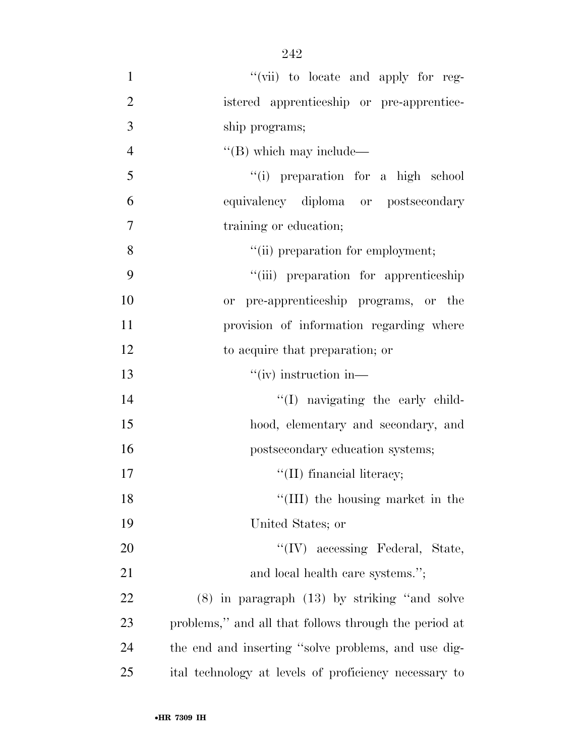$''(\text{vii})$  to locate and apply for reg- istered apprenticeship or pre-apprentice- ship programs;  $''(B)$  which may include— ''(i) preparation for a high school equivalency diploma or postsecondary training or education;  $"(*ii*) preparation for employment;$  ''(iii) preparation for apprenticeship or pre-apprenticeship programs, or the provision of information regarding where to acquire that preparation; or 13 ''(iv) instruction in— 14 ''(I) navigating the early child- hood, elementary and secondary, and **postsecondary education systems;**  $\text{``(II)}$  financial literacy; 18 ''(III) the housing market in the United States; or 20 ''(IV) accessing Federal, State, 21 and local health care systems."; (8) in paragraph (13) by striking ''and solve problems,'' and all that follows through the period at the end and inserting ''solve problems, and use dig-ital technology at levels of proficiency necessary to

•**HR 7309 IH**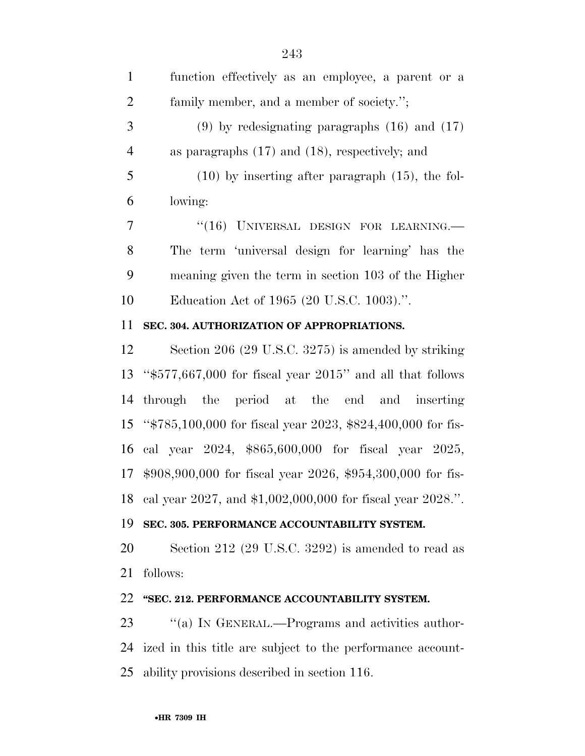function effectively as an employee, a parent or a family member, and a member of society.''; (9) by redesignating paragraphs (16) and (17) as paragraphs (17) and (18), respectively; and (10) by inserting after paragraph (15), the fol- lowing: 7 "(16) UNIVERSAL DESIGN FOR LEARNING. The term 'universal design for learning' has the meaning given the term in section 103 of the Higher Education Act of 1965 (20 U.S.C. 1003).''.

### **SEC. 304. AUTHORIZATION OF APPROPRIATIONS.**

 Section 206 (29 U.S.C. 3275) is amended by striking ''\$577,667,000 for fiscal year 2015'' and all that follows through the period at the end and inserting ''\$785,100,000 for fiscal year 2023, \$824,400,000 for fis- cal year 2024, \$865,600,000 for fiscal year 2025, \$908,900,000 for fiscal year 2026, \$954,300,000 for fis-cal year 2027, and \$1,002,000,000 for fiscal year 2028.''.

#### **SEC. 305. PERFORMANCE ACCOUNTABILITY SYSTEM.**

 Section 212 (29 U.S.C. 3292) is amended to read as follows:

## **''SEC. 212. PERFORMANCE ACCOUNTABILITY SYSTEM.**

23 "(a) In GENERAL.—Programs and activities author- ized in this title are subject to the performance account-ability provisions described in section 116.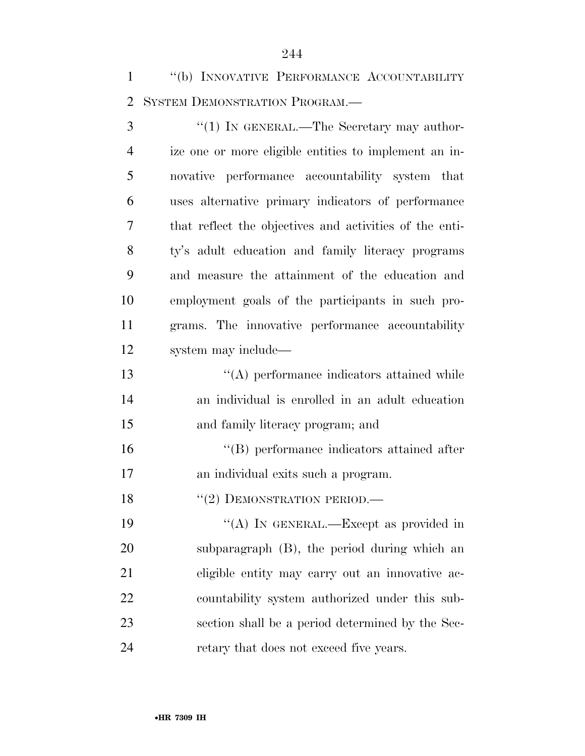''(b) INNOVATIVE PERFORMANCE ACCOUNTABILITY SYSTEM DEMONSTRATION PROGRAM.—

3 "(1) IN GENERAL.—The Secretary may author- ize one or more eligible entities to implement an in- novative performance accountability system that uses alternative primary indicators of performance that reflect the objectives and activities of the enti- ty's adult education and family literacy programs and measure the attainment of the education and employment goals of the participants in such pro- grams. The innovative performance accountability system may include—

 ''(A) performance indicators attained while an individual is enrolled in an adult education and family literacy program; and

 ''(B) performance indicators attained after an individual exits such a program.

18 "(2) DEMONSTRATION PERIOD.—

19 "(A) IN GENERAL.—Except as provided in subparagraph (B), the period during which an eligible entity may carry out an innovative ac- countability system authorized under this sub- section shall be a period determined by the Sec-retary that does not exceed five years.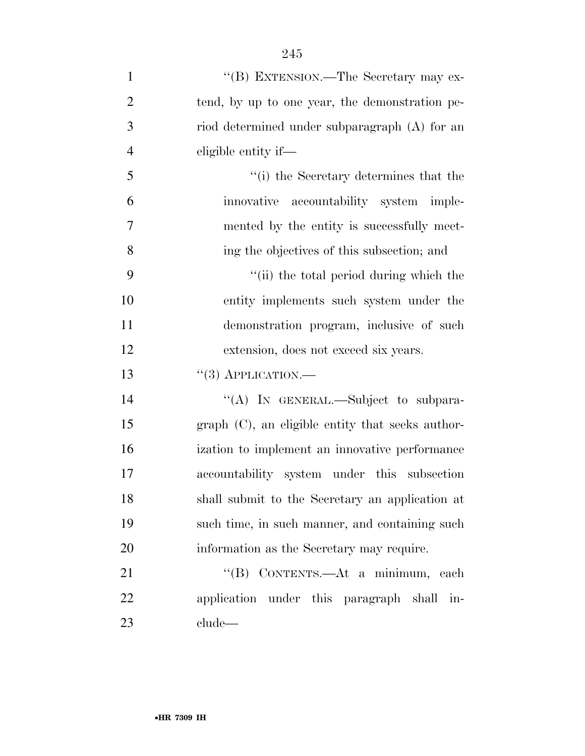| $\mathbf{1}$   | "(B) EXTENSION.—The Secretary may ex-               |
|----------------|-----------------------------------------------------|
| $\overline{2}$ | tend, by up to one year, the demonstration pe-      |
| 3              | riod determined under subparagraph (A) for an       |
| $\overline{4}$ | eligible entity if—                                 |
| 5              | "(i) the Secretary determines that the              |
| 6              | innovative accountability system imple-             |
| 7              | mented by the entity is successfully meet-          |
| 8              | ing the objectives of this subsection; and          |
| 9              | "(ii) the total period during which the             |
| 10             | entity implements such system under the             |
| 11             | demonstration program, inclusive of such            |
| 12             | extension, does not exceed six years.               |
| 13             | $``(3)$ APPLICATION.—                               |
| 14             | "(A) IN GENERAL.—Subject to subpara-                |
| 15             | $graph (C)$ , an eligible entity that seeks author- |
| 16             | ization to implement an innovative performance      |
| 17             | accountability system under this subsection         |
| 18             | shall submit to the Secretary an application at     |
| 19             | such time, in such manner, and containing such      |
| 20             | information as the Secretary may require.           |
| 21             | "(B) CONTENTS.—At a minimum, each                   |
| 22             | application under this paragraph shall in-          |
| 23             | clude                                               |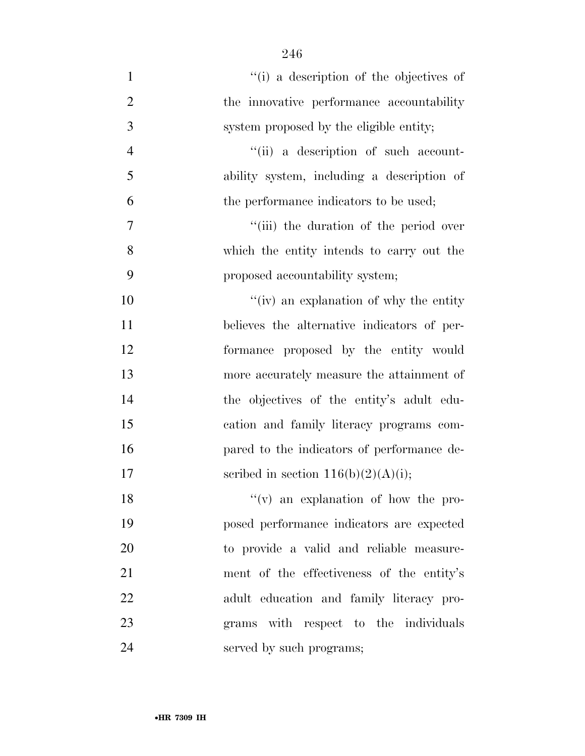$\frac{1}{1}$  a description of the objectives of 2 the innovative performance accountability system proposed by the eligible entity; 4 ''(ii) a description of such account- ability system, including a description of 6 the performance indicators to be used;  $''(iii)$  the duration of the period over which the entity intends to carry out the proposed accountability system;  $''(iv)$  an explanation of why the entity believes the alternative indicators of per- formance proposed by the entity would more accurately measure the attainment of the objectives of the entity's adult edu- cation and family literacy programs com- pared to the indicators of performance de-17 scribed in section  $116(b)(2)(A)(i)$ ; 18 ''(v) an explanation of how the pro-posed performance indicators are expected

to provide a valid and reliable measure-

ment of the effectiveness of the entity's

adult education and family literacy pro-

grams with respect to the individuals

served by such programs;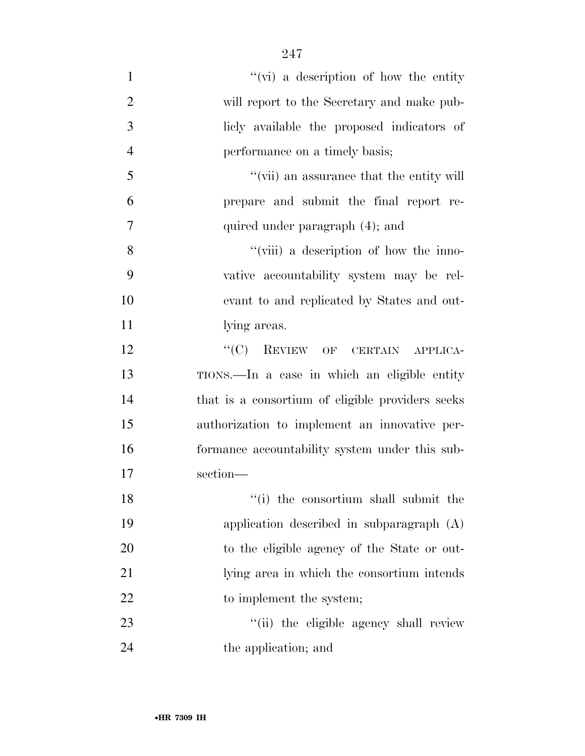1 ''(vi) a description of how the entity will report to the Secretary and make pub- licly available the proposed indicators of performance on a timely basis; ''(vii) an assurance that the entity will prepare and submit the final report re- quired under paragraph (4); and 8 ''(viii) a description of how the inno- vative accountability system may be rel- evant to and replicated by States and out-11 lying areas. 12 "(C) REVIEW OF CERTAIN APPLICA- TIONS.—In a case in which an eligible entity that is a consortium of eligible providers seeks authorization to implement an innovative per- formance accountability system under this sub- section— 18 ''(i) the consortium shall submit the

- application described in subparagraph (A) to the eligible agency of the State or out- lying area in which the consortium intends 22 to implement the system; 23 ''(ii) the eligible agency shall review
- the application; and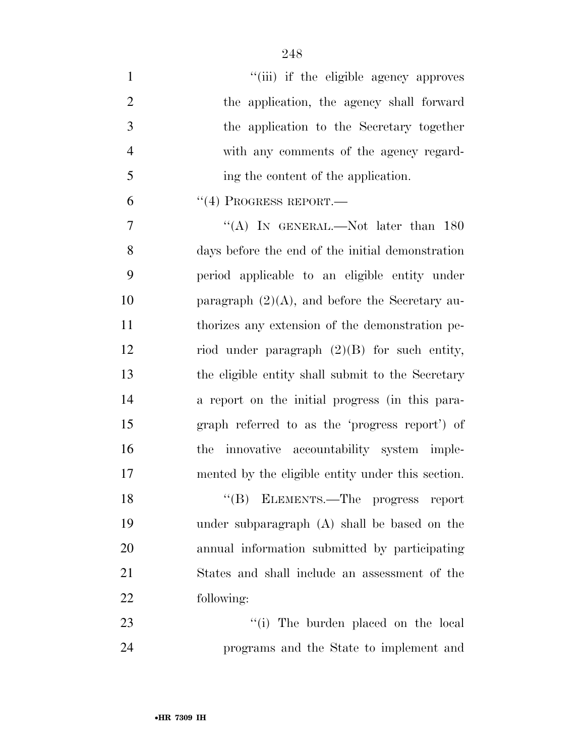| $\mathbf{1}$   | "(iii) if the eligible agency approves            |
|----------------|---------------------------------------------------|
| $\overline{2}$ | the application, the agency shall forward         |
| 3              | the application to the Secretary together         |
| $\overline{4}$ | with any comments of the agency regard-           |
| 5              | ing the content of the application.               |
| 6              | $``(4)$ PROGRESS REPORT.—                         |
| 7              | "(A) IN GENERAL.—Not later than $180$             |
| 8              | days before the end of the initial demonstration  |
| 9              | period applicable to an eligible entity under     |
| 10             | paragraph $(2)(A)$ , and before the Secretary au- |
| 11             | thorizes any extension of the demonstration pe-   |
| 12             | riod under paragraph $(2)(B)$ for such entity,    |
| 13             | the eligible entity shall submit to the Secretary |
| 14             | a report on the initial progress (in this para-   |
| 15             | graph referred to as the 'progress report') of    |
| 16             | innovative accountability system imple-<br>the    |
| 17             | mented by the eligible entity under this section. |
| 18             | "(B) ELEMENTS.—The progress report                |
| 19             | under subparagraph (A) shall be based on the      |
| 20             | annual information submitted by participating     |
| 21             | States and shall include an assessment of the     |
| 22             | following:                                        |
| 23             | "(i) The burden placed on the local               |
| 24             | programs and the State to implement and           |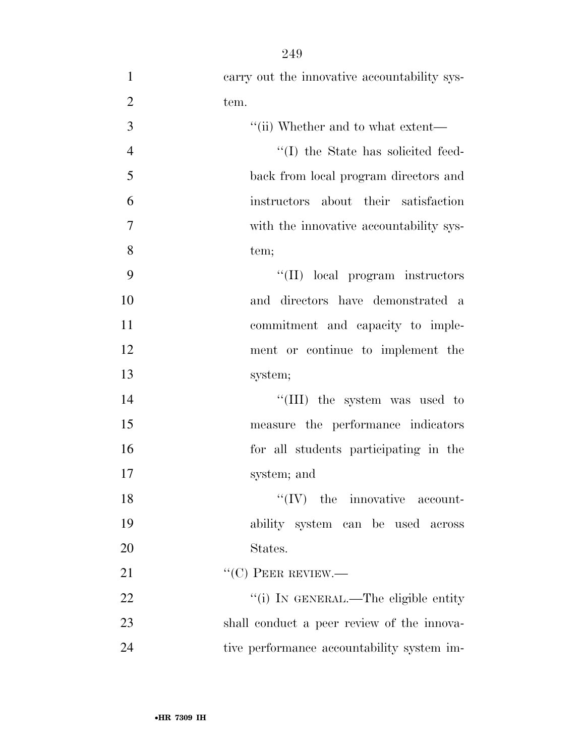| $\mathbf{1}$   | carry out the innovative accountability sys- |
|----------------|----------------------------------------------|
| $\overline{2}$ | tem.                                         |
| 3              | "(ii) Whether and to what extent—            |
| $\overline{4}$ | "(I) the State has solicited feed-           |
| 5              | back from local program directors and        |
| 6              | instructors about their satisfaction         |
| $\overline{7}$ | with the innovative accountability sys-      |
| 8              | tem;                                         |
| 9              | "(II) local program instructors              |
| 10             | and directors have demonstrated a            |
| 11             | commitment and capacity to imple-            |
| 12             | ment or continue to implement the            |
| 13             | system;                                      |
| 14             | "(III) the system was used to                |
| 15             | measure the performance indicators           |
| 16             | for all students participating in the        |
| 17             | system; and                                  |
| 18             | $\lq\lq (IV)$ the innovative account-        |
| 19             | ability system can be used across            |
| 20             | States.                                      |
| 21             | $``(C)$ PEER REVIEW.—                        |
| 22             | "(i) IN GENERAL.—The eligible entity         |
| 23             | shall conduct a peer review of the innova-   |
| 24             | tive performance accountability system im-   |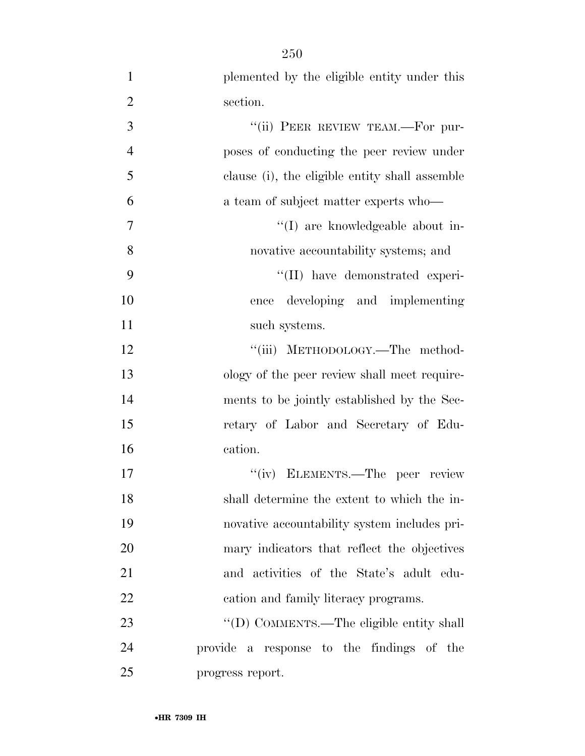plemented by the eligible entity under this section. 3 "(ii) PEER REVIEW TEAM.—For pur- poses of conducting the peer review under clause (i), the eligible entity shall assemble a team of subject matter experts who—  $''(I)$  are knowledgeable about in- novative accountability systems; and 9 ''(II) have demonstrated experi- ence developing and implementing 11 such systems. 12 "'(iii) METHODOLOGY.—The method- ology of the peer review shall meet require- ments to be jointly established by the Sec- retary of Labor and Secretary of Edu- cation. 17 ''(iv) ELEMENTS.—The peer review shall determine the extent to which the in- novative accountability system includes pri-mary indicators that reflect the objectives

and activities of the State's adult edu-

23 "'(D) COMMENTS.—The eligible entity shall

provide a response to the findings of the

cation and family literacy programs.

progress report.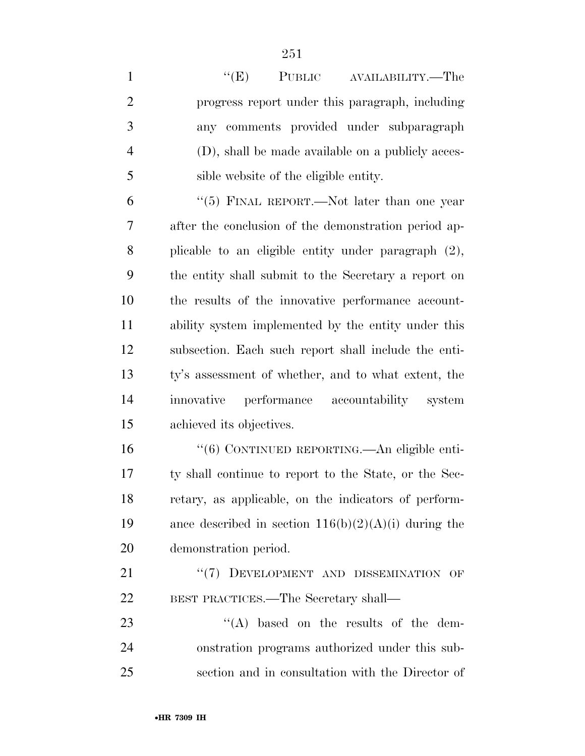1 ''(E) PUBLIC AVAILABILITY.—The progress report under this paragraph, including any comments provided under subparagraph (D), shall be made available on a publicly acces- sible website of the eligible entity. ''(5) FINAL REPORT.—Not later than one year after the conclusion of the demonstration period ap- plicable to an eligible entity under paragraph (2), the entity shall submit to the Secretary a report on the results of the innovative performance account- ability system implemented by the entity under this subsection. Each such report shall include the enti- ty's assessment of whether, and to what extent, the innovative performance accountability system achieved its objectives. ''(6) CONTINUED REPORTING.—An eligible enti- ty shall continue to report to the State, or the Sec- retary, as applicable, on the indicators of perform-19 ance described in section  $116(b)(2)(A)(i)$  during the demonstration period. 21 "(7) DEVELOPMENT AND DISSEMINATION OF BEST PRACTICES.—The Secretary shall— 23 ''(A) based on the results of the dem-

 onstration programs authorized under this sub-section and in consultation with the Director of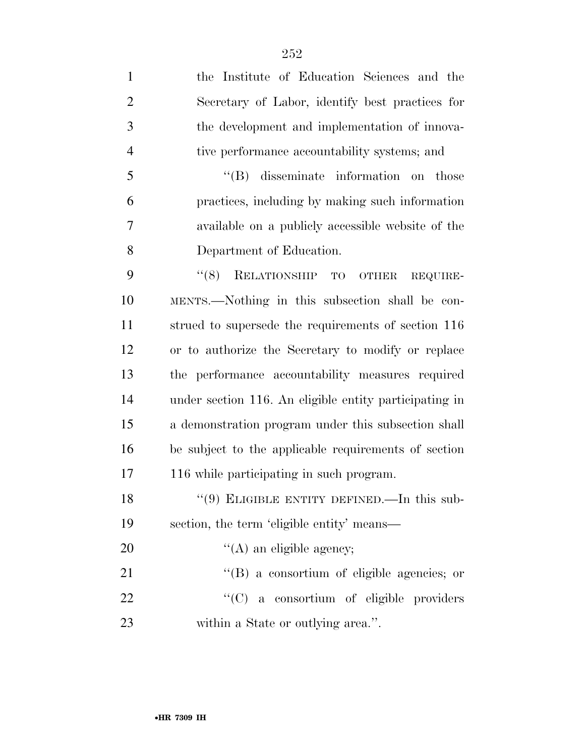| $\mathbf{1}$   | the Institute of Education Sciences and the            |
|----------------|--------------------------------------------------------|
| $\overline{2}$ | Secretary of Labor, identify best practices for        |
| 3              | the development and implementation of innova-          |
| $\overline{4}$ | tive performance accountability systems; and           |
| 5              | $\lq\lq$ disseminate information on those              |
| 6              | practices, including by making such information        |
| 7              | available on a publicly accessible website of the      |
| 8              | Department of Education.                               |
| 9              | RELATIONSHIP TO<br>(8)<br>REQUIRE-<br><b>OTHER</b>     |
| 10             | MENTS.—Nothing in this subsection shall be con-        |
| 11             | strued to supersede the requirements of section 116    |
| 12             | or to authorize the Secretary to modify or replace     |
| 13             | the performance accountability measures required       |
| 14             | under section 116. An eligible entity participating in |
| 15             | a demonstration program under this subsection shall    |
| 16             | be subject to the applicable requirements of section   |
| 17             | 116 while participating in such program.               |
| 18             | $(9)$ ELIGIBLE ENTITY DEFINED.—In this sub-            |
| 19             | section, the term 'eligible entity' means—             |
| 20             | $\lq\lq$ (A) an eligible agency;                       |
| 21             | $\lq\lq (B)$ a consortium of eligible agencies; or     |
| 22             | "(C) a consortium of eligible providers                |
| 23             | within a State or outlying area.".                     |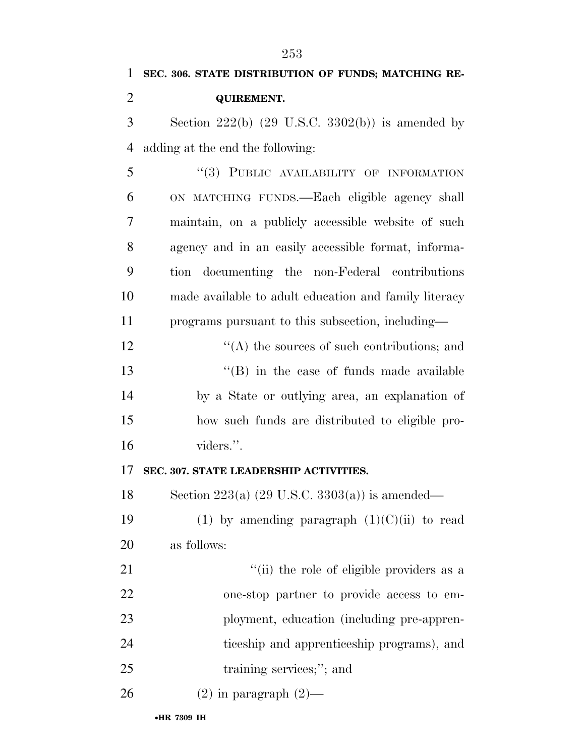| $\mathbf{1}$   | SEC. 306. STATE DISTRIBUTION OF FUNDS; MATCHING RE-       |
|----------------|-----------------------------------------------------------|
| $\overline{2}$ | <b>QUIREMENT.</b>                                         |
| 3              | Section $222(b)$ (29 U.S.C. 3302(b)) is amended by        |
| $\overline{4}$ | adding at the end the following:                          |
| 5              | "(3) PUBLIC AVAILABILITY OF INFORMATION                   |
| 6              | ON MATCHING FUNDS.—Each eligible agency shall             |
| 7              | maintain, on a publicly accessible website of such        |
| 8              | agency and in an easily accessible format, informa-       |
| 9              | tion documenting the non-Federal contributions            |
| 10             | made available to adult education and family literacy     |
| 11             | programs pursuant to this subsection, including—          |
| 12             | $\lq\lq$ the sources of such contributions; and           |
| 13             | $\lq\lq$ (B) in the case of funds made available          |
| 14             | by a State or outlying area, an explanation of            |
| 15             | how such funds are distributed to eligible pro-           |
| 16             | viders.".                                                 |
| 17             | SEC. 307. STATE LEADERSHIP ACTIVITIES.                    |
| 18             | Section 223(a) $(29 \text{ U.S.C. } 3303(a))$ is amended— |
| 19             | (1) by amending paragraph $(1)(C)(ii)$ to read            |
| 20             | as follows:                                               |
| 21             | "(ii) the role of eligible providers as a                 |
| 22             | one-stop partner to provide access to em-                 |
| 23             | ployment, education (including pre-appren-                |
| 24             | ticeship and apprenticeship programs), and                |
| 25             | training services;"; and                                  |
| 26             | $(2)$ in paragraph $(2)$ —                                |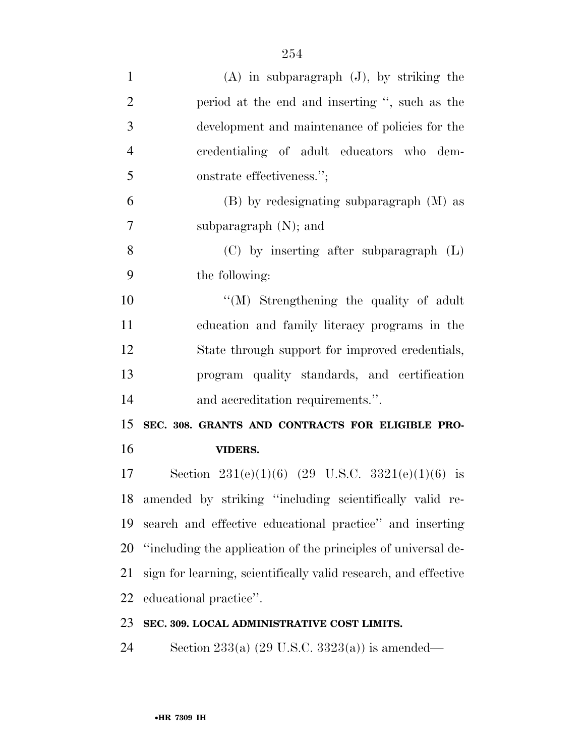| $\mathbf{1}$   | $(A)$ in subparagraph $(J)$ , by striking the                   |
|----------------|-----------------------------------------------------------------|
| $\overline{2}$ | period at the end and inserting ", such as the                  |
| 3              | development and maintenance of policies for the                 |
| $\overline{4}$ | credentialing of adult educators who dem-                       |
| 5              | onstrate effectiveness.";                                       |
| 6              | $(B)$ by redesignating subparagraph $(M)$ as                    |
| 7              | subparagraph $(N)$ ; and                                        |
| 8              | $(C)$ by inserting after subparagraph $(L)$                     |
| 9              | the following:                                                  |
| 10             | $\lq\lq (M)$ Strengthening the quality of adult                 |
| 11             | education and family literacy programs in the                   |
| 12             | State through support for improved credentials,                 |
| 13             | program quality standards, and certification                    |
| 14             | and accreditation requirements.".                               |
| 15             | SEC. 308. GRANTS AND CONTRACTS FOR ELIGIBLE PRO-                |
| 16             | <b>VIDERS.</b>                                                  |
| 17             | Section 231(e)(1)(6) (29 U.S.C. 3321(e)(1)(6) is                |
| 18             | amended by striking "including scientifically valid re-         |
| 19             | search and effective educational practice" and inserting        |
| 20             | "including the application of the principles of universal de-   |
| 21             | sign for learning, scientifically valid research, and effective |
| 22             | educational practice".                                          |
| 23             | SEC. 309. LOCAL ADMINISTRATIVE COST LIMITS.                     |
|                |                                                                 |

Section 233(a) (29 U.S.C. 3323(a)) is amended—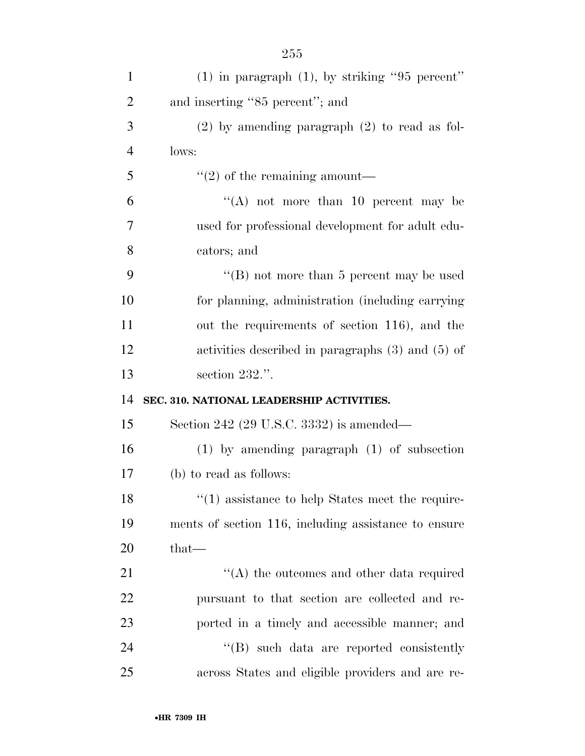| 1              | $(1)$ in paragraph $(1)$ , by striking "95 percent"     |
|----------------|---------------------------------------------------------|
| $\overline{2}$ | and inserting "85 percent"; and                         |
| 3              | $(2)$ by amending paragraph $(2)$ to read as fol-       |
| $\overline{4}$ | lows:                                                   |
| 5              | $\lq(2)$ of the remaining amount—                       |
| 6              | "(A) not more than 10 percent may be                    |
| 7              | used for professional development for adult edu-        |
| 8              | cators; and                                             |
| 9              | "(B) not more than $5$ percent may be used              |
| 10             | for planning, administration (including carrying        |
| 11             | out the requirements of section 116), and the           |
| 12             | activities described in paragraphs $(3)$ and $(5)$ of   |
| 13             | section 232.".                                          |
| 14             | SEC. 310. NATIONAL LEADERSHIP ACTIVITIES.               |
| 15             | Section 242 (29 U.S.C. 3332) is amended—                |
| 16             | $(1)$ by amending paragraph $(1)$ of subsection         |
| 17             | (b) to read as follows:                                 |
| 18             | $\cdot$ (1) assistance to help States meet the require- |
| 19             | ments of section 116, including assistance to ensure    |
| 20             | $that-$                                                 |
| 21             | $\lq\lq$ the outcomes and other data required           |
| 22             | pursuant to that section are collected and re-          |
| 23             | ported in a timely and accessible manner; and           |
| 24             | $\lq\lq (B)$ such data are reported consistently        |
| 25             | across States and eligible providers and are re-        |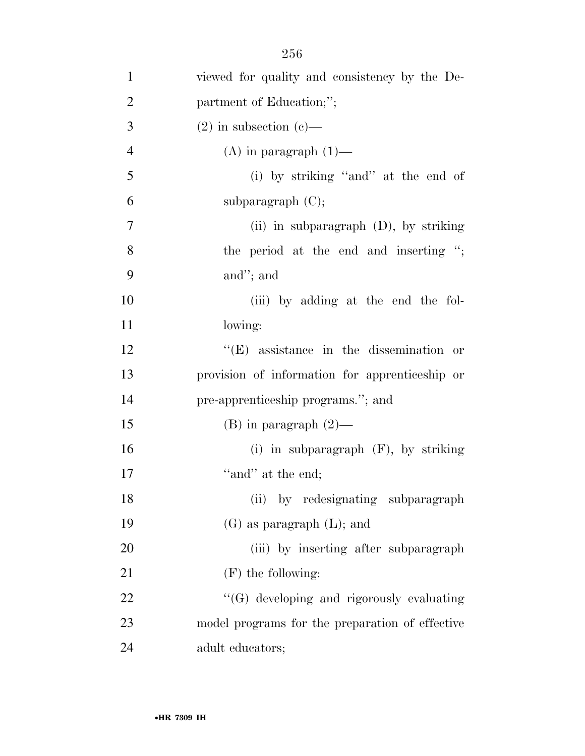| $\mathbf{1}$   | viewed for quality and consistency by the De-   |
|----------------|-------------------------------------------------|
| $\overline{2}$ | partment of Education;";                        |
| 3              | $(2)$ in subsection $(e)$ —                     |
| $\overline{4}$ | $(A)$ in paragraph $(1)$ —                      |
| 5              | (i) by striking "and" at the end of             |
| 6              | subparagraph $(C)$ ;                            |
| $\overline{7}$ | (ii) in subparagraph (D), by striking           |
| 8              | the period at the end and inserting ";          |
| 9              | and"; and                                       |
| 10             | (iii) by adding at the end the fol-             |
| 11             | lowing:                                         |
| 12             | $\lq\lq$ (E) assistance in the dissemination or |
| 13             | provision of information for apprenticeship or  |
| 14             | pre-apprenticeship programs."; and              |
| 15             | $(B)$ in paragraph $(2)$ —                      |
| 16             | (i) in subparagraph $(F)$ , by striking         |
| 17             | "and" at the end;                               |
| 18             | (ii) by redesignating subparagraph              |
| 19             | $(G)$ as paragraph $(L)$ ; and                  |
| 20             | (iii) by inserting after subparagraph           |
| 21             | $(F)$ the following:                            |
| 22             | "(G) developing and rigorously evaluating       |
| 23             | model programs for the preparation of effective |
| 24             | adult educators;                                |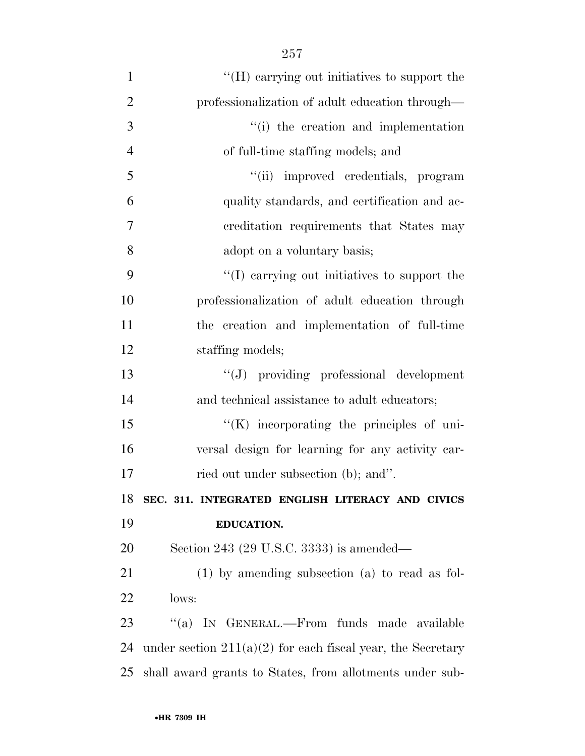| $\mathbf{1}$   | "(H) carrying out initiatives to support the                  |
|----------------|---------------------------------------------------------------|
| $\overline{2}$ | professionalization of adult education through—               |
| 3              | "(i) the creation and implementation                          |
| $\overline{4}$ | of full-time staffing models; and                             |
| 5              | "(ii) improved credentials, program                           |
| 6              | quality standards, and certification and ac-                  |
| 7              | creditation requirements that States may                      |
| 8              | adopt on a voluntary basis;                                   |
| 9              | "(I) carrying out initiatives to support the                  |
| 10             | professionalization of adult education through                |
| 11             | the creation and implementation of full-time                  |
| 12             | staffing models;                                              |
| 13             | "(J) providing professional development                       |
| 14             | and technical assistance to adult educators;                  |
| 15             | $\lq\lq(K)$ incorporating the principles of uni-              |
| 16             | versal design for learning for any activity car-              |
| 17             | ried out under subsection (b); and".                          |
| 18             | SEC. 311. INTEGRATED ENGLISH LITERACY AND CIVICS              |
| 19             | <b>EDUCATION.</b>                                             |
| 20             | Section 243 (29 U.S.C. 3333) is amended—                      |
| 21             | $(1)$ by amending subsection $(a)$ to read as fol-            |
| 22             | lows:                                                         |
| 23             | "(a) IN GENERAL.—From funds made available                    |
| 24             | under section $211(a)(2)$ for each fiscal year, the Secretary |
| 25             | shall award grants to States, from allotments under sub-      |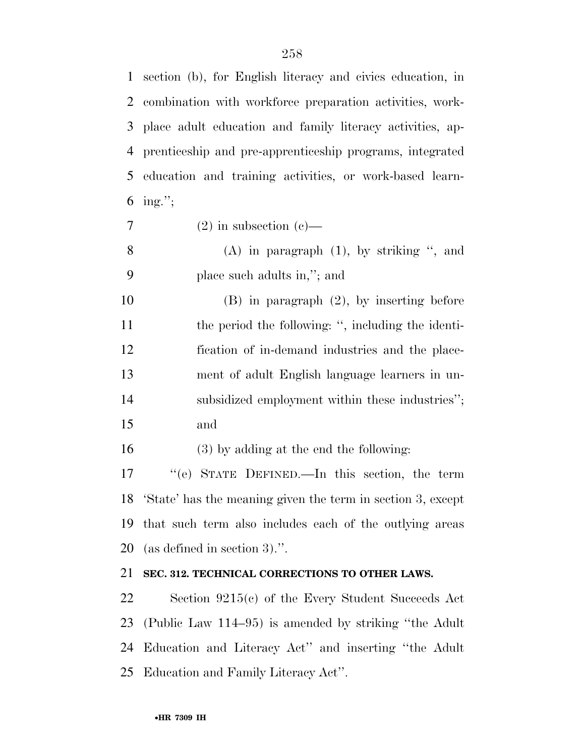section (b), for English literacy and civics education, in combination with workforce preparation activities, work- place adult education and family literacy activities, ap- prenticeship and pre-apprenticeship programs, integrated education and training activities, or work-based learn-6 ing.";

 $7 \t(2)$  in subsection (c)—

 (A) in paragraph (1), by striking '', and place such adults in,''; and

 (B) in paragraph (2), by inserting before 11 the period the following: ", including the identi- fication of in-demand industries and the place- ment of adult English language learners in un-14 subsidized employment within these industries"; and

(3) by adding at the end the following:

 ''(e) STATE DEFINED.—In this section, the term 'State' has the meaning given the term in section 3, except that such term also includes each of the outlying areas (as defined in section 3).''.

# **SEC. 312. TECHNICAL CORRECTIONS TO OTHER LAWS.**

 Section 9215(c) of the Every Student Succeeds Act (Public Law 114–95) is amended by striking ''the Adult Education and Literacy Act'' and inserting ''the Adult Education and Family Literacy Act''.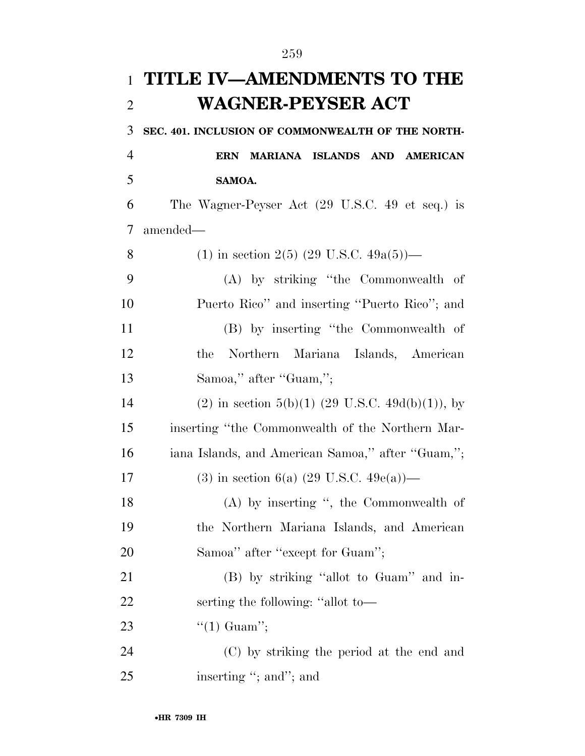| $\mathbf{1}$   | TITLE IV-AMENDMENTS TO THE                        |
|----------------|---------------------------------------------------|
| $\overline{2}$ | <b>WAGNER-PEYSER ACT</b>                          |
| 3              | SEC. 401. INCLUSION OF COMMONWEALTH OF THE NORTH- |
| 4              | MARIANA ISLANDS AND AMERICAN<br><b>ERN</b>        |
| 5              | SAMOA.                                            |
| 6              | The Wagner-Peyser Act (29 U.S.C. 49 et seq.) is   |
| 7              | amended—                                          |
| 8              | (1) in section 2(5) (29 U.S.C. 49a(5))—           |
| 9              | (A) by striking "the Commonwealth of              |
| 10             | Puerto Rico" and inserting "Puerto Rico"; and     |
| 11             | (B) by inserting "the Commonwealth of             |
| 12             | Northern Mariana Islands, American<br>the         |
| 13             | Samoa," after "Guam,";                            |
| 14             | (2) in section 5(b)(1) (29 U.S.C. 49d(b)(1)), by  |
| 15             | inserting "the Commonwealth of the Northern Mar-  |
| 16             | iana Islands, and American Samoa," after "Guam,"; |
| 17             | (3) in section 6(a) (29 U.S.C. 49e(a))—           |
| 18             | $(A)$ by inserting ", the Commonwealth of         |
| 19             | the Northern Mariana Islands, and American        |
| 20             | Samoa" after "except for Guam";                   |
| 21             | (B) by striking "allot to Guam" and in-           |
| 22             | serting the following: "allot to-                 |
| 23             | " $(1)$ Guam";                                    |
| 24             | (C) by striking the period at the end and         |
| 25             | inserting "; and"; and                            |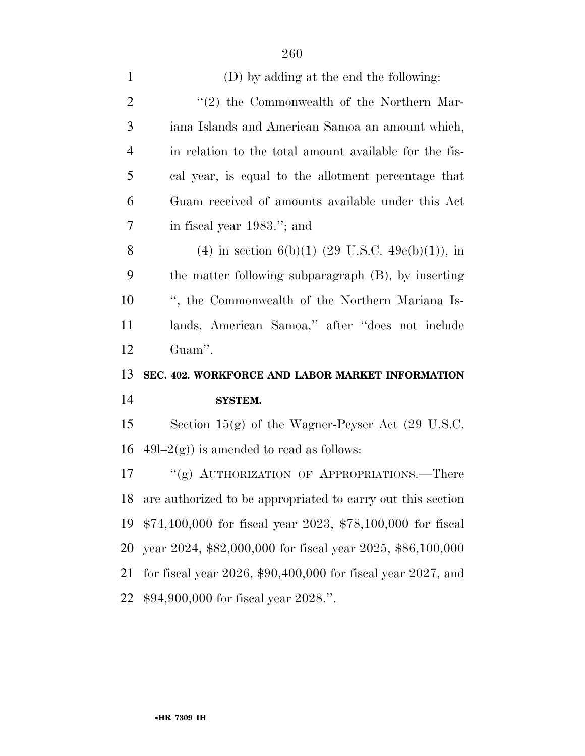| $\mathbf{1}$   | (D) by adding at the end the following:                            |
|----------------|--------------------------------------------------------------------|
| $\overline{2}$ | "(2) the Commonwealth of the Northern Mar-                         |
| 3              | iana Islands and American Samoa an amount which,                   |
| $\overline{4}$ | in relation to the total amount available for the fis-             |
| 5              | cal year, is equal to the allotment percentage that                |
| 6              | Guam received of amounts available under this Act                  |
| $\overline{7}$ | in fiscal year 1983."; and                                         |
| 8              | (4) in section 6(b)(1) (29 U.S.C. 49e(b)(1)), in                   |
| 9              | the matter following subparagraph (B), by inserting                |
| 10             | ", the Commonwealth of the Northern Mariana Is-                    |
| 11             | lands, American Samoa," after "does not include                    |
|                |                                                                    |
| 12             | Guam".                                                             |
| 13             | SEC. 402. WORKFORCE AND LABOR MARKET INFORMATION                   |
| 14             | <b>SYSTEM.</b>                                                     |
| 15             | Section $15(g)$ of the Wagner-Peyser Act (29 U.S.C.                |
| 16             | $49l-2(g)$ ) is amended to read as follows:                        |
| 17             | "(g) AUTHORIZATION OF APPROPRIATIONS.—There                        |
| 18             | are authorized to be appropriated to carry out this section        |
| 19             | $$74,400,000$ for fiscal year 2023, $$78,100,000$ for fiscal       |
| 20             | year 2024, \$82,000,000 for fiscal year 2025, \$86,100,000         |
| 21             | for fiscal year $2026$ , \$90,400,000 for fiscal year $2027$ , and |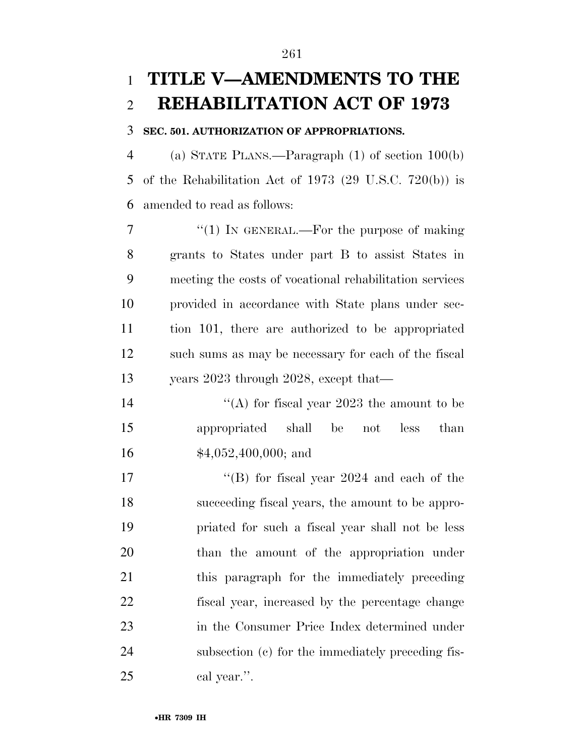# **TITLE V—AMENDMENTS TO THE REHABILITATION ACT OF 1973**

#### **SEC. 501. AUTHORIZATION OF APPROPRIATIONS.**

 (a) STATE PLANS.—Paragraph (1) of section 100(b) of the Rehabilitation Act of 1973 (29 U.S.C. 720(b)) is amended to read as follows:

7 "(1) In GENERAL.—For the purpose of making grants to States under part B to assist States in meeting the costs of vocational rehabilitation services provided in accordance with State plans under sec- tion 101, there are authorized to be appropriated such sums as may be necessary for each of the fiscal years 2023 through 2028, except that—

14  $\langle (A)$  for fiscal year 2023 the amount to be appropriated shall be not less than \$4,052,400,000; and

17 ''(B) for fiscal year 2024 and each of the succeeding fiscal years, the amount to be appro- priated for such a fiscal year shall not be less than the amount of the appropriation under this paragraph for the immediately preceding fiscal year, increased by the percentage change in the Consumer Price Index determined under subsection (c) for the immediately preceding fis-cal year.''.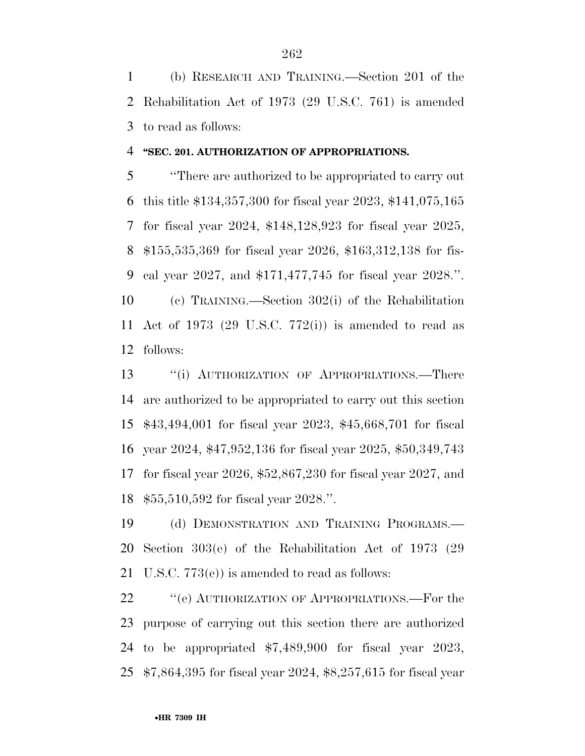(b) RESEARCH AND TRAINING.—Section 201 of the Rehabilitation Act of 1973 (29 U.S.C. 761) is amended to read as follows:

#### **''SEC. 201. AUTHORIZATION OF APPROPRIATIONS.**

 ''There are authorized to be appropriated to carry out this title \$134,357,300 for fiscal year 2023, \$141,075,165 for fiscal year 2024, \$148,128,923 for fiscal year 2025, \$155,535,369 for fiscal year 2026, \$163,312,138 for fis- cal year 2027, and \$171,477,745 for fiscal year 2028.''. (c) TRAINING.—Section 302(i) of the Rehabilitation Act of 1973 (29 U.S.C. 772(i)) is amended to read as follows:

13 "(i) AUTHORIZATION OF APPROPRIATIONS.—There are authorized to be appropriated to carry out this section \$43,494,001 for fiscal year 2023, \$45,668,701 for fiscal year 2024, \$47,952,136 for fiscal year 2025, \$50,349,743 for fiscal year 2026, \$52,867,230 for fiscal year 2027, and \$55,510,592 for fiscal year 2028.''.

 (d) DEMONSTRATION AND TRAINING PROGRAMS.— Section 303(e) of the Rehabilitation Act of 1973 (29 U.S.C. 773(e)) is amended to read as follows:

22 " (e) AUTHORIZATION OF APPROPRIATIONS.—For the purpose of carrying out this section there are authorized to be appropriated \$7,489,900 for fiscal year 2023, \$7,864,395 for fiscal year 2024, \$8,257,615 for fiscal year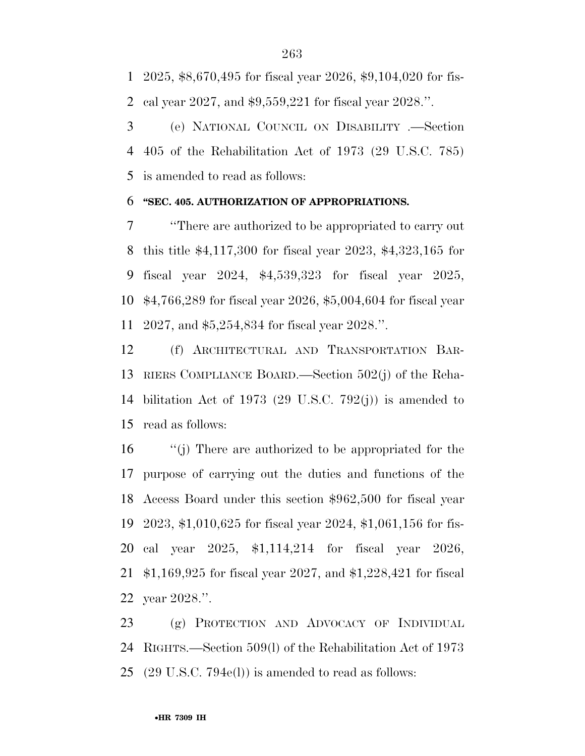2025, \$8,670,495 for fiscal year 2026, \$9,104,020 for fis-cal year 2027, and \$9,559,221 for fiscal year 2028.''.

 (e) NATIONAL COUNCIL ON DISABILITY .—Section 405 of the Rehabilitation Act of 1973 (29 U.S.C. 785) is amended to read as follows:

#### **''SEC. 405. AUTHORIZATION OF APPROPRIATIONS.**

 ''There are authorized to be appropriated to carry out this title \$4,117,300 for fiscal year 2023, \$4,323,165 for fiscal year 2024, \$4,539,323 for fiscal year 2025, \$4,766,289 for fiscal year 2026, \$5,004,604 for fiscal year 2027, and \$5,254,834 for fiscal year 2028.''.

 (f) ARCHITECTURAL AND TRANSPORTATION BAR- RIERS COMPLIANCE BOARD.—Section 502(j) of the Reha- bilitation Act of 1973 (29 U.S.C. 792(j)) is amended to read as follows:

 ''(j) There are authorized to be appropriated for the purpose of carrying out the duties and functions of the Access Board under this section \$962,500 for fiscal year 2023, \$1,010,625 for fiscal year 2024, \$1,061,156 for fis- cal year 2025, \$1,114,214 for fiscal year 2026, \$1,169,925 for fiscal year 2027, and \$1,228,421 for fiscal year 2028.''.

 (g) PROTECTION AND ADVOCACY OF INDIVIDUAL RIGHTS.—Section 509(l) of the Rehabilitation Act of 1973 (29 U.S.C. 794e(l)) is amended to read as follows: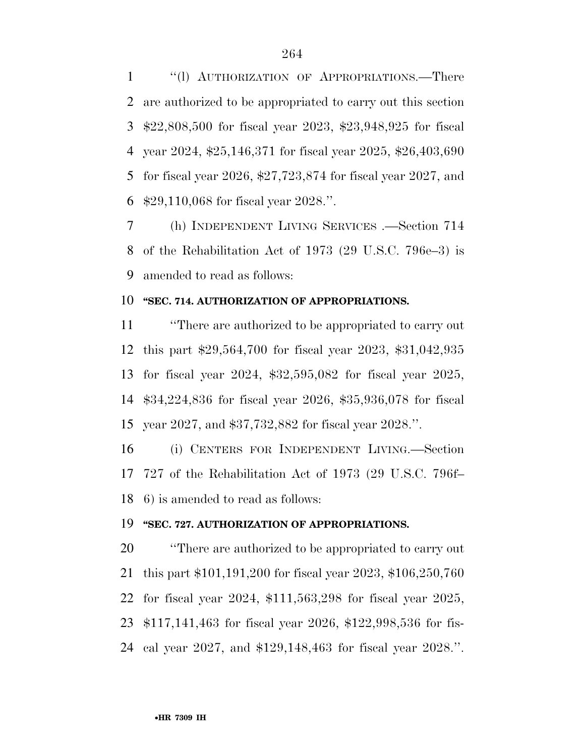''(l) AUTHORIZATION OF APPROPRIATIONS.—There are authorized to be appropriated to carry out this section \$22,808,500 for fiscal year 2023, \$23,948,925 for fiscal year 2024, \$25,146,371 for fiscal year 2025, \$26,403,690 for fiscal year 2026, \$27,723,874 for fiscal year 2027, and \$29,110,068 for fiscal year 2028.''.

 (h) INDEPENDENT LIVING SERVICES .—Section 714 of the Rehabilitation Act of 1973 (29 U.S.C. 796e–3) is amended to read as follows:

## **''SEC. 714. AUTHORIZATION OF APPROPRIATIONS.**

 ''There are authorized to be appropriated to carry out this part \$29,564,700 for fiscal year 2023, \$31,042,935 for fiscal year 2024, \$32,595,082 for fiscal year 2025, \$34,224,836 for fiscal year 2026, \$35,936,078 for fiscal year 2027, and \$37,732,882 for fiscal year 2028.''.

 (i) CENTERS FOR INDEPENDENT LIVING.—Section 727 of the Rehabilitation Act of 1973 (29 U.S.C. 796f– 6) is amended to read as follows:

#### **''SEC. 727. AUTHORIZATION OF APPROPRIATIONS.**

 ''There are authorized to be appropriated to carry out this part \$101,191,200 for fiscal year 2023, \$106,250,760 for fiscal year 2024, \$111,563,298 for fiscal year 2025, \$117,141,463 for fiscal year 2026, \$122,998,536 for fis-cal year 2027, and \$129,148,463 for fiscal year 2028.''.